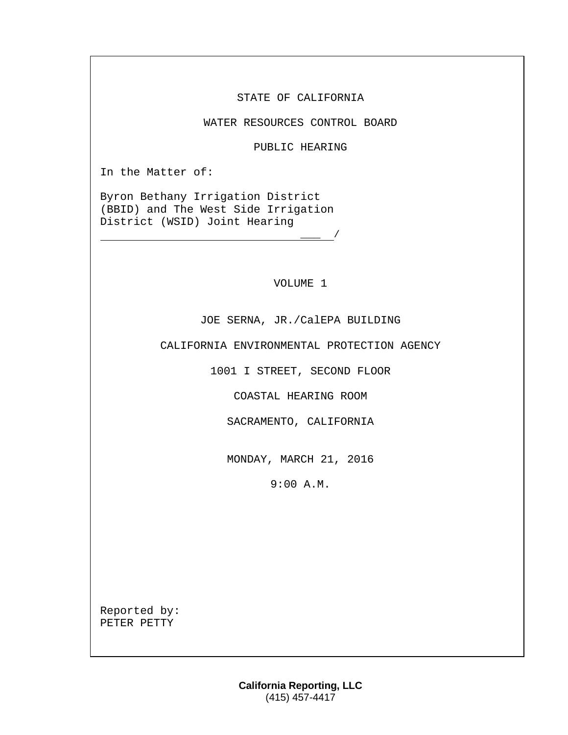STATE OF CALIFORNIA

WATER RESOURCES CONTROL BOARD

PUBLIC HEARING

In the Matter of:

Byron Bethany Irrigation District (BBID) and The West Side Irrigation District (WSID) Joint Hearing

VOLUME 1

 $\frac{\ }{\ }$  /

JOE SERNA, JR./CalEPA BUILDING

CALIFORNIA ENVIRONMENTAL PROTECTION AGENCY

1001 I STREET, SECOND FLOOR

COASTAL HEARING ROOM

SACRAMENTO, CALIFORNIA

MONDAY, MARCH 21, 2016

9:00 A.M.

Reported by: PETER PETTY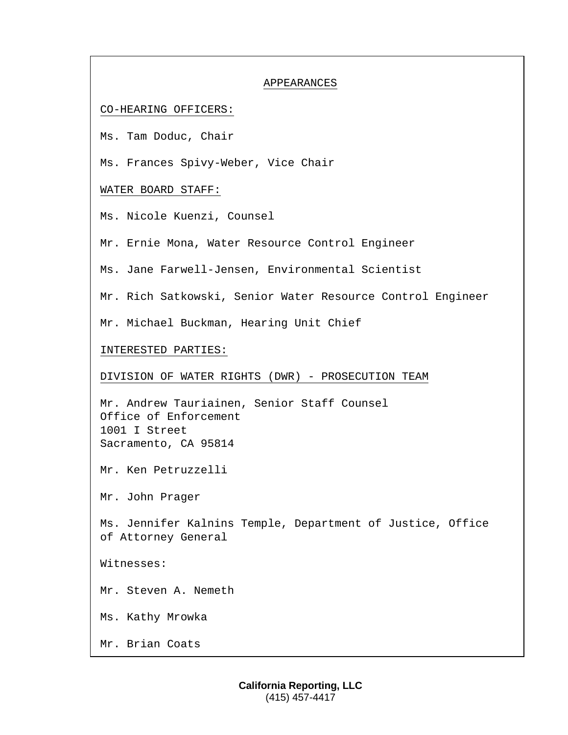#### APPEARANCES

# CO-HEARING OFFICERS:

Ms. Tam Doduc, Chair

Ms. Frances Spivy-Weber, Vice Chair

# WATER BOARD STAFF:

Ms. Nicole Kuenzi, Counsel

Mr. Ernie Mona, Water Resource Control Engineer

Ms. Jane Farwell-Jensen, Environmental Scientist

Mr. Rich Satkowski, Senior Water Resource Control Engineer

Mr. Michael Buckman, Hearing Unit Chief

# INTERESTED PARTIES:

DIVISION OF WATER RIGHTS (DWR) - PROSECUTION TEAM

Mr. Andrew Tauriainen, Senior Staff Counsel Office of Enforcement 1001 I Street Sacramento, CA 95814

Mr. Ken Petruzzelli

Mr. John Prager

Ms. Jennifer Kalnins Temple, Department of Justice, Office of Attorney General

Witnesses:

Mr. Steven A. Nemeth

Ms. Kathy Mrowka

Mr. Brian Coats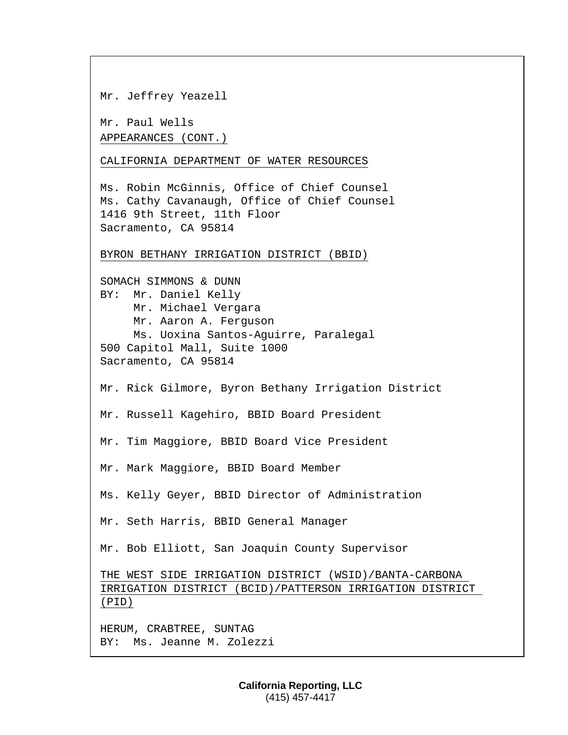Mr. Jeffrey Yeazell

Mr. Paul Wells APPEARANCES (CONT.)

CALIFORNIA DEPARTMENT OF WATER RESOURCES

Ms. Robin McGinnis, Office of Chief Counsel Ms. Cathy Cavanaugh, Office of Chief Counsel 1416 9th Street, 11th Floor Sacramento, CA 95814

# BYRON BETHANY IRRIGATION DISTRICT (BBID)

SOMACH SIMMONS & DUNN BY: Mr. Daniel Kelly Mr. Michael Vergara Mr. Aaron A. Ferguson Ms. Uoxina Santos-Aguirre, Paralegal 500 Capitol Mall, Suite 1000 Sacramento, CA 95814 Mr. Rick Gilmore, Byron Bethany Irrigation District Mr. Russell Kagehiro, BBID Board President Mr. Tim Maggiore, BBID Board Vice President Mr. Mark Maggiore, BBID Board Member Ms. Kelly Geyer, BBID Director of Administration Mr. Seth Harris, BBID General Manager Mr. Bob Elliott, San Joaquin County Supervisor THE WEST SIDE IRRIGATION DISTRICT (WSID)/BANTA-CARBONA IRRIGATION DISTRICT (BCID)/PATTERSON IRRIGATION DISTRICT (PID) HERUM, CRABTREE, SUNTAG BY: Ms. Jeanne M. Zolezzi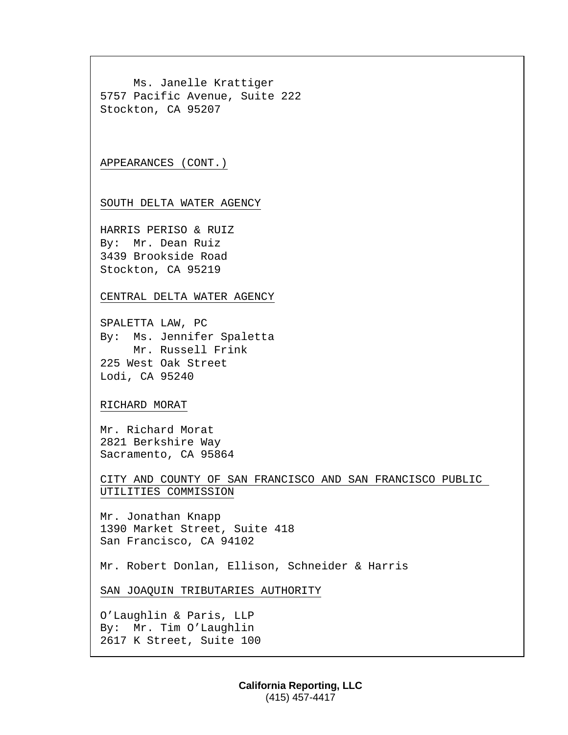Ms. Janelle Krattiger 5757 Pacific Avenue, Suite 222 Stockton, CA 95207

APPEARANCES (CONT.)

SOUTH DELTA WATER AGENCY

HARRIS PERISO & RUIZ By: Mr. Dean Ruiz 3439 Brookside Road Stockton, CA 95219

CENTRAL DELTA WATER AGENCY

SPALETTA LAW, PC By: Ms. Jennifer Spaletta Mr. Russell Frink 225 West Oak Street Lodi, CA 95240

# RICHARD MORAT

Mr. Richard Morat 2821 Berkshire Way Sacramento, CA 95864

CITY AND COUNTY OF SAN FRANCISCO AND SAN FRANCISCO PUBLIC UTILITIES COMMISSION

Mr. Jonathan Knapp 1390 Market Street, Suite 418 San Francisco, CA 94102

Mr. Robert Donlan, Ellison, Schneider & Harris

SAN JOAQUIN TRIBUTARIES AUTHORITY

O'Laughlin & Paris, LLP By: Mr. Tim O'Laughlin 2617 K Street, Suite 100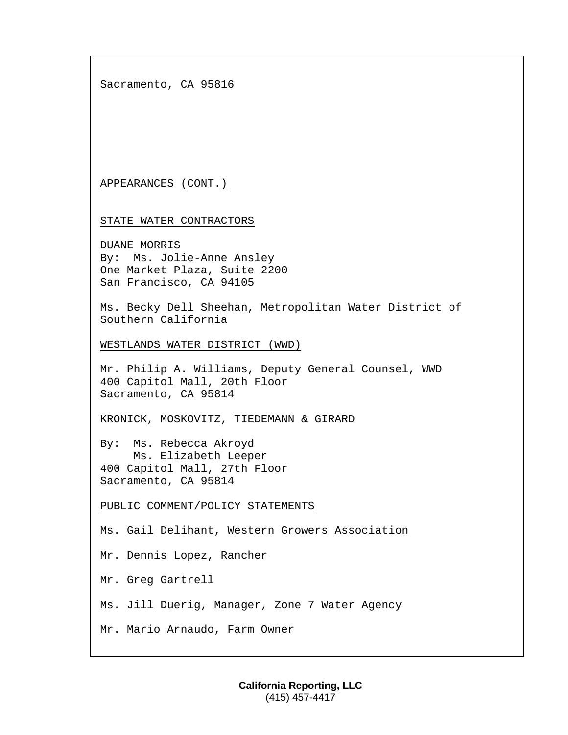Sacramento, CA 95816

APPEARANCES (CONT.)

STATE WATER CONTRACTORS

DUANE MORRIS By: Ms. Jolie-Anne Ansley One Market Plaza, Suite 2200 San Francisco, CA 94105

Ms. Becky Dell Sheehan, Metropolitan Water District of Southern California

WESTLANDS WATER DISTRICT (WWD)

Mr. Philip A. Williams, Deputy General Counsel, WWD 400 Capitol Mall, 20th Floor Sacramento, CA 95814

KRONICK, MOSKOVITZ, TIEDEMANN & GIRARD

By: Ms. Rebecca Akroyd Ms. Elizabeth Leeper 400 Capitol Mall, 27th Floor Sacramento, CA 95814

PUBLIC COMMENT/POLICY STATEMENTS

Ms. Gail Delihant, Western Growers Association

Mr. Dennis Lopez, Rancher

Mr. Greg Gartrell

Ms. Jill Duerig, Manager, Zone 7 Water Agency

Mr. Mario Arnaudo, Farm Owner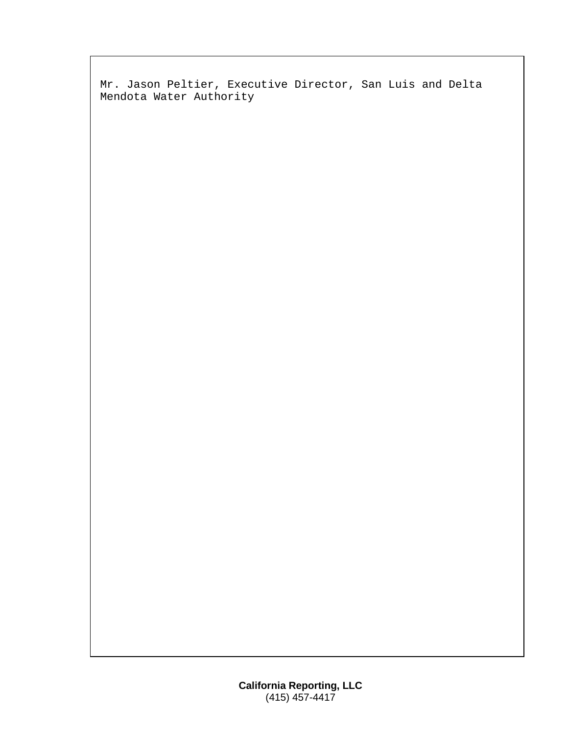Mr. Jason Peltier, Executive Director, San Luis and Delta Mendota Water Authority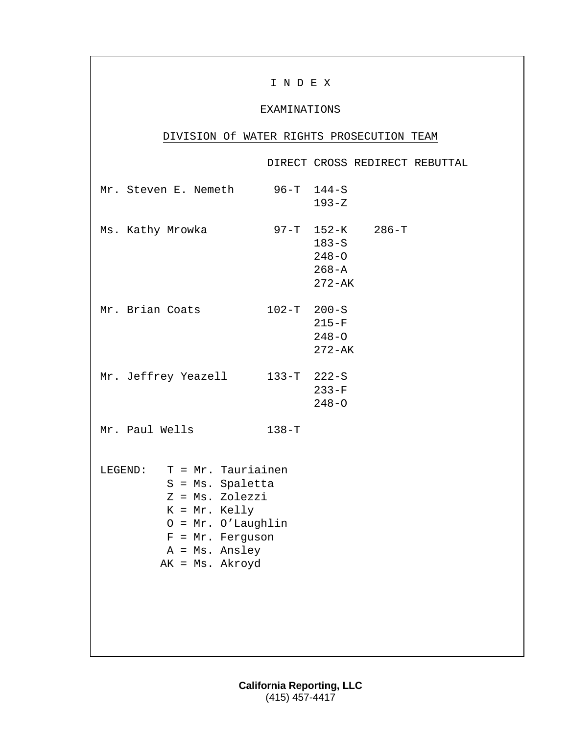# I N D E X

# EXAMINATIONS

# DIVISION Of WATER RIGHTS PROSECUTION TEAM

|                                                                                                                                                                            |                 |                                                 |                  | DIRECT CROSS REDIRECT REBUTTAL |
|----------------------------------------------------------------------------------------------------------------------------------------------------------------------------|-----------------|-------------------------------------------------|------------------|--------------------------------|
| Mr. Steven E. Nemeth                                                                                                                                                       |                 | $96 - T$ 144-S<br>$193 - Z$                     |                  |                                |
| Ms. Kathy Mrowka                                                                                                                                                           |                 | $183-S$<br>$248 - 0$<br>$268 - A$<br>$272 - AK$ | 97-Т 152-К 286-Т |                                |
| Mr. Brian Coats                                                                                                                                                            | $102 - T$ 200-S | $215-F$<br>$248 - 0$<br>$272 - AK$              |                  |                                |
| Mr. Jeffrey Yeazell 133-T 222-S                                                                                                                                            |                 | $233-F$<br>$248 - 0$                            |                  |                                |
| Mr. Paul Wells                                                                                                                                                             | $138-T$         |                                                 |                  |                                |
| LEGEND: $T = Mr. Tauriainen$<br>S = Ms. Spaletta<br>Z = Ms. Zolezzi<br>$K = Mr. Kelly$<br>$0 = Mr. O' Laughlin$<br>$F = Mr.$ Ferguson<br>A = Ms. Ansley<br>AK = Ms. Akroyd |                 |                                                 |                  |                                |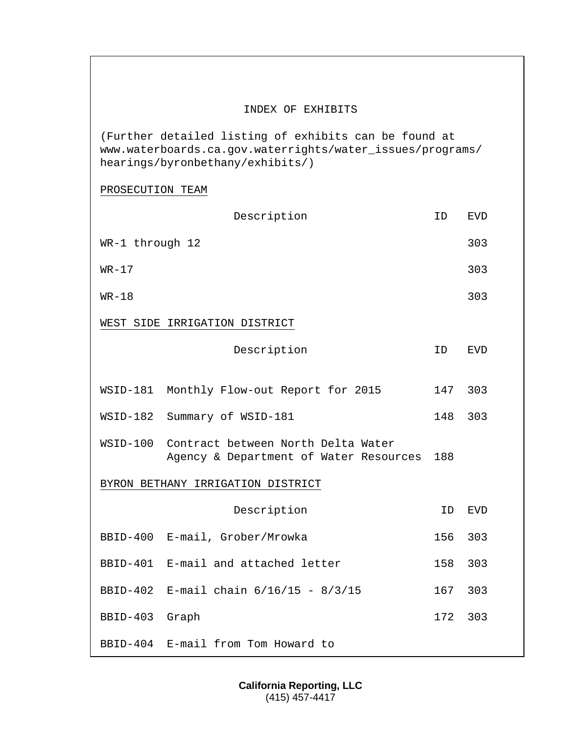# INDEX OF EXHIBITS

(Further detailed listing of exhibits can be found at www.waterboards.ca.gov.waterrights/water\_issues/programs/ hearings/byronbethany/exhibits/)

PROSECUTION TEAM

|                 | Description                                                                  | ID  | <b>EVD</b> |
|-----------------|------------------------------------------------------------------------------|-----|------------|
| WR-1 through 12 |                                                                              |     | 303        |
| $WR-17$         |                                                                              |     | 303        |
| $WR-18$         |                                                                              |     | 303        |
|                 | WEST SIDE IRRIGATION DISTRICT                                                |     |            |
|                 | Description                                                                  | ID  | <b>EVD</b> |
|                 | WSID-181 Monthly Flow-out Report for 2015                                    | 147 | 303        |
| WSID-182        | Summary of WSID-181                                                          | 148 | 303        |
| WSID-100        | Contract between North Delta Water<br>Agency & Department of Water Resources | 188 |            |
|                 | BYRON BETHANY IRRIGATION DISTRICT                                            |     |            |
|                 | Description                                                                  | ID  | EVD        |
|                 | BBID-400 E-mail, Grober/Mrowka                                               | 156 | 303        |
|                 | BBID-401 E-mail and attached letter                                          | 158 | 303        |
|                 | BBID-402 E-mail chain 6/16/15 - 8/3/15                                       | 167 | 303        |
| BBID-403        | Graph                                                                        | 172 | 303        |
| BBID-404        | E-mail from Tom Howard to                                                    |     |            |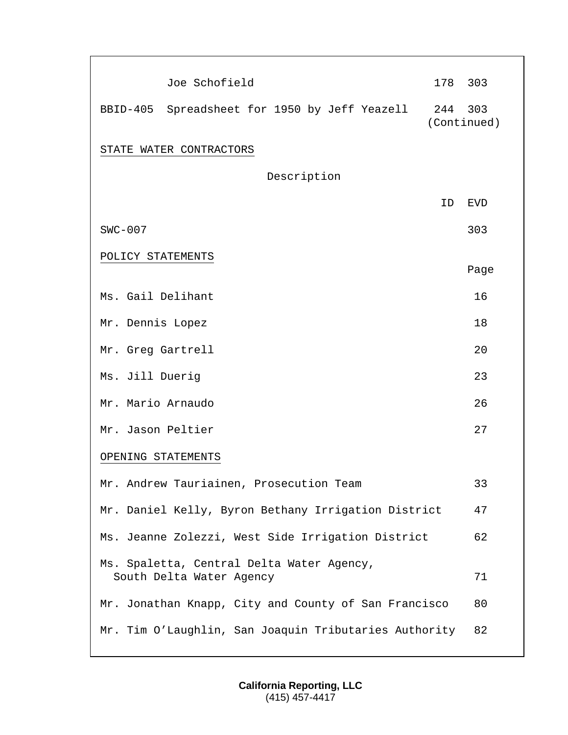|                   | Joe Schofield                                                         | 178     | 303         |
|-------------------|-----------------------------------------------------------------------|---------|-------------|
|                   | BBID-405 Spreadsheet for 1950 by Jeff Yeazell                         | 244 303 | (Continued) |
|                   | STATE WATER CONTRACTORS                                               |         |             |
|                   | Description                                                           |         |             |
|                   |                                                                       | ΙD      | EVD         |
| $SWC-007$         |                                                                       |         | 303         |
| POLICY STATEMENTS |                                                                       |         |             |
|                   |                                                                       |         | Page        |
| Ms. Gail Delihant |                                                                       |         | 16          |
| Mr. Dennis Lopez  |                                                                       |         | 18          |
| Mr. Greg Gartrell |                                                                       |         | 20          |
| Ms. Jill Duerig   |                                                                       |         | 23          |
| Mr. Mario Arnaudo |                                                                       |         | 26          |
| Mr. Jason Peltier |                                                                       |         | 27          |
|                   | OPENING STATEMENTS                                                    |         |             |
|                   | Mr. Andrew Tauriainen, Prosecution Team                               |         | 33          |
|                   | Mr. Daniel Kelly, Byron Bethany Irrigation District                   |         | 47          |
|                   | Ms. Jeanne Zolezzi, West Side Irrigation District                     |         | 62          |
|                   | Ms. Spaletta, Central Delta Water Agency,<br>South Delta Water Agency |         | 71          |
|                   | Mr. Jonathan Knapp, City and County of San Francisco                  |         | 80          |
|                   | Mr. Tim O'Laughlin, San Joaquin Tributaries Authority                 |         | 82          |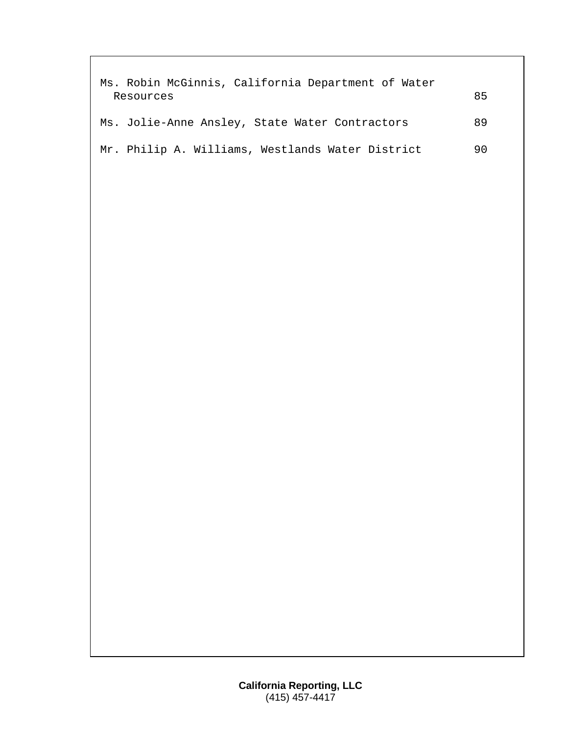| Ms. Robin McGinnis, California Department of Water<br>Resources | 85 |
|-----------------------------------------------------------------|----|
| Ms. Jolie-Anne Ansley, State Water Contractors                  | 89 |
| Mr. Philip A. Williams, Westlands Water District                | 90 |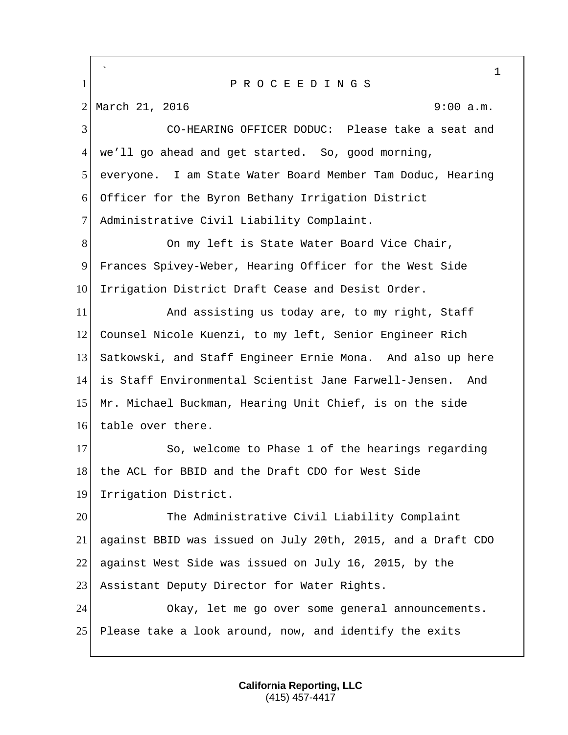` 1 1 P R O C E E D I N G S 2 March 21, 2016 9:00 a.m. 3 CO-HEARING OFFICER DODUC: Please take a seat and 4 we'll go ahead and get started. So, good morning, 5 everyone. I am State Water Board Member Tam Doduc, Hearing 6 Officer for the Byron Bethany Irrigation District 7 Administrative Civil Liability Complaint. 8 On my left is State Water Board Vice Chair, 9 Frances Spivey-Weber, Hearing Officer for the West Side 10 Irrigation District Draft Cease and Desist Order. 11 And assisting us today are, to my right, Staff 12 Counsel Nicole Kuenzi, to my left, Senior Engineer Rich 13 Satkowski, and Staff Engineer Ernie Mona. And also up here 14 is Staff Environmental Scientist Jane Farwell-Jensen. And 15 Mr. Michael Buckman, Hearing Unit Chief, is on the side 16 table over there. 17 So, welcome to Phase 1 of the hearings regarding 18 the ACL for BBID and the Draft CDO for West Side 19 Irrigation District. 20 The Administrative Civil Liability Complaint 21 against BBID was issued on July 20th, 2015, and a Draft CDO 22 against West Side was issued on July 16, 2015, by the 23 Assistant Deputy Director for Water Rights. 24 Okay, let me go over some general announcements. 25 Please take a look around, now, and identify the exits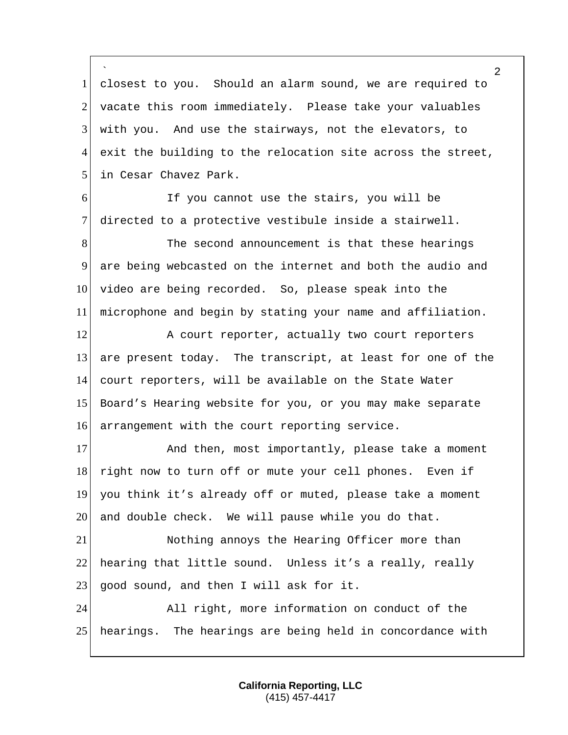` 1 closest to you. Should an alarm sound, we are required to 2 vacate this room immediately. Please take your valuables 3 with you. And use the stairways, not the elevators, to  $4$  exit the building to the relocation site across the street, 5 in Cesar Chavez Park.

6 If you cannot use the stairs, you will be 7 directed to a protective vestibule inside a stairwell.

8 The second announcement is that these hearings 9 are being webcasted on the internet and both the audio and 10 video are being recorded. So, please speak into the 11 microphone and begin by stating your name and affiliation.

12 A court reporter, actually two court reporters 13 are present today. The transcript, at least for one of the 14 court reporters, will be available on the State Water 15 Board's Hearing website for you, or you may make separate 16 arrangement with the court reporting service.

17 And then, most importantly, please take a moment 18 right now to turn off or mute your cell phones. Even if 19 you think it's already off or muted, please take a moment 20 and double check. We will pause while you do that.

21 Nothing annoys the Hearing Officer more than 22 hearing that little sound. Unless it's a really, really 23 good sound, and then I will ask for it.

24 All right, more information on conduct of the 25 hearings. The hearings are being held in concordance with

> **California Reporting, LLC** (415) 457-4417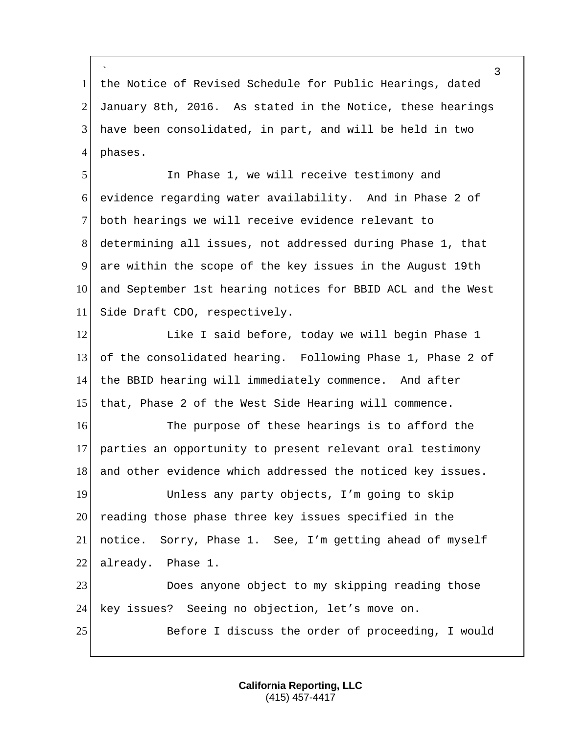` 1 the Notice of Revised Schedule for Public Hearings, dated 2 January 8th, 2016. As stated in the Notice, these hearings 3 have been consolidated, in part, and will be held in two  $4$  phases.

 In Phase 1, we will receive testimony and evidence regarding water availability. And in Phase 2 of both hearings we will receive evidence relevant to determining all issues, not addressed during Phase 1, that are within the scope of the key issues in the August 19th 10 and September 1st hearing notices for BBID ACL and the West 11 Side Draft CDO, respectively.

12 Like I said before, today we will begin Phase 1 of the consolidated hearing. Following Phase 1, Phase 2 of the BBID hearing will immediately commence. And after that, Phase 2 of the West Side Hearing will commence.

16 The purpose of these hearings is to afford the 17 parties an opportunity to present relevant oral testimony 18 and other evidence which addressed the noticed key issues.

19 Unless any party objects, I'm going to skip 20 reading those phase three key issues specified in the 21 notice. Sorry, Phase 1. See, I'm getting ahead of myself 22 already. Phase 1.

23 Does anyone object to my skipping reading those 24 key issues? Seeing no objection, let's move on.

25 Before I discuss the order of proceeding, I would

**California Reporting, LLC** (415) 457-4417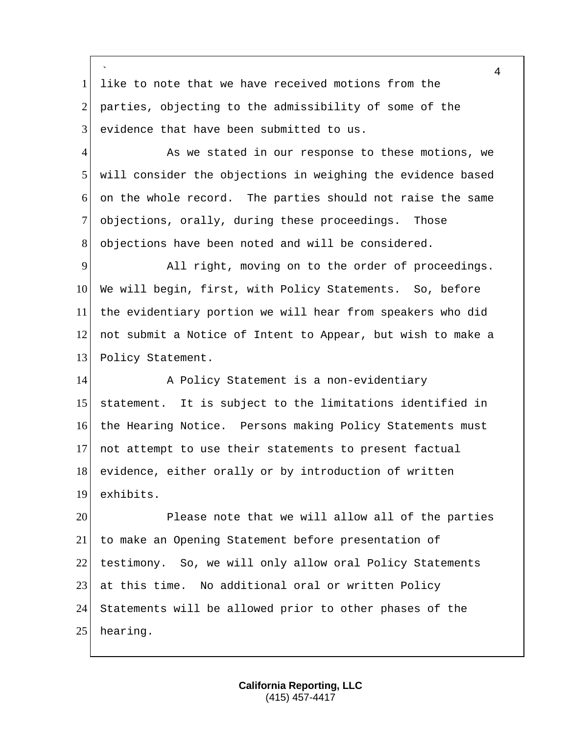` 1 like to note that we have received motions from the 2 parties, objecting to the admissibility of some of the  $3$  evidence that have been submitted to us.

4 As we stated in our response to these motions, we 5 | will consider the objections in weighing the evidence based 6 on the whole record. The parties should not raise the same 7 objections, orally, during these proceedings. Those 8 objections have been noted and will be considered.

9 All right, moving on to the order of proceedings. 10 We will begin, first, with Policy Statements. So, before 11 the evidentiary portion we will hear from speakers who did 12 not submit a Notice of Intent to Appear, but wish to make a 13 Policy Statement.

14 A Policy Statement is a non-evidentiary statement. It is subject to the limitations identified in the Hearing Notice. Persons making Policy Statements must not attempt to use their statements to present factual 18 evidence, either orally or by introduction of written exhibits.

20 Please note that we will allow all of the parties 21 to make an Opening Statement before presentation of 22 testimony. So, we will only allow oral Policy Statements 23 at this time. No additional oral or written Policy 24 Statements will be allowed prior to other phases of the 25 hearing.

> **California Reporting, LLC** (415) 457-4417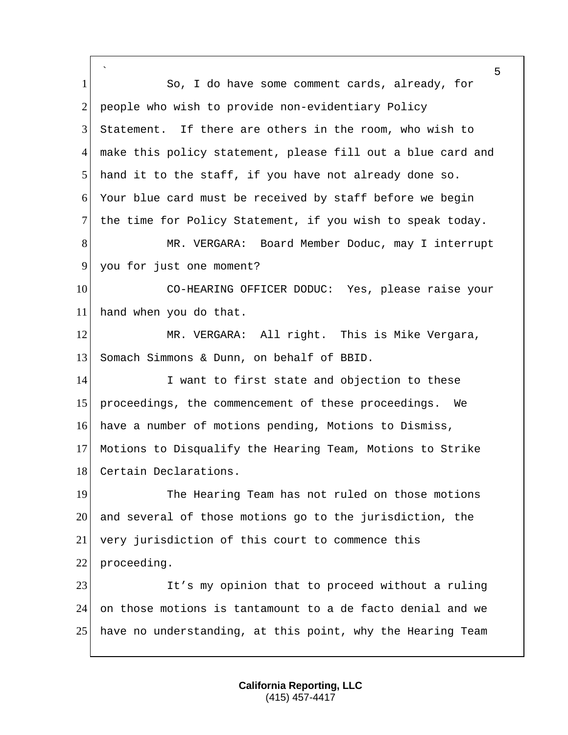` 5 1 So, I do have some comment cards, already, for 2 people who wish to provide non-evidentiary Policy 3 Statement. If there are others in the room, who wish to 4 make this policy statement, please fill out a blue card and 5 hand it to the staff, if you have not already done so. 6 Your blue card must be received by staff before we begin 7 the time for Policy Statement, if you wish to speak today. 8 MR. VERGARA: Board Member Doduc, may I interrupt 9 you for just one moment? 10 CO-HEARING OFFICER DODUC: Yes, please raise your 11 hand when you do that. 12 MR. VERGARA: All right. This is Mike Vergara, 13 Somach Simmons & Dunn, on behalf of BBID. 14 I want to first state and objection to these 15 proceedings, the commencement of these proceedings. We 16 have a number of motions pending, Motions to Dismiss, 17 Motions to Disqualify the Hearing Team, Motions to Strike 18 Certain Declarations. 19 The Hearing Team has not ruled on those motions 20 and several of those motions go to the jurisdiction, the 21 very jurisdiction of this court to commence this 22 proceeding. 23 It's my opinion that to proceed without a ruling 24 on those motions is tantamount to a de facto denial and we 25 have no understanding, at this point, why the Hearing Team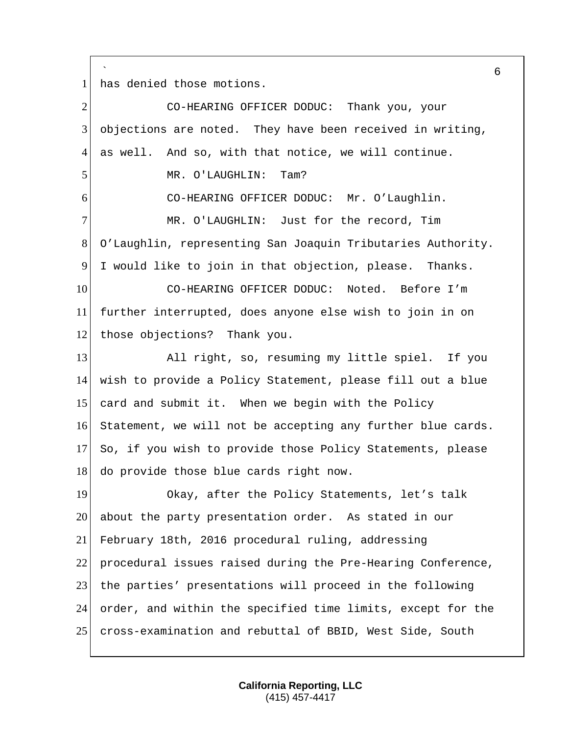` has denied those motions.

| $\overline{2}$ | CO-HEARING OFFICER DODUC: Thank you, your                   |
|----------------|-------------------------------------------------------------|
| 3              | objections are noted. They have been received in writing,   |
| 4              | as well. And so, with that notice, we will continue.        |
| 5              | MR. O'LAUGHLIN:<br>Tam?                                     |
| 6              | CO-HEARING OFFICER DODUC: Mr. O'Laughlin.                   |
| 7              | MR. O'LAUGHLIN: Just for the record, Tim                    |
| $8\,$          | O'Laughlin, representing San Joaquin Tributaries Authority. |
| 9              | I would like to join in that objection, please. Thanks.     |
| 10             | CO-HEARING OFFICER DODUC: Noted. Before I'm                 |
| 11             | further interrupted, does anyone else wish to join in on    |
| 12             | those objections? Thank you.                                |
| 13             | All right, so, resuming my little spiel. If you             |
| 14             | wish to provide a Policy Statement, please fill out a blue  |
| 15             | card and submit it. When we begin with the Policy           |
| 16             | Statement, we will not be accepting any further blue cards. |
| 17             | So, if you wish to provide those Policy Statements, please  |
| 18             | do provide those blue cards right now.                      |
| 19             | Okay, after the Policy Statements, let's talk               |
| 20             | about the party presentation order. As stated in our        |
| 21             | February 18th, 2016 procedural ruling, addressing           |
| 22             | procedural issues raised during the Pre-Hearing Conference, |
| 23             | the parties' presentations will proceed in the following    |
| 24             | order, and within the specified time limits, except for the |
| 25             | cross-examination and rebuttal of BBID, West Side, South    |

**California Reporting, LLC** (415) 457-4417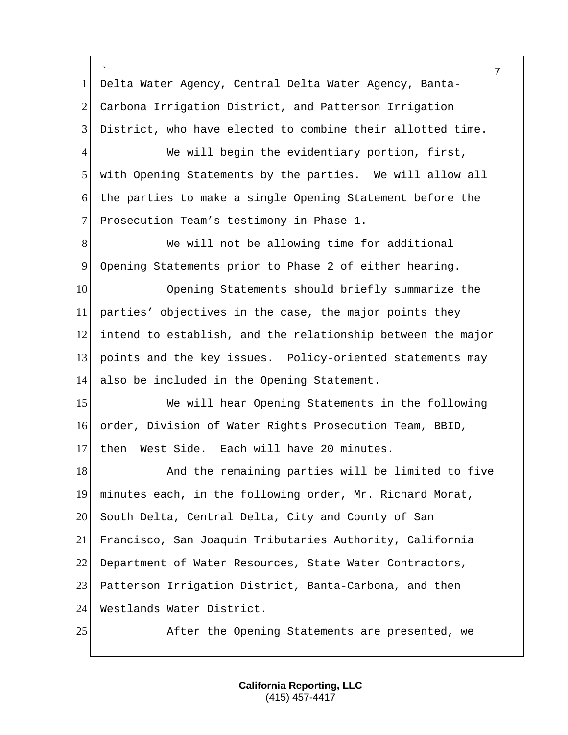` 1 Delta Water Agency, Central Delta Water Agency, Banta-2 Carbona Irrigation District, and Patterson Irrigation 3 District, who have elected to combine their allotted time.

4 We will begin the evidentiary portion, first, 5 with Opening Statements by the parties. We will allow all 6 the parties to make a single Opening Statement before the 7 Prosecution Team's testimony in Phase 1.

8 We will not be allowing time for additional 9 Opening Statements prior to Phase 2 of either hearing.

 Opening Statements should briefly summarize the parties' objectives in the case, the major points they intend to establish, and the relationship between the major points and the key issues. Policy-oriented statements may also be included in the Opening Statement.

15 We will hear Opening Statements in the following 16 order, Division of Water Rights Prosecution Team, BBID, 17 then West Side. Each will have 20 minutes.

18 And the remaining parties will be limited to five 19 minutes each, in the following order, Mr. Richard Morat, 20 South Delta, Central Delta, City and County of San 21 Francisco, San Joaquin Tributaries Authority, California 22 Department of Water Resources, State Water Contractors, 23 Patterson Irrigation District, Banta-Carbona, and then 24 Westlands Water District.

25 After the Opening Statements are presented, we

**California Reporting, LLC** (415) 457-4417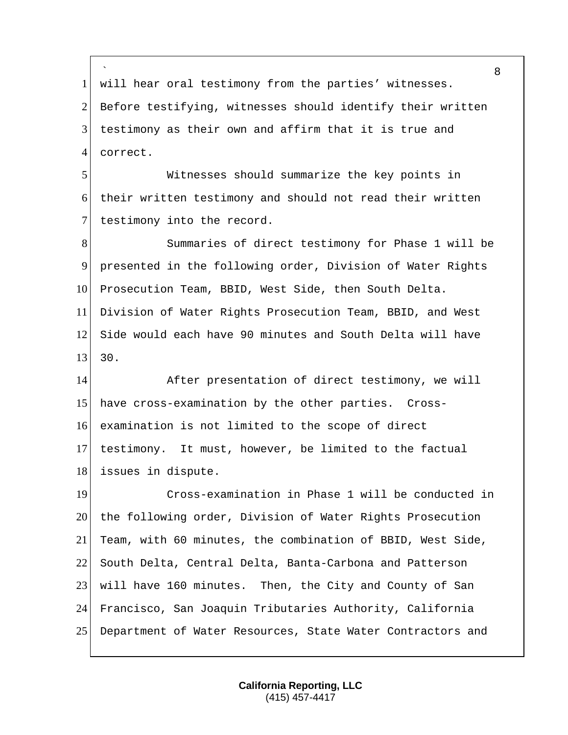` will hear oral testimony from the parties' witnesses. 2 Before testifying, witnesses should identify their written testimony as their own and affirm that it is true and 4 correct.

 Witnesses should summarize the key points in their written testimony and should not read their written 7 testimony into the record.

 Summaries of direct testimony for Phase 1 will be presented in the following order, Division of Water Rights 10 Prosecution Team, BBID, West Side, then South Delta. Division of Water Rights Prosecution Team, BBID, and West Side would each have 90 minutes and South Delta will have  $13 \mid 30.$ 

 After presentation of direct testimony, we will 15 have cross-examination by the other parties. Cross- examination is not limited to the scope of direct testimony. It must, however, be limited to the factual 18 issues in dispute.

 Cross-examination in Phase 1 will be conducted in the following order, Division of Water Rights Prosecution Team, with 60 minutes, the combination of BBID, West Side, South Delta, Central Delta, Banta-Carbona and Patterson will have 160 minutes. Then, the City and County of San Francisco, San Joaquin Tributaries Authority, California Department of Water Resources, State Water Contractors and

> **California Reporting, LLC** (415) 457-4417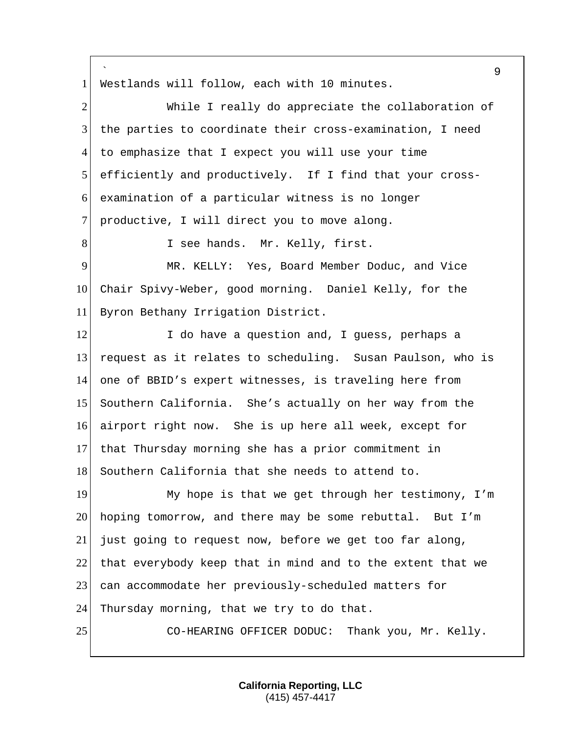` 9 1 Westlands will follow, each with 10 minutes. 2 While I really do appreciate the collaboration of 3 the parties to coordinate their cross-examination, I need 4 to emphasize that I expect you will use your time 5 efficiently and productively. If I find that your cross-6 examination of a particular witness is no longer 7 productive, I will direct you to move along. 8 I see hands. Mr. Kelly, first. 9 MR. KELLY: Yes, Board Member Doduc, and Vice 10 Chair Spivy-Weber, good morning. Daniel Kelly, for the 11 Byron Bethany Irrigation District. 12 I do have a question and, I guess, perhaps a 13 request as it relates to scheduling. Susan Paulson, who is 14 one of BBID's expert witnesses, is traveling here from 15 Southern California. She's actually on her way from the 16 airport right now. She is up here all week, except for 17 that Thursday morning she has a prior commitment in 18 Southern California that she needs to attend to. 19 My hope is that we get through her testimony, I'm 20 hoping tomorrow, and there may be some rebuttal. But I'm 21 just going to request now, before we get too far along, 22 that everybody keep that in mind and to the extent that we 23 can accommodate her previously-scheduled matters for 24 Thursday morning, that we try to do that. 25 CO-HEARING OFFICER DODUC: Thank you, Mr. Kelly.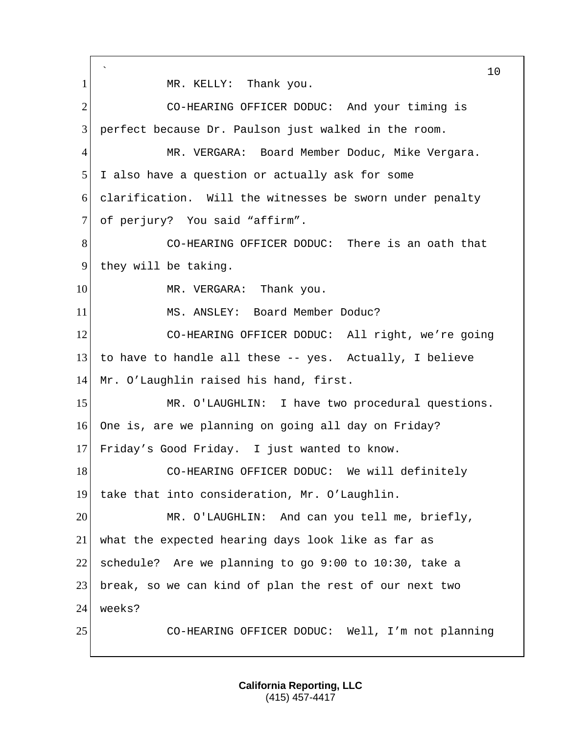` 10 1 | MR. KELLY: Thank you. 2 CO-HEARING OFFICER DODUC: And your timing is 3 perfect because Dr. Paulson just walked in the room. 4 MR. VERGARA: Board Member Doduc, Mike Vergara. 5 I also have a question or actually ask for some 6 clarification. Will the witnesses be sworn under penalty 7 of perjury? You said "affirm". 8 CO-HEARING OFFICER DODUC: There is an oath that 9 they will be taking. 10 MR. VERGARA: Thank you. 11 | MS. ANSLEY: Board Member Doduc? 12 CO-HEARING OFFICER DODUC: All right, we're going 13 to have to handle all these  $-$ - yes. Actually, I believe 14 Mr. O'Laughlin raised his hand, first. 15 MR. O'LAUGHLIN: I have two procedural questions. 16 One is, are we planning on going all day on Friday? 17 Friday's Good Friday. I just wanted to know. 18 CO-HEARING OFFICER DODUC: We will definitely 19 take that into consideration, Mr. O'Laughlin. 20 MR. O'LAUGHLIN: And can you tell me, briefly, 21 what the expected hearing days look like as far as 22 schedule? Are we planning to go  $9:00$  to  $10:30$ , take a 23 break, so we can kind of plan the rest of our next two 24 weeks? 25 CO-HEARING OFFICER DODUC: Well, I'm not planning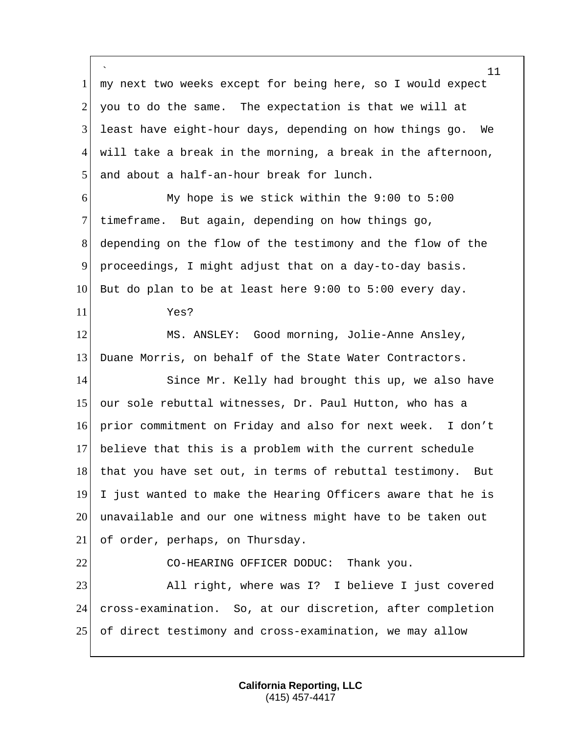` 1 my next two weeks except for being here, so I would expect you to do the same. The expectation is that we will at least have eight-hour days, depending on how things go. We will take a break in the morning, a break in the afternoon, 5 and about a half-an-hour break for lunch. My hope is we stick within the 9:00 to 5:00 7 timeframe. But again, depending on how things go, depending on the flow of the testimony and the flow of the proceedings, I might adjust that on a day-to-day basis. But do plan to be at least here 9:00 to 5:00 every day. Yes? MS. ANSLEY: Good morning, Jolie-Anne Ansley, Duane Morris, on behalf of the State Water Contractors. 14 Since Mr. Kelly had brought this up, we also have our sole rebuttal witnesses, Dr. Paul Hutton, who has a prior commitment on Friday and also for next week. I don't believe that this is a problem with the current schedule 18 | that you have set out, in terms of rebuttal testimony. But I just wanted to make the Hearing Officers aware that he is unavailable and our one witness might have to be taken out of order, perhaps, on Thursday. 22 CO-HEARING OFFICER DODUC: Thank you. 23 All right, where was I? I believe I just covered cross-examination. So, at our discretion, after completion of direct testimony and cross-examination, we may allow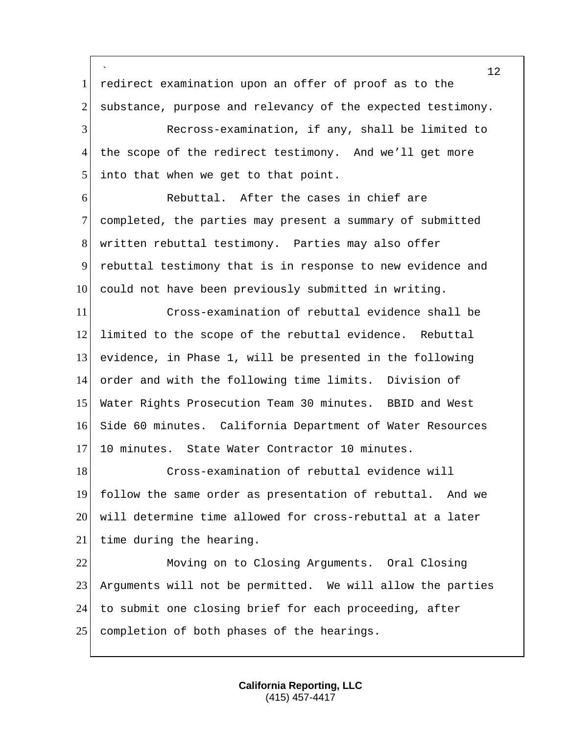` redirect examination upon an offer of proof as to the 2 substance, purpose and relevancy of the expected testimony. Recross-examination, if any, shall be limited to 4 the scope of the redirect testimony. And we'll get more 5 into that when we get to that point. **Rebuttal.** After the cases in chief are completed, the parties may present a summary of submitted written rebuttal testimony. Parties may also offer rebuttal testimony that is in response to new evidence and 10 could not have been previously submitted in writing. Cross-examination of rebuttal evidence shall be limited to the scope of the rebuttal evidence. Rebuttal evidence, in Phase 1, will be presented in the following order and with the following time limits. Division of Water Rights Prosecution Team 30 minutes. BBID and West Side 60 minutes. California Department of Water Resources 17 10 minutes. State Water Contractor 10 minutes. Cross-examination of rebuttal evidence will follow the same order as presentation of rebuttal. And we will determine time allowed for cross-rebuttal at a later 21 time during the hearing. Moving on to Closing Arguments. Oral Closing Arguments will not be permitted. We will allow the parties to submit one closing brief for each proceeding, after 25 completion of both phases of the hearings.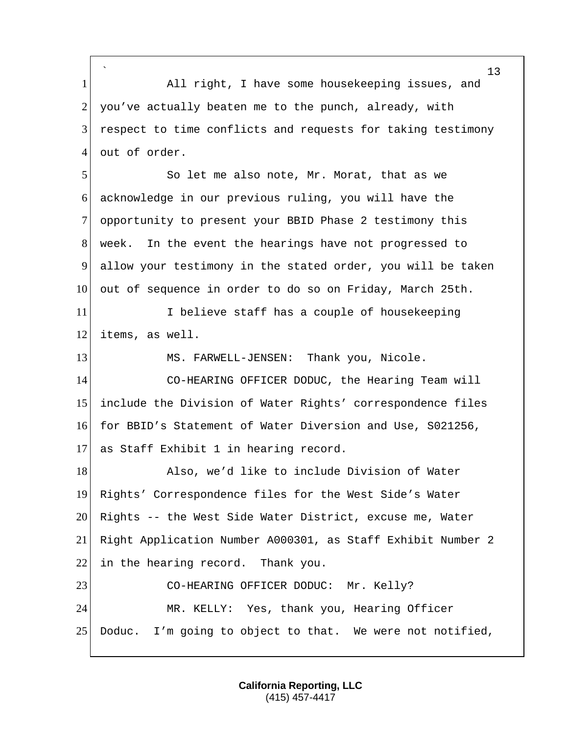` 1 All right, I have some housekeeping issues, and 2 you've actually beaten me to the punch, already, with 3 respect to time conflicts and requests for taking testimony 4 out of order. 5 So let me also note, Mr. Morat, that as we 6 acknowledge in our previous ruling, you will have the 7 opportunity to present your BBID Phase 2 testimony this 8 week. In the event the hearings have not progressed to 9 allow your testimony in the stated order, you will be taken 10 out of sequence in order to do so on Friday, March 25th. 11 I believe staff has a couple of housekeeping 12 items, as well. 13 MS. FARWELL-JENSEN: Thank you, Nicole. 14 CO-HEARING OFFICER DODUC, the Hearing Team will 15 include the Division of Water Rights' correspondence files 16 for BBID's Statement of Water Diversion and Use, S021256, 17 as Staff Exhibit 1 in hearing record. 18 Also, we'd like to include Division of Water 19 Rights' Correspondence files for the West Side's Water  $20$  Rights -- the West Side Water District, excuse me, Water

21 Right Application Number A000301, as Staff Exhibit Number 2

22 in the hearing record. Thank you.

23 CO-HEARING OFFICER DODUC: Mr. Kelly? 24 MR. KELLY: Yes, thank you, Hearing Officer 25 Doduc. I'm going to object to that. We were not notified,

> **California Reporting, LLC** (415) 457-4417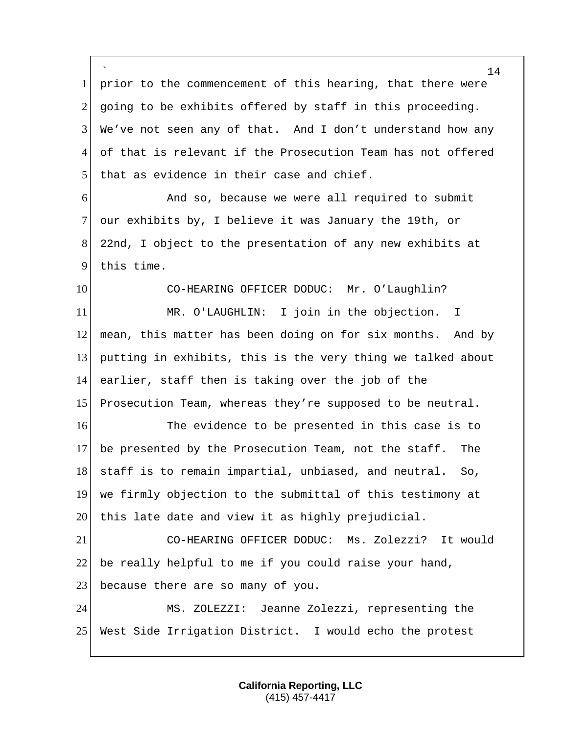` 1 prior to the commencement of this hearing, that there were 2 going to be exhibits offered by staff in this proceeding.  $3$  We've not seen any of that. And I don't understand how any 4 of that is relevant if the Prosecution Team has not offered 5 that as evidence in their case and chief. 6 And so, because we were all required to submit 7 our exhibits by, I believe it was January the 19th, or 8 22nd, I object to the presentation of any new exhibits at 9 this time. 10 CO-HEARING OFFICER DODUC: Mr. O'Laughlin? 11 MR. O'LAUGHLIN: I join in the objection. I 12 mean, this matter has been doing on for six months. And by 13 putting in exhibits, this is the very thing we talked about 14 earlier, staff then is taking over the job of the 15 Prosecution Team, whereas they're supposed to be neutral. 16 The evidence to be presented in this case is to 17 be presented by the Prosecution Team, not the staff. The 18 staff is to remain impartial, unbiased, and neutral. So, 19 we firmly objection to the submittal of this testimony at 20 this late date and view it as highly prejudicial. 21 CO-HEARING OFFICER DODUC: Ms. Zolezzi? It would 22 be really helpful to me if you could raise your hand, 23 because there are so many of you. 24 MS. ZOLEZZI: Jeanne Zolezzi, representing the 25 West Side Irrigation District. I would echo the protest

> **California Reporting, LLC** (415) 457-4417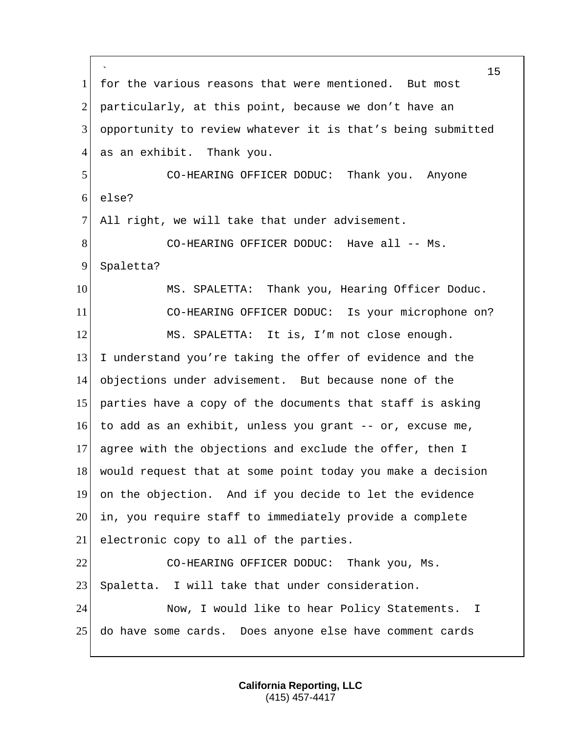` for the various reasons that were mentioned. But most 2 particularly, at this point, because we don't have an opportunity to review whatever it is that's being submitted 4 as an exhibit. Thank you. CO-HEARING OFFICER DODUC: Thank you. Anyone else? 7 All right, we will take that under advisement. 8 CO-HEARING OFFICER DODUC: Have all -- Ms. 9 Spaletta? 10 MS. SPALETTA: Thank you, Hearing Officer Doduc. CO-HEARING OFFICER DODUC: Is your microphone on? MS. SPALETTA: It is, I'm not close enough. I understand you're taking the offer of evidence and the objections under advisement. But because none of the parties have a copy of the documents that staff is asking to add as an exhibit, unless you grant -- or, excuse me, agree with the objections and exclude the offer, then I would request that at some point today you make a decision on the objection. And if you decide to let the evidence in, you require staff to immediately provide a complete 21 electronic copy to all of the parties. CO-HEARING OFFICER DODUC: Thank you, Ms. 23 Spaletta. I will take that under consideration. Now, I would like to hear Policy Statements. I do have some cards. Does anyone else have comment cards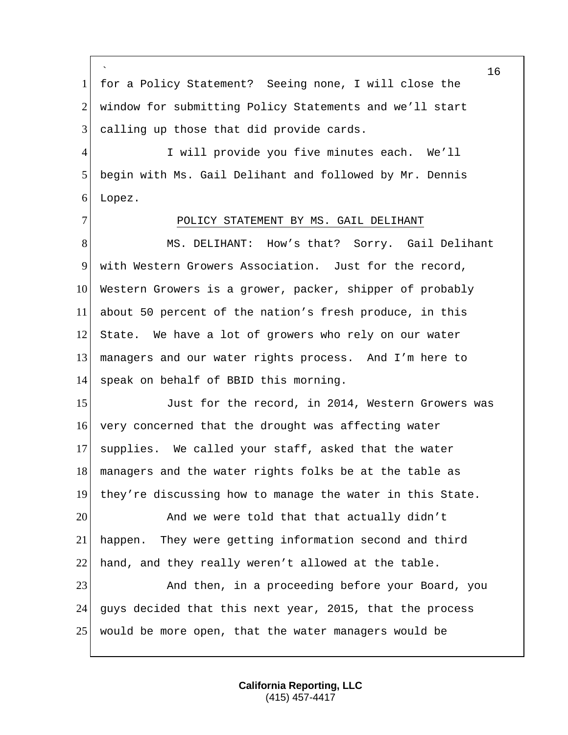` 1 for a Policy Statement? Seeing none, I will close the 2 window for submitting Policy Statements and we'll start 3 calling up those that did provide cards.

4 I will provide you five minutes each. We'll 5 begin with Ms. Gail Delihant and followed by Mr. Dennis 6 Lopez.

# 7 POLICY STATEMENT BY MS. GAIL DELIHANT

8 MS. DELIHANT: How's that? Sorry. Gail Delihant with Western Growers Association. Just for the record, Western Growers is a grower, packer, shipper of probably about 50 percent of the nation's fresh produce, in this 12 State. We have a lot of growers who rely on our water managers and our water rights process. And I'm here to speak on behalf of BBID this morning.

15 Just for the record, in 2014, Western Growers was 16 very concerned that the drought was affecting water 17 supplies. We called your staff, asked that the water 18 managers and the water rights folks be at the table as 19 they're discussing how to manage the water in this State.

20 And we were told that that actually didn't 21 happen. They were getting information second and third 22 hand, and they really weren't allowed at the table.

23 And then, in a proceeding before your Board, you 24 guys decided that this next year, 2015, that the process 25 would be more open, that the water managers would be

> **California Reporting, LLC** (415) 457-4417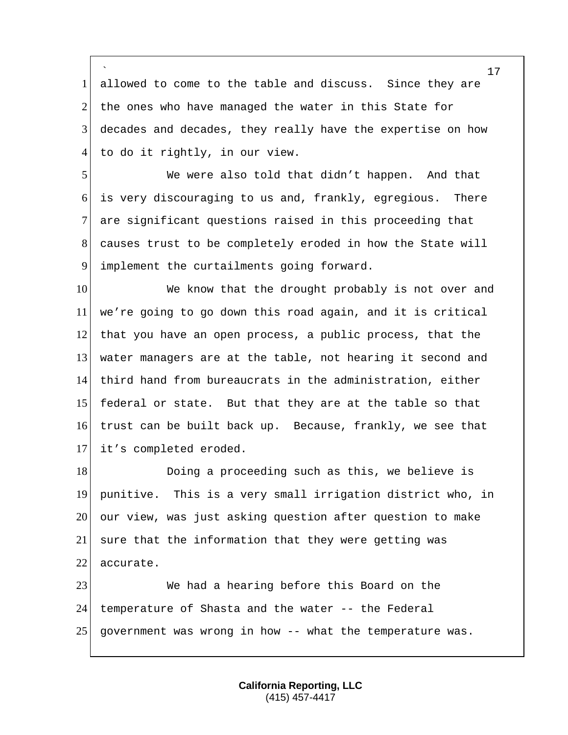` allowed to come to the table and discuss. Since they are 2 the ones who have managed the water in this State for decades and decades, they really have the expertise on how to do it rightly, in our view.

 We were also told that didn't happen. And that is very discouraging to us and, frankly, egregious. There are significant questions raised in this proceeding that causes trust to be completely eroded in how the State will 9 implement the curtailments going forward.

10 We know that the drought probably is not over and we're going to go down this road again, and it is critical that you have an open process, a public process, that the water managers are at the table, not hearing it second and third hand from bureaucrats in the administration, either federal or state. But that they are at the table so that trust can be built back up. Because, frankly, we see that it's completed eroded.

18 Doing a proceeding such as this, we believe is punitive. This is a very small irrigation district who, in our view, was just asking question after question to make 21 sure that the information that they were getting was 22 accurate.

 We had a hearing before this Board on the temperature of Shasta and the water -- the Federal government was wrong in how -- what the temperature was.

> **California Reporting, LLC** (415) 457-4417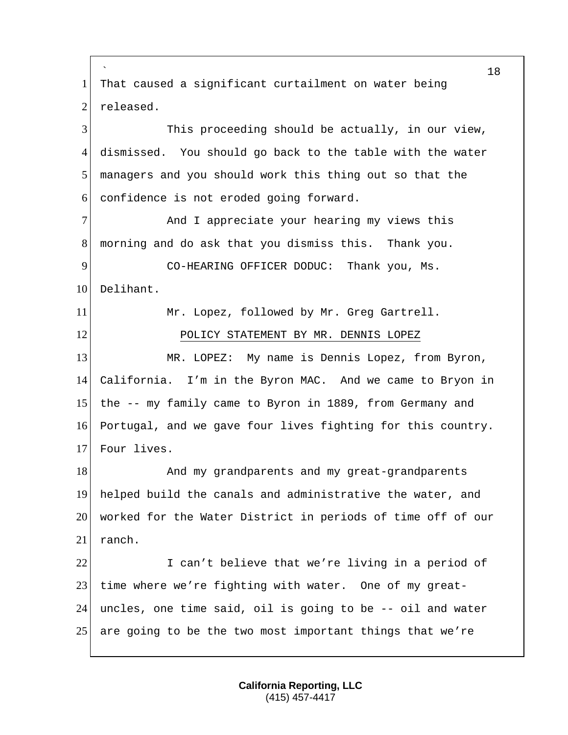` 18 1 That caused a significant curtailment on water being 2 released. 3 This proceeding should be actually, in our view, 4 dismissed. You should go back to the table with the water 5 managers and you should work this thing out so that the 6 confidence is not eroded going forward. 7 And I appreciate your hearing my views this 8 morning and do ask that you dismiss this. Thank you. 9 CO-HEARING OFFICER DODUC: Thank you, Ms. 10 Delihant. 11 Mr. Lopez, followed by Mr. Greg Gartrell. 12 POLICY STATEMENT BY MR. DENNIS LOPEZ 13 MR. LOPEZ: My name is Dennis Lopez, from Byron, 14 California. I'm in the Byron MAC. And we came to Bryon in 15 the -- my family came to Byron in 1889, from Germany and 16 Portugal, and we gave four lives fighting for this country. 17 Four lives. 18 And my grandparents and my great-grandparents 19 helped build the canals and administrative the water, and 20 worked for the Water District in periods of time off of our 21 ranch. 22 I can't believe that we're living in a period of 23 time where we're fighting with water. One of my great-24 uncles, one time said, oil is going to be -- oil and water 25 are going to be the two most important things that we're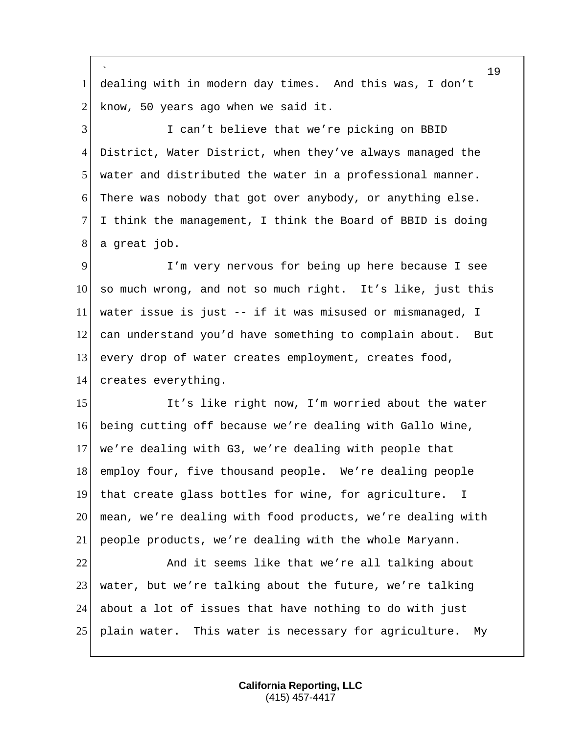` dealing with in modern day times. And this was, I don't know, 50 years ago when we said it. I can't believe that we're picking on BBID District, Water District, when they've always managed the water and distributed the water in a professional manner. There was nobody that got over anybody, or anything else. I think the management, I think the Board of BBID is doing a great job. I'm very nervous for being up here because I see so much wrong, and not so much right. It's like, just this water issue is just -- if it was misused or mismanaged, I can understand you'd have something to complain about. But every drop of water creates employment, creates food, 14 creates everything. 15 It's like right now, I'm worried about the water being cutting off because we're dealing with Gallo Wine, we're dealing with G3, we're dealing with people that employ four, five thousand people. We're dealing people that create glass bottles for wine, for agriculture. I mean, we're dealing with food products, we're dealing with people products, we're dealing with the whole Maryann. 22 And it seems like that we're all talking about 23 water, but we're talking about the future, we're talking about a lot of issues that have nothing to do with just plain water. This water is necessary for agriculture. My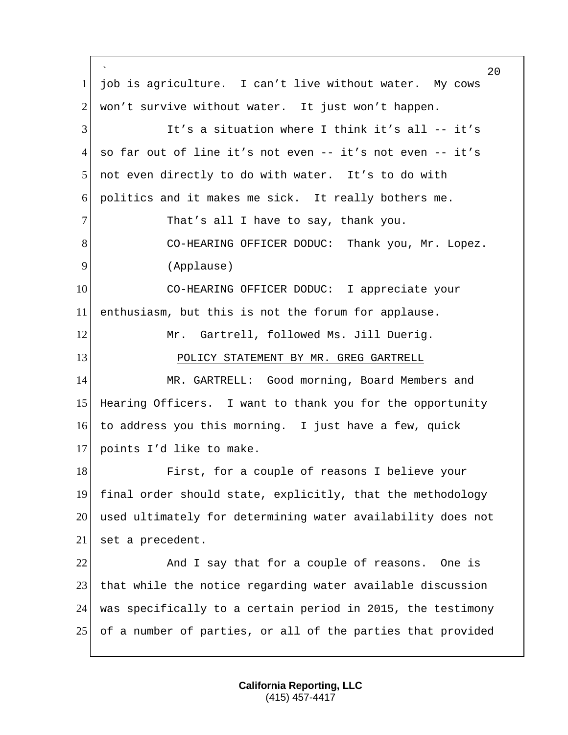` 20 1 job is agriculture. I can't live without water. My cows  $2$  won't survive without water. It just won't happen. 3 It's a situation where I think it's all -- it's 4 so far out of line it's not even -- it's not even -- it's 5 not even directly to do with water. It's to do with 6 politics and it makes me sick. It really bothers me. 7 That's all I have to say, thank you. 8 CO-HEARING OFFICER DODUC: Thank you, Mr. Lopez. 9 (Applause) 10 CO-HEARING OFFICER DODUC: I appreciate your 11 enthusiasm, but this is not the forum for applause. 12 Mr. Gartrell, followed Ms. Jill Duerig. 13 POLICY STATEMENT BY MR. GREG GARTRELL 14 MR. GARTRELL: Good morning, Board Members and 15 Hearing Officers. I want to thank you for the opportunity 16 to address you this morning. I just have a few, quick 17 points I'd like to make. 18 First, for a couple of reasons I believe your 19 final order should state, explicitly, that the methodology 20 used ultimately for determining water availability does not 21 set a precedent. 22 And I say that for a couple of reasons. One is 23 that while the notice regarding water available discussion 24 was specifically to a certain period in 2015, the testimony 25 of a number of parties, or all of the parties that provided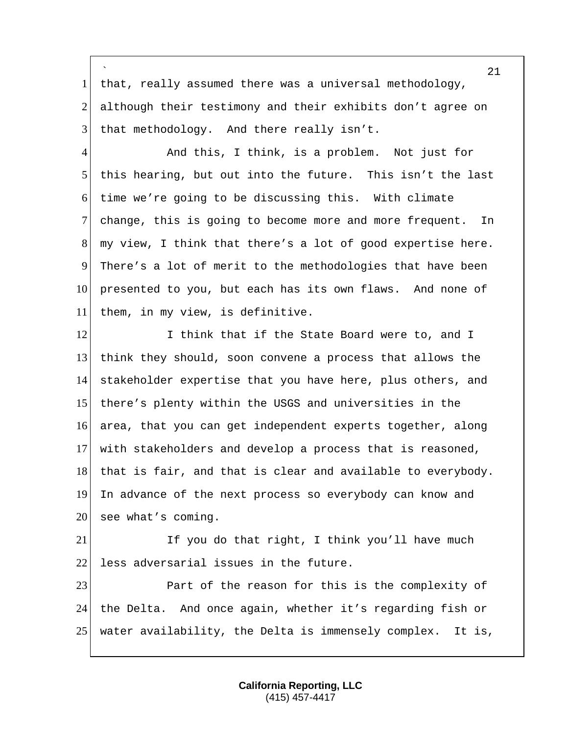` 1 that, really assumed there was a universal methodology, 2 although their testimony and their exhibits don't agree on  $3$  that methodology. And there really isn't.

4 And this, I think, is a problem. Not just for 5 this hearing, but out into the future. This isn't the last 6 time we're going to be discussing this. With climate 7 change, this is going to become more and more frequent. In 8 my view, I think that there's a lot of good expertise here. 9 There's a lot of merit to the methodologies that have been 10 presented to you, but each has its own flaws. And none of 11 them, in my view, is definitive.

12 I think that if the State Board were to, and I think they should, soon convene a process that allows the stakeholder expertise that you have here, plus others, and there's plenty within the USGS and universities in the 16 area, that you can get independent experts together, along with stakeholders and develop a process that is reasoned, 18 that is fair, and that is clear and available to everybody. In advance of the next process so everybody can know and see what's coming.

21 If you do that right, I think you'll have much 22 less adversarial issues in the future.

23 Part of the reason for this is the complexity of 24 the Delta. And once again, whether it's regarding fish or 25 water availability, the Delta is immensely complex. It is,

> **California Reporting, LLC** (415) 457-4417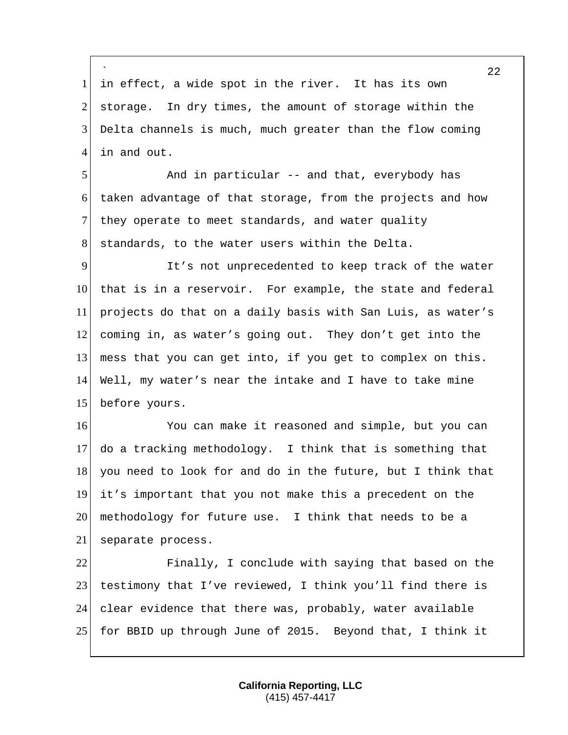` 1 in effect, a wide spot in the river. It has its own 2 storage. In dry times, the amount of storage within the 3 Delta channels is much, much greater than the flow coming 4 in and out.

5 And in particular -- and that, everybody has 6 taken advantage of that storage, from the projects and how 7 they operate to meet standards, and water quality 8 standards, to the water users within the Delta.

 It's not unprecedented to keep track of the water 10 that is in a reservoir. For example, the state and federal projects do that on a daily basis with San Luis, as water's coming in, as water's going out. They don't get into the 13 mess that you can get into, if you get to complex on this. Well, my water's near the intake and I have to take mine before yours.

16 You can make it reasoned and simple, but you can 17 do a tracking methodology. I think that is something that 18 you need to look for and do in the future, but I think that 19 it's important that you not make this a precedent on the 20 methodology for future use. I think that needs to be a 21 separate process.

 Finally, I conclude with saying that based on the testimony that I've reviewed, I think you'll find there is clear evidence that there was, probably, water available for BBID up through June of 2015. Beyond that, I think it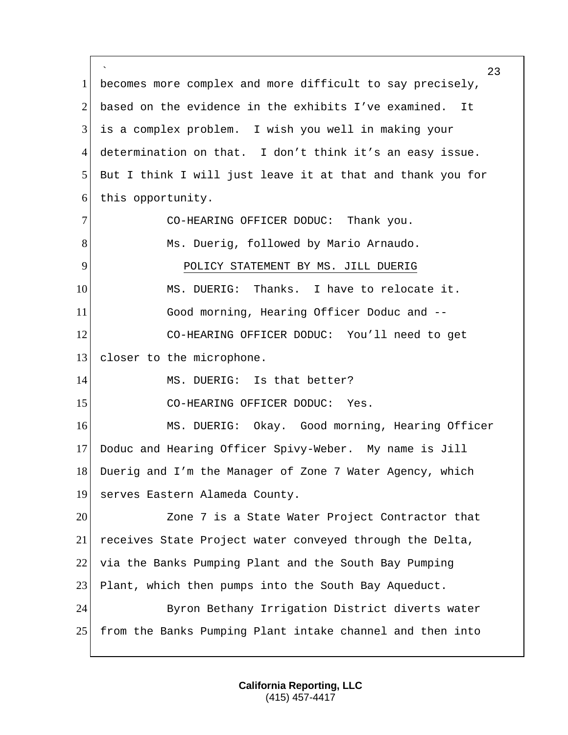` 23 1 becomes more complex and more difficult to say precisely, 2 based on the evidence in the exhibits I've examined. It 3 is a complex problem. I wish you well in making your 4 determination on that. I don't think it's an easy issue. 5 But I think I will just leave it at that and thank you for 6 this opportunity. 7 CO-HEARING OFFICER DODUC: Thank you. 8 Ms. Duerig, followed by Mario Arnaudo. 9 POLICY STATEMENT BY MS. JILL DUERIG 10 MS. DUERIG: Thanks. I have to relocate it. 11 Good morning, Hearing Officer Doduc and -- 12 CO-HEARING OFFICER DODUC: You'll need to get 13 closer to the microphone. 14 MS. DUERIG: Is that better? 15 CO-HEARING OFFICER DODUC: Yes. 16 MS. DUERIG: Okay. Good morning, Hearing Officer 17 Doduc and Hearing Officer Spivy-Weber. My name is Jill 18 Duerig and I'm the Manager of Zone 7 Water Agency, which 19 serves Eastern Alameda County. 20 Zone 7 is a State Water Project Contractor that 21 receives State Project water conveyed through the Delta, 22 via the Banks Pumping Plant and the South Bay Pumping 23 Plant, which then pumps into the South Bay Aqueduct. 24 Byron Bethany Irrigation District diverts water 25 from the Banks Pumping Plant intake channel and then into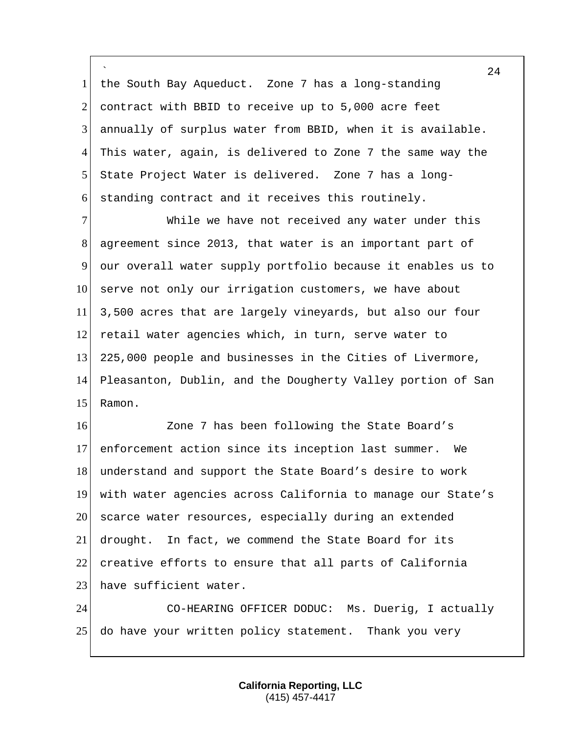` 1 the South Bay Aqueduct. Zone 7 has a long-standing 2 contract with BBID to receive up to  $5,000$  acre feet 3 annually of surplus water from BBID, when it is available. 4 This water, again, is delivered to Zone 7 the same way the 5 State Project Water is delivered. Zone 7 has a long-6 standing contract and it receives this routinely.

7 While we have not received any water under this 8 agreement since 2013, that water is an important part of 9 our overall water supply portfolio because it enables us to 10 serve not only our irrigation customers, we have about 11 3,500 acres that are largely vineyards, but also our four 12 retail water agencies which, in turn, serve water to 13 225,000 people and businesses in the Cities of Livermore, 14 Pleasanton, Dublin, and the Dougherty Valley portion of San 15 Ramon.

 Zone 7 has been following the State Board's enforcement action since its inception last summer. We 18 understand and support the State Board's desire to work with water agencies across California to manage our State's 20 scarce water resources, especially during an extended drought. In fact, we commend the State Board for its creative efforts to ensure that all parts of California 23 have sufficient water.

24 CO-HEARING OFFICER DODUC: Ms. Duerig, I actually 25 do have your written policy statement. Thank you very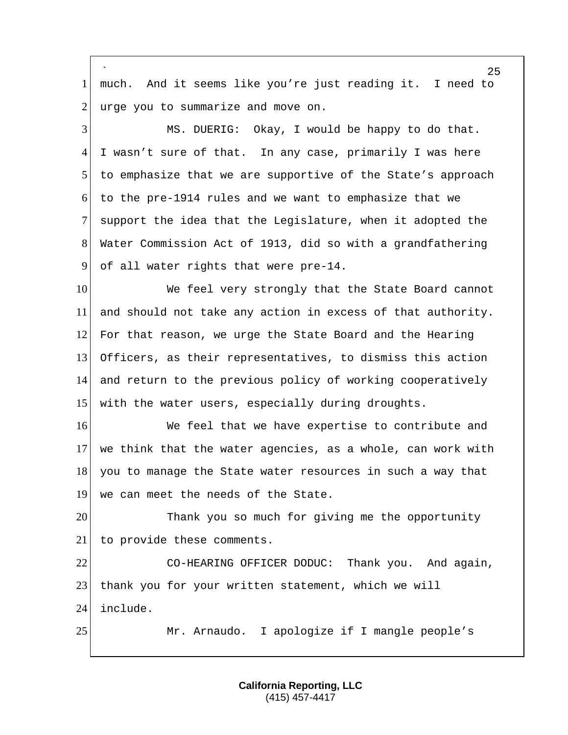` much. And it seems like you're just reading it. I need to urge you to summarize and move on. MS. DUERIG: Okay, I would be happy to do that. I wasn't sure of that. In any case, primarily I was here to emphasize that we are supportive of the State's approach to the pre-1914 rules and we want to emphasize that we support the idea that the Legislature, when it adopted the Water Commission Act of 1913, did so with a grandfathering of all water rights that were pre-14. 10 We feel very strongly that the State Board cannot and should not take any action in excess of that authority. For that reason, we urge the State Board and the Hearing Officers, as their representatives, to dismiss this action 14 and return to the previous policy of working cooperatively 15 with the water users, especially during droughts. 16 We feel that we have expertise to contribute and we think that the water agencies, as a whole, can work with 18 you to manage the State water resources in such a way that 19 we can meet the needs of the State. Thank you so much for giving me the opportunity to provide these comments. CO-HEARING OFFICER DODUC: Thank you. And again, 23 thank you for your written statement, which we will include. 25 Mr. Arnaudo. I apologize if I mangle people's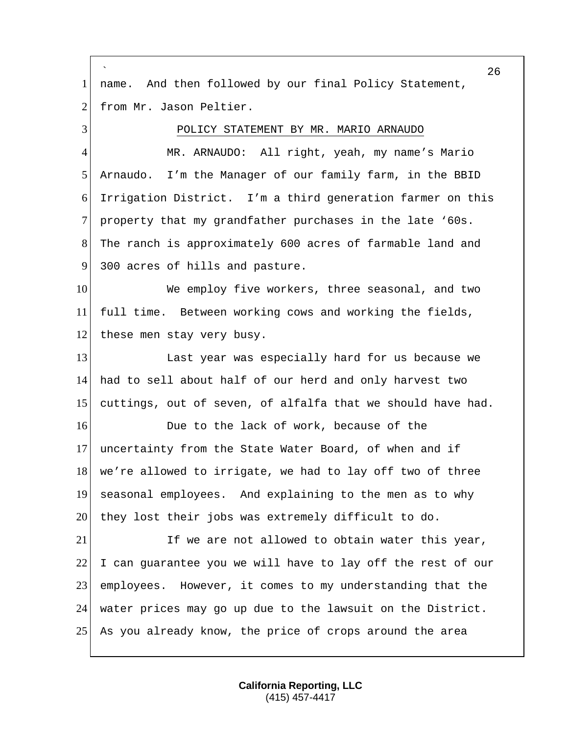` 26 1 | name. And then followed by our final Policy Statement, 2 from Mr. Jason Peltier. 3 POLICY STATEMENT BY MR. MARIO ARNAUDO 4 MR. ARNAUDO: All right, yeah, my name's Mario 5 Arnaudo. I'm the Manager of our family farm, in the BBID 6 Irrigation District. I'm a third generation farmer on this 7 property that my grandfather purchases in the late '60s. 8 The ranch is approximately 600 acres of farmable land and 9 300 acres of hills and pasture. 10 We employ five workers, three seasonal, and two 11 full time. Between working cows and working the fields, 12 these men stay very busy. 13 Last year was especially hard for us because we 14 had to sell about half of our herd and only harvest two 15 cuttings, out of seven, of alfalfa that we should have had. 16 **Due** to the lack of work, because of the 17 uncertainty from the State Water Board, of when and if 18 we're allowed to irrigate, we had to lay off two of three 19 seasonal employees. And explaining to the men as to why 20 they lost their jobs was extremely difficult to do. 21 If we are not allowed to obtain water this year,  $22$  I can guarantee you we will have to lay off the rest of our 23 employees. However, it comes to my understanding that the 24 water prices may go up due to the lawsuit on the District. 25 As you already know, the price of crops around the area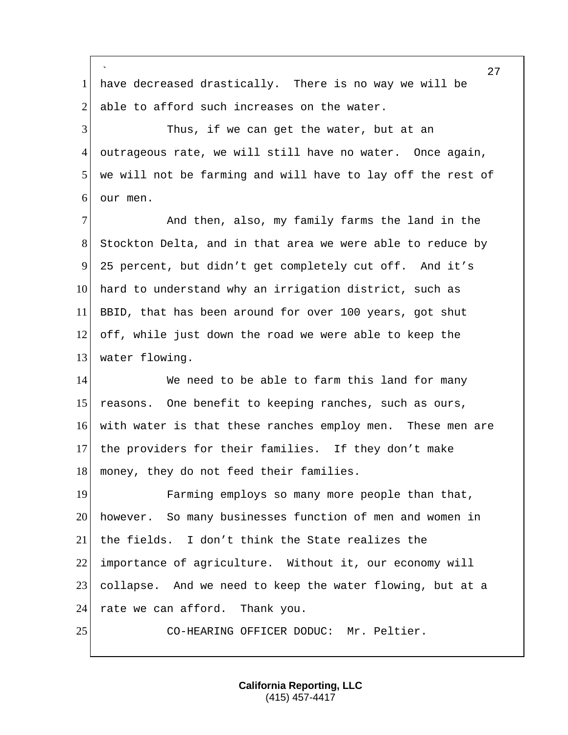` 27 1 have decreased drastically. There is no way we will be 2 able to afford such increases on the water. 3 Thus, if we can get the water, but at an 4 outrageous rate, we will still have no water. Once again, 5 we will not be farming and will have to lay off the rest of 6 our men. 7 And then, also, my family farms the land in the 8 Stockton Delta, and in that area we were able to reduce by 9 25 percent, but didn't get completely cut off. And it's 10 hard to understand why an irrigation district, such as 11 BBID, that has been around for over 100 years, got shut 12 off, while just down the road we were able to keep the 13 water flowing. 14 We need to be able to farm this land for many 15 reasons. One benefit to keeping ranches, such as ours, 16 with water is that these ranches employ men. These men are 17 the providers for their families. If they don't make 18 money, they do not feed their families. 19 Farming employs so many more people than that, 20 however. So many businesses function of men and women in 21 the fields. I don't think the State realizes the 22 importance of agriculture. Without it, our economy will 23 collapse. And we need to keep the water flowing, but at a 24 rate we can afford. Thank you. 25 CO-HEARING OFFICER DODUC: Mr. Peltier.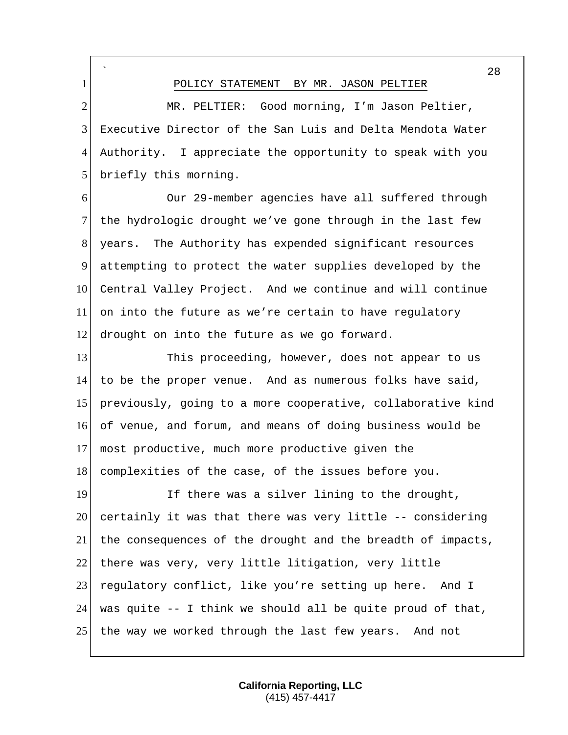` 28 1 POLICY STATEMENT BY MR. JASON PELTIER 2 MR. PELTIER: Good morning, I'm Jason Peltier, 3 Executive Director of the San Luis and Delta Mendota Water 4 Authority. I appreciate the opportunity to speak with you 5 briefly this morning. 6 Our 29-member agencies have all suffered through 7 the hydrologic drought we've gone through in the last few 8 years. The Authority has expended significant resources 9 attempting to protect the water supplies developed by the 10 Central Valley Project. And we continue and will continue 11 on into the future as we're certain to have regulatory 12 drought on into the future as we go forward. 13 This proceeding, however, does not appear to us 14 to be the proper venue. And as numerous folks have said, 15 previously, going to a more cooperative, collaborative kind 16 of venue, and forum, and means of doing business would be 17 most productive, much more productive given the 18 complexities of the case, of the issues before you. 19 If there was a silver lining to the drought,  $20$  certainly it was that there was very little  $-$ - considering 21 the consequences of the drought and the breadth of impacts, 22 there was very, very little litigation, very little 23 regulatory conflict, like you're setting up here. And I 24 was quite  $-$  I think we should all be quite proud of that, 25 the way we worked through the last few years. And not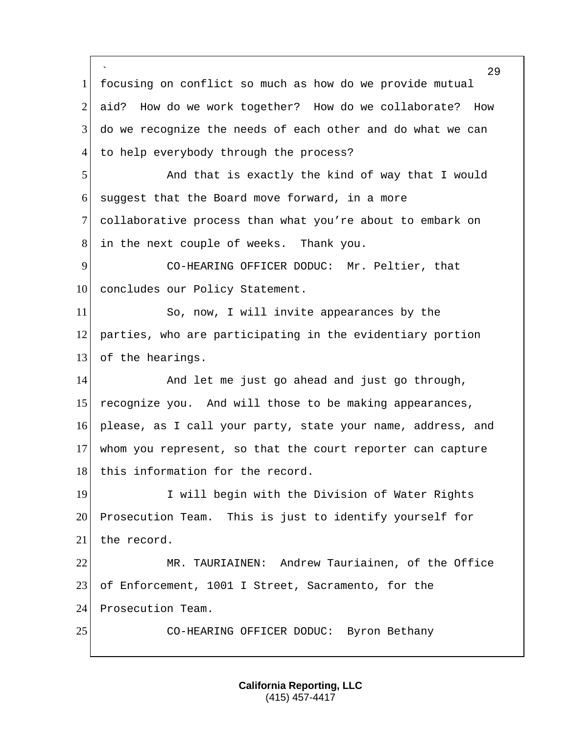` 29 1 focusing on conflict so much as how do we provide mutual 2 aid? How do we work together? How do we collaborate? How 3 do we recognize the needs of each other and do what we can 4 to help everybody through the process? 5 And that is exactly the kind of way that I would  $6$  suggest that the Board move forward, in a more 7 collaborative process than what you're about to embark on 8 in the next couple of weeks. Thank you. 9 CO-HEARING OFFICER DODUC: Mr. Peltier, that 10 concludes our Policy Statement. 11 So, now, I will invite appearances by the 12 parties, who are participating in the evidentiary portion 13 of the hearings. 14 and let me just go ahead and just go through, 15 recognize you. And will those to be making appearances, 16 please, as I call your party, state your name, address, and 17 whom you represent, so that the court reporter can capture 18 this information for the record. 19 I will begin with the Division of Water Rights 20 Prosecution Team. This is just to identify yourself for 21 the record. 22 MR. TAURIAINEN: Andrew Tauriainen, of the Office 23 of Enforcement, 1001 I Street, Sacramento, for the 24 Prosecution Team. 25 CO-HEARING OFFICER DODUC: Byron Bethany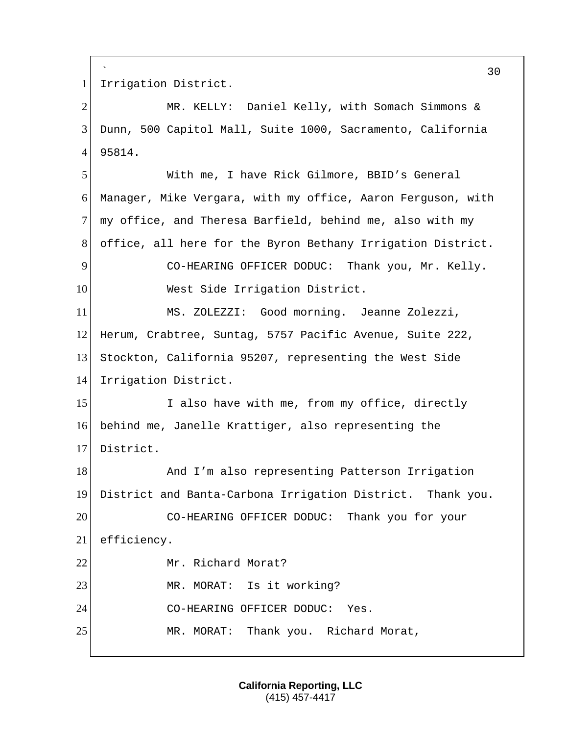` 30 1 Irrigation District. 2 MR. KELLY: Daniel Kelly, with Somach Simmons & 3 Dunn, 500 Capitol Mall, Suite 1000, Sacramento, California 4 95814. 5 With me, I have Rick Gilmore, BBID's General 6 Manager, Mike Vergara, with my office, Aaron Ferguson, with 7 my office, and Theresa Barfield, behind me, also with my 8 office, all here for the Byron Bethany Irrigation District. 9 CO-HEARING OFFICER DODUC: Thank you, Mr. Kelly. 10 West Side Irrigation District. 11 MS. ZOLEZZI: Good morning. Jeanne Zolezzi, 12 Herum, Crabtree, Suntag, 5757 Pacific Avenue, Suite 222, 13 Stockton, California 95207, representing the West Side 14 Irrigation District. 15 I also have with me, from my office, directly 16 behind me, Janelle Krattiger, also representing the 17 District. 18 And I'm also representing Patterson Irrigation 19 District and Banta-Carbona Irrigation District. Thank you. 20 CO-HEARING OFFICER DODUC: Thank you for your 21 efficiency. 22 Mr. Richard Morat? 23 MR. MORAT: Is it working? 24 CO-HEARING OFFICER DODUC: Yes. 25 MR. MORAT: Thank you. Richard Morat,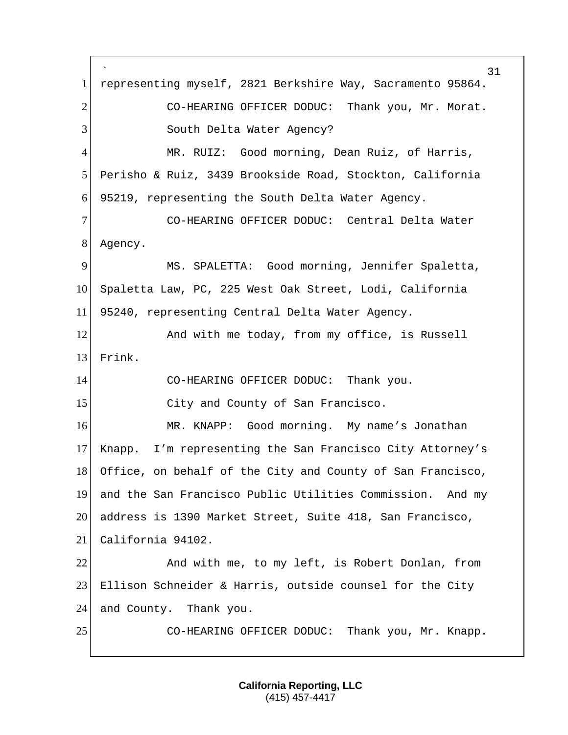` representing myself, 2821 Berkshire Way, Sacramento 95864. 2 CO-HEARING OFFICER DODUC: Thank you, Mr. Morat. 3 South Delta Water Agency? MR. RUIZ: Good morning, Dean Ruiz, of Harris, Perisho & Ruiz, 3439 Brookside Road, Stockton, California 95219, representing the South Delta Water Agency. CO-HEARING OFFICER DODUC: Central Delta Water Agency. MS. SPALETTA: Good morning, Jennifer Spaletta, Spaletta Law, PC, 225 West Oak Street, Lodi, California 95240, representing Central Delta Water Agency. 12 And with me today, from my office, is Russell Frink. CO-HEARING OFFICER DODUC: Thank you. 15 City and County of San Francisco. 16 MR. KNAPP: Good morning. My name's Jonathan Knapp. I'm representing the San Francisco City Attorney's 18 Office, on behalf of the City and County of San Francisco, and the San Francisco Public Utilities Commission. And my address is 1390 Market Street, Suite 418, San Francisco, California 94102. And with me, to my left, is Robert Donlan, from Ellison Schneider & Harris, outside counsel for the City 24 and County. Thank you. 25 CO-HEARING OFFICER DODUC: Thank you, Mr. Knapp.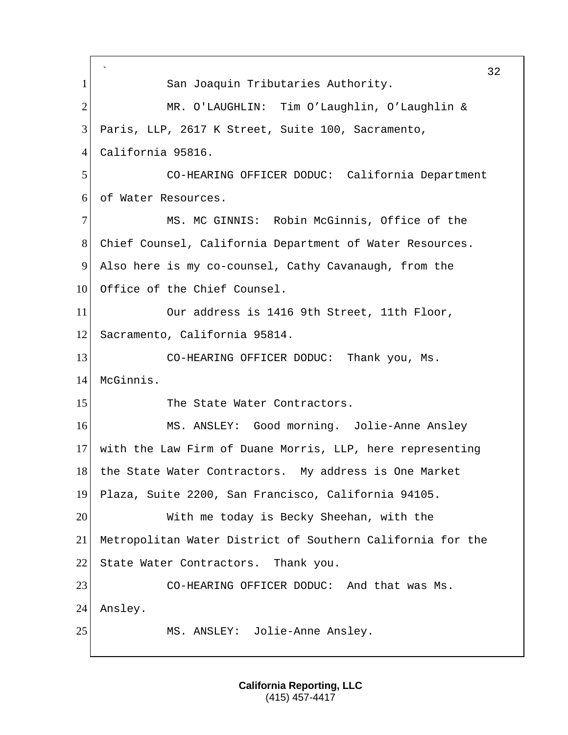` 32 1 San Joaquin Tributaries Authority. 2 MR. O'LAUGHLIN: Tim O'Laughlin, O'Laughlin & 3 Paris, LLP, 2617 K Street, Suite 100, Sacramento, 4 California 95816. 5 CO-HEARING OFFICER DODUC: California Department 6 of Water Resources. 7 MS. MC GINNIS: Robin McGinnis, Office of the 8 Chief Counsel, California Department of Water Resources. 9 Also here is my co-counsel, Cathy Cavanaugh, from the 10 Office of the Chief Counsel. 11 Our address is 1416 9th Street, 11th Floor, 12 Sacramento, California 95814. 13 CO-HEARING OFFICER DODUC: Thank you, Ms. 14 McGinnis. 15 The State Water Contractors. 16 MS. ANSLEY: Good morning. Jolie-Anne Ansley 17 with the Law Firm of Duane Morris, LLP, here representing 18 the State Water Contractors. My address is One Market 19 Plaza, Suite 2200, San Francisco, California 94105. 20 With me today is Becky Sheehan, with the 21 Metropolitan Water District of Southern California for the 22 State Water Contractors. Thank you. 23 CO-HEARING OFFICER DODUC: And that was Ms. 24 Ansley. 25 MS. ANSLEY: Jolie-Anne Ansley.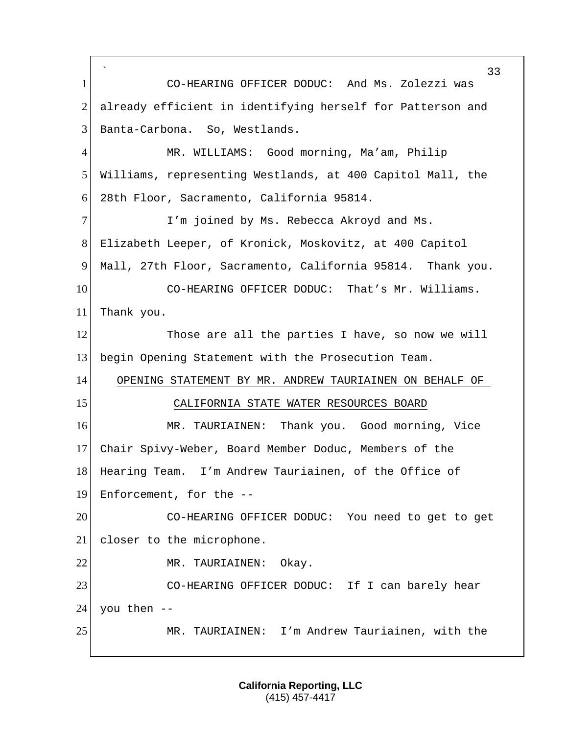` 33 1 CO-HEARING OFFICER DODUC: And Ms. Zolezzi was 2 already efficient in identifying herself for Patterson and 3 Banta-Carbona. So, Westlands. 4 MR. WILLIAMS: Good morning, Ma'am, Philip 5 Williams, representing Westlands, at 400 Capitol Mall, the 6 28th Floor, Sacramento, California 95814. 7 I'm joined by Ms. Rebecca Akroyd and Ms. 8 Elizabeth Leeper, of Kronick, Moskovitz, at 400 Capitol 9 Mall, 27th Floor, Sacramento, California 95814. Thank you. 10 CO-HEARING OFFICER DODUC: That's Mr. Williams. 11 Thank you. 12 Those are all the parties I have, so now we will 13 begin Opening Statement with the Prosecution Team. 14 OPENING STATEMENT BY MR. ANDREW TAURIAINEN ON BEHALF OF 15 CALIFORNIA STATE WATER RESOURCES BOARD 16 MR. TAURIAINEN: Thank you. Good morning, Vice 17 Chair Spivy-Weber, Board Member Doduc, Members of the 18 Hearing Team. I'm Andrew Tauriainen, of the Office of 19 Enforcement, for the --20 CO-HEARING OFFICER DODUC: You need to get to get 21 closer to the microphone. 22 MR. TAURIAINEN: Okay. 23 CO-HEARING OFFICER DODUC: If I can barely hear  $24$  you then --25 MR. TAURIAINEN: I'm Andrew Tauriainen, with the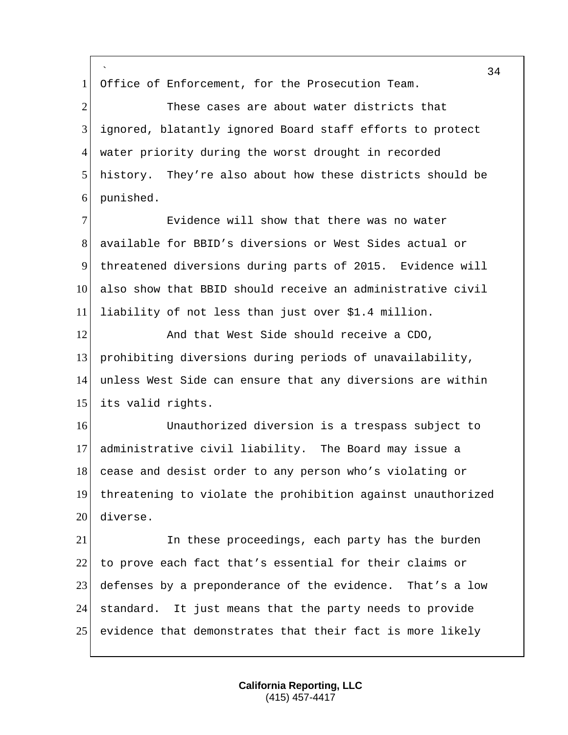` 1 Office of Enforcement, for the Prosecution Team. These cases are about water districts that ignored, blatantly ignored Board staff efforts to protect 4 water priority during the worst drought in recorded history. They're also about how these districts should be punished. Evidence will show that there was no water available for BBID's diversions or West Sides actual or threatened diversions during parts of 2015. Evidence will 10 also show that BBID should receive an administrative civil liability of not less than just over \$1.4 million. 12 And that West Side should receive a CDO, prohibiting diversions during periods of unavailability, unless West Side can ensure that any diversions are within its valid rights. Unauthorized diversion is a trespass subject to administrative civil liability. The Board may issue a 18 cease and desist order to any person who's violating or threatening to violate the prohibition against unauthorized diverse. In these proceedings, each party has the burden to prove each fact that's essential for their claims or defenses by a preponderance of the evidence. That's a low standard. It just means that the party needs to provide evidence that demonstrates that their fact is more likely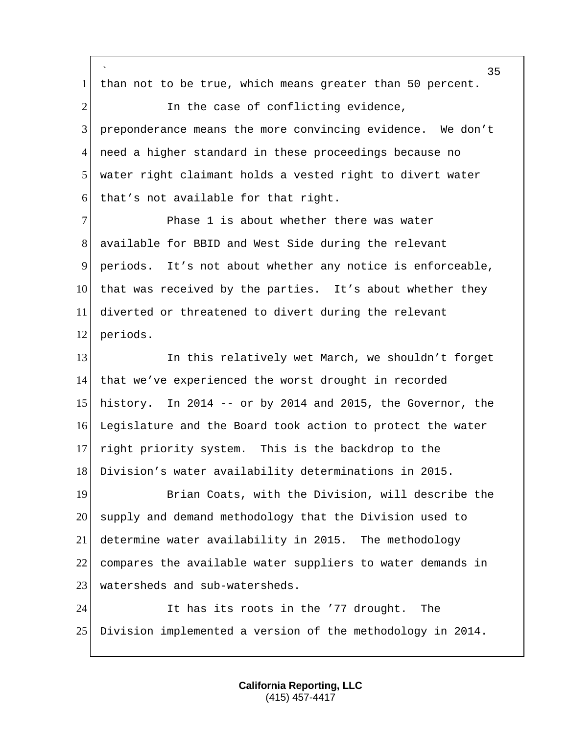` 35 1 | than not to be true, which means greater than 50 percent. 2 1 In the case of conflicting evidence, 3 preponderance means the more convincing evidence. We don't 4 need a higher standard in these proceedings because no 5 water right claimant holds a vested right to divert water 6 that's not available for that right. 7 Phase 1 is about whether there was water 8 available for BBID and West Side during the relevant 9 periods. It's not about whether any notice is enforceable, 10 that was received by the parties. It's about whether they 11 diverted or threatened to divert during the relevant 12 periods. 13 In this relatively wet March, we shouldn't forget 14 that we've experienced the worst drought in recorded 15 history. In 2014  $-$  or by 2014 and 2015, the Governor, the 16 Legislature and the Board took action to protect the water 17 right priority system. This is the backdrop to the 18 Division's water availability determinations in 2015. 19 Brian Coats, with the Division, will describe the 20 supply and demand methodology that the Division used to 21 determine water availability in 2015. The methodology 22 compares the available water suppliers to water demands in 23 watersheds and sub-watersheds. 24 It has its roots in the '77 drought. The 25 Division implemented a version of the methodology in 2014.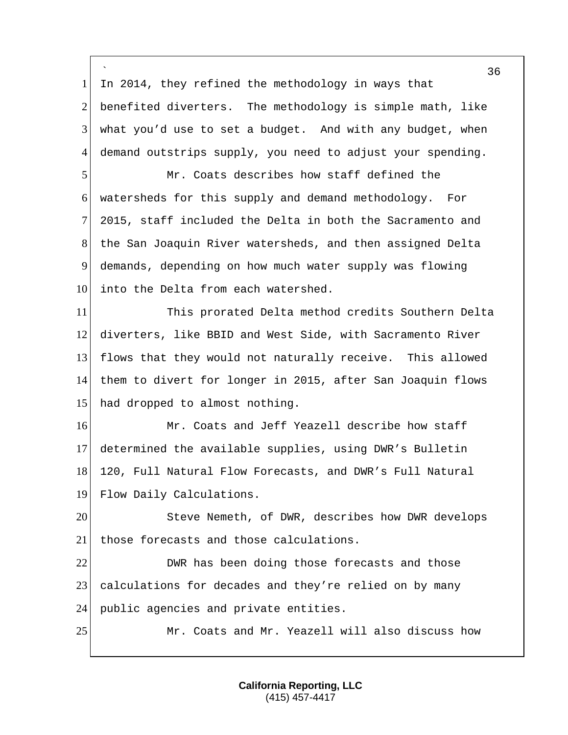` 1 In 2014, they refined the methodology in ways that 2 benefited diverters. The methodology is simple math, like  $3$  what you'd use to set a budget. And with any budget, when 4 demand outstrips supply, you need to adjust your spending. 5 Mr. Coats describes how staff defined the 6 watersheds for this supply and demand methodology. For 7 2015, staff included the Delta in both the Sacramento and 8 the San Joaquin River watersheds, and then assigned Delta 9 demands, depending on how much water supply was flowing 10 into the Delta from each watershed. 11 This prorated Delta method credits Southern Delta 12 diverters, like BBID and West Side, with Sacramento River 13 flows that they would not naturally receive. This allowed 14 them to divert for longer in 2015, after San Joaquin flows 15 had dropped to almost nothing. 16 Mr. Coats and Jeff Yeazell describe how staff 17 determined the available supplies, using DWR's Bulletin 18 120, Full Natural Flow Forecasts, and DWR's Full Natural 19 Flow Daily Calculations. 20 Steve Nemeth, of DWR, describes how DWR develops 21 those forecasts and those calculations. 22 DWR has been doing those forecasts and those 23 calculations for decades and they're relied on by many 24 public agencies and private entities. 25 Mr. Coats and Mr. Yeazell will also discuss how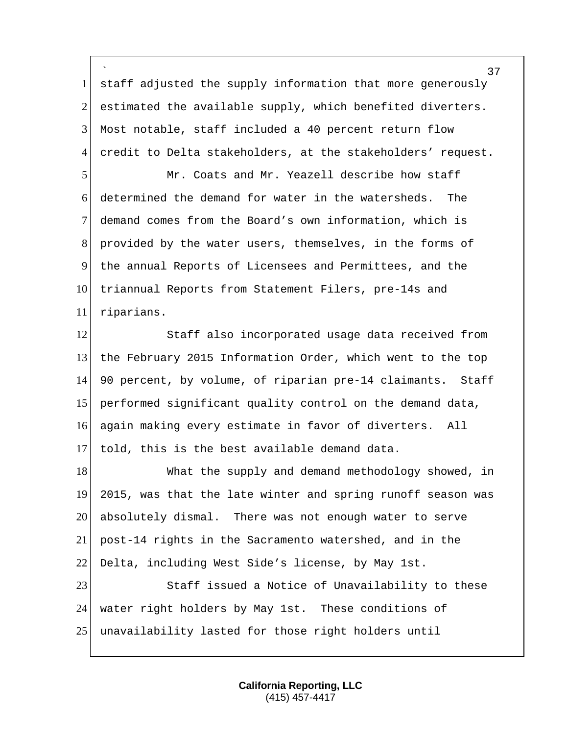` 1 staff adjusted the supply information that more generously estimated the available supply, which benefited diverters. Most notable, staff included a 40 percent return flow 4 credit to Delta stakeholders, at the stakeholders' request.

 Mr. Coats and Mr. Yeazell describe how staff determined the demand for water in the watersheds. The demand comes from the Board's own information, which is provided by the water users, themselves, in the forms of the annual Reports of Licensees and Permittees, and the 10 triannual Reports from Statement Filers, pre-14s and riparians.

12 Staff also incorporated usage data received from the February 2015 Information Order, which went to the top 90 percent, by volume, of riparian pre-14 claimants. Staff performed significant quality control on the demand data, again making every estimate in favor of diverters. All told, this is the best available demand data.

18 What the supply and demand methodology showed, in 2015, was that the late winter and spring runoff season was absolutely dismal. There was not enough water to serve post-14 rights in the Sacramento watershed, and in the 22 Delta, including West Side's license, by May 1st. 23 Staff issued a Notice of Unavailability to these

 water right holders by May 1st. These conditions of unavailability lasted for those right holders until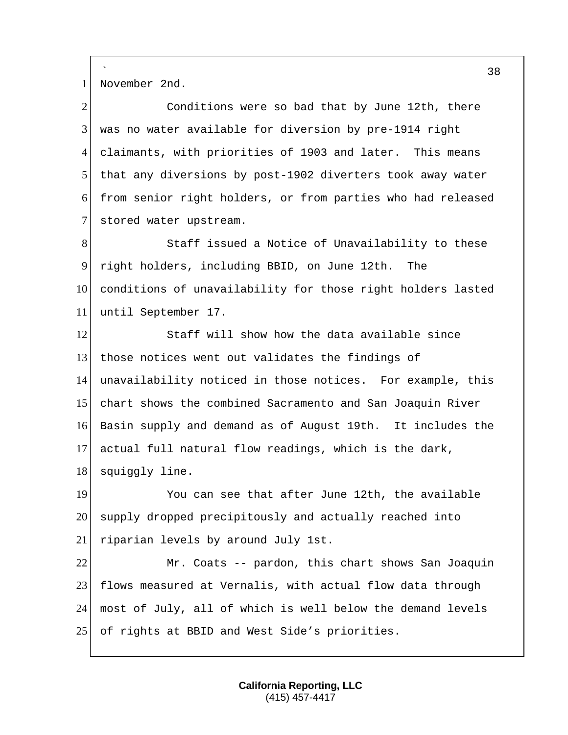` 1 November 2nd.

2 Conditions were so bad that by June 12th, there was no water available for diversion by pre-1914 right claimants, with priorities of 1903 and later. This means that any diversions by post-1902 diverters took away water from senior right holders, or from parties who had released 7 stored water upstream.

8 Staff issued a Notice of Unavailability to these 9 right holders, including BBID, on June 12th. The 10 conditions of unavailability for those right holders lasted 11 until September 17.

12 Staff will show how the data available since 13 those notices went out validates the findings of 14 unavailability noticed in those notices. For example, this 15 chart shows the combined Sacramento and San Joaquin River 16 Basin supply and demand as of August 19th. It includes the 17 actual full natural flow readings, which is the dark, 18 squiggly line.

19 You can see that after June 12th, the available 20 supply dropped precipitously and actually reached into 21 riparian levels by around July 1st.

22 Mr. Coats -- pardon, this chart shows San Joaquin 23 flows measured at Vernalis, with actual flow data through 24 most of July, all of which is well below the demand levels 25 of rights at BBID and West Side's priorities.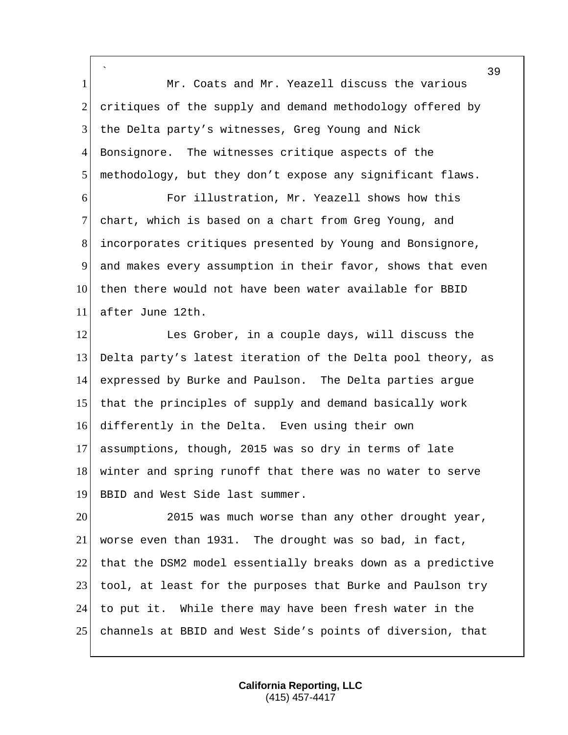` 1 Mr. Coats and Mr. Yeazell discuss the various 2 critiques of the supply and demand methodology offered by 3 the Delta party's witnesses, Greg Young and Nick 4 Bonsignore. The witnesses critique aspects of the 5 methodology, but they don't expose any significant flaws. 6 For illustration, Mr. Yeazell shows how this

 chart, which is based on a chart from Greg Young, and incorporates critiques presented by Young and Bonsignore, and makes every assumption in their favor, shows that even 10 then there would not have been water available for BBID after June 12th.

12 Les Grober, in a couple days, will discuss the Delta party's latest iteration of the Delta pool theory, as expressed by Burke and Paulson. The Delta parties argue that the principles of supply and demand basically work differently in the Delta. Even using their own assumptions, though, 2015 was so dry in terms of late winter and spring runoff that there was no water to serve 19 BBID and West Side last summer.

20 2015 was much worse than any other drought year, worse even than 1931. The drought was so bad, in fact, that the DSM2 model essentially breaks down as a predictive 23 tool, at least for the purposes that Burke and Paulson try to put it. While there may have been fresh water in the channels at BBID and West Side's points of diversion, that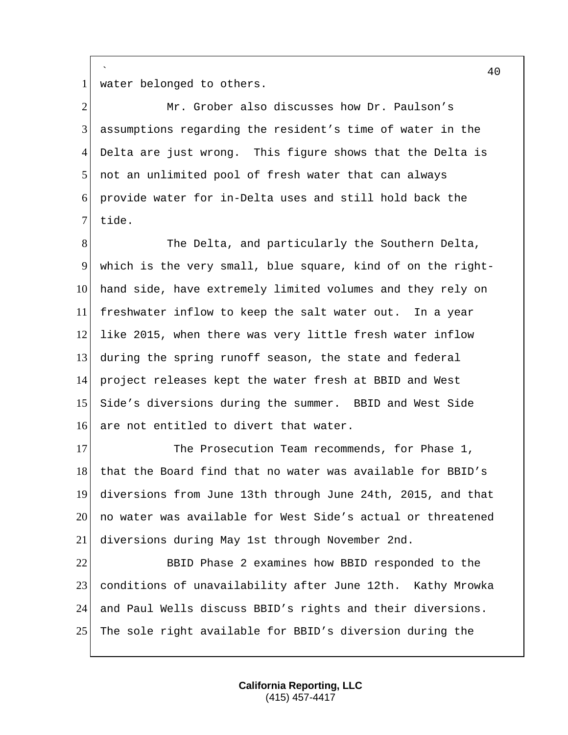1 water belonged to others.

`

 Mr. Grober also discusses how Dr. Paulson's assumptions regarding the resident's time of water in the Delta are just wrong. This figure shows that the Delta is not an unlimited pool of fresh water that can always provide water for in-Delta uses and still hold back the 7 tide.

8 The Delta, and particularly the Southern Delta, which is the very small, blue square, kind of on the right- hand side, have extremely limited volumes and they rely on freshwater inflow to keep the salt water out. In a year 12 like 2015, when there was very little fresh water inflow during the spring runoff season, the state and federal project releases kept the water fresh at BBID and West Side's diversions during the summer. BBID and West Side 16 are not entitled to divert that water.

17 The Prosecution Team recommends, for Phase 1, 18 that the Board find that no water was available for BBID's diversions from June 13th through June 24th, 2015, and that no water was available for West Side's actual or threatened diversions during May 1st through November 2nd.

 BBID Phase 2 examines how BBID responded to the conditions of unavailability after June 12th. Kathy Mrowka and Paul Wells discuss BBID's rights and their diversions. The sole right available for BBID's diversion during the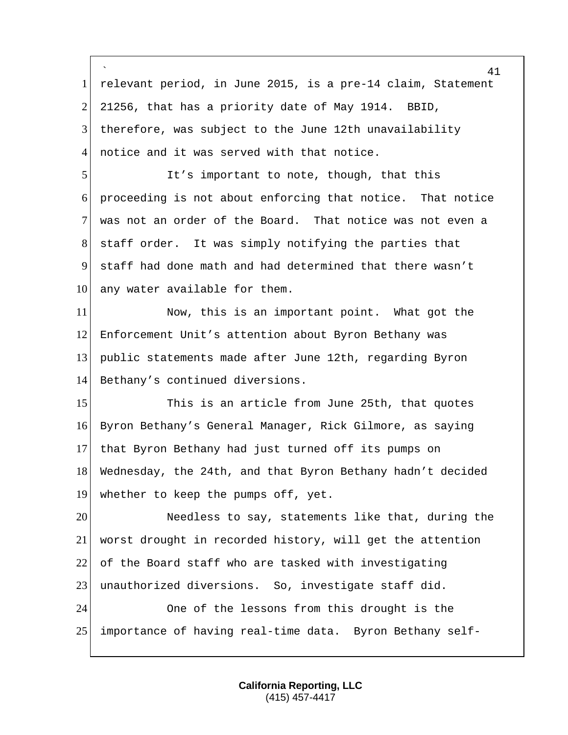` relevant period, in June 2015, is a pre-14 claim, Statement 21256, that has a priority date of May 1914. BBID, therefore, was subject to the June 12th unavailability 4 notice and it was served with that notice. It's important to note, though, that this proceeding is not about enforcing that notice. That notice was not an order of the Board. That notice was not even a staff order. It was simply notifying the parties that staff had done math and had determined that there wasn't 10 any water available for them. Now, this is an important point. What got the Enforcement Unit's attention about Byron Bethany was public statements made after June 12th, regarding Byron Bethany's continued diversions. 15 This is an article from June 25th, that quotes Byron Bethany's General Manager, Rick Gilmore, as saying that Byron Bethany had just turned off its pumps on Wednesday, the 24th, and that Byron Bethany hadn't decided whether to keep the pumps off, yet. Needless to say, statements like that, during the worst drought in recorded history, will get the attention of the Board staff who are tasked with investigating 23 unauthorized diversions. So, investigate staff did. One of the lessons from this drought is the importance of having real-time data. Byron Bethany self-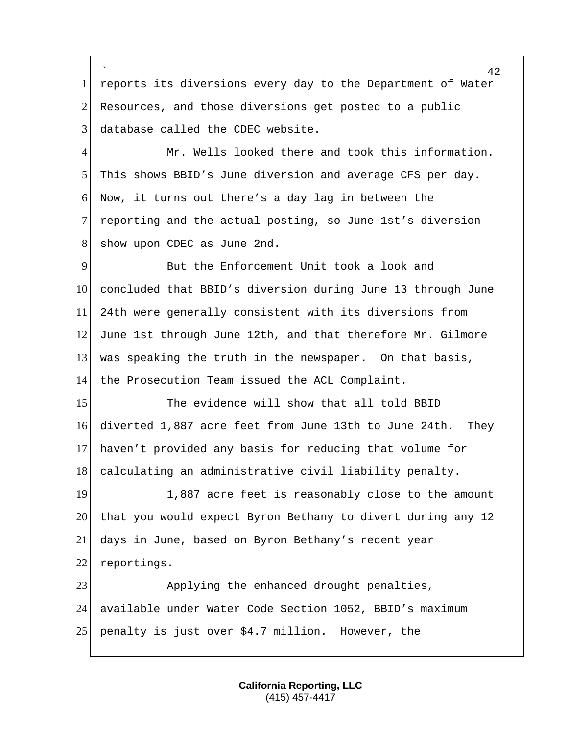` 1 reports its diversions every day to the Department of Water 2 Resources, and those diversions get posted to a public 3 database called the CDEC website.

 Mr. Wells looked there and took this information. This shows BBID's June diversion and average CFS per day. Now, it turns out there's a day lag in between the reporting and the actual posting, so June 1st's diversion 8 show upon CDEC as June 2nd.

9 But the Enforcement Unit took a look and 10 concluded that BBID's diversion during June 13 through June 11 24th were generally consistent with its diversions from 12 June 1st through June 12th, and that therefore Mr. Gilmore 13 was speaking the truth in the newspaper. On that basis, 14 the Prosecution Team issued the ACL Complaint.

15 The evidence will show that all told BBID 16 diverted 1,887 acre feet from June 13th to June 24th. They 17 haven't provided any basis for reducing that volume for 18 calculating an administrative civil liability penalty.

19 1,887 acre feet is reasonably close to the amount 20 that you would expect Byron Bethany to divert during any 12 21 days in June, based on Byron Bethany's recent year 22 reportings.

23 Applying the enhanced drought penalties, 24 available under Water Code Section 1052, BBID's maximum 25 penalty is just over \$4.7 million. However, the

> **California Reporting, LLC** (415) 457-4417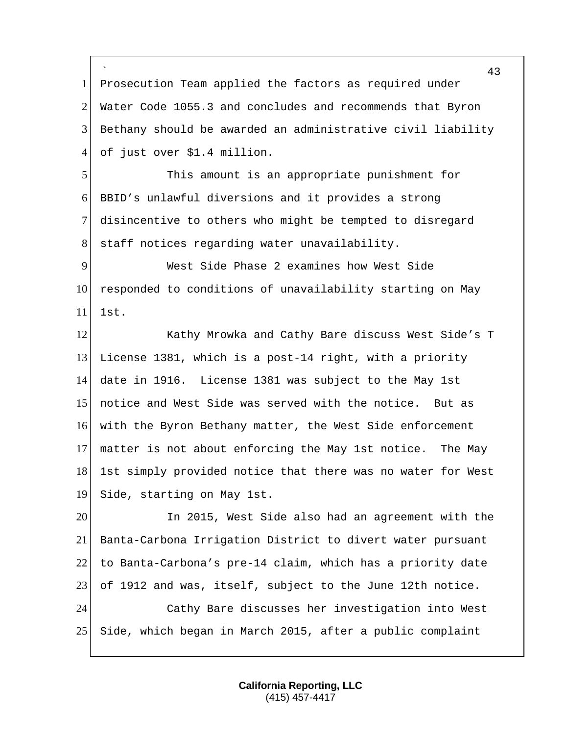` 1 Prosecution Team applied the factors as required under 2 Water Code 1055.3 and concludes and recommends that Byron Bethany should be awarded an administrative civil liability of just over \$1.4 million. This amount is an appropriate punishment for BBID's unlawful diversions and it provides a strong disincentive to others who might be tempted to disregard 8 staff notices regarding water unavailability. West Side Phase 2 examines how West Side 10 responded to conditions of unavailability starting on May 1st. 12 Kathy Mrowka and Cathy Bare discuss West Side's T License 1381, which is a post-14 right, with a priority date in 1916. License 1381 was subject to the May 1st notice and West Side was served with the notice. But as 16 with the Byron Bethany matter, the West Side enforcement matter is not about enforcing the May 1st notice. The May 18 1st simply provided notice that there was no water for West Side, starting on May 1st. In 2015, West Side also had an agreement with the Banta-Carbona Irrigation District to divert water pursuant to Banta-Carbona's pre-14 claim, which has a priority date of 1912 and was, itself, subject to the June 12th notice. Cathy Bare discusses her investigation into West Side, which began in March 2015, after a public complaint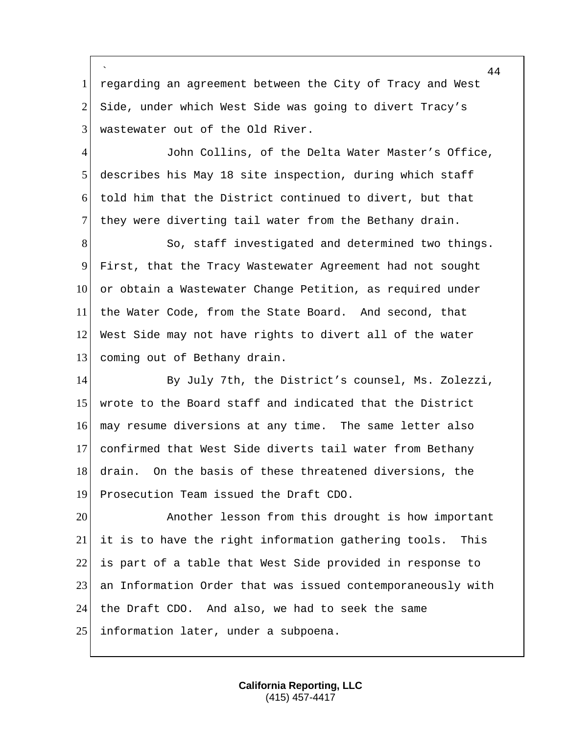` 1 regarding an agreement between the City of Tracy and West 2 Side, under which West Side was going to divert Tracy's 3 wastewater out of the Old River.

4 John Collins, of the Delta Water Master's Office, 5 describes his May 18 site inspection, during which staff 6 told him that the District continued to divert, but that 7 they were diverting tail water from the Bethany drain.

8 So, staff investigated and determined two things. First, that the Tracy Wastewater Agreement had not sought or obtain a Wastewater Change Petition, as required under the Water Code, from the State Board. And second, that West Side may not have rights to divert all of the water 13 coming out of Bethany drain.

 By July 7th, the District's counsel, Ms. Zolezzi, wrote to the Board staff and indicated that the District may resume diversions at any time. The same letter also confirmed that West Side diverts tail water from Bethany 18 drain. On the basis of these threatened diversions, the Prosecution Team issued the Draft CDO.

**Another lesson from this drought is how important**  it is to have the right information gathering tools. This 22 is part of a table that West Side provided in response to an Information Order that was issued contemporaneously with the Draft CDO. And also, we had to seek the same 25 information later, under a subpoena.

> **California Reporting, LLC** (415) 457-4417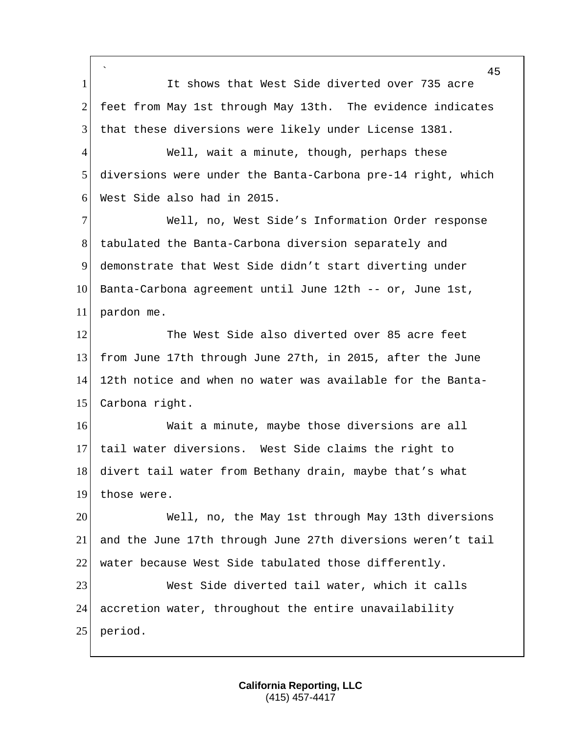` 1 It shows that West Side diverted over 735 acre 2 feet from May 1st through May 13th. The evidence indicates that these diversions were likely under License 1381. 4 Well, wait a minute, though, perhaps these diversions were under the Banta-Carbona pre-14 right, which West Side also had in 2015. Well, no, West Side's Information Order response tabulated the Banta-Carbona diversion separately and demonstrate that West Side didn't start diverting under Banta-Carbona agreement until June 12th -- or, June 1st, pardon me. 12 The West Side also diverted over 85 acre feet from June 17th through June 27th, in 2015, after the June 12th notice and when no water was available for the Banta- Carbona right. Wait a minute, maybe those diversions are all tail water diversions. West Side claims the right to 18 divert tail water from Bethany drain, maybe that's what those were. Well, no, the May 1st through May 13th diversions and the June 17th through June 27th diversions weren't tail water because West Side tabulated those differently. West Side diverted tail water, which it calls 24 accretion water, throughout the entire unavailability period.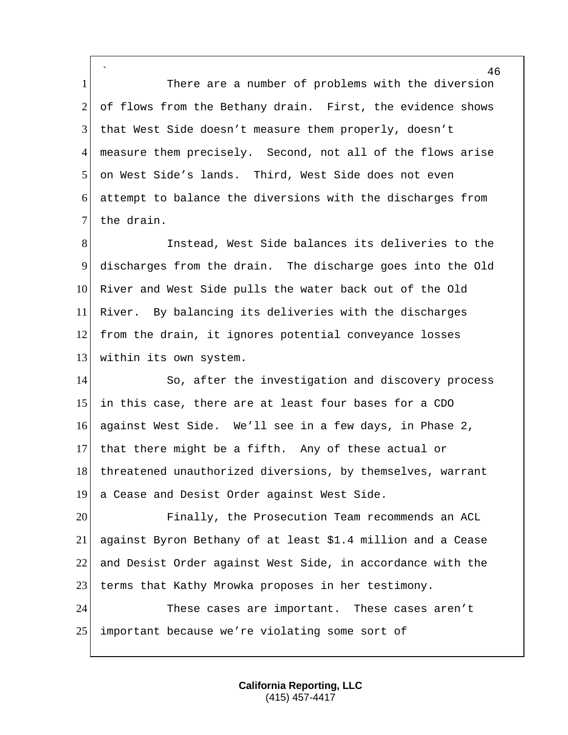` 1 There are a number of problems with the diversion 2 of flows from the Bethany drain. First, the evidence shows that West Side doesn't measure them properly, doesn't measure them precisely. Second, not all of the flows arise on West Side's lands. Third, West Side does not even attempt to balance the diversions with the discharges from 7 the drain.

 Instead, West Side balances its deliveries to the discharges from the drain. The discharge goes into the Old River and West Side pulls the water back out of the Old River. By balancing its deliveries with the discharges from the drain, it ignores potential conveyance losses 13 within its own system.

14 So, after the investigation and discovery process in this case, there are at least four bases for a CDO against West Side. We'll see in a few days, in Phase 2, that there might be a fifth. Any of these actual or 18 threatened unauthorized diversions, by themselves, warrant a Cease and Desist Order against West Side.

 Finally, the Prosecution Team recommends an ACL against Byron Bethany of at least \$1.4 million and a Cease and Desist Order against West Side, in accordance with the 23 terms that Kathy Mrowka proposes in her testimony.

 These cases are important. These cases aren't 25 important because we're violating some sort of

> **California Reporting, LLC** (415) 457-4417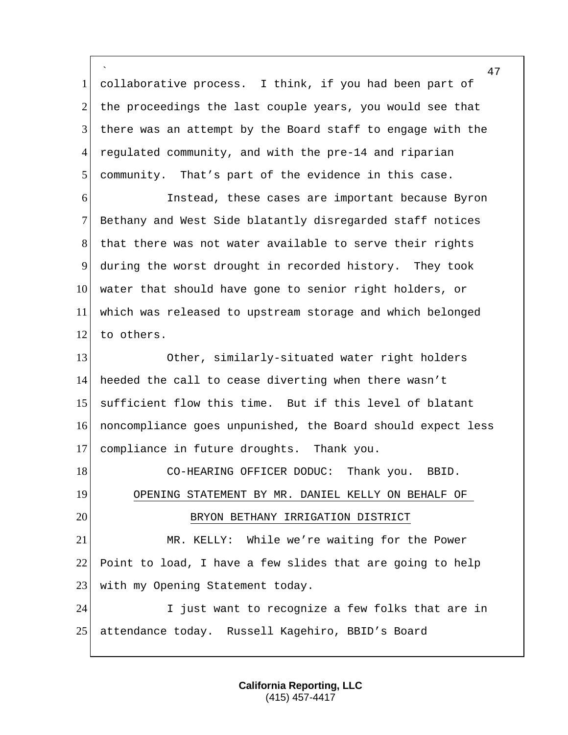` collaborative process. I think, if you had been part of the proceedings the last couple years, you would see that there was an attempt by the Board staff to engage with the regulated community, and with the pre-14 and riparian community. That's part of the evidence in this case.

 Instead, these cases are important because Byron Bethany and West Side blatantly disregarded staff notices that there was not water available to serve their rights during the worst drought in recorded history. They took water that should have gone to senior right holders, or which was released to upstream storage and which belonged 12 to others.

 Other, similarly-situated water right holders heeded the call to cease diverting when there wasn't sufficient flow this time. But if this level of blatant noncompliance goes unpunished, the Board should expect less compliance in future droughts. Thank you.

18 CO-HEARING OFFICER DODUC: Thank you. BBID. OPENING STATEMENT BY MR. DANIEL KELLY ON BEHALF OF 20 BRYON BETHANY IRRIGATION DISTRICT MR. KELLY: While we're waiting for the Power

 Point to load, I have a few slides that are going to help 23 | with my Opening Statement today.

 I just want to recognize a few folks that are in attendance today. Russell Kagehiro, BBID's Board

> **California Reporting, LLC** (415) 457-4417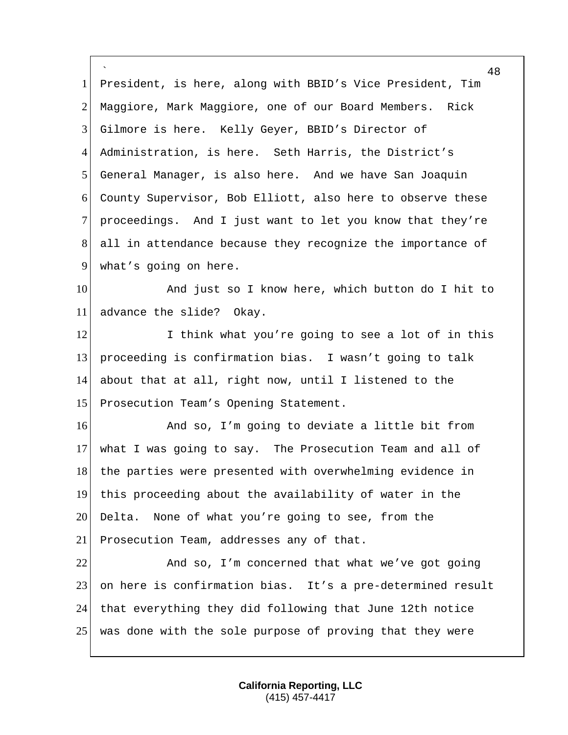` 48 1 President, is here, along with BBID's Vice President, Tim 2 Maggiore, Mark Maggiore, one of our Board Members. Rick 3 Gilmore is here. Kelly Geyer, BBID's Director of 4 Administration, is here. Seth Harris, the District's 5 General Manager, is also here. And we have San Joaquin 6 County Supervisor, Bob Elliott, also here to observe these 7 proceedings. And I just want to let you know that they're 8 all in attendance because they recognize the importance of 9 what's going on here. 10 and just so I know here, which button do I hit to 11 advance the slide? Okay. 12 I think what you're going to see a lot of in this 13 proceeding is confirmation bias. I wasn't going to talk 14 about that at all, right now, until I listened to the 15 Prosecution Team's Opening Statement. 16 And so, I'm going to deviate a little bit from 17 what I was going to say. The Prosecution Team and all of 18 the parties were presented with overwhelming evidence in 19 this proceeding about the availability of water in the 20 Delta. None of what you're going to see, from the 21 Prosecution Team, addresses any of that. 22 And so, I'm concerned that what we've got going 23 on here is confirmation bias. It's a pre-determined result 24 that everything they did following that June 12th notice 25 was done with the sole purpose of proving that they were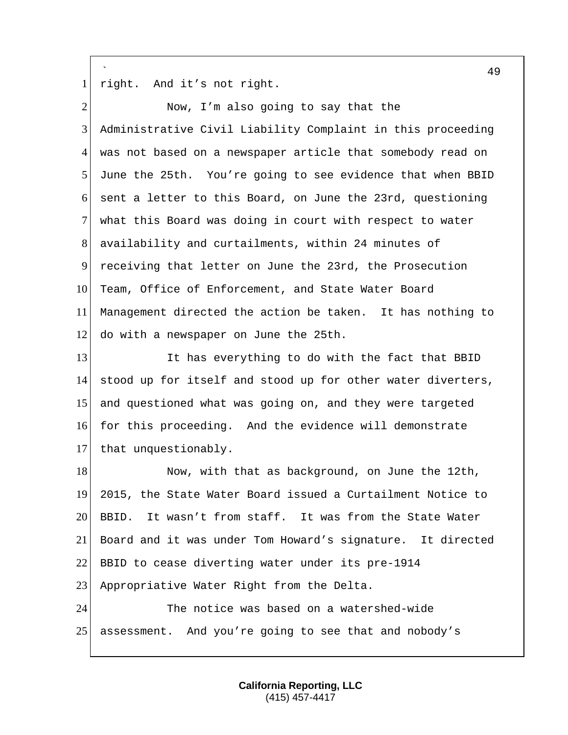` 1 right. And it's not right.

| $\overline{2}$ | Now, I'm also going to say that the                         |
|----------------|-------------------------------------------------------------|
| 3              | Administrative Civil Liability Complaint in this proceeding |
| $\overline{4}$ | was not based on a newspaper article that somebody read on  |
| 5              | June the 25th. You're going to see evidence that when BBID  |
| 6              | sent a letter to this Board, on June the 23rd, questioning  |
| 7              | what this Board was doing in court with respect to water    |
| 8              | availability and curtailments, within 24 minutes of         |
| 9              | receiving that letter on June the 23rd, the Prosecution     |
| 10             | Team, Office of Enforcement, and State Water Board          |
| 11             | Management directed the action be taken. It has nothing to  |
| 12             | do with a newspaper on June the 25th.                       |
| 13             | It has everything to do with the fact that BBID             |
| 14             | stood up for itself and stood up for other water diverters, |
| 15             | and questioned what was going on, and they were targeted    |
| 16             | for this proceeding. And the evidence will demonstrate      |
| 17             | that unquestionably.                                        |
| 18             | Now, with that as background, on June the 12th,             |
| 19             | 2015, the State Water Board issued a Curtailment Notice to  |
| 20             | It wasn't from staff. It was from the State Water<br>BBID.  |
| 21             | Board and it was under Tom Howard's signature. It directed  |
| 22             | BBID to cease diverting water under its pre-1914            |
| 23             | Appropriative Water Right from the Delta.                   |
| 24             | The notice was based on a watershed-wide                    |
| 25             | assessment. And you're going to see that and nobody's       |

**California Reporting, LLC** (415) 457-4417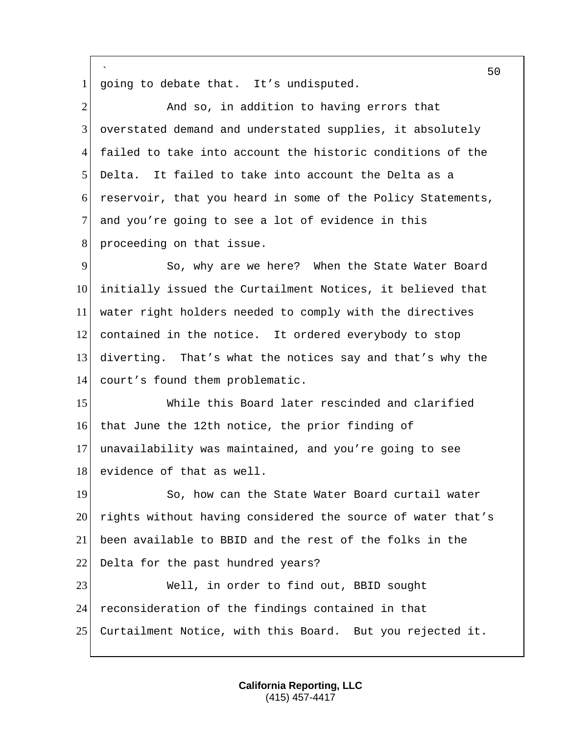` going to debate that. It's undisputed. 2 And so, in addition to having errors that overstated demand and understated supplies, it absolutely failed to take into account the historic conditions of the Delta. It failed to take into account the Delta as a reservoir, that you heard in some of the Policy Statements, 7 and you're going to see a lot of evidence in this 8 proceeding on that issue. So, why are we here? When the State Water Board initially issued the Curtailment Notices, it believed that water right holders needed to comply with the directives contained in the notice. It ordered everybody to stop diverting. That's what the notices say and that's why the 14 court's found them problematic. While this Board later rescinded and clarified that June the 12th notice, the prior finding of unavailability was maintained, and you're going to see 18 evidence of that as well. 19 So, how can the State Water Board curtail water 20 rights without having considered the source of water that's been available to BBID and the rest of the folks in the 22 Delta for the past hundred years? Well, in order to find out, BBID sought reconsideration of the findings contained in that Curtailment Notice, with this Board. But you rejected it.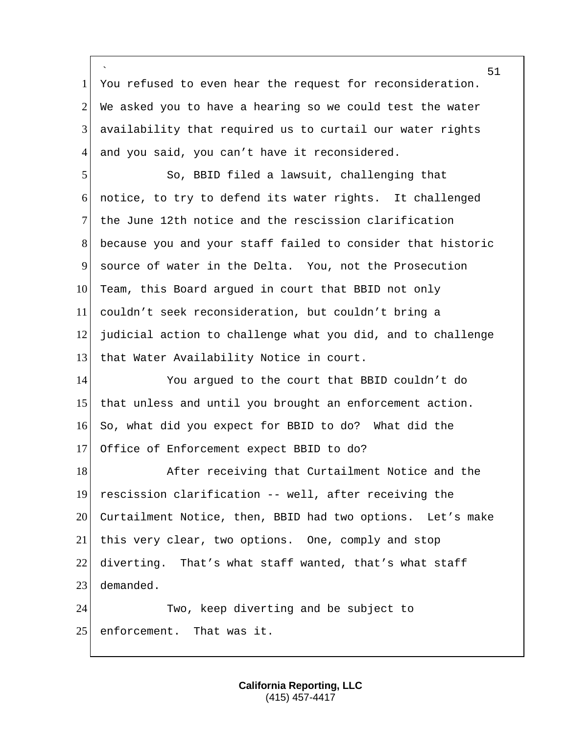` You refused to even hear the request for reconsideration.  $2<sup>l</sup>$  We asked you to have a hearing so we could test the water availability that required us to curtail our water rights 4 and you said, you can't have it reconsidered.

 So, BBID filed a lawsuit, challenging that notice, to try to defend its water rights. It challenged the June 12th notice and the rescission clarification because you and your staff failed to consider that historic source of water in the Delta. You, not the Prosecution 10 Team, this Board argued in court that BBID not only couldn't seek reconsideration, but couldn't bring a judicial action to challenge what you did, and to challenge 13 that Water Availability Notice in court.

 You argued to the court that BBID couldn't do that unless and until you brought an enforcement action. So, what did you expect for BBID to do? What did the Office of Enforcement expect BBID to do?

18 After receiving that Curtailment Notice and the rescission clarification -- well, after receiving the 20 Curtailment Notice, then, BBID had two options. Let's make this very clear, two options. One, comply and stop diverting. That's what staff wanted, that's what staff demanded.

 Two, keep diverting and be subject to 25 enforcement. That was it.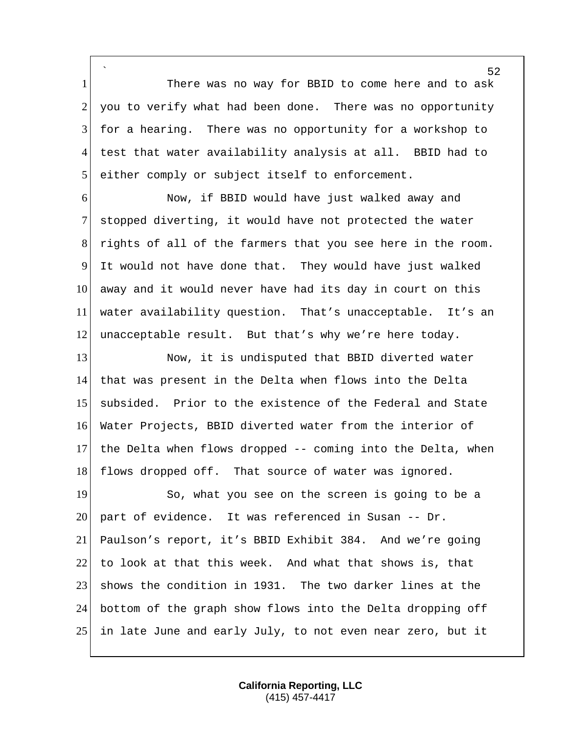` 1 There was no way for BBID to come here and to ask you to verify what had been done. There was no opportunity for a hearing. There was no opportunity for a workshop to test that water availability analysis at all. BBID had to 5 either comply or subject itself to enforcement.

 Now, if BBID would have just walked away and stopped diverting, it would have not protected the water rights of all of the farmers that you see here in the room. It would not have done that. They would have just walked away and it would never have had its day in court on this water availability question. That's unacceptable. It's an unacceptable result. But that's why we're here today.

13 Now, it is undisputed that BBID diverted water that was present in the Delta when flows into the Delta subsided. Prior to the existence of the Federal and State Water Projects, BBID diverted water from the interior of the Delta when flows dropped -- coming into the Delta, when 18 flows dropped off. That source of water was ignored.

19 So, what you see on the screen is going to be a 20 part of evidence. It was referenced in Susan  $-$ - Dr. Paulson's report, it's BBID Exhibit 384. And we're going 22 to look at that this week. And what that shows is, that shows the condition in 1931. The two darker lines at the bottom of the graph show flows into the Delta dropping off in late June and early July, to not even near zero, but it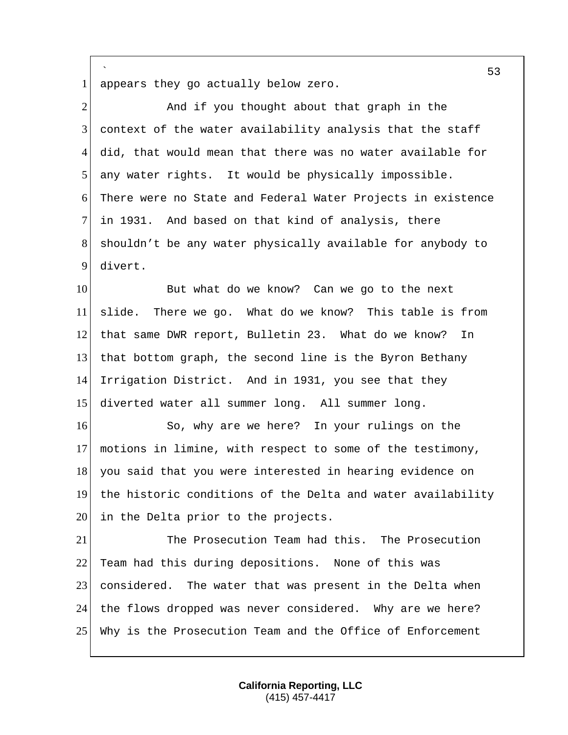1 appears they go actually below zero.

`

2 And if you thought about that graph in the context of the water availability analysis that the staff did, that would mean that there was no water available for any water rights. It would be physically impossible. There were no State and Federal Water Projects in existence in 1931. And based on that kind of analysis, there shouldn't be any water physically available for anybody to 9 divert. But what do we know? Can we go to the next slide. There we go. What do we know? This table is from 12 that same DWR report, Bulletin 23. What do we know? In that bottom graph, the second line is the Byron Bethany Irrigation District. And in 1931, you see that they diverted water all summer long. All summer long. 16 So, why are we here? In your rulings on the motions in limine, with respect to some of the testimony, 18 you said that you were interested in hearing evidence on 19 the historic conditions of the Delta and water availability 20 in the Delta prior to the projects. The Prosecution Team had this. The Prosecution Team had this during depositions. None of this was 23 considered. The water that was present in the Delta when

25 Why is the Prosecution Team and the Office of Enforcement

24 the flows dropped was never considered. Why are we here?

**California Reporting, LLC** (415) 457-4417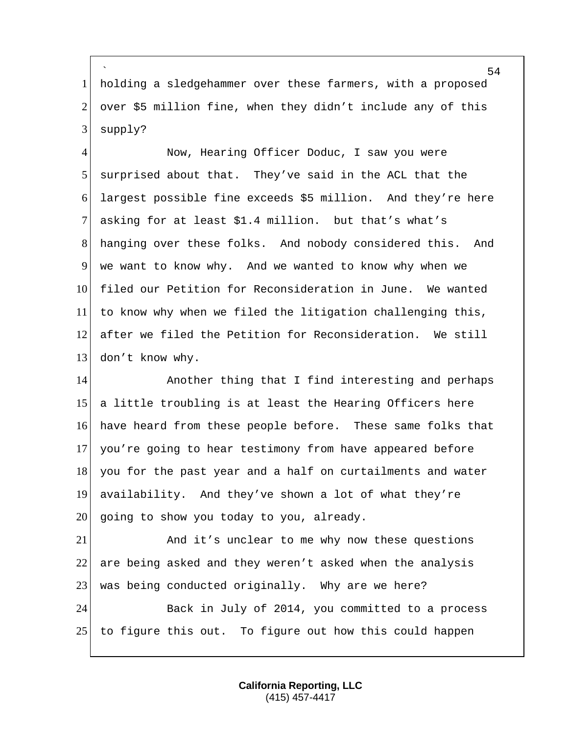` 1 holding a sledgehammer over these farmers, with a proposed 2 over \$5 million fine, when they didn't include any of this  $3$  supply?

4 Now, Hearing Officer Doduc, I saw you were 5 surprised about that. They've said in the ACL that the 6 largest possible fine exceeds \$5 million. And they're here 7 asking for at least \$1.4 million. but that's what's 8 hanging over these folks. And nobody considered this. And 9 we want to know why. And we wanted to know why when we 10 filed our Petition for Reconsideration in June. We wanted  $11$  to know why when we filed the litigation challenging this, 12 after we filed the Petition for Reconsideration. We still 13 don't know why.

14 Another thing that I find interesting and perhaps a little troubling is at least the Hearing Officers here have heard from these people before. These same folks that you're going to hear testimony from have appeared before 18 you for the past year and a half on curtailments and water availability. And they've shown a lot of what they're going to show you today to you, already.

21 And it's unclear to me why now these questions 22 are being asked and they weren't asked when the analysis 23 was being conducted originally. Why are we here?

24 Back in July of 2014, you committed to a process 25 to figure this out. To figure out how this could happen

> **California Reporting, LLC** (415) 457-4417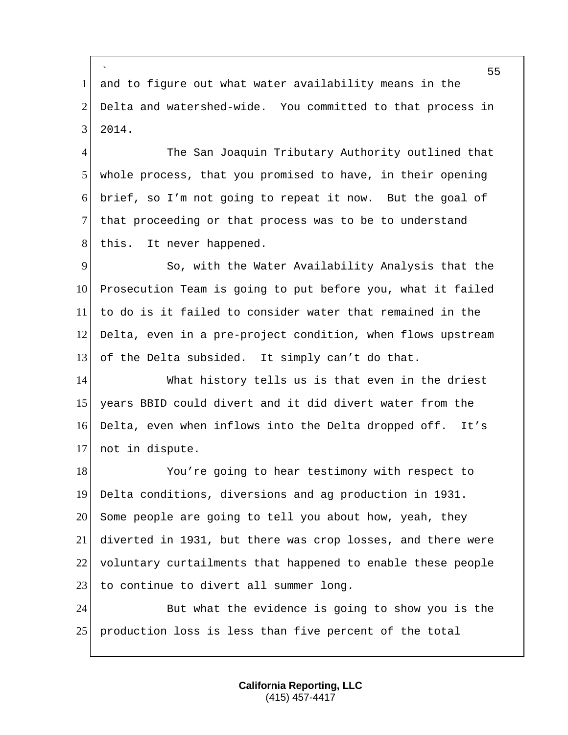` 1 and to figure out what water availability means in the 2 Delta and watershed-wide. You committed to that process in 3 2014.

4 The San Joaquin Tributary Authority outlined that 5 whole process, that you promised to have, in their opening 6 brief, so I'm not going to repeat it now. But the goal of 7 that proceeding or that process was to be to understand 8 this. It never happened.

9 So, with the Water Availability Analysis that the 10 Prosecution Team is going to put before you, what it failed 11 to do is it failed to consider water that remained in the 12 Delta, even in a pre-project condition, when flows upstream 13 of the Delta subsided. It simply can't do that.

 What history tells us is that even in the driest years BBID could divert and it did divert water from the Delta, even when inflows into the Delta dropped off. It's not in dispute.

18 You're going to hear testimony with respect to 19 Delta conditions, diversions and ag production in 1931.  $20$  Some people are going to tell you about how, yeah, they 21 diverted in 1931, but there was crop losses, and there were 22 voluntary curtailments that happened to enable these people 23 to continue to divert all summer long.

24 But what the evidence is going to show you is the 25 production loss is less than five percent of the total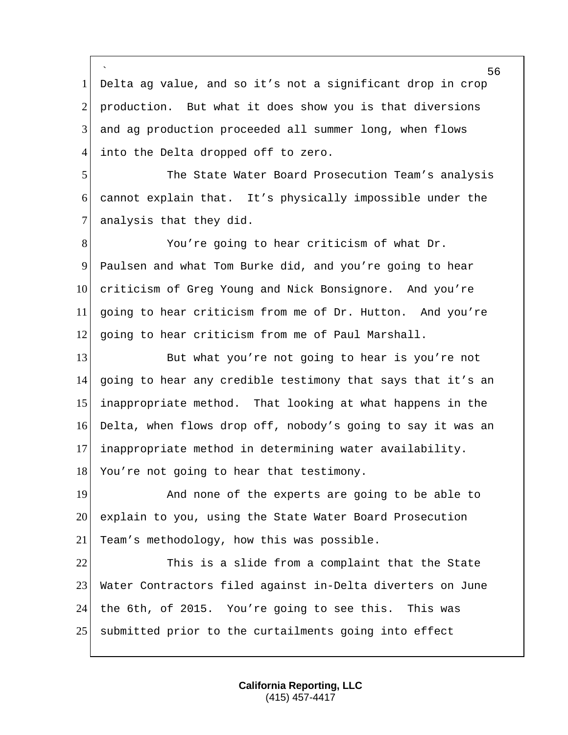` Delta ag value, and so it's not a significant drop in crop production. But what it does show you is that diversions and ag production proceeded all summer long, when flows into the Delta dropped off to zero.

 The State Water Board Prosecution Team's analysis cannot explain that. It's physically impossible under the 7 analysis that they did.

8 You're going to hear criticism of what Dr. Paulsen and what Tom Burke did, and you're going to hear 10 criticism of Greg Young and Nick Bonsignore. And you're going to hear criticism from me of Dr. Hutton. And you're going to hear criticism from me of Paul Marshall.

13 But what you're not going to hear is you're not going to hear any credible testimony that says that it's an inappropriate method. That looking at what happens in the Delta, when flows drop off, nobody's going to say it was an inappropriate method in determining water availability.

18 You're not going to hear that testimony.

19 And none of the experts are going to be able to explain to you, using the State Water Board Prosecution 21 Team's methodology, how this was possible.

 This is a slide from a complaint that the State Water Contractors filed against in-Delta diverters on June the 6th, of 2015. You're going to see this. This was submitted prior to the curtailments going into effect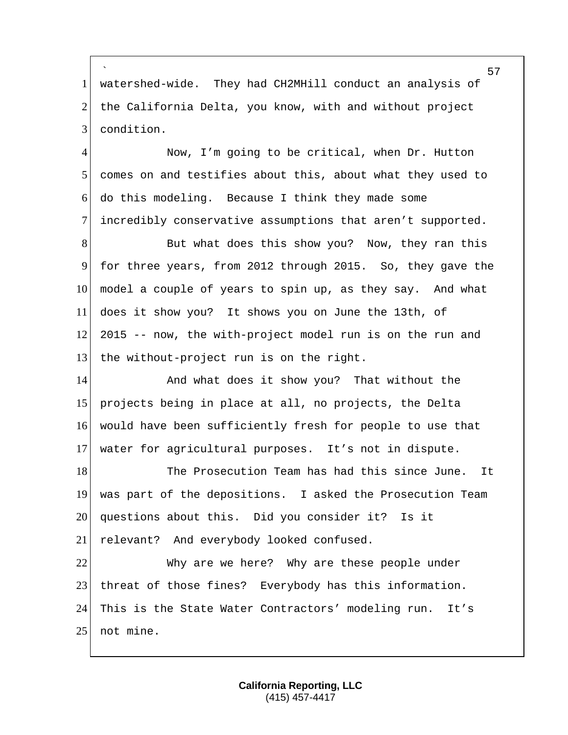` 1 watershed-wide. They had CH2MHill conduct an analysis of 2 the California Delta, you know, with and without project 3 condition.

 Now, I'm going to be critical, when Dr. Hutton comes on and testifies about this, about what they used to do this modeling. Because I think they made some incredibly conservative assumptions that aren't supported.

8 But what does this show you? Now, they ran this for three years, from 2012 through 2015. So, they gave the model a couple of years to spin up, as they say. And what does it show you? It shows you on June the 13th, of 2015 -- now, the with-project model run is on the run and 13 the without-project run is on the right.

14 And what does it show you? That without the projects being in place at all, no projects, the Delta would have been sufficiently fresh for people to use that water for agricultural purposes. It's not in dispute.

18 The Prosecution Team has had this since June. It 19 was part of the depositions. I asked the Prosecution Team 20 questions about this. Did you consider it? Is it 21 relevant? And everybody looked confused.

22 Why are we here? Why are these people under 23 threat of those fines? Everybody has this information. 24 This is the State Water Contractors' modeling run. It's 25 not mine.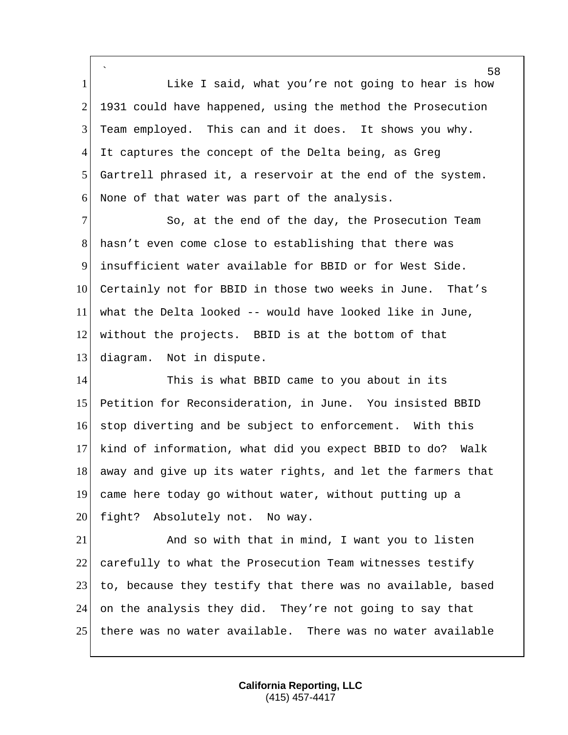` 1 1 Like I said, what you're not going to hear is how 2 1931 could have happened, using the method the Prosecution 3 Team employed. This can and it does. It shows you why. 4 It captures the concept of the Delta being, as Greg 5 Gartrell phrased it, a reservoir at the end of the system. 6 None of that water was part of the analysis.

7 So, at the end of the day, the Prosecution Team hasn't even come close to establishing that there was insufficient water available for BBID or for West Side. Certainly not for BBID in those two weeks in June. That's what the Delta looked -- would have looked like in June, without the projects. BBID is at the bottom of that 13 diagram. Not in dispute.

14 This is what BBID came to you about in its 15 Petition for Reconsideration, in June. You insisted BBID 16 stop diverting and be subject to enforcement. With this 17 kind of information, what did you expect BBID to do? Walk 18 away and give up its water rights, and let the farmers that 19 came here today go without water, without putting up a 20 fight? Absolutely not. No way.

21 And so with that in mind, I want you to listen 22 carefully to what the Prosecution Team witnesses testify 23 to, because they testify that there was no available, based 24 on the analysis they did. They're not going to say that 25 there was no water available. There was no water available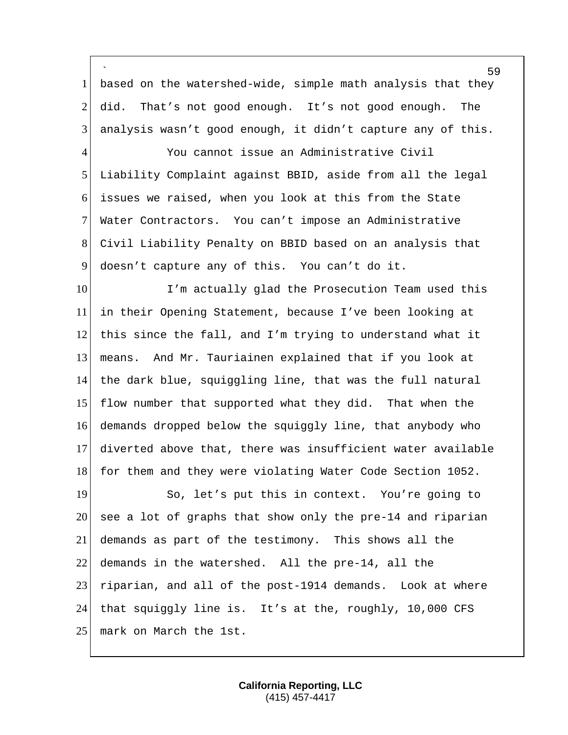` 1 based on the watershed-wide, simple math analysis that they 2 did. That's not good enough. It's not good enough. The analysis wasn't good enough, it didn't capture any of this.

 You cannot issue an Administrative Civil Liability Complaint against BBID, aside from all the legal issues we raised, when you look at this from the State Water Contractors. You can't impose an Administrative Civil Liability Penalty on BBID based on an analysis that doesn't capture any of this. You can't do it.

10 I'm actually glad the Prosecution Team used this in their Opening Statement, because I've been looking at 12 this since the fall, and I'm trying to understand what it means. And Mr. Tauriainen explained that if you look at the dark blue, squiggling line, that was the full natural 15 flow number that supported what they did. That when the demands dropped below the squiggly line, that anybody who diverted above that, there was insufficient water available 18 for them and they were violating Water Code Section 1052.

19 So, let's put this in context. You're going to see a lot of graphs that show only the pre-14 and riparian demands as part of the testimony. This shows all the demands in the watershed. All the pre-14, all the riparian, and all of the post-1914 demands. Look at where that squiggly line is. It's at the, roughly, 10,000 CFS 25 | mark on March the 1st.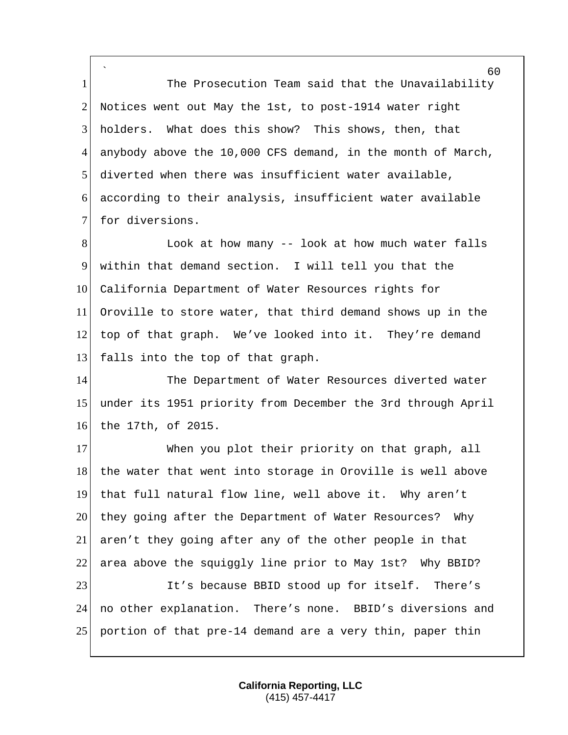` 1 The Prosecution Team said that the Unavailability 2 Notices went out May the 1st, to post-1914 water right 3 holders. What does this show? This shows, then, that 4 anybody above the 10,000 CFS demand, in the month of March, 5 diverted when there was insufficient water available, 6 according to their analysis, insufficient water available 7 for diversions.

8 Kelook at how many -- look at how much water falls 9 within that demand section. I will tell you that the 10 California Department of Water Resources rights for 11 Oroville to store water, that third demand shows up in the 12 top of that graph. We've looked into it. They're demand 13 falls into the top of that graph.

14 The Department of Water Resources diverted water 15 under its 1951 priority from December the 3rd through April 16 the 17th, of 2015.

17 When you plot their priority on that graph, all 18 the water that went into storage in Oroville is well above 19 that full natural flow line, well above it. Why aren't 20 they going after the Department of Water Resources? Why 21 aren't they going after any of the other people in that 22 area above the squiggly line prior to May 1st? Why BBID? 23 It's because BBID stood up for itself. There's 24 no other explanation. There's none. BBID's diversions and 25 portion of that pre-14 demand are a very thin, paper thin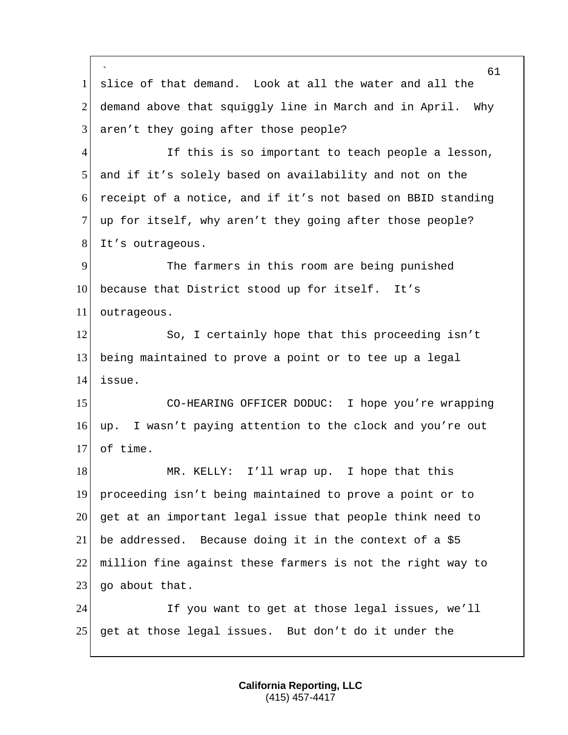` 61 1 slice of that demand. Look at all the water and all the 2 demand above that squiggly line in March and in April. Why  $3$  aren't they going after those people? 4 If this is so important to teach people a lesson, 5 and if it's solely based on availability and not on the 6 receipt of a notice, and if it's not based on BBID standing 7 up for itself, why aren't they going after those people? 8 It's outrageous. 9 The farmers in this room are being punished 10 because that District stood up for itself. It's 11 outrageous. 12 So, I certainly hope that this proceeding isn't 13 being maintained to prove a point or to tee up a legal 14 issue. 15 CO-HEARING OFFICER DODUC: I hope you're wrapping 16 up. I wasn't paying attention to the clock and you're out 17 of time. 18 MR. KELLY: I'll wrap up. I hope that this 19 proceeding isn't being maintained to prove a point or to 20 get at an important legal issue that people think need to 21 be addressed. Because doing it in the context of a \$5 22 million fine against these farmers is not the right way to  $23$  go about that. 24 If you want to get at those legal issues, we'll 25 get at those legal issues. But don't do it under the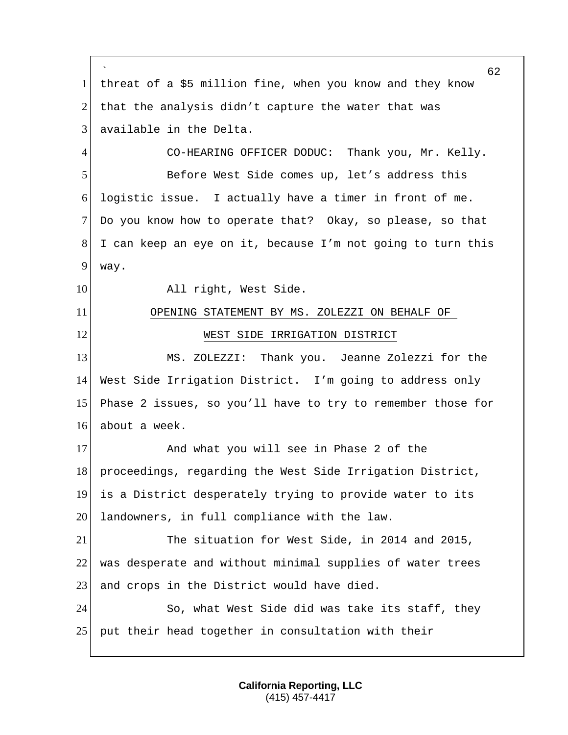` 62 1 threat of a \$5 million fine, when you know and they know 2 that the analysis didn't capture the water that was 3 available in the Delta. 4 CO-HEARING OFFICER DODUC: Thank you, Mr. Kelly. 5 Before West Side comes up, let's address this 6 logistic issue. I actually have a timer in front of me. 7 Do you know how to operate that? Okay, so please, so that 8 I can keep an eye on it, because I'm not going to turn this 9 way. 10 All right, West Side. 11 OPENING STATEMENT BY MS. ZOLEZZI ON BEHALF OF 12 WEST SIDE IRRIGATION DISTRICT 13 MS. ZOLEZZI: Thank you. Jeanne Zolezzi for the 14 West Side Irrigation District. I'm going to address only 15 Phase 2 issues, so you'll have to try to remember those for 16 about a week. 17 And what you will see in Phase 2 of the 18 proceedings, regarding the West Side Irrigation District, 19 is a District desperately trying to provide water to its 20 landowners, in full compliance with the law. 21 The situation for West Side, in 2014 and 2015, 22 was desperate and without minimal supplies of water trees 23 and crops in the District would have died. 24 So, what West Side did was take its staff, they 25 put their head together in consultation with their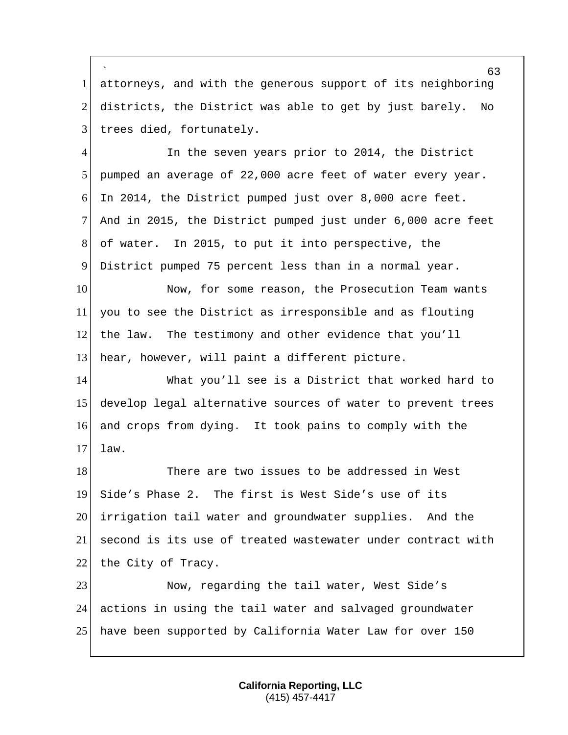` 1 attorneys, and with the generous support of its neighboring 2 districts, the District was able to get by just barely. No 3 trees died, fortunately.

4 In the seven years prior to 2014, the District pumped an average of 22,000 acre feet of water every year. In 2014, the District pumped just over 8,000 acre feet. And in 2015, the District pumped just under 6,000 acre feet of water. In 2015, to put it into perspective, the District pumped 75 percent less than in a normal year.

10 Now, for some reason, the Prosecution Team wants 11 you to see the District as irresponsible and as flouting 12 the law. The testimony and other evidence that you'll 13 hear, however, will paint a different picture.

 What you'll see is a District that worked hard to develop legal alternative sources of water to prevent trees and crops from dying. It took pains to comply with the  $17$  law.

18 There are two issues to be addressed in West 19 Side's Phase 2. The first is West Side's use of its 20 irrigation tail water and groundwater supplies. And the 21 second is its use of treated wastewater under contract with 22 the City of Tracy.

23 Now, regarding the tail water, West Side's 24 actions in using the tail water and salvaged groundwater 25 have been supported by California Water Law for over 150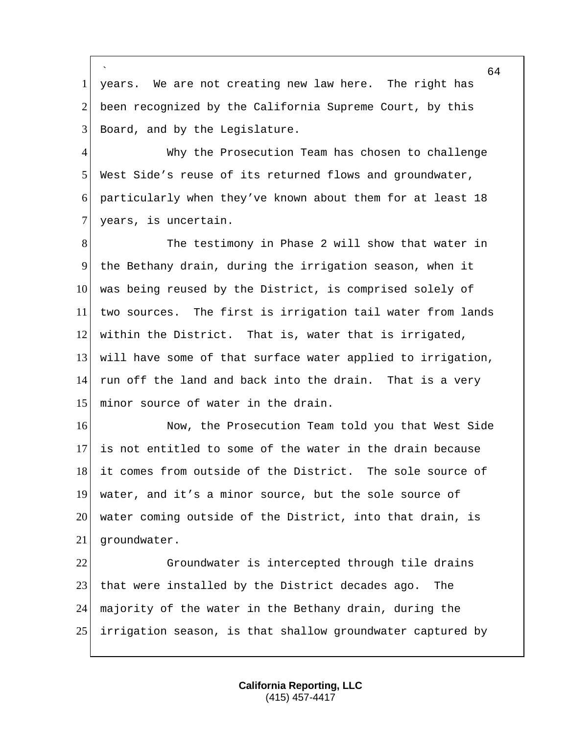` 1 years. We are not creating new law here. The right has 2 been recognized by the California Supreme Court, by this 3 Board, and by the Legislature.

4 Why the Prosecution Team has chosen to challenge 5 West Side's reuse of its returned flows and groundwater, 6 particularly when they've known about them for at least 18 7 years, is uncertain.

8 The testimony in Phase 2 will show that water in 9 the Bethany drain, during the irrigation season, when it 10 was being reused by the District, is comprised solely of 11 two sources. The first is irrigation tail water from lands 12 within the District. That is, water that is irrigated, 13 will have some of that surface water applied to irrigation, 14 run off the land and back into the drain. That is a very 15 minor source of water in the drain.

16 Now, the Prosecution Team told you that West Side is not entitled to some of the water in the drain because 18 it comes from outside of the District. The sole source of water, and it's a minor source, but the sole source of water coming outside of the District, into that drain, is groundwater.

 Groundwater is intercepted through tile drains 23 that were installed by the District decades ago. The majority of the water in the Bethany drain, during the irrigation season, is that shallow groundwater captured by

> **California Reporting, LLC** (415) 457-4417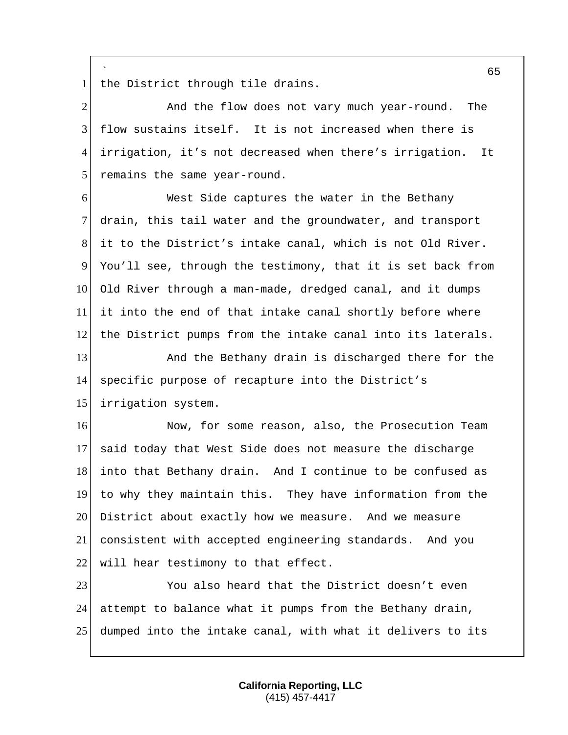` 1 the District through tile drains.

2 And the flow does not vary much year-round. The flow sustains itself. It is not increased when there is irrigation, it's not decreased when there's irrigation. It 5 remains the same year-round.

 West Side captures the water in the Bethany drain, this tail water and the groundwater, and transport it to the District's intake canal, which is not Old River. You'll see, through the testimony, that it is set back from Old River through a man-made, dredged canal, and it dumps it into the end of that intake canal shortly before where the District pumps from the intake canal into its laterals.

13 And the Bethany drain is discharged there for the specific purpose of recapture into the District's irrigation system.

16 Now, for some reason, also, the Prosecution Team said today that West Side does not measure the discharge into that Bethany drain. And I continue to be confused as to why they maintain this. They have information from the 20 District about exactly how we measure. And we measure consistent with accepted engineering standards. And you 22 will hear testimony to that effect.

 You also heard that the District doesn't even attempt to balance what it pumps from the Bethany drain, dumped into the intake canal, with what it delivers to its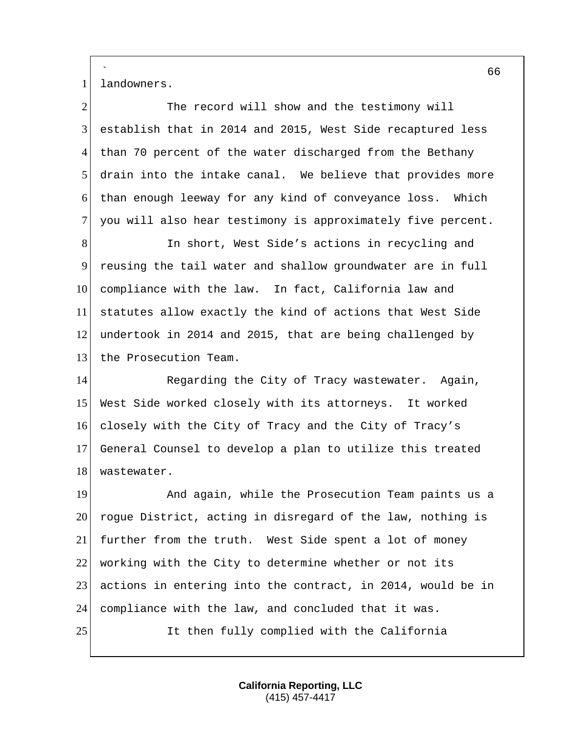` 1 landowners.

| The record will show and the testimony will                  |
|--------------------------------------------------------------|
| establish that in 2014 and 2015, West Side recaptured less   |
| than 70 percent of the water discharged from the Bethany     |
| drain into the intake canal. We believe that provides more   |
| than enough leeway for any kind of conveyance loss.<br>Which |
| you will also hear testimony is approximately five percent.  |
| In short, West Side's actions in recycling and               |
| reusing the tail water and shallow groundwater are in full   |
| compliance with the law. In fact, California law and         |
| statutes allow exactly the kind of actions that West Side    |
| undertook in 2014 and 2015, that are being challenged by     |
| the Prosecution Team.                                        |
| Regarding the City of Tracy wastewater. Again,               |
| West Side worked closely with its attorneys. It worked       |
| closely with the City of Tracy and the City of Tracy's       |
| General Counsel to develop a plan to utilize this treated    |
| wastewater.                                                  |
| And again, while the Prosecution Team paints us a            |
| rogue District, acting in disregard of the law, nothing is   |
| further from the truth. West Side spent a lot of money       |
| working with the City to determine whether or not its        |
| actions in entering into the contract, in 2014, would be in  |
| compliance with the law, and concluded that it was.          |
| It then fully complied with the California                   |
|                                                              |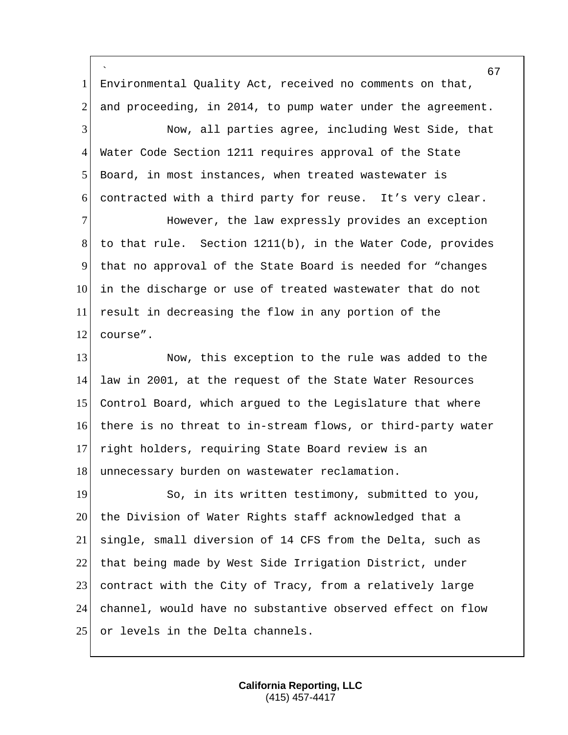` Environmental Quality Act, received no comments on that, 2 and proceeding, in 2014, to pump water under the agreement. Now, all parties agree, including West Side, that Water Code Section 1211 requires approval of the State Board, in most instances, when treated wastewater is contracted with a third party for reuse. It's very clear. 7 However, the law expressly provides an exception to that rule. Section 1211(b), in the Water Code, provides that no approval of the State Board is needed for "changes in the discharge or use of treated wastewater that do not result in decreasing the flow in any portion of the 12 course". 13 Now, this exception to the rule was added to the law in 2001, at the request of the State Water Resources Control Board, which argued to the Legislature that where 16 there is no threat to in-stream flows, or third-party water right holders, requiring State Board review is an 18 unnecessary burden on wastewater reclamation. 19 So, in its written testimony, submitted to you, 20 the Division of Water Rights staff acknowledged that a single, small diversion of 14 CFS from the Delta, such as that being made by West Side Irrigation District, under contract with the City of Tracy, from a relatively large channel, would have no substantive observed effect on flow 25 or levels in the Delta channels.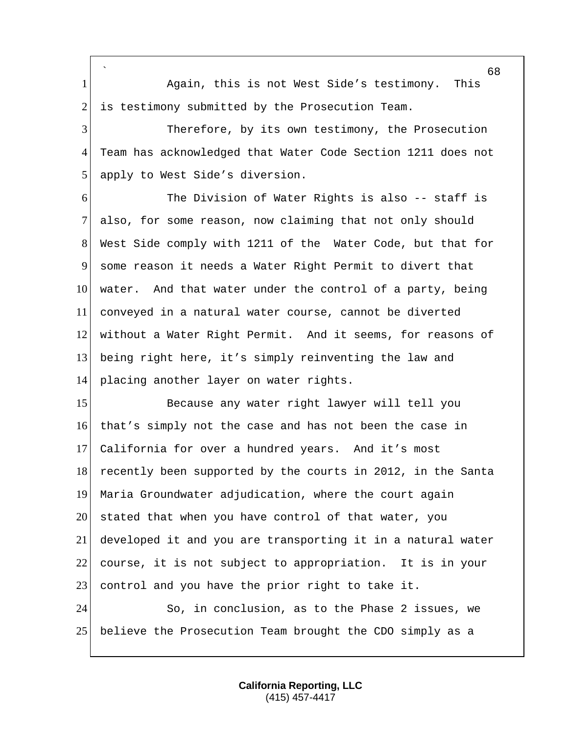` 1 Again, this is not West Side's testimony. This 2 is testimony submitted by the Prosecution Team. Therefore, by its own testimony, the Prosecution Team has acknowledged that Water Code Section 1211 does not apply to West Side's diversion. 6 The Division of Water Rights is also -- staff is 7 also, for some reason, now claiming that not only should West Side comply with 1211 of the Water Code, but that for some reason it needs a Water Right Permit to divert that 10 water. And that water under the control of a party, being conveyed in a natural water course, cannot be diverted without a Water Right Permit. And it seems, for reasons of being right here, it's simply reinventing the law and placing another layer on water rights. 15 Because any water right lawyer will tell you that's simply not the case and has not been the case in California for over a hundred years. And it's most 18 recently been supported by the courts in 2012, in the Santa Maria Groundwater adjudication, where the court again 20 stated that when you have control of that water, you developed it and you are transporting it in a natural water course, it is not subject to appropriation. It is in your 23 control and you have the prior right to take it. So, in conclusion, as to the Phase 2 issues, we believe the Prosecution Team brought the CDO simply as a

> **California Reporting, LLC** (415) 457-4417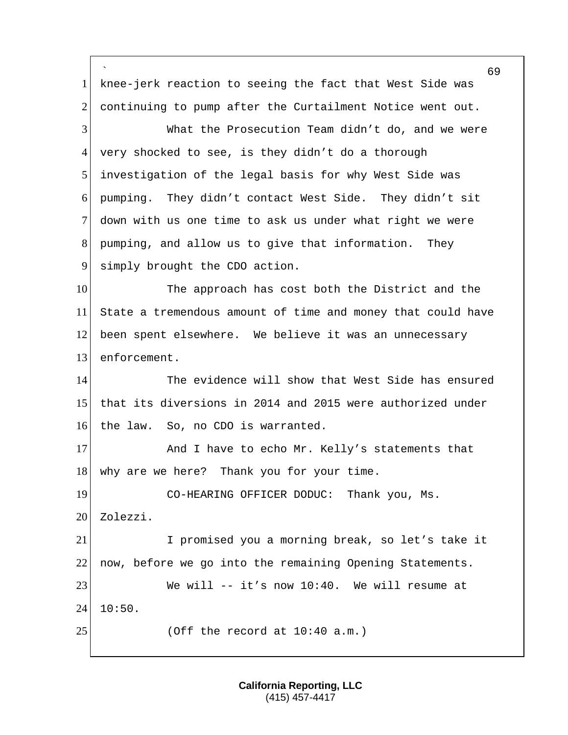` 69 1 knee-jerk reaction to seeing the fact that West Side was 2 continuing to pump after the Curtailment Notice went out. 3 What the Prosecution Team didn't do, and we were 4 very shocked to see, is they didn't do a thorough 5 investigation of the legal basis for why West Side was 6 pumping. They didn't contact West Side. They didn't sit 7 down with us one time to ask us under what right we were 8 pumping, and allow us to give that information. They 9 simply brought the CDO action. 10 The approach has cost both the District and the 11 State a tremendous amount of time and money that could have 12 been spent elsewhere. We believe it was an unnecessary 13 enforcement. 14 The evidence will show that West Side has ensured 15 that its diversions in 2014 and 2015 were authorized under 16 the law. So, no CDO is warranted. 17 And I have to echo Mr. Kelly's statements that 18 why are we here? Thank you for your time. 19 CO-HEARING OFFICER DODUC: Thank you, Ms. 20 Zolezzi. 21 I promised you a morning break, so let's take it 22 now, before we go into the remaining Opening Statements. 23 We will -- it's now 10:40. We will resume at  $24$  10:50.  $25$  (Off the record at  $10:40$  a.m.)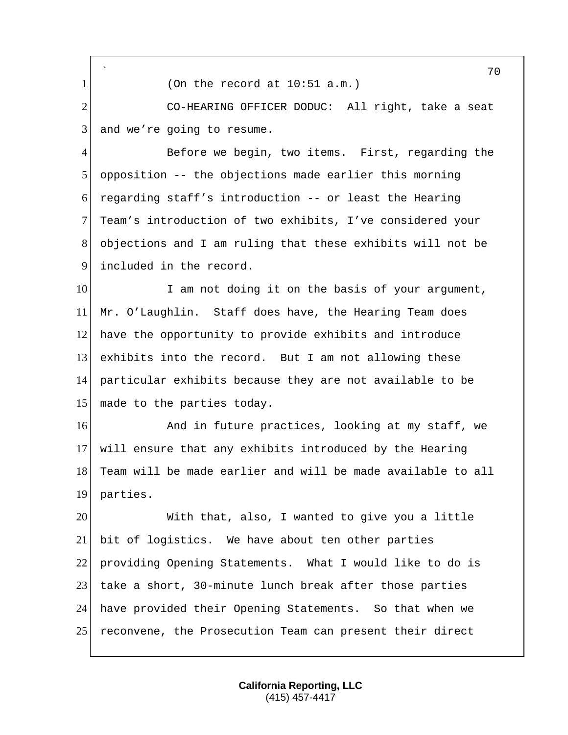`  $1$  (On the record at  $10:51$  a.m.) 2 CO-HEARING OFFICER DODUC: All right, take a seat  $3$  and we're going to resume. 4 Before we begin, two items. First, regarding the 5 opposition -- the objections made earlier this morning 6 regarding staff's introduction -- or least the Hearing 7 Team's introduction of two exhibits, I've considered your 8 objections and I am ruling that these exhibits will not be 9 included in the record. 10 I am not doing it on the basis of your argument, 11 Mr. O'Laughlin. Staff does have, the Hearing Team does 12 have the opportunity to provide exhibits and introduce 13 exhibits into the record. But I am not allowing these 14 particular exhibits because they are not available to be 15 made to the parties today. 16 And in future practices, looking at my staff, we 17 will ensure that any exhibits introduced by the Hearing 18 Team will be made earlier and will be made available to all 19 parties. 20 With that, also, I wanted to give you a little 21 bit of logistics. We have about ten other parties 22 providing Opening Statements. What I would like to do is 23 take a short, 30-minute lunch break after those parties 24 have provided their Opening Statements. So that when we

25 reconvene, the Prosecution Team can present their direct

**California Reporting, LLC** (415) 457-4417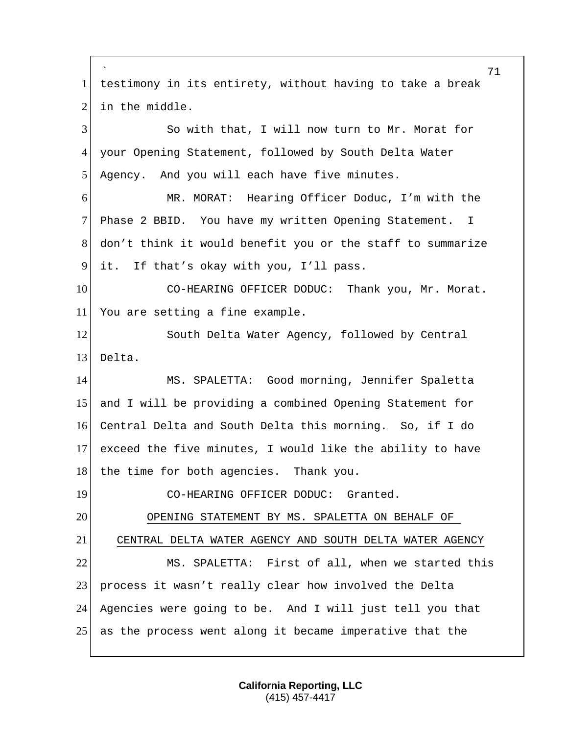` 71 1 testimony in its entirety, without having to take a break 2 in the middle. 3 So with that, I will now turn to Mr. Morat for 4 your Opening Statement, followed by South Delta Water 5 Agency. And you will each have five minutes. 6 MR. MORAT: Hearing Officer Doduc, I'm with the 7 Phase 2 BBID. You have my written Opening Statement. I 8 don't think it would benefit you or the staff to summarize 9 it. If that's okay with you, I'll pass. 10 CO-HEARING OFFICER DODUC: Thank you, Mr. Morat. 11 You are setting a fine example. 12 South Delta Water Agency, followed by Central 13 Delta. 14 MS. SPALETTA: Good morning, Jennifer Spaletta 15 and I will be providing a combined Opening Statement for 16 Central Delta and South Delta this morning. So, if I do 17 exceed the five minutes, I would like the ability to have 18 the time for both agencies. Thank you. 19 CO-HEARING OFFICER DODUC: Granted. 20 OPENING STATEMENT BY MS. SPALETTA ON BEHALF OF 21 CENTRAL DELTA WATER AGENCY AND SOUTH DELTA WATER AGENCY 22 MS. SPALETTA: First of all, when we started this 23 process it wasn't really clear how involved the Delta 24 Agencies were going to be. And I will just tell you that 25 as the process went along it became imperative that the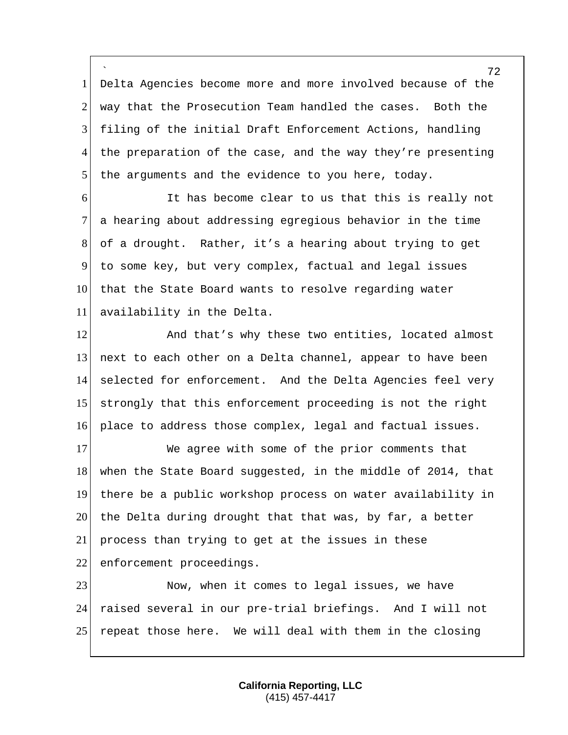` Delta Agencies become more and more involved because of the way that the Prosecution Team handled the cases. Both the filing of the initial Draft Enforcement Actions, handling 4 the preparation of the case, and the way they're presenting the arguments and the evidence to you here, today.

 It has become clear to us that this is really not a hearing about addressing egregious behavior in the time of a drought. Rather, it's a hearing about trying to get to some key, but very complex, factual and legal issues 10 that the State Board wants to resolve regarding water availability in the Delta.

12 And that's why these two entities, located almost next to each other on a Delta channel, appear to have been selected for enforcement. And the Delta Agencies feel very strongly that this enforcement proceeding is not the right place to address those complex, legal and factual issues.

17 We agree with some of the prior comments that 18 when the State Board suggested, in the middle of 2014, that 19 there be a public workshop process on water availability in 20 the Delta during drought that that was, by far, a better 21 process than trying to get at the issues in these 22 enforcement proceedings.

23 Now, when it comes to legal issues, we have 24 raised several in our pre-trial briefings. And I will not 25 repeat those here. We will deal with them in the closing

> **California Reporting, LLC** (415) 457-4417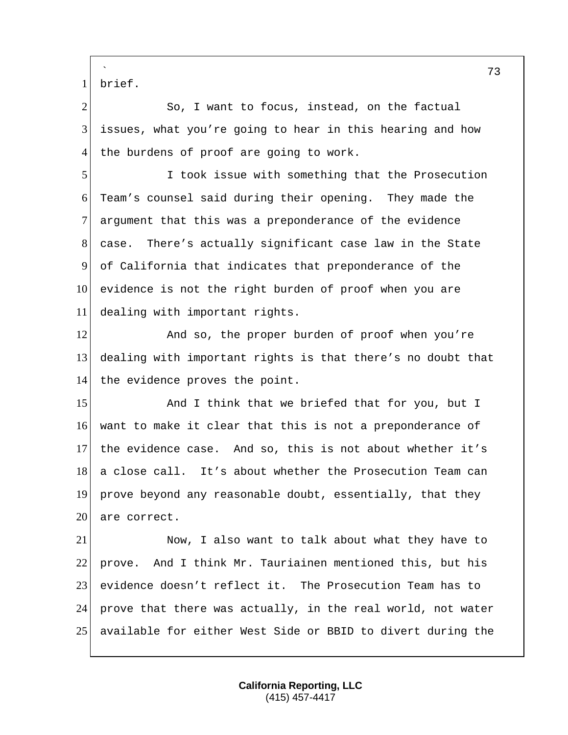` brief.

2 So, I want to focus, instead, on the factual issues, what you're going to hear in this hearing and how 4 the burdens of proof are going to work.

 I took issue with something that the Prosecution Team's counsel said during their opening. They made the 7 argument that this was a preponderance of the evidence case. There's actually significant case law in the State of California that indicates that preponderance of the evidence is not the right burden of proof when you are dealing with important rights.

12 And so, the proper burden of proof when you're dealing with important rights is that there's no doubt that 14 the evidence proves the point.

15 And I think that we briefed that for you, but I want to make it clear that this is not a preponderance of the evidence case. And so, this is not about whether it's 18 a close call. It's about whether the Prosecution Team can prove beyond any reasonable doubt, essentially, that they 20 are correct.

 Now, I also want to talk about what they have to prove. And I think Mr. Tauriainen mentioned this, but his evidence doesn't reflect it. The Prosecution Team has to prove that there was actually, in the real world, not water available for either West Side or BBID to divert during the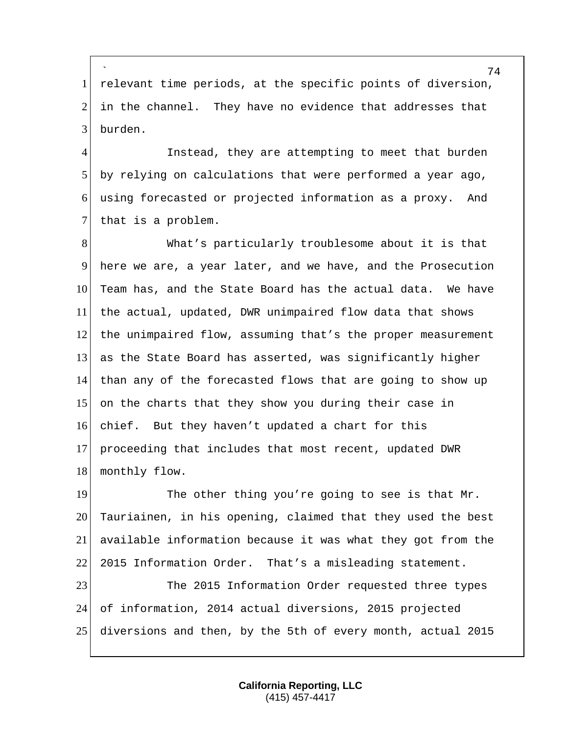` 1 relevant time periods, at the specific points of diversion, 2 in the channel. They have no evidence that addresses that 3 burden.

4 Instead, they are attempting to meet that burden 5 by relying on calculations that were performed a year ago, 6 using forecasted or projected information as a proxy. And 7 that is a problem.

8 What's particularly troublesome about it is that 9 here we are, a year later, and we have, and the Prosecution 10 Team has, and the State Board has the actual data. We have 11 the actual, updated, DWR unimpaired flow data that shows 12 the unimpaired flow, assuming that's the proper measurement 13 as the State Board has asserted, was significantly higher 14 than any of the forecasted flows that are going to show up 15 on the charts that they show you during their case in 16 chief. But they haven't updated a chart for this 17 proceeding that includes that most recent, updated DWR 18 monthly flow.

19 The other thing you're going to see is that Mr. 20 Tauriainen, in his opening, claimed that they used the best 21 available information because it was what they got from the 22 2015 Information Order. That's a misleading statement.

23 The 2015 Information Order requested three types 24 of information, 2014 actual diversions, 2015 projected 25 diversions and then, by the 5th of every month, actual 2015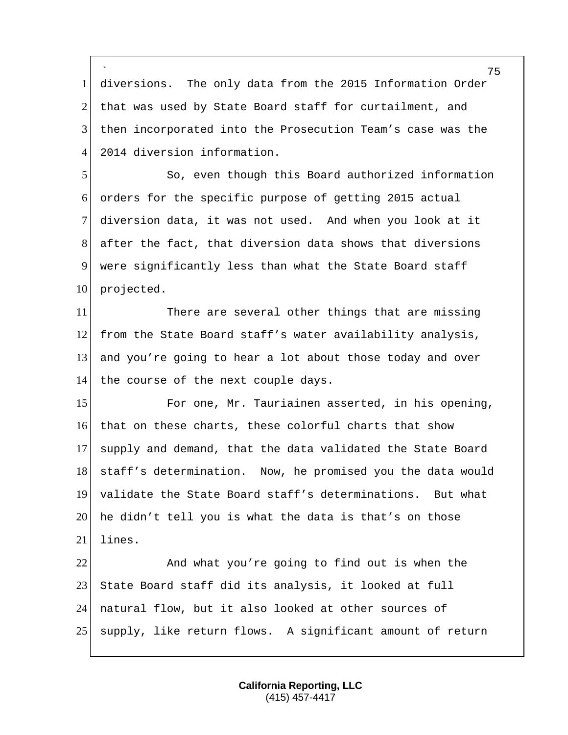` 1 diversions. The only data from the 2015 Information Order 2 that was used by State Board staff for curtailment, and 3 then incorporated into the Prosecution Team's case was the 4 2014 diversion information.

 So, even though this Board authorized information orders for the specific purpose of getting 2015 actual diversion data, it was not used. And when you look at it after the fact, that diversion data shows that diversions were significantly less than what the State Board staff 10 projected.

11 There are several other things that are missing 12 from the State Board staff's water availability analysis, 13 and you're going to hear a lot about those today and over 14 the course of the next couple days.

15 For one, Mr. Tauriainen asserted, in his opening, 16 that on these charts, these colorful charts that show 17 supply and demand, that the data validated the State Board 18 staff's determination. Now, he promised you the data would 19 validate the State Board staff's determinations. But what 20 he didn't tell you is what the data is that's on those 21 lines.

22 And what you're going to find out is when the 23 State Board staff did its analysis, it looked at full 24 natural flow, but it also looked at other sources of 25 supply, like return flows. A significant amount of return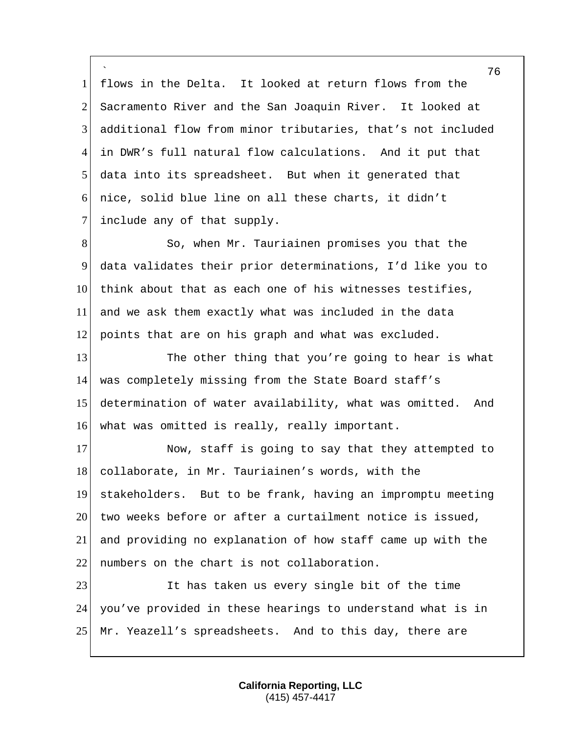` flows in the Delta. It looked at return flows from the 2 Sacramento River and the San Joaquin River. It looked at additional flow from minor tributaries, that's not included in DWR's full natural flow calculations. And it put that data into its spreadsheet. But when it generated that nice, solid blue line on all these charts, it didn't 7 include any of that supply.

8 So, when Mr. Tauriainen promises you that the 9 data validates their prior determinations, I'd like you to 10 think about that as each one of his witnesses testifies, 11 and we ask them exactly what was included in the data 12 points that are on his graph and what was excluded.

13 The other thing that you're going to hear is what 14 was completely missing from the State Board staff's 15 determination of water availability, what was omitted. And 16 what was omitted is really, really important.

17 Now, staff is going to say that they attempted to 18 collaborate, in Mr. Tauriainen's words, with the 19 stakeholders. But to be frank, having an impromptu meeting  $20$  two weeks before or after a curtailment notice is issued, 21 and providing no explanation of how staff came up with the 22 numbers on the chart is not collaboration.

23 It has taken us every single bit of the time 24 you've provided in these hearings to understand what is in 25 Mr. Yeazell's spreadsheets. And to this day, there are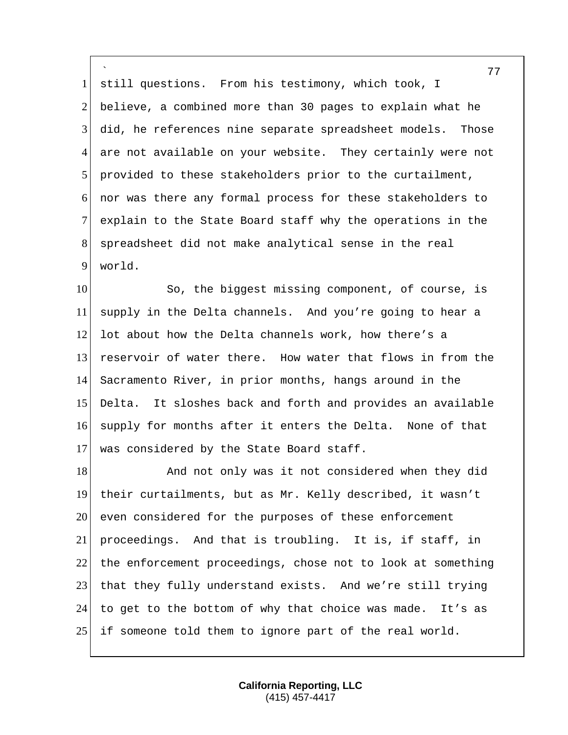` 1 still questions. From his testimony, which took, I 2 believe, a combined more than 30 pages to explain what he 3 did, he references nine separate spreadsheet models. Those 4 are not available on your website. They certainly were not 5 provided to these stakeholders prior to the curtailment, 6 nor was there any formal process for these stakeholders to 7 explain to the State Board staff why the operations in the 8 spreadsheet did not make analytical sense in the real 9 world.

10 So, the biggest missing component, of course, is 11 supply in the Delta channels. And you're going to hear a 12 lot about how the Delta channels work, how there's a 13 reservoir of water there. How water that flows in from the 14 Sacramento River, in prior months, hangs around in the 15 Delta. It sloshes back and forth and provides an available 16 supply for months after it enters the Delta. None of that 17 was considered by the State Board staff.

18 And not only was it not considered when they did 19 their curtailments, but as Mr. Kelly described, it wasn't 20 even considered for the purposes of these enforcement 21 proceedings. And that is troubling. It is, if staff, in 22 the enforcement proceedings, chose not to look at something 23 that they fully understand exists. And we're still trying 24 to get to the bottom of why that choice was made. It's as 25 if someone told them to ignore part of the real world.

> **California Reporting, LLC** (415) 457-4417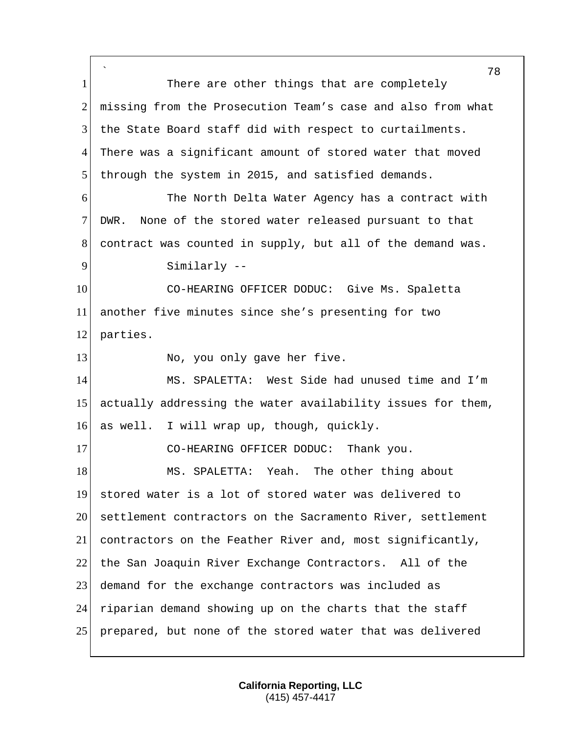` 1 There are other things that are completely 2 missing from the Prosecution Team's case and also from what the State Board staff did with respect to curtailments. There was a significant amount of stored water that moved through the system in 2015, and satisfied demands. The North Delta Water Agency has a contract with DWR. None of the stored water released pursuant to that contract was counted in supply, but all of the demand was. 9 Similarly -- CO-HEARING OFFICER DODUC: Give Ms. Spaletta another five minutes since she's presenting for two parties. 13 No, you only gave her five. MS. SPALETTA: West Side had unused time and I'm actually addressing the water availability issues for them, as well. I will wrap up, though, quickly. 17 CO-HEARING OFFICER DODUC: Thank you. 18 MS. SPALETTA: Yeah. The other thing about stored water is a lot of stored water was delivered to settlement contractors on the Sacramento River, settlement contractors on the Feather River and, most significantly, 22 the San Joaquin River Exchange Contractors. All of the demand for the exchange contractors was included as riparian demand showing up on the charts that the staff prepared, but none of the stored water that was delivered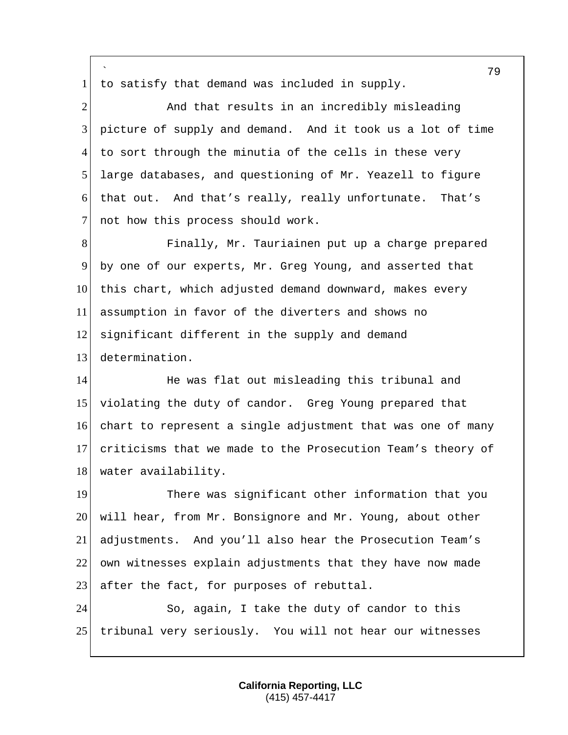` 79 1 to satisfy that demand was included in supply. 2 And that results in an incredibly misleading 3 picture of supply and demand. And it took us a lot of time 4 to sort through the minutia of the cells in these very 5 large databases, and questioning of Mr. Yeazell to figure 6 that out. And that's really, really unfortunate. That's 7 not how this process should work. 8 Finally, Mr. Tauriainen put up a charge prepared 9 by one of our experts, Mr. Greg Young, and asserted that 10 this chart, which adjusted demand downward, makes every 11 assumption in favor of the diverters and shows no 12 significant different in the supply and demand 13 determination. 14 He was flat out misleading this tribunal and 15 violating the duty of candor. Greg Young prepared that 16 chart to represent a single adjustment that was one of many 17 criticisms that we made to the Prosecution Team's theory of 18 water availability. 19 There was significant other information that you 20 will hear, from Mr. Bonsignore and Mr. Young, about other 21 adjustments. And you'll also hear the Prosecution Team's 22 own witnesses explain adjustments that they have now made 23 after the fact, for purposes of rebuttal. 24 So, again, I take the duty of candor to this 25 tribunal very seriously. You will not hear our witnesses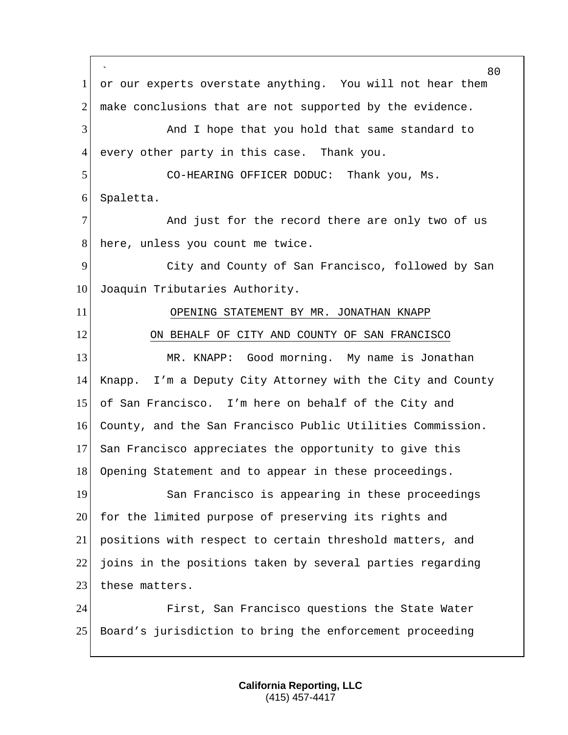` 1 or our experts overstate anything. You will not hear them make conclusions that are not supported by the evidence. And I hope that you hold that same standard to every other party in this case. Thank you. CO-HEARING OFFICER DODUC: Thank you, Ms. Spaletta. 7 and just for the record there are only two of us 8 here, unless you count me twice. City and County of San Francisco, followed by San 10 Joaquin Tributaries Authority. OPENING STATEMENT BY MR. JONATHAN KNAPP ON BEHALF OF CITY AND COUNTY OF SAN FRANCISCO 13 MR. KNAPP: Good morning. My name is Jonathan Knapp. I'm a Deputy City Attorney with the City and County of San Francisco. I'm here on behalf of the City and County, and the San Francisco Public Utilities Commission. San Francisco appreciates the opportunity to give this Opening Statement and to appear in these proceedings. 19 San Francisco is appearing in these proceedings 20 for the limited purpose of preserving its rights and positions with respect to certain threshold matters, and joins in the positions taken by several parties regarding 23 these matters. First, San Francisco questions the State Water Board's jurisdiction to bring the enforcement proceeding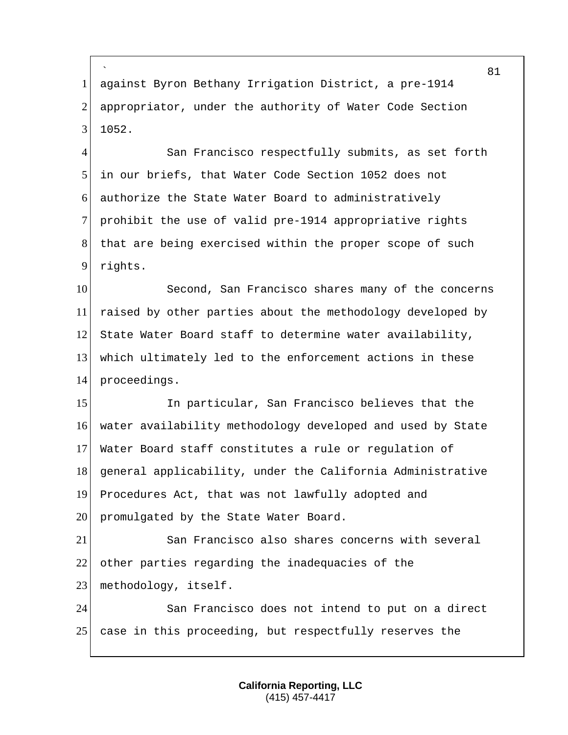` against Byron Bethany Irrigation District, a pre-1914 2 appropriator, under the authority of Water Code Section 1052.

4 San Francisco respectfully submits, as set forth in our briefs, that Water Code Section 1052 does not authorize the State Water Board to administratively prohibit the use of valid pre-1914 appropriative rights that are being exercised within the proper scope of such rights.

10 Second, San Francisco shares many of the concerns raised by other parties about the methodology developed by State Water Board staff to determine water availability, which ultimately led to the enforcement actions in these proceedings.

15 In particular, San Francisco believes that the water availability methodology developed and used by State Water Board staff constitutes a rule or regulation of general applicability, under the California Administrative Procedures Act, that was not lawfully adopted and 20 promulgated by the State Water Board.

 San Francisco also shares concerns with several 22 other parties regarding the inadequacies of the 23 methodology, itself.

 San Francisco does not intend to put on a direct case in this proceeding, but respectfully reserves the

> **California Reporting, LLC** (415) 457-4417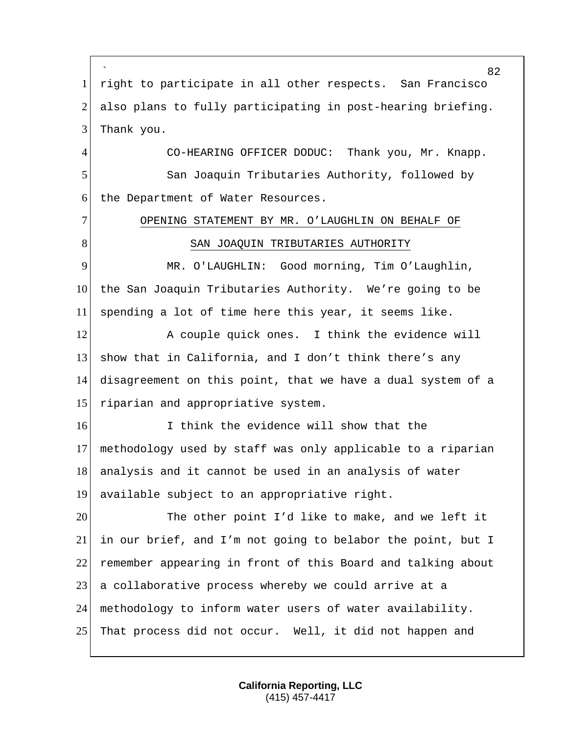` 82 1 right to participate in all other respects. San Francisco 2 also plans to fully participating in post-hearing briefing. 3 Thank you. 4 CO-HEARING OFFICER DODUC: Thank you, Mr. Knapp. 5 San Joaquin Tributaries Authority, followed by 6 the Department of Water Resources. 7 OPENING STATEMENT BY MR. O'LAUGHLIN ON BEHALF OF 8 | SAN JOAQUIN TRIBUTARIES AUTHORITY 9 MR. O'LAUGHLIN: Good morning, Tim O'Laughlin, 10 the San Joaquin Tributaries Authority. We're going to be 11 spending a lot of time here this year, it seems like. 12 A couple quick ones. I think the evidence will 13 show that in California, and I don't think there's any 14 disagreement on this point, that we have a dual system of a 15 riparian and appropriative system. 16 I think the evidence will show that the 17 methodology used by staff was only applicable to a riparian 18 analysis and it cannot be used in an analysis of water 19 available subject to an appropriative right. 20 The other point I'd like to make, and we left it 21 in our brief, and I'm not going to belabor the point, but I 22 remember appearing in front of this Board and talking about 23 a collaborative process whereby we could arrive at a 24 methodology to inform water users of water availability. 25 That process did not occur. Well, it did not happen and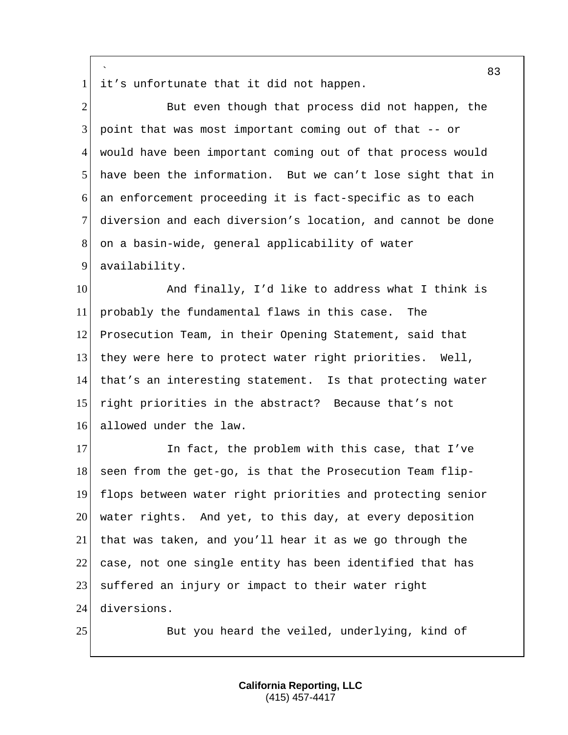` 1 it's unfortunate that it did not happen.

2 But even though that process did not happen, the  $3$  point that was most important coming out of that  $-$  or 4 would have been important coming out of that process would 5 have been the information. But we can't lose sight that in 6 an enforcement proceeding it is fact-specific as to each 7 diversion and each diversion's location, and cannot be done 8 on a basin-wide, general applicability of water 9 availability.

10 And finally, I'd like to address what I think is probably the fundamental flaws in this case. The Prosecution Team, in their Opening Statement, said that they were here to protect water right priorities. Well, that's an interesting statement. Is that protecting water right priorities in the abstract? Because that's not 16 allowed under the law.

17 In fact, the problem with this case, that I've seen from the get-go, is that the Prosecution Team flip- flops between water right priorities and protecting senior 20 water rights. And yet, to this day, at every deposition that was taken, and you'll hear it as we go through the case, not one single entity has been identified that has 23 suffered an injury or impact to their water right diversions.

25 But you heard the veiled, underlying, kind of

83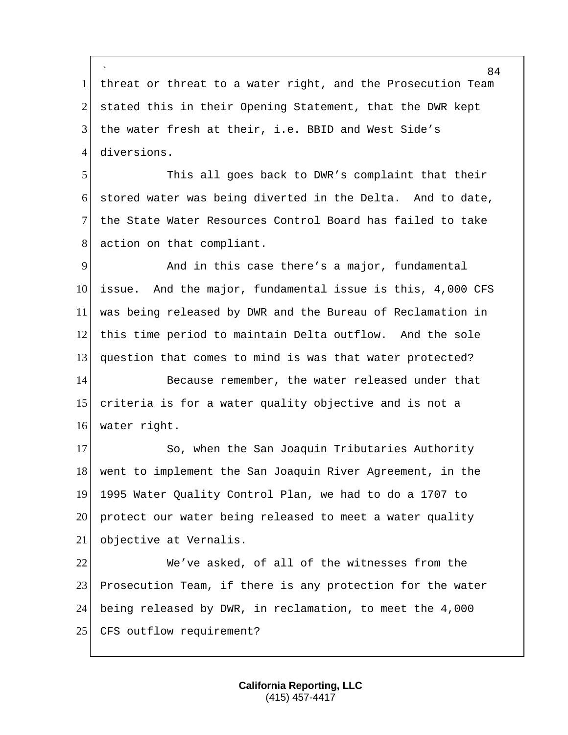` 1 | threat or threat to a water right, and the Prosecution Team 2 stated this in their Opening Statement, that the DWR kept 3 the water fresh at their, i.e. BBID and West Side's 4 diversions.

 This all goes back to DWR's complaint that their stored water was being diverted in the Delta. And to date, the State Water Resources Control Board has failed to take 8 action on that compliant.

 And in this case there's a major, fundamental 10 issue. And the major, fundamental issue is this, 4,000 CFS was being released by DWR and the Bureau of Reclamation in this time period to maintain Delta outflow. And the sole question that comes to mind is was that water protected? 14 Because remember, the water released under that

15 criteria is for a water quality objective and is not a 16 water right.

17 So, when the San Joaquin Tributaries Authority 18 went to implement the San Joaquin River Agreement, in the 19 1995 Water Quality Control Plan, we had to do a 1707 to 20 protect our water being released to meet a water quality 21 objective at Vernalis.

22 We've asked, of all of the witnesses from the 23 Prosecution Team, if there is any protection for the water 24 being released by DWR, in reclamation, to meet the 4,000 25 CFS outflow requirement?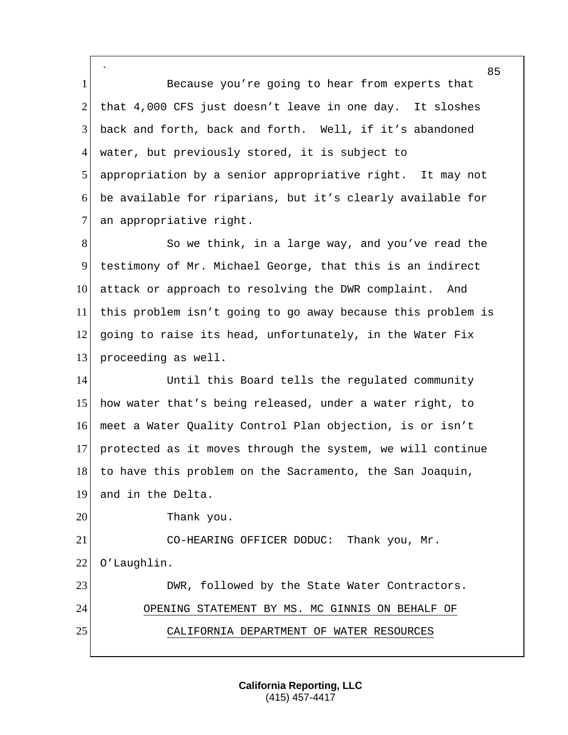` 1 Because you're going to hear from experts that 2 that 4,000 CFS just doesn't leave in one day. It sloshes 3 back and forth, back and forth. Well, if it's abandoned 4 water, but previously stored, it is subject to 5 appropriation by a senior appropriative right. It may not 6 be available for riparians, but it's clearly available for 7 an appropriative right.

8 So we think, in a large way, and you've read the 9 testimony of Mr. Michael George, that this is an indirect 10 attack or approach to resolving the DWR complaint. And 11 this problem isn't going to go away because this problem is 12 going to raise its head, unfortunately, in the Water Fix 13 proceeding as well.

14 Until this Board tells the regulated community how water that's being released, under a water right, to meet a Water Quality Control Plan objection, is or isn't protected as it moves through the system, we will continue to have this problem on the Sacramento, the San Joaquin,

19 and in the Delta.

20 Thank you.

21 CO-HEARING OFFICER DODUC: Thank you, Mr. 22 O'Laughlin.

23 DWR, followed by the State Water Contractors. 24 OPENING STATEMENT BY MS. MC GINNIS ON BEHALF OF 25 CALIFORNIA DEPARTMENT OF WATER RESOURCES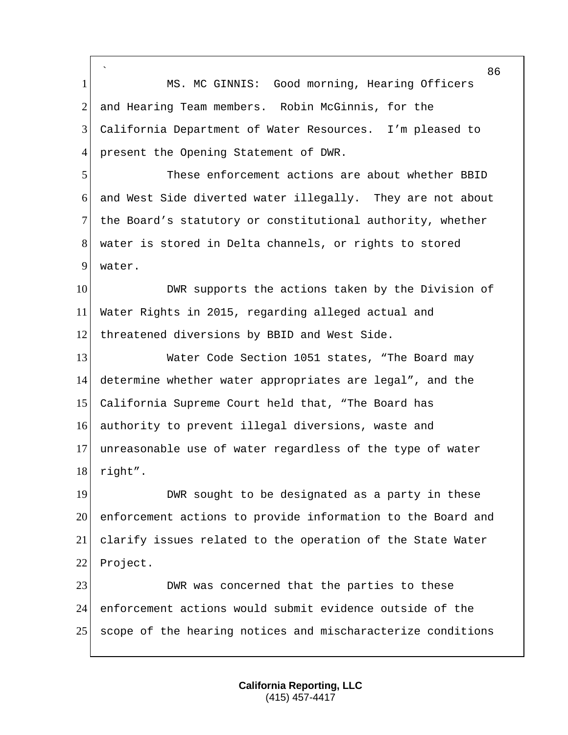` 86 1 MS. MC GINNIS: Good morning, Hearing Officers 2 and Hearing Team members. Robin McGinnis, for the 3 California Department of Water Resources. I'm pleased to 4 present the Opening Statement of DWR. 5 These enforcement actions are about whether BBID 6 and West Side diverted water illegally. They are not about 7 the Board's statutory or constitutional authority, whether 8 water is stored in Delta channels, or rights to stored 9 water. 10 DWR supports the actions taken by the Division of 11 Water Rights in 2015, regarding alleged actual and 12 threatened diversions by BBID and West Side. 13 Water Code Section 1051 states, "The Board may 14 determine whether water appropriates are legal", and the 15 California Supreme Court held that, "The Board has 16 authority to prevent illegal diversions, waste and 17 unreasonable use of water regardless of the type of water 18 right". 19 DWR sought to be designated as a party in these 20 enforcement actions to provide information to the Board and 21 clarify issues related to the operation of the State Water 22 Project. 23 DWR was concerned that the parties to these 24 enforcement actions would submit evidence outside of the 25 scope of the hearing notices and mischaracterize conditions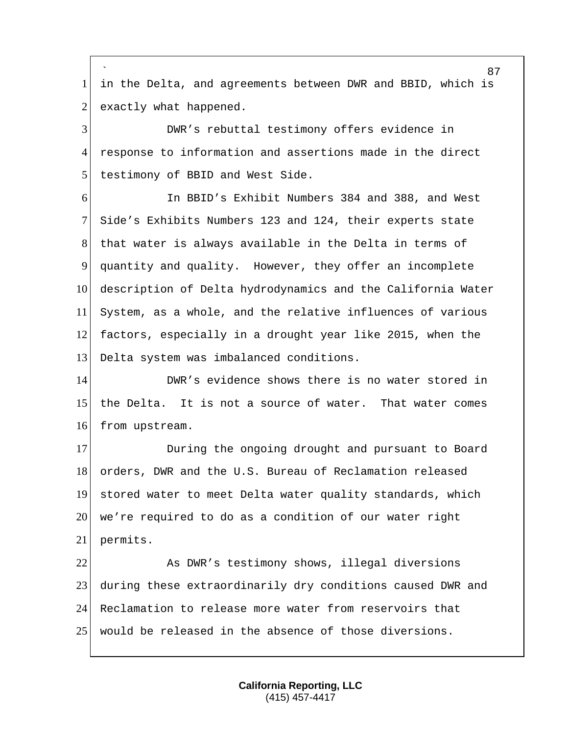` in the Delta, and agreements between DWR and BBID, which is exactly what happened.

 DWR's rebuttal testimony offers evidence in response to information and assertions made in the direct testimony of BBID and West Side.

 In BBID's Exhibit Numbers 384 and 388, and West Side's Exhibits Numbers 123 and 124, their experts state 8 that water is always available in the Delta in terms of quantity and quality. However, they offer an incomplete 10 description of Delta hydrodynamics and the California Water System, as a whole, and the relative influences of various factors, especially in a drought year like 2015, when the Delta system was imbalanced conditions.

 DWR's evidence shows there is no water stored in the Delta. It is not a source of water. That water comes 16 from upstream.

**During the ongoing drought and pursuant to Board** 18 orders, DWR and the U.S. Bureau of Reclamation released stored water to meet Delta water quality standards, which we're required to do as a condition of our water right permits.

22 As DWR's testimony shows, illegal diversions during these extraordinarily dry conditions caused DWR and Reclamation to release more water from reservoirs that would be released in the absence of those diversions.

> **California Reporting, LLC** (415) 457-4417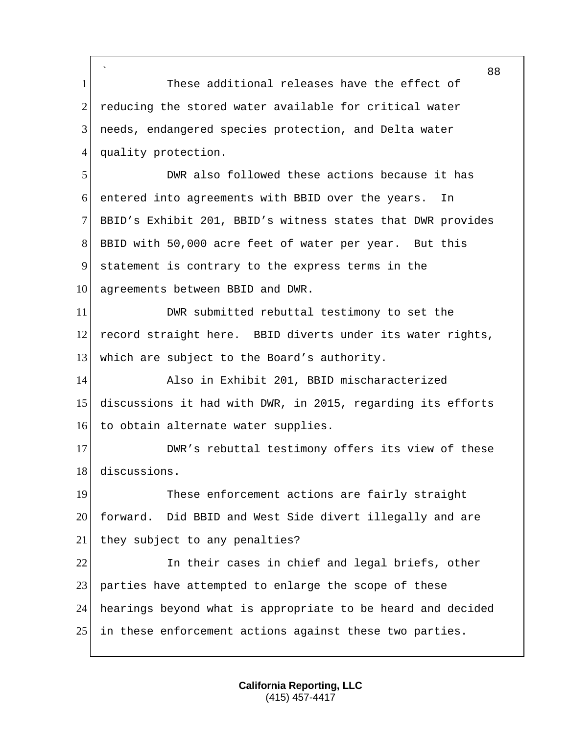` 1 These additional releases have the effect of 2 reducing the stored water available for critical water 3 needs, endangered species protection, and Delta water 4 quality protection. 5 DWR also followed these actions because it has 6 entered into agreements with BBID over the years. In 7 BBID's Exhibit 201, BBID's witness states that DWR provides 8 BBID with 50,000 acre feet of water per year. But this 9 statement is contrary to the express terms in the 10 agreements between BBID and DWR. 11 DWR submitted rebuttal testimony to set the 12 record straight here. BBID diverts under its water rights, 13 which are subject to the Board's authority. 14 Also in Exhibit 201, BBID mischaracterized 15 discussions it had with DWR, in 2015, regarding its efforts 16 to obtain alternate water supplies. 17 DWR's rebuttal testimony offers its view of these 18 discussions. 19 These enforcement actions are fairly straight 20 forward. Did BBID and West Side divert illegally and are 21 they subject to any penalties? 22 In their cases in chief and legal briefs, other 23 parties have attempted to enlarge the scope of these 24 hearings beyond what is appropriate to be heard and decided 25 in these enforcement actions against these two parties.

> **California Reporting, LLC** (415) 457-4417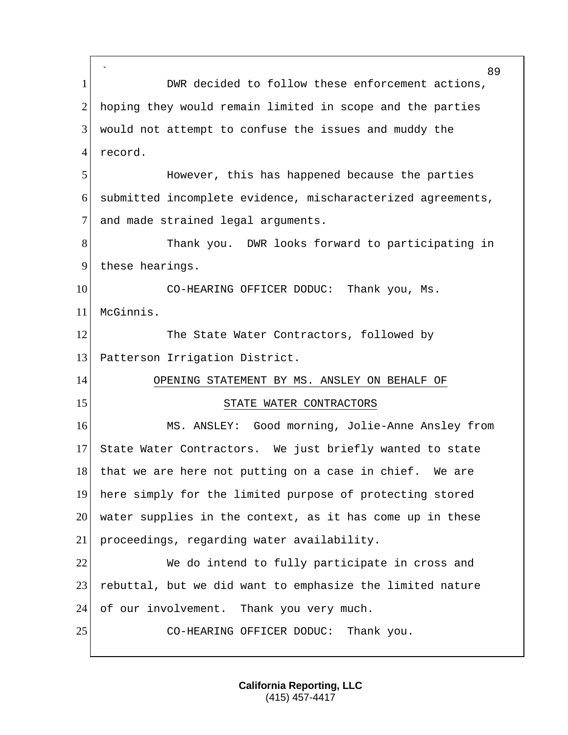` 89 1 DWR decided to follow these enforcement actions, 2 hoping they would remain limited in scope and the parties 3 would not attempt to confuse the issues and muddy the 4 record. 5 However, this has happened because the parties 6 submitted incomplete evidence, mischaracterized agreements, 7 and made strained legal arguments. 8 Thank you. DWR looks forward to participating in 9 these hearings. 10 CO-HEARING OFFICER DODUC: Thank you, Ms. 11 McGinnis. 12 The State Water Contractors, followed by 13 Patterson Irrigation District. 14 OPENING STATEMENT BY MS. ANSLEY ON BEHALF OF 15 STATE WATER CONTRACTORS 16 MS. ANSLEY: Good morning, Jolie-Anne Ansley from 17 State Water Contractors. We just briefly wanted to state 18 that we are here not putting on a case in chief. We are 19 here simply for the limited purpose of protecting stored 20 water supplies in the context, as it has come up in these 21 proceedings, regarding water availability. 22 We do intend to fully participate in cross and 23 rebuttal, but we did want to emphasize the limited nature 24 of our involvement. Thank you very much. 25 CO-HEARING OFFICER DODUC: Thank you.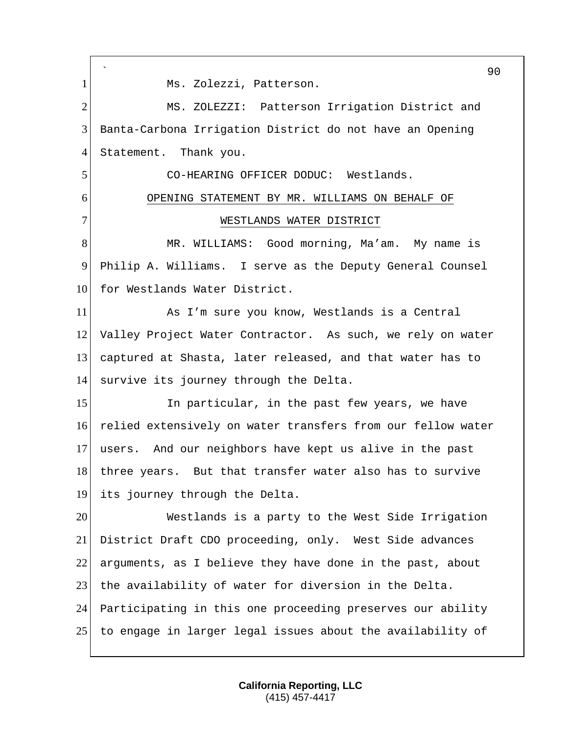` 90 1 Ms. Zolezzi, Patterson. 2 MS. ZOLEZZI: Patterson Irrigation District and 3 Banta-Carbona Irrigation District do not have an Opening 4 Statement. Thank you. 5 CO-HEARING OFFICER DODUC: Westlands. 6 OPENING STATEMENT BY MR. WILLIAMS ON BEHALF OF 7 WESTLANDS WATER DISTRICT 8 MR. WILLIAMS: Good morning, Ma'am. My name is 9 Philip A. Williams. I serve as the Deputy General Counsel 10 for Westlands Water District. 11 As I'm sure you know, Westlands is a Central 12 Valley Project Water Contractor. As such, we rely on water 13 captured at Shasta, later released, and that water has to 14 survive its journey through the Delta. 15 In particular, in the past few years, we have 16 relied extensively on water transfers from our fellow water 17 users. And our neighbors have kept us alive in the past 18 three years. But that transfer water also has to survive 19 its journey through the Delta. 20 Westlands is a party to the West Side Irrigation 21 District Draft CDO proceeding, only. West Side advances 22 arguments, as I believe they have done in the past, about 23 the availability of water for diversion in the Delta. 24 Participating in this one proceeding preserves our ability 25 to engage in larger legal issues about the availability of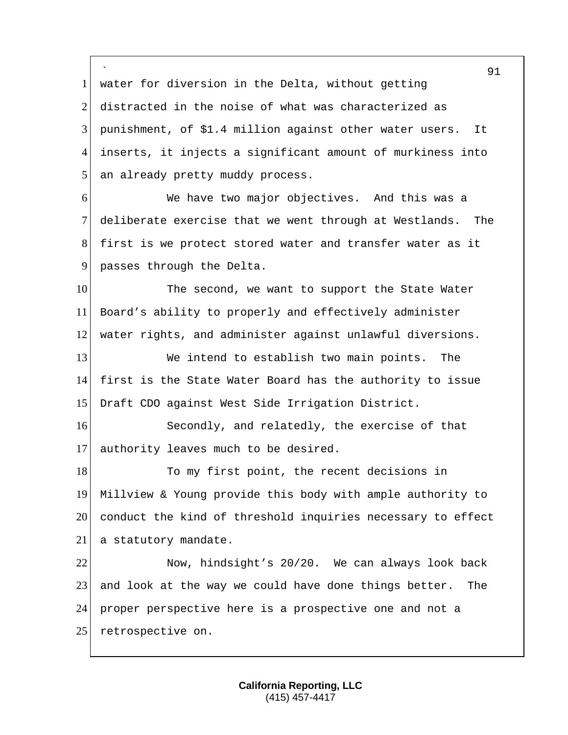` 1 water for diversion in the Delta, without getting distracted in the noise of what was characterized as punishment, of \$1.4 million against other water users. It inserts, it injects a significant amount of murkiness into 5 an already pretty muddy process. We have two major objectives. And this was a deliberate exercise that we went through at Westlands. The first is we protect stored water and transfer water as it 9 passes through the Delta. 10 The second, we want to support the State Water Board's ability to properly and effectively administer water rights, and administer against unlawful diversions. We intend to establish two main points. The first is the State Water Board has the authority to issue Draft CDO against West Side Irrigation District. 16 Secondly, and relatedly, the exercise of that authority leaves much to be desired. 18 To my first point, the recent decisions in Millview & Young provide this body with ample authority to conduct the kind of threshold inquiries necessary to effect 21 a statutory mandate. Now, hindsight's 20/20. We can always look back and look at the way we could have done things better. The proper perspective here is a prospective one and not a 25 retrospective on.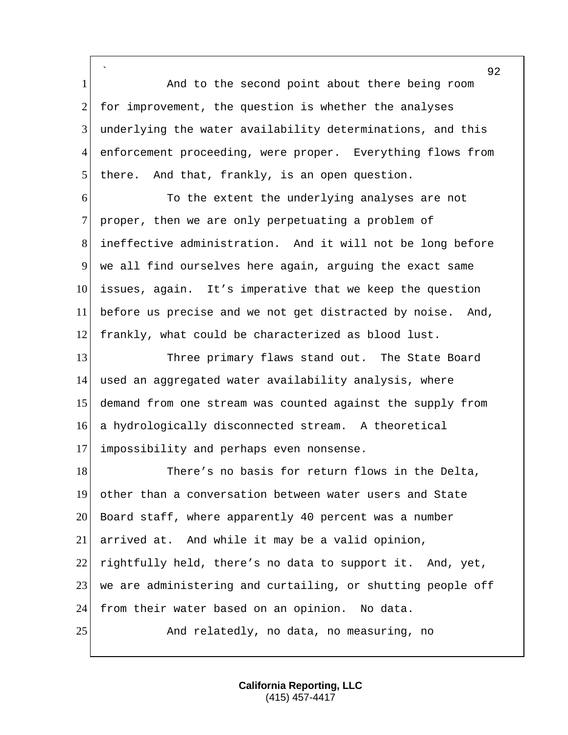` 1 and to the second point about there being room 2 for improvement, the question is whether the analyses 3 underlying the water availability determinations, and this 4 enforcement proceeding, were proper. Everything flows from  $5$  there. And that, frankly, is an open question.

 To the extent the underlying analyses are not 7 proper, then we are only perpetuating a problem of ineffective administration. And it will not be long before we all find ourselves here again, arguing the exact same issues, again. It's imperative that we keep the question before us precise and we not get distracted by noise. And, frankly, what could be characterized as blood lust.

 Three primary flaws stand out. The State Board used an aggregated water availability analysis, where demand from one stream was counted against the supply from a hydrologically disconnected stream. A theoretical impossibility and perhaps even nonsense.

18 There's no basis for return flows in the Delta, 19 other than a conversation between water users and State 20 Board staff, where apparently 40 percent was a number 21 arrived at. And while it may be a valid opinion, 22 rightfully held, there's no data to support it. And, yet, 23 we are administering and curtailing, or shutting people off 24 from their water based on an opinion. No data. 25 And relatedly, no data, no measuring, no

> **California Reporting, LLC** (415) 457-4417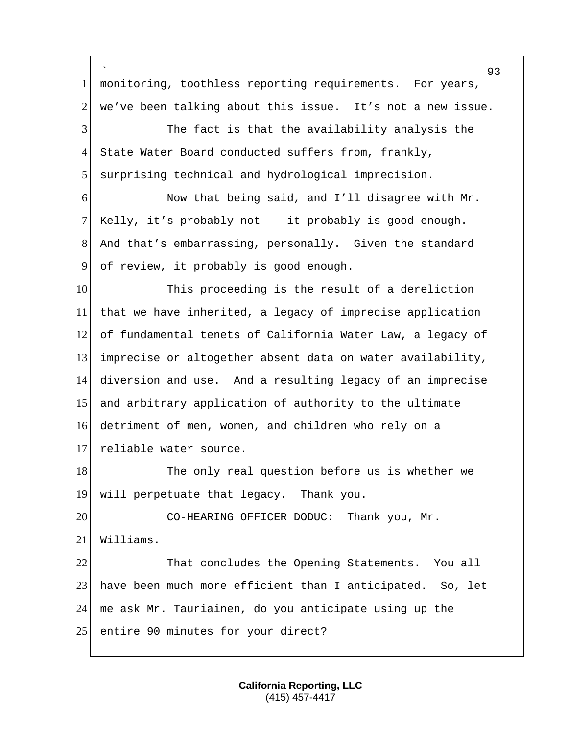` 93 monitoring, toothless reporting requirements. For years, we've been talking about this issue. It's not a new issue. The fact is that the availability analysis the 4 State Water Board conducted suffers from, frankly, 5 surprising technical and hydrological imprecision. Now that being said, and I'll disagree with Mr. Kelly, it's probably not -- it probably is good enough. And that's embarrassing, personally. Given the standard of review, it probably is good enough. 10 This proceeding is the result of a dereliction that we have inherited, a legacy of imprecise application of fundamental tenets of California Water Law, a legacy of imprecise or altogether absent data on water availability, diversion and use. And a resulting legacy of an imprecise 15 and arbitrary application of authority to the ultimate detriment of men, women, and children who rely on a 17 reliable water source. 18 The only real question before us is whether we will perpetuate that legacy. Thank you. 20 CO-HEARING OFFICER DODUC: Thank you, Mr. Williams. That concludes the Opening Statements. You all have been much more efficient than I anticipated. So, let  $\vert$  me ask Mr. Tauriainen, do you anticipate using up the 25 entire 90 minutes for your direct?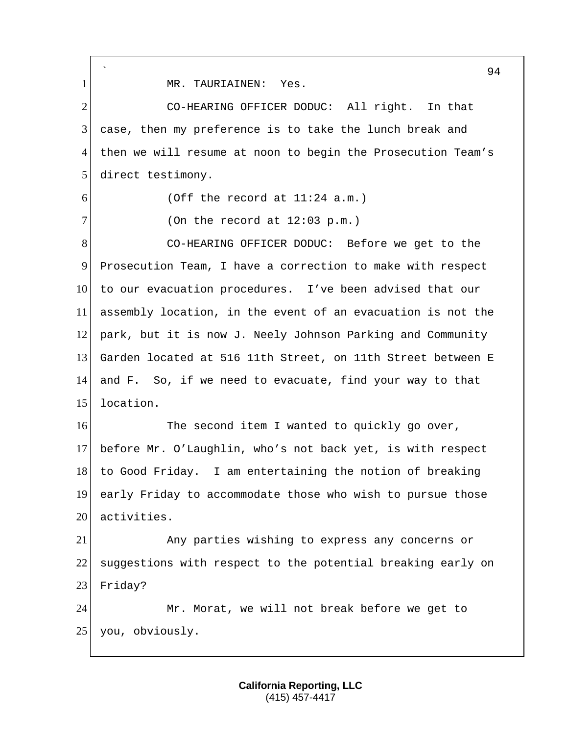` 94 1 MR. TAURIAINEN: Yes. 2 CO-HEARING OFFICER DODUC: All right. In that 3 case, then my preference is to take the lunch break and 4 then we will resume at noon to begin the Prosecution Team's 5 direct testimony.  $6$  (Off the record at  $11:24$  a.m.)  $7$  (On the record at 12:03 p.m.) 8 CO-HEARING OFFICER DODUC: Before we get to the 9 Prosecution Team, I have a correction to make with respect 10 to our evacuation procedures. I've been advised that our 11 assembly location, in the event of an evacuation is not the 12 park, but it is now J. Neely Johnson Parking and Community 13 Garden located at 516 11th Street, on 11th Street between E 14 and F. So, if we need to evacuate, find your way to that 15 location. 16 The second item I wanted to quickly go over, 17 before Mr. O'Laughlin, who's not back yet, is with respect 18 to Good Friday. I am entertaining the notion of breaking 19 early Friday to accommodate those who wish to pursue those 20 activities. 21 Any parties wishing to express any concerns or 22 suggestions with respect to the potential breaking early on 23 Friday? 24 Mr. Morat, we will not break before we get to 25 you, obviously.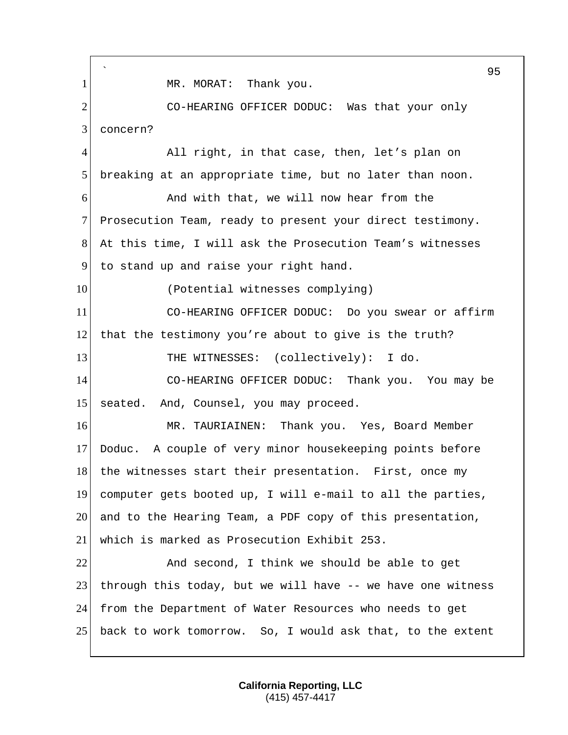` 95 1 MR. MORAT: Thank you. 2 CO-HEARING OFFICER DODUC: Was that your only 3 concern? 4 All right, in that case, then, let's plan on 5 breaking at an appropriate time, but no later than noon. 6 6 And with that, we will now hear from the 7 Prosecution Team, ready to present your direct testimony. 8 At this time, I will ask the Prosecution Team's witnesses 9 to stand up and raise your right hand. 10 (Potential witnesses complying) 11 CO-HEARING OFFICER DODUC: Do you swear or affirm 12 that the testimony you're about to give is the truth? 13 THE WITNESSES: (collectively): I do. 14 CO-HEARING OFFICER DODUC: Thank you. You may be 15 seated. And, Counsel, you may proceed. 16 MR. TAURIAINEN: Thank you. Yes, Board Member 17 Doduc. A couple of very minor housekeeping points before 18 the witnesses start their presentation. First, once my 19 computer gets booted up, I will e-mail to all the parties, 20 and to the Hearing Team, a PDF copy of this presentation, 21 which is marked as Prosecution Exhibit 253. 22 And second, I think we should be able to get 23 through this today, but we will have -- we have one witness 24 from the Department of Water Resources who needs to get 25 back to work tomorrow. So, I would ask that, to the extent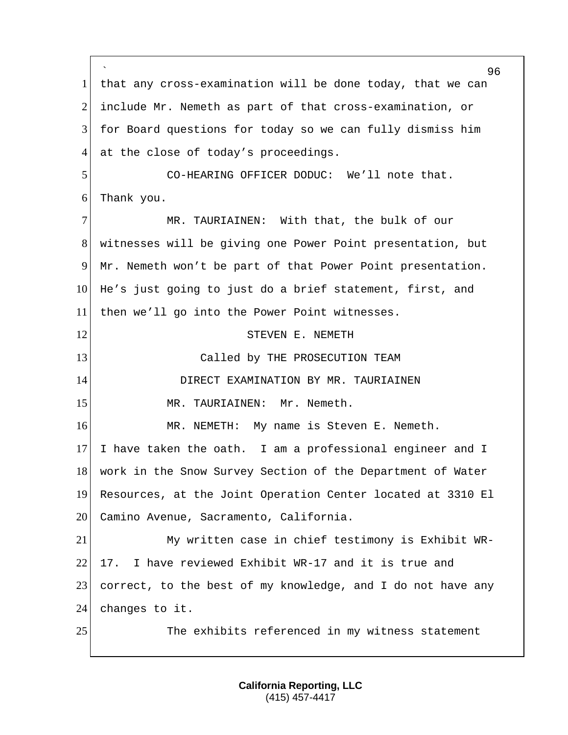` 96 1 | that any cross-examination will be done today, that we can 2 include Mr. Nemeth as part of that cross-examination, or 3 for Board questions for today so we can fully dismiss him 4 at the close of today's proceedings. 5 CO-HEARING OFFICER DODUC: We'll note that. 6 Thank you. 7 MR. TAURIAINEN: With that, the bulk of our 8 witnesses will be giving one Power Point presentation, but 9 Mr. Nemeth won't be part of that Power Point presentation. 10 He's just going to just do a brief statement, first, and 11 then we'll go into the Power Point witnesses. 12 STEVEN E. NEMETH 13 Called by THE PROSECUTION TEAM 14 DIRECT EXAMINATION BY MR. TAURIAINEN 15 MR. TAURIAINEN: Mr. Nemeth. 16 MR. NEMETH: My name is Steven E. Nemeth. 17 I have taken the oath. I am a professional engineer and I 18 work in the Snow Survey Section of the Department of Water 19 Resources, at the Joint Operation Center located at 3310 El 20 Camino Avenue, Sacramento, California. 21 My written case in chief testimony is Exhibit WR-22 17. I have reviewed Exhibit WR-17 and it is true and 23 correct, to the best of my knowledge, and I do not have any 24 changes to it. 25 The exhibits referenced in my witness statement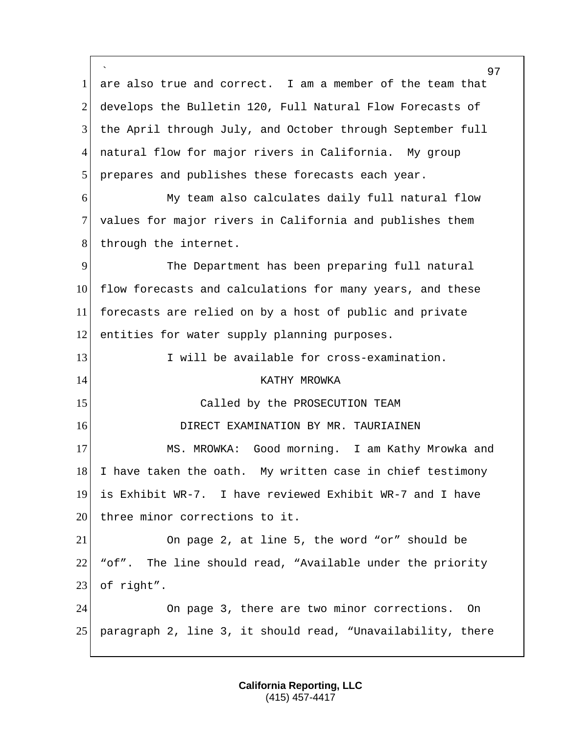` 1 are also true and correct. I am a member of the team that 2 develops the Bulletin 120, Full Natural Flow Forecasts of 3 the April through July, and October through September full 4 natural flow for major rivers in California. My group 5 prepares and publishes these forecasts each year. 6 My team also calculates daily full natural flow 7 values for major rivers in California and publishes them 8 through the internet. 9 The Department has been preparing full natural 10 flow forecasts and calculations for many years, and these 11 forecasts are relied on by a host of public and private 12 entities for water supply planning purposes. 13 I will be available for cross-examination. 14 KATHY MROWKA 15 Called by the PROSECUTION TEAM 16 **DIRECT EXAMINATION BY MR. TAURIAINEN** 17 MS. MROWKA: Good morning. I am Kathy Mrowka and  $18$  I have taken the oath. My written case in chief testimony 19 is Exhibit WR-7. I have reviewed Exhibit WR-7 and I have 20 three minor corrections to it. 21 On page 2, at line 5, the word "or" should be 22 "of". The line should read, "Available under the priority 23 of right". 24 On page 3, there are two minor corrections. On 25 paragraph 2, line 3, it should read, "Unavailability, there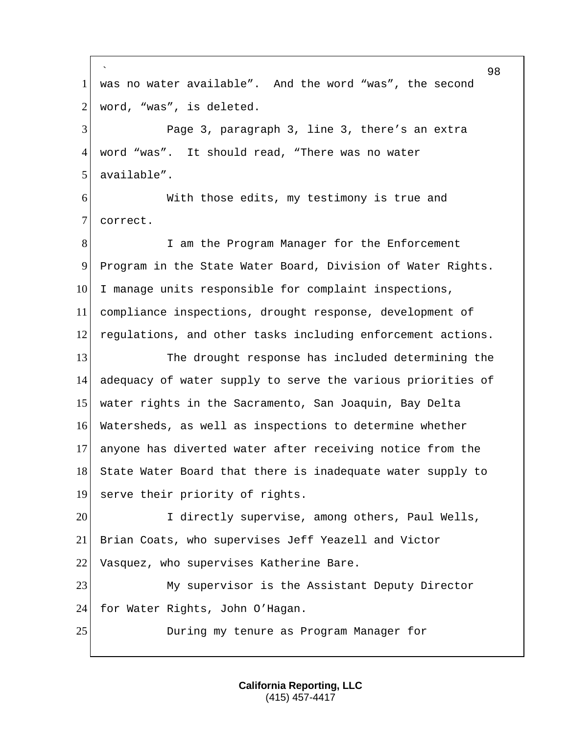` 98 1 was no water available". And the word "was", the second  $2$  word, "was", is deleted. 3 Page 3, paragraph 3, line 3, there's an extra 4 word "was". It should read, "There was no water 5 available". 6 With those edits, my testimony is true and 7 correct. 8 I am the Program Manager for the Enforcement 9 Program in the State Water Board, Division of Water Rights. 10 I manage units responsible for complaint inspections, 11 compliance inspections, drought response, development of 12 regulations, and other tasks including enforcement actions. 13 The drought response has included determining the 14 adequacy of water supply to serve the various priorities of 15 water rights in the Sacramento, San Joaquin, Bay Delta 16 Watersheds, as well as inspections to determine whether 17 anyone has diverted water after receiving notice from the 18 State Water Board that there is inadequate water supply to 19 serve their priority of rights. 20 I directly supervise, among others, Paul Wells, 21 Brian Coats, who supervises Jeff Yeazell and Victor 22 Vasquez, who supervises Katherine Bare. 23 My supervisor is the Assistant Deputy Director 24 for Water Rights, John O'Hagan. 25 During my tenure as Program Manager for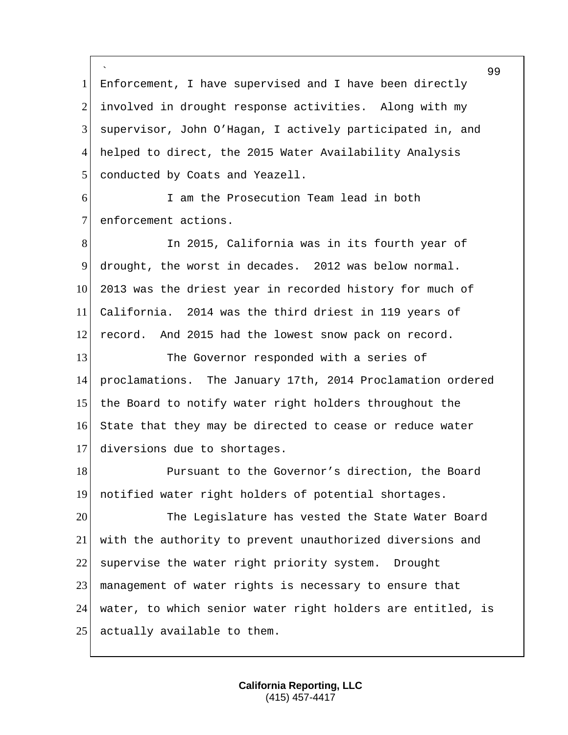` 1 Enforcement, I have supervised and I have been directly 2 involved in drought response activities. Along with my 3 supervisor, John O'Hagan, I actively participated in, and 4 helped to direct, the 2015 Water Availability Analysis 5 conducted by Coats and Yeazell. 6 I am the Prosecution Team lead in both

7 enforcement actions.

8 In 2015, California was in its fourth year of 9 drought, the worst in decades. 2012 was below normal. 10 2013 was the driest year in recorded history for much of 11 California. 2014 was the third driest in 119 years of 12 record. And 2015 had the lowest snow pack on record. 13 The Governor responded with a series of 14 proclamations. The January 17th, 2014 Proclamation ordered 15 the Board to notify water right holders throughout the 16 State that they may be directed to cease or reduce water 17 diversions due to shortages.

18 Pursuant to the Governor's direction, the Board 19 notified water right holders of potential shortages.

 The Legislature has vested the State Water Board with the authority to prevent unauthorized diversions and 22 supervise the water right priority system. Drought management of water rights is necessary to ensure that water, to which senior water right holders are entitled, is 25 actually available to them.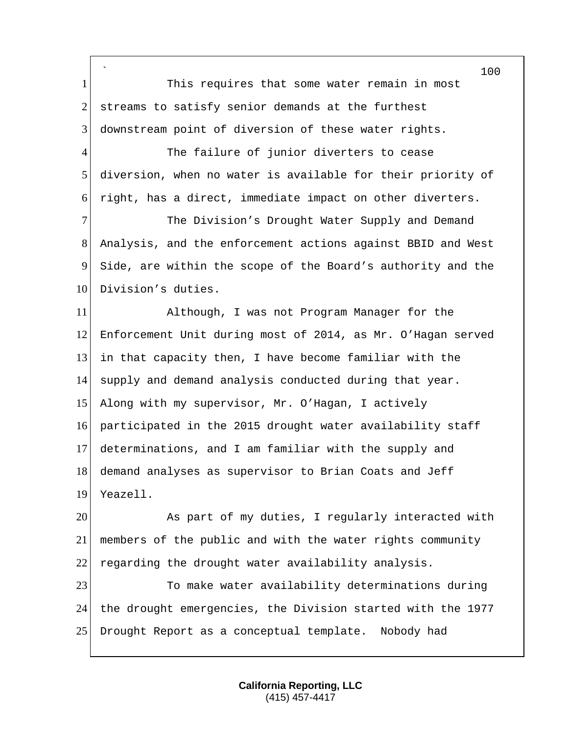` 100 1 This requires that some water remain in most 2 streams to satisfy senior demands at the furthest 3 downstream point of diversion of these water rights. 4 The failure of junior diverters to cease 5 diversion, when no water is available for their priority of 6 right, has a direct, immediate impact on other diverters. 7 The Division's Drought Water Supply and Demand 8 Analysis, and the enforcement actions against BBID and West 9 Side, are within the scope of the Board's authority and the 10 Division's duties. 11 Although, I was not Program Manager for the 12 Enforcement Unit during most of 2014, as Mr. O'Hagan served 13 in that capacity then, I have become familiar with the 14 supply and demand analysis conducted during that year. 15 Along with my supervisor, Mr. O'Hagan, I actively 16 participated in the 2015 drought water availability staff 17 determinations, and I am familiar with the supply and 18 demand analyses as supervisor to Brian Coats and Jeff 19 Yeazell. 20 As part of my duties, I regularly interacted with 21 members of the public and with the water rights community 22 regarding the drought water availability analysis. 23 To make water availability determinations during 24 the drought emergencies, the Division started with the 1977 25 Drought Report as a conceptual template. Nobody had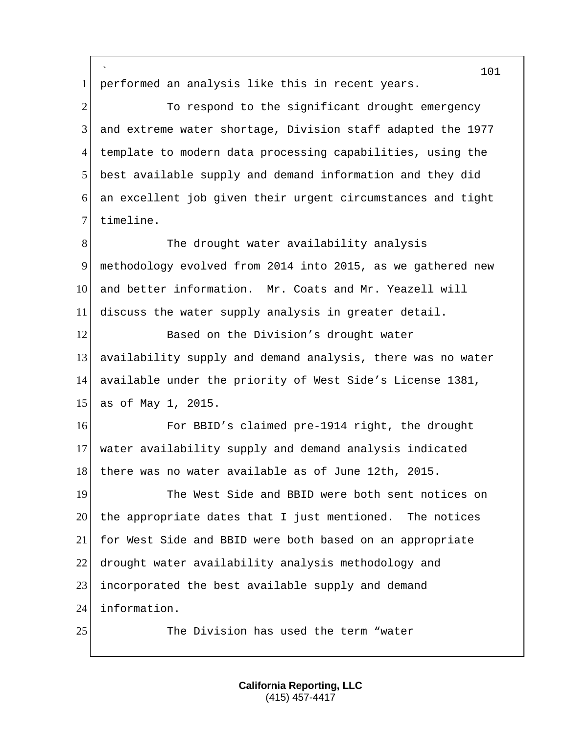` 1 performed an analysis like this in recent years. 2 To respond to the significant drought emergency and extreme water shortage, Division staff adapted the 1977 template to modern data processing capabilities, using the best available supply and demand information and they did an excellent job given their urgent circumstances and tight 7 timeline. 8 The drought water availability analysis methodology evolved from 2014 into 2015, as we gathered new 10 and better information. Mr. Coats and Mr. Yeazell will discuss the water supply analysis in greater detail. 12 Based on the Division's drought water availability supply and demand analysis, there was no water available under the priority of West Side's License 1381, as of May 1, 2015. For BBID's claimed pre-1914 right, the drought water availability supply and demand analysis indicated 18 there was no water available as of June 12th, 2015. The West Side and BBID were both sent notices on the appropriate dates that I just mentioned. The notices for West Side and BBID were both based on an appropriate drought water availability analysis methodology and incorporated the best available supply and demand information. 25 The Division has used the term "water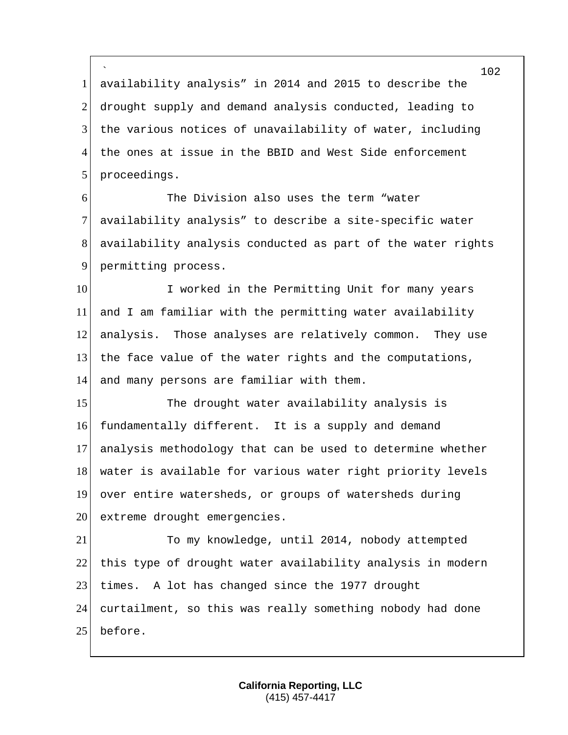` 1 availability analysis" in 2014 and 2015 to describe the 2 drought supply and demand analysis conducted, leading to 3 the various notices of unavailability of water, including 4 the ones at issue in the BBID and West Side enforcement 5 proceedings.

6 6 The Division also uses the term "water 7 availability analysis" to describe a site-specific water 8 availability analysis conducted as part of the water rights 9 permitting process.

10 I worked in the Permitting Unit for many years and I am familiar with the permitting water availability analysis. Those analyses are relatively common. They use the face value of the water rights and the computations, and many persons are familiar with them.

15 The drought water availability analysis is 16 fundamentally different. It is a supply and demand 17 analysis methodology that can be used to determine whether 18 water is available for various water right priority levels 19 over entire watersheds, or groups of watersheds during 20 extreme drought emergencies.

21 To my knowledge, until 2014, nobody attempted 22 this type of drought water availability analysis in modern 23 times. A lot has changed since the 1977 drought 24 curtailment, so this was really something nobody had done 25 before.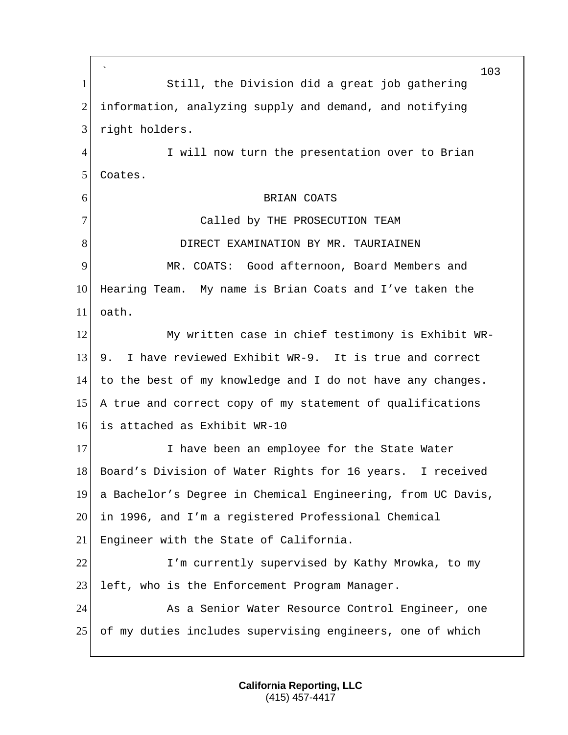` 103 1 Still, the Division did a great job gathering 2 information, analyzing supply and demand, and notifying 3 right holders. 4 I will now turn the presentation over to Brian 5 Coates. 6 BRIAN COATS 7 Called by THE PROSECUTION TEAM 8 DIRECT EXAMINATION BY MR. TAURIAINEN 9 MR. COATS: Good afternoon, Board Members and 10 Hearing Team. My name is Brian Coats and I've taken the 11 oath. 12 My written case in chief testimony is Exhibit WR-13 9. I have reviewed Exhibit WR-9. It is true and correct 14 to the best of my knowledge and I do not have any changes. 15 A true and correct copy of my statement of qualifications 16 is attached as Exhibit WR-10 17 I have been an employee for the State Water 18 Board's Division of Water Rights for 16 years. I received 19 a Bachelor's Degree in Chemical Engineering, from UC Davis, 20 in 1996, and I'm a registered Professional Chemical 21 Engineer with the State of California. 22 I'm currently supervised by Kathy Mrowka, to my 23 left, who is the Enforcement Program Manager. 24 As a Senior Water Resource Control Engineer, one 25 of my duties includes supervising engineers, one of which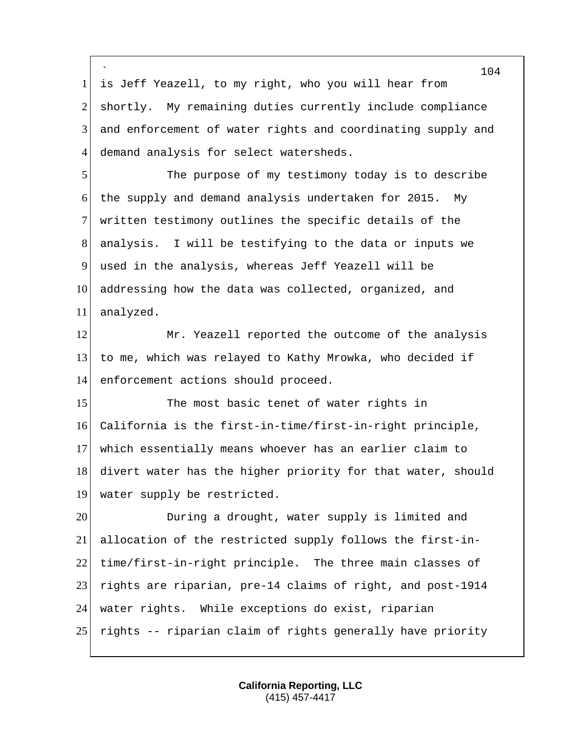` 104 1 is Jeff Yeazell, to my right, who you will hear from 2 shortly. My remaining duties currently include compliance 3 and enforcement of water rights and coordinating supply and 4 demand analysis for select watersheds. 5 The purpose of my testimony today is to describe 6 the supply and demand analysis undertaken for 2015. My 7 written testimony outlines the specific details of the 8 analysis. I will be testifying to the data or inputs we 9 used in the analysis, whereas Jeff Yeazell will be 10 addressing how the data was collected, organized, and 11 analyzed. 12 Mr. Yeazell reported the outcome of the analysis 13 to me, which was relayed to Kathy Mrowka, who decided if 14 enforcement actions should proceed. 15 The most basic tenet of water rights in 16 California is the first-in-time/first-in-right principle, 17 which essentially means whoever has an earlier claim to 18 divert water has the higher priority for that water, should 19 water supply be restricted. 20 During a drought, water supply is limited and 21 allocation of the restricted supply follows the first-in-22 time/first-in-right principle. The three main classes of 23 rights are riparian, pre-14 claims of right, and post-1914 24 water rights. While exceptions do exist, riparian 25 rights -- riparian claim of rights generally have priority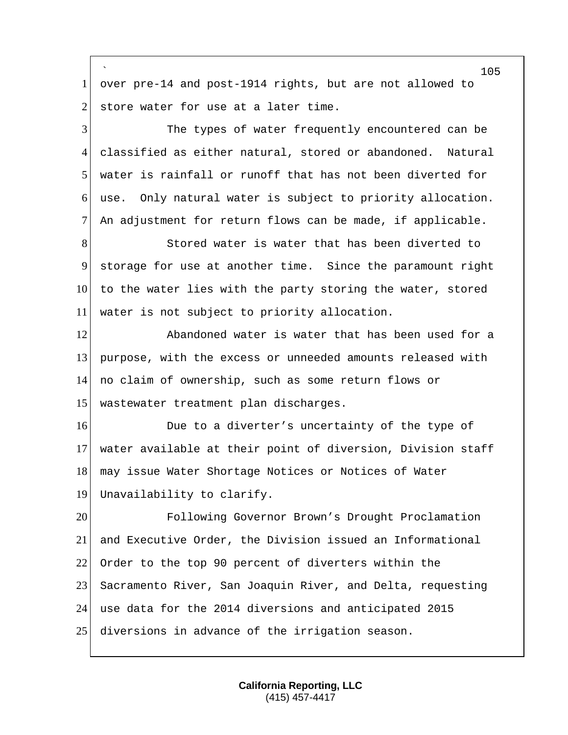` over pre-14 and post-1914 rights, but are not allowed to store water for use at a later time. The types of water frequently encountered can be classified as either natural, stored or abandoned. Natural water is rainfall or runoff that has not been diverted for use. Only natural water is subject to priority allocation. An adjustment for return flows can be made, if applicable. 8 Stored water is water that has been diverted to storage for use at another time. Since the paramount right 10 to the water lies with the party storing the water, stored water is not subject to priority allocation. **Abandoned water is water that has been used for a** 13 purpose, with the excess or unneeded amounts released with no claim of ownership, such as some return flows or wastewater treatment plan discharges. 16 Due to a diverter's uncertainty of the type of water available at their point of diversion, Division staff 18 may issue Water Shortage Notices or Notices of Water Unavailability to clarify. Following Governor Brown's Drought Proclamation and Executive Order, the Division issued an Informational Order to the top 90 percent of diverters within the Sacramento River, San Joaquin River, and Delta, requesting use data for the 2014 diversions and anticipated 2015 25 diversions in advance of the irrigation season.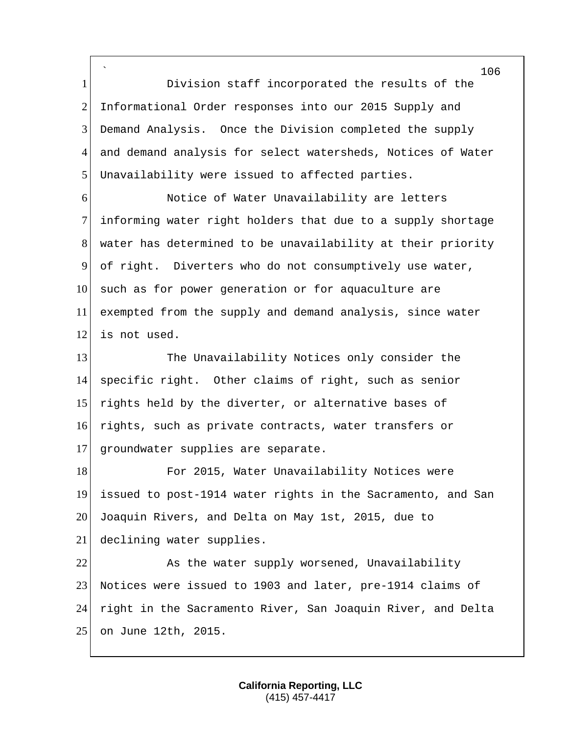` Division staff incorporated the results of the 2 Informational Order responses into our 2015 Supply and Demand Analysis. Once the Division completed the supply 4 and demand analysis for select watersheds, Notices of Water 5 Unavailability were issued to affected parties.

**Notice of Water Unavailability are letters**  informing water right holders that due to a supply shortage water has determined to be unavailability at their priority of right. Diverters who do not consumptively use water, 10 such as for power generation or for aquaculture are exempted from the supply and demand analysis, since water is not used.

 The Unavailability Notices only consider the specific right. Other claims of right, such as senior 15 rights held by the diverter, or alternative bases of rights, such as private contracts, water transfers or 17 groundwater supplies are separate.

18 For 2015, Water Unavailability Notices were issued to post-1914 water rights in the Sacramento, and San Joaquin Rivers, and Delta on May 1st, 2015, due to declining water supplies.

22 As the water supply worsened, Unavailability Notices were issued to 1903 and later, pre-1914 claims of right in the Sacramento River, San Joaquin River, and Delta on June 12th, 2015.

> **California Reporting, LLC** (415) 457-4417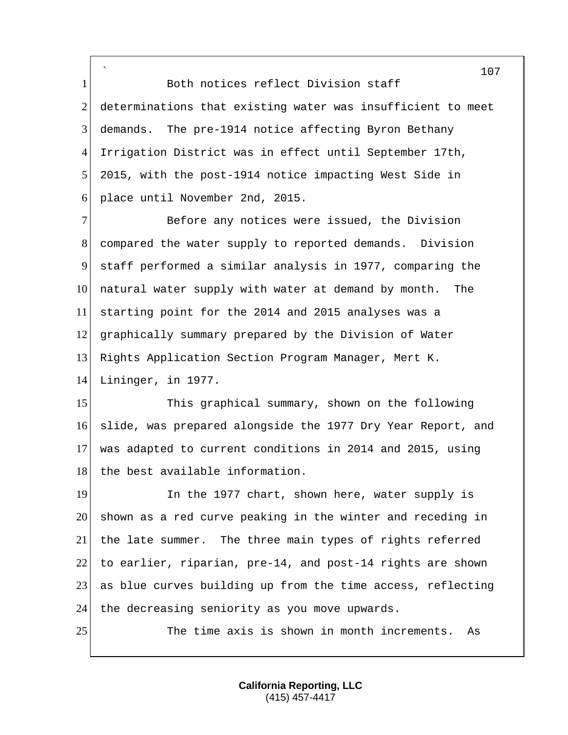` 1 Both notices reflect Division staff 2 determinations that existing water was insufficient to meet 3 demands. The pre-1914 notice affecting Byron Bethany 4 Irrigation District was in effect until September 17th, 5 2015, with the post-1914 notice impacting West Side in 6 place until November 2nd, 2015.

 Before any notices were issued, the Division compared the water supply to reported demands. Division staff performed a similar analysis in 1977, comparing the 10 natural water supply with water at demand by month. The starting point for the 2014 and 2015 analyses was a graphically summary prepared by the Division of Water Rights Application Section Program Manager, Mert K. Lininger, in 1977.

15 This graphical summary, shown on the following 16 slide, was prepared alongside the 1977 Dry Year Report, and 17 was adapted to current conditions in 2014 and 2015, using 18 the best available information.

19 In the 1977 chart, shown here, water supply is 20 shown as a red curve peaking in the winter and receding in 21 the late summer. The three main types of rights referred 22 to earlier, riparian,  $pre-14$ , and  $post-14$  rights are shown 23 as blue curves building up from the time access, reflecting 24 the decreasing seniority as you move upwards.

25 The time axis is shown in month increments. As

**California Reporting, LLC** (415) 457-4417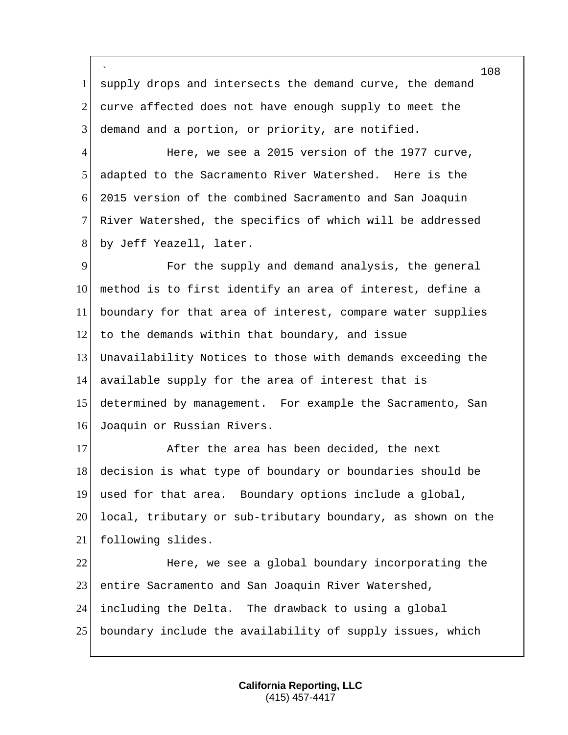` 1 supply drops and intersects the demand curve, the demand 2 curve affected does not have enough supply to meet the 3 demand and a portion, or priority, are notified.

4 Here, we see a 2015 version of the 1977 curve, adapted to the Sacramento River Watershed. Here is the 6 2015 version of the combined Sacramento and San Joaquin River Watershed, the specifics of which will be addressed 8 by Jeff Yeazell, later.

 For the supply and demand analysis, the general method is to first identify an area of interest, define a boundary for that area of interest, compare water supplies 12 to the demands within that boundary, and issue Unavailability Notices to those with demands exceeding the available supply for the area of interest that is determined by management. For example the Sacramento, San Joaquin or Russian Rivers.

17 After the area has been decided, the next decision is what type of boundary or boundaries should be used for that area. Boundary options include a global, local, tributary or sub-tributary boundary, as shown on the following slides.

**Here, we see a global boundary incorporating the**  entire Sacramento and San Joaquin River Watershed, including the Delta. The drawback to using a global boundary include the availability of supply issues, which

> **California Reporting, LLC** (415) 457-4417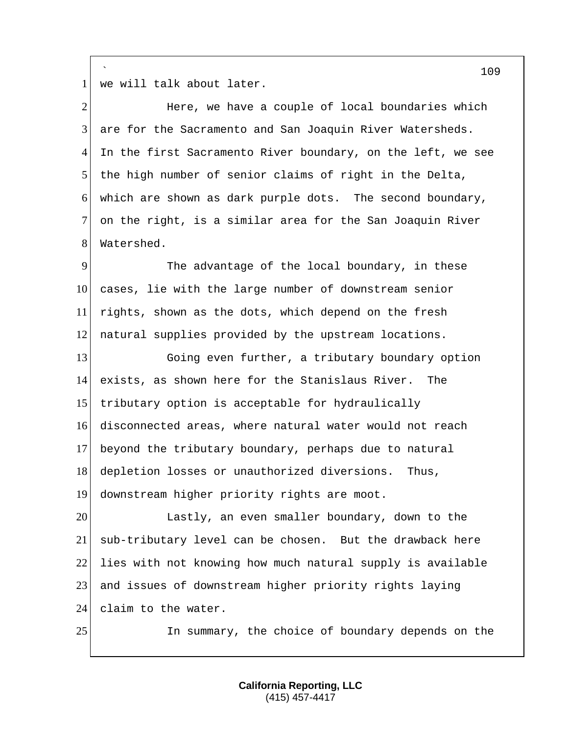` 1 we will talk about later.

| $\overline{2}$ | Here, we have a couple of local boundaries which            |
|----------------|-------------------------------------------------------------|
| 3              | are for the Sacramento and San Joaquin River Watersheds.    |
| 4              | In the first Sacramento River boundary, on the left, we see |
| 5              | the high number of senior claims of right in the Delta,     |
| 6              | which are shown as dark purple dots. The second boundary,   |
| 7              | on the right, is a similar area for the San Joaquin River   |
| 8              | Watershed.                                                  |
| 9              | The advantage of the local boundary, in these               |
| 10             | cases, lie with the large number of downstream senior       |
| 11             | rights, shown as the dots, which depend on the fresh        |
| 12             | natural supplies provided by the upstream locations.        |
| 13             | Going even further, a tributary boundary option             |
| 14             | exists, as shown here for the Stanislaus River.<br>The      |
| 15             | tributary option is acceptable for hydraulically            |
| 16             | disconnected areas, where natural water would not reach     |
| 17             | beyond the tributary boundary, perhaps due to natural       |
| 18             | depletion losses or unauthorized diversions. Thus,          |
| 19             | downstream higher priority rights are moot.                 |
| 20             | Lastly, an even smaller boundary, down to the               |
| 21             | sub-tributary level can be chosen. But the drawback here    |
| 22             | lies with not knowing how much natural supply is available  |
| 23             | and issues of downstream higher priority rights laying      |
| 24             | claim to the water.                                         |
| 25             | In summary, the choice of boundary depends on the           |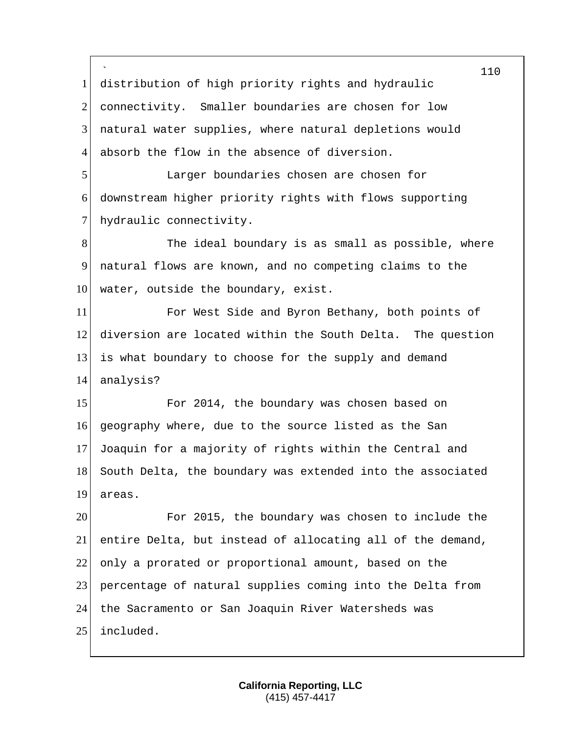` distribution of high priority rights and hydraulic connectivity. Smaller boundaries are chosen for low 3 natural water supplies, where natural depletions would absorb the flow in the absence of diversion. Larger boundaries chosen are chosen for downstream higher priority rights with flows supporting 7 hydraulic connectivity. 8 The ideal boundary is as small as possible, where natural flows are known, and no competing claims to the water, outside the boundary, exist. For West Side and Byron Bethany, both points of diversion are located within the South Delta. The question is what boundary to choose for the supply and demand 14 analysis? 15 For 2014, the boundary was chosen based on geography where, due to the source listed as the San Joaquin for a majority of rights within the Central and 18 South Delta, the boundary was extended into the associated areas. For 2015, the boundary was chosen to include the entire Delta, but instead of allocating all of the demand, 22 only a prorated or proportional amount, based on the percentage of natural supplies coming into the Delta from the Sacramento or San Joaquin River Watersheds was included.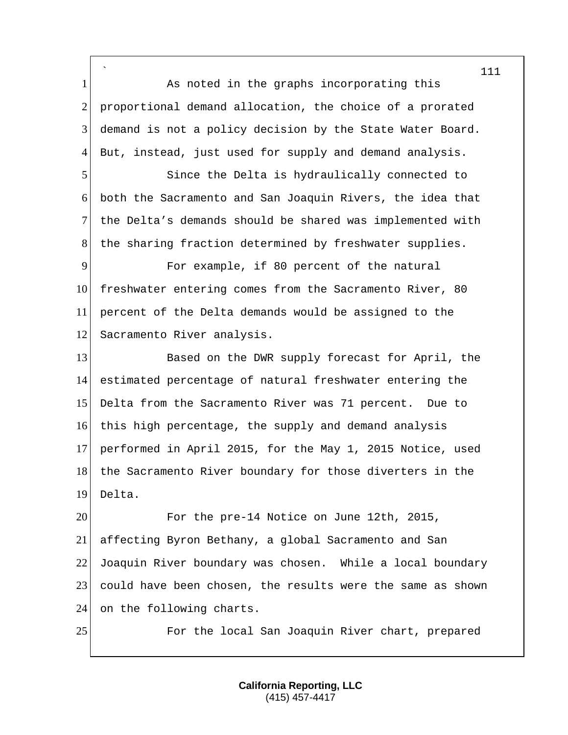` 1 As noted in the graphs incorporating this 2 proportional demand allocation, the choice of a prorated 3 demand is not a policy decision by the State Water Board. 4 But, instead, just used for supply and demand analysis.

 Since the Delta is hydraulically connected to both the Sacramento and San Joaquin Rivers, the idea that the Delta's demands should be shared was implemented with 8 | the sharing fraction determined by freshwater supplies.

9 For example, if 80 percent of the natural 10 freshwater entering comes from the Sacramento River, 80 11 percent of the Delta demands would be assigned to the 12 Sacramento River analysis.

13 Based on the DWR supply forecast for April, the 14 estimated percentage of natural freshwater entering the 15 Delta from the Sacramento River was 71 percent. Due to 16 this high percentage, the supply and demand analysis 17 performed in April 2015, for the May 1, 2015 Notice, used 18 the Sacramento River boundary for those diverters in the 19 Delta.

 For the pre-14 Notice on June 12th, 2015, affecting Byron Bethany, a global Sacramento and San Joaquin River boundary was chosen. While a local boundary could have been chosen, the results were the same as shown 24 on the following charts.

25 For the local San Joaquin River chart, prepared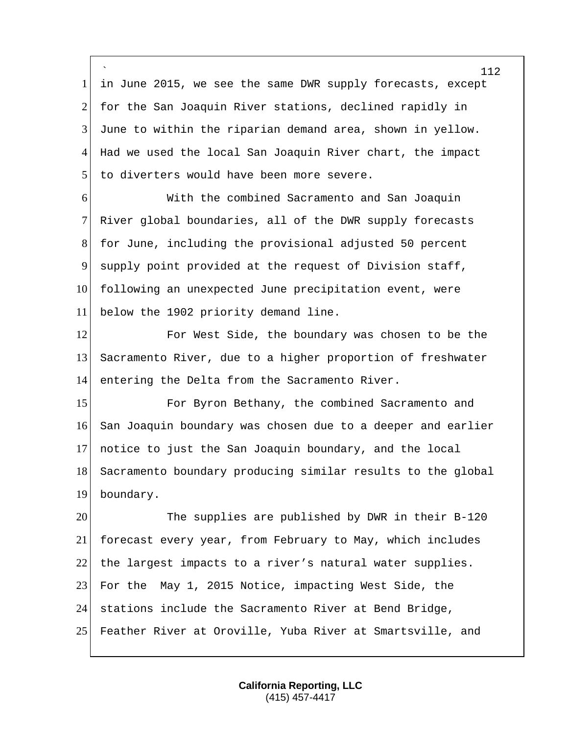` in June 2015, we see the same DWR supply forecasts, except 2 for the San Joaquin River stations, declined rapidly in June to within the riparian demand area, shown in yellow. Had we used the local San Joaquin River chart, the impact 5 to diverters would have been more severe.

 With the combined Sacramento and San Joaquin River global boundaries, all of the DWR supply forecasts for June, including the provisional adjusted 50 percent supply point provided at the request of Division staff, 10 following an unexpected June precipitation event, were below the 1902 priority demand line.

 For West Side, the boundary was chosen to be the Sacramento River, due to a higher proportion of freshwater 14 entering the Delta from the Sacramento River.

**For Byron Bethany, the combined Sacramento and**  San Joaquin boundary was chosen due to a deeper and earlier notice to just the San Joaquin boundary, and the local 18 Sacramento boundary producing similar results to the global boundary.

 The supplies are published by DWR in their B-120 forecast every year, from February to May, which includes 22 the largest impacts to a river's natural water supplies. For the May 1, 2015 Notice, impacting West Side, the stations include the Sacramento River at Bend Bridge, Feather River at Oroville, Yuba River at Smartsville, and

> **California Reporting, LLC** (415) 457-4417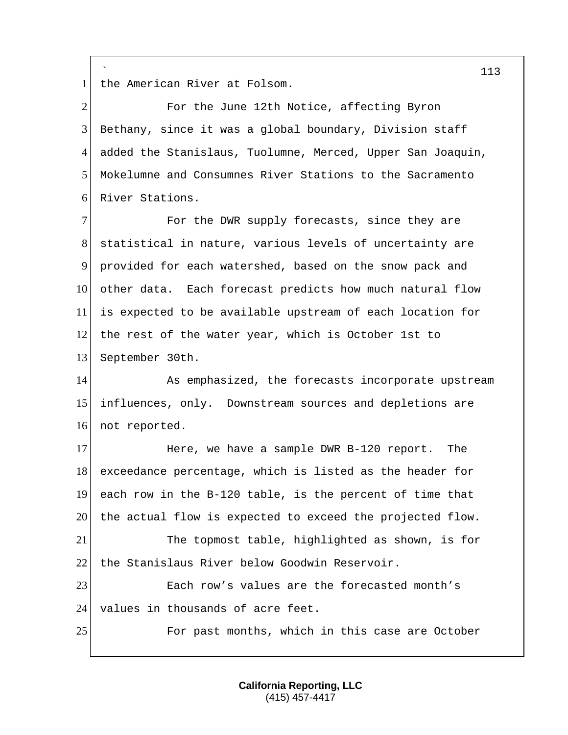` 1 the American River at Folsom.

2 For the June 12th Notice, affecting Byron 3 Bethany, since it was a global boundary, Division staff 4 added the Stanislaus, Tuolumne, Merced, Upper San Joaquin, 5 Mokelumne and Consumnes River Stations to the Sacramento 6 River Stations.

**For the DWR supply forecasts, since they are**  statistical in nature, various levels of uncertainty are provided for each watershed, based on the snow pack and other data. Each forecast predicts how much natural flow is expected to be available upstream of each location for the rest of the water year, which is October 1st to September 30th.

14 As emphasized, the forecasts incorporate upstream 15 influences, only. Downstream sources and depletions are 16 not reported.

17 Here, we have a sample DWR B-120 report. The 18 exceedance percentage, which is listed as the header for 19 each row in the B-120 table, is the percent of time that 20 the actual flow is expected to exceed the projected flow. 21 The topmost table, highlighted as shown, is for 22 the Stanislaus River below Goodwin Reservoir.

23 Each row's values are the forecasted month's 24 values in thousands of acre feet.

25 For past months, which in this case are October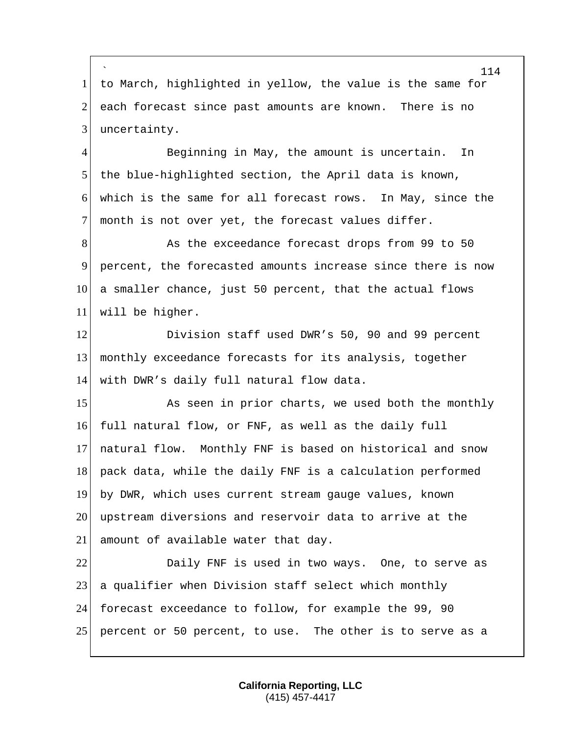` to March, highlighted in yellow, the value is the same for 2 each forecast since past amounts are known. There is no 3 uncertainty.

4 Beginning in May, the amount is uncertain. In the blue-highlighted section, the April data is known, which is the same for all forecast rows. In May, since the 7 month is not over yet, the forecast values differ.

8 As the exceedance forecast drops from 99 to 50 percent, the forecasted amounts increase since there is now a smaller chance, just 50 percent, that the actual flows will be higher.

12 Division staff used DWR's 50, 90 and 99 percent monthly exceedance forecasts for its analysis, together with DWR's daily full natural flow data.

15 As seen in prior charts, we used both the monthly full natural flow, or FNF, as well as the daily full natural flow. Monthly FNF is based on historical and snow pack data, while the daily FNF is a calculation performed by DWR, which uses current stream gauge values, known upstream diversions and reservoir data to arrive at the amount of available water that day.

22 Daily FNF is used in two ways. One, to serve as a qualifier when Division staff select which monthly forecast exceedance to follow, for example the 99, 90 percent or 50 percent, to use. The other is to serve as a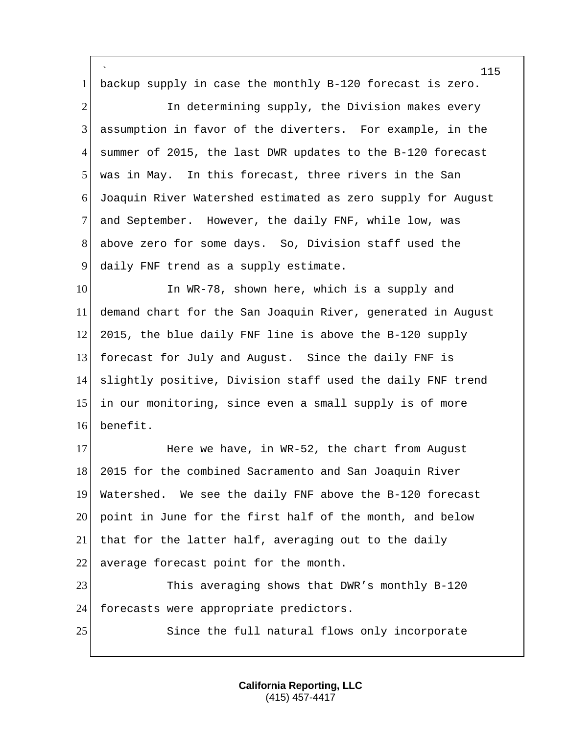` backup supply in case the monthly B-120 forecast is zero. 2 1 In determining supply, the Division makes every assumption in favor of the diverters. For example, in the summer of 2015, the last DWR updates to the B-120 forecast was in May. In this forecast, three rivers in the San Joaquin River Watershed estimated as zero supply for August and September. However, the daily FNF, while low, was 8 above zero for some days. So, Division staff used the daily FNF trend as a supply estimate. 10 In WR-78, shown here, which is a supply and demand chart for the San Joaquin River, generated in August 2015, the blue daily FNF line is above the B-120 supply forecast for July and August. Since the daily FNF is slightly positive, Division staff used the daily FNF trend in our monitoring, since even a small supply is of more benefit.

17 Here we have, in WR-52, the chart from August 2015 for the combined Sacramento and San Joaquin River Watershed. We see the daily FNF above the B-120 forecast point in June for the first half of the month, and below that for the latter half, averaging out to the daily 22 average forecast point for the month.

 This averaging shows that DWR's monthly B-120 24 forecasts were appropriate predictors.

25 Since the full natural flows only incorporate

**California Reporting, LLC** (415) 457-4417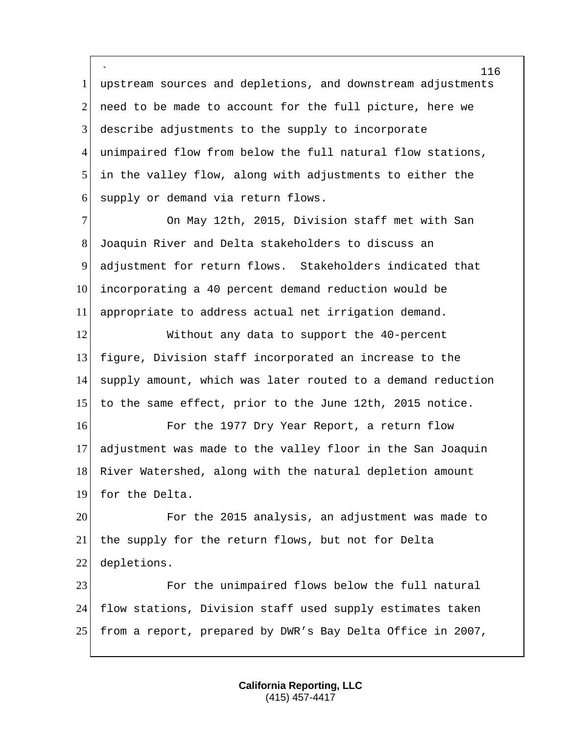` upstream sources and depletions, and downstream adjustments 2 need to be made to account for the full picture, here we 3 describe adjustments to the supply to incorporate 4 unimpaired flow from below the full natural flow stations, in the valley flow, along with adjustments to either the supply or demand via return flows.

 On May 12th, 2015, Division staff met with San Joaquin River and Delta stakeholders to discuss an adjustment for return flows. Stakeholders indicated that incorporating a 40 percent demand reduction would be appropriate to address actual net irrigation demand.

12 Without any data to support the 40-percent figure, Division staff incorporated an increase to the supply amount, which was later routed to a demand reduction to the same effect, prior to the June 12th, 2015 notice.

16 For the 1977 Dry Year Report, a return flow adjustment was made to the valley floor in the San Joaquin 18 River Watershed, along with the natural depletion amount 19 for the Delta.

 For the 2015 analysis, an adjustment was made to the supply for the return flows, but not for Delta depletions.

 For the unimpaired flows below the full natural flow stations, Division staff used supply estimates taken from a report, prepared by DWR's Bay Delta Office in 2007,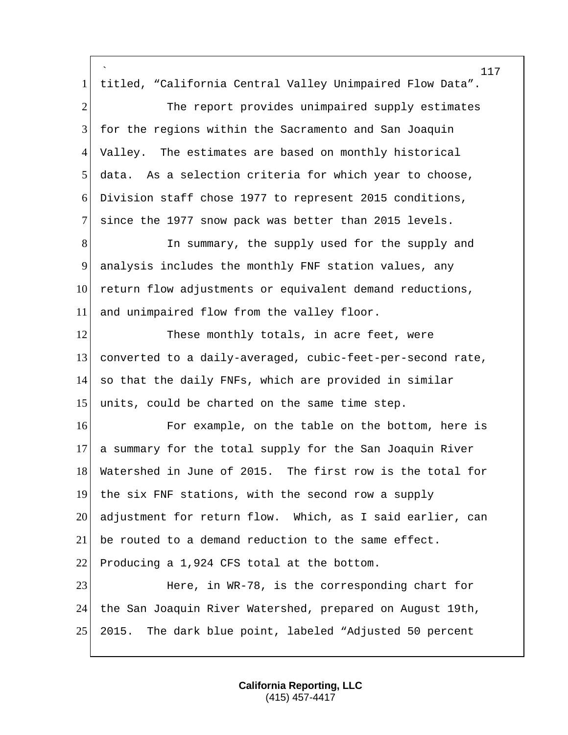` titled, "California Central Valley Unimpaired Flow Data". 2 The report provides unimpaired supply estimates for the regions within the Sacramento and San Joaquin Valley. The estimates are based on monthly historical data. As a selection criteria for which year to choose, Division staff chose 1977 to represent 2015 conditions, since the 1977 snow pack was better than 2015 levels. 8 In summary, the supply used for the supply and analysis includes the monthly FNF station values, any 10 return flow adjustments or equivalent demand reductions, and unimpaired flow from the valley floor. 12 These monthly totals, in acre feet, were converted to a daily-averaged, cubic-feet-per-second rate, so that the daily FNFs, which are provided in similar 15 units, could be charted on the same time step. **For example, on the table on the bottom, here is**  a summary for the total supply for the San Joaquin River Watershed in June of 2015. The first row is the total for the six FNF stations, with the second row a supply adjustment for return flow. Which, as I said earlier, can be routed to a demand reduction to the same effect. 22 Producing a 1,924 CFS total at the bottom. 23 Here, in WR-78, is the corresponding chart for the San Joaquin River Watershed, prepared on August 19th, 2015. The dark blue point, labeled "Adjusted 50 percent

> **California Reporting, LLC** (415) 457-4417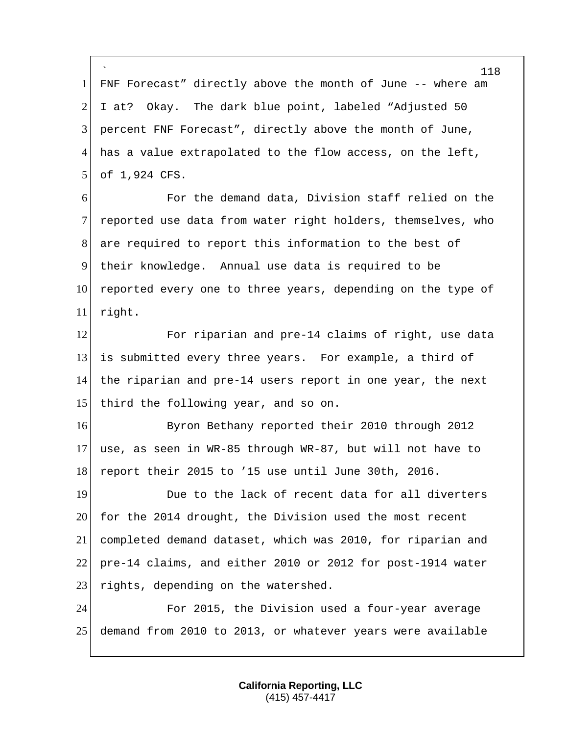` 118 1 FNF Forecast" directly above the month of June -- where am 2 I at? Okay. The dark blue point, labeled "Adjusted  $50$ 3 percent FNF Forecast", directly above the month of June, 4 has a value extrapolated to the flow access, on the left, 5 of 1,924 CFS. 6 For the demand data, Division staff relied on the 7 reported use data from water right holders, themselves, who 8 are required to report this information to the best of 9 their knowledge. Annual use data is required to be 10 reported every one to three years, depending on the type of 11 right. 12 For riparian and pre-14 claims of right, use data 13 is submitted every three years. For example, a third of 14 the riparian and pre-14 users report in one year, the next 15 third the following year, and so on. 16 Byron Bethany reported their 2010 through 2012 17 use, as seen in WR-85 through WR-87, but will not have to 18 report their 2015 to '15 use until June 30th, 2016. 19 19 Due to the lack of recent data for all diverters 20 for the 2014 drought, the Division used the most recent 21 completed demand dataset, which was 2010, for riparian and 22 pre-14 claims, and either 2010 or 2012 for post-1914 water 23 rights, depending on the watershed. 24 For 2015, the Division used a four-year average 25 demand from 2010 to 2013, or whatever years were available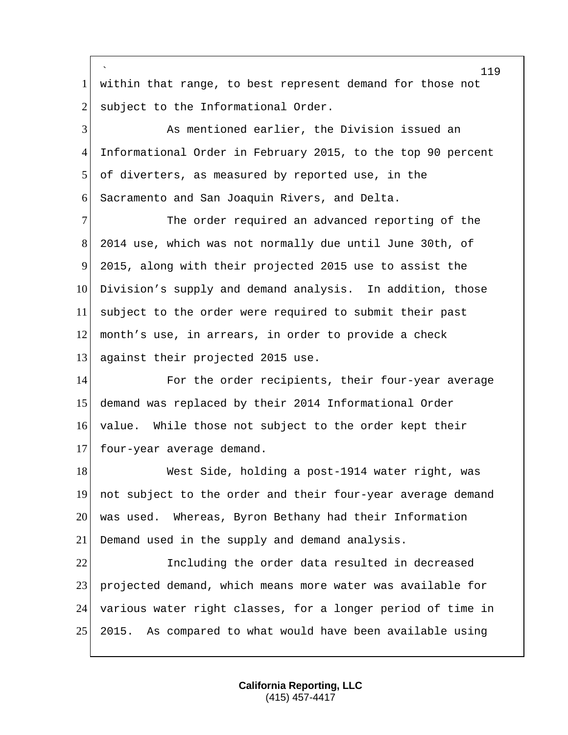|                | 119                                                          |
|----------------|--------------------------------------------------------------|
| $\mathbf{1}$   | within that range, to best represent demand for those not    |
| 2              | subject to the Informational Order.                          |
| 3              | As mentioned earlier, the Division issued an                 |
| $\overline{4}$ | Informational Order in February 2015, to the top 90 percent  |
| 5              | of diverters, as measured by reported use, in the            |
| 6              | Sacramento and San Joaquin Rivers, and Delta.                |
| $\tau$         | The order required an advanced reporting of the              |
| 8              | 2014 use, which was not normally due until June 30th, of     |
| 9              | 2015, along with their projected 2015 use to assist the      |
| 10             | Division's supply and demand analysis. In addition, those    |
| 11             | subject to the order were required to submit their past      |
| 12             | month's use, in arrears, in order to provide a check         |
| 13             | against their projected 2015 use.                            |
| 14             | For the order recipients, their four-year average            |
| 15             | demand was replaced by their 2014 Informational Order        |
| 16             | value. While those not subject to the order kept their       |
| 17             | four-year average demand.                                    |
| 18             | West Side, holding a post-1914 water right, was              |
| 19             | not subject to the order and their four-year average demand  |
| 20             | was used. Whereas, Byron Bethany had their Information       |
| 21             | Demand used in the supply and demand analysis.               |
| 22             | Including the order data resulted in decreased               |
| 23             | projected demand, which means more water was available for   |
| 24             | various water right classes, for a longer period of time in  |
| 25             | 2015.<br>As compared to what would have been available using |

Г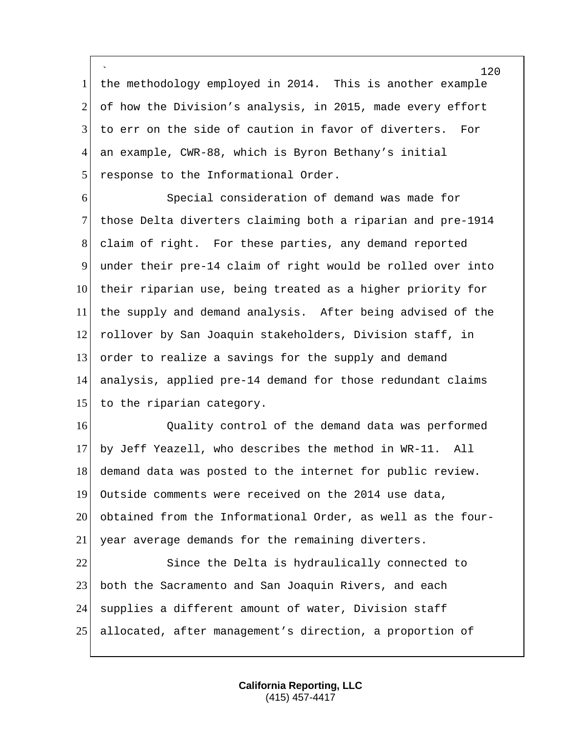` the methodology employed in 2014. This is another example 2 of how the Division's analysis, in 2015, made every effort to err on the side of caution in favor of diverters. For an example, CWR-88, which is Byron Bethany's initial 5 response to the Informational Order.

 Special consideration of demand was made for those Delta diverters claiming both a riparian and pre-1914 claim of right. For these parties, any demand reported under their pre-14 claim of right would be rolled over into 10 their riparian use, being treated as a higher priority for the supply and demand analysis. After being advised of the rollover by San Joaquin stakeholders, Division staff, in order to realize a savings for the supply and demand analysis, applied pre-14 demand for those redundant claims 15 to the riparian category.

**Quality control of the demand data was performed**  by Jeff Yeazell, who describes the method in WR-11. All 18 demand data was posted to the internet for public review. Outside comments were received on the 2014 use data, obtained from the Informational Order, as well as the four-year average demands for the remaining diverters.

22 Since the Delta is hydraulically connected to both the Sacramento and San Joaquin Rivers, and each 24 supplies a different amount of water, Division staff allocated, after management's direction, a proportion of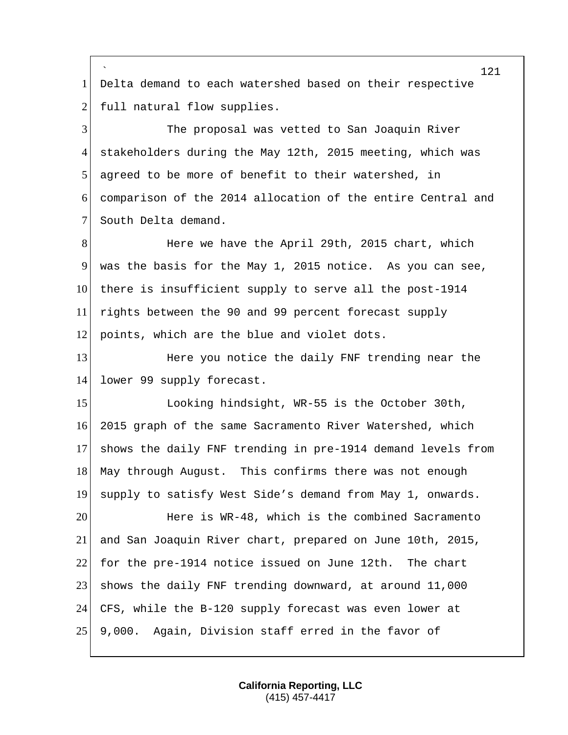` Delta demand to each watershed based on their respective 2 full natural flow supplies.

 The proposal was vetted to San Joaquin River stakeholders during the May 12th, 2015 meeting, which was agreed to be more of benefit to their watershed, in comparison of the 2014 allocation of the entire Central and 7 South Delta demand.

8 Here we have the April 29th, 2015 chart, which was the basis for the May 1, 2015 notice. As you can see, 10 there is insufficient supply to serve all the post-1914 rights between the 90 and 99 percent forecast supply 12 points, which are the blue and violet dots.

**Here you notice the daily FNF trending near the** 14 lower 99 supply forecast.

15 Looking hindsight, WR-55 is the October 30th, 2015 graph of the same Sacramento River Watershed, which shows the daily FNF trending in pre-1914 demand levels from May through August. This confirms there was not enough supply to satisfy West Side's demand from May 1, onwards.

 Here is WR-48, which is the combined Sacramento and San Joaquin River chart, prepared on June 10th, 2015, for the pre-1914 notice issued on June 12th. The chart 23 shows the daily FNF trending downward, at around 11,000 CFS, while the B-120 supply forecast was even lower at 9,000. Again, Division staff erred in the favor of

> **California Reporting, LLC** (415) 457-4417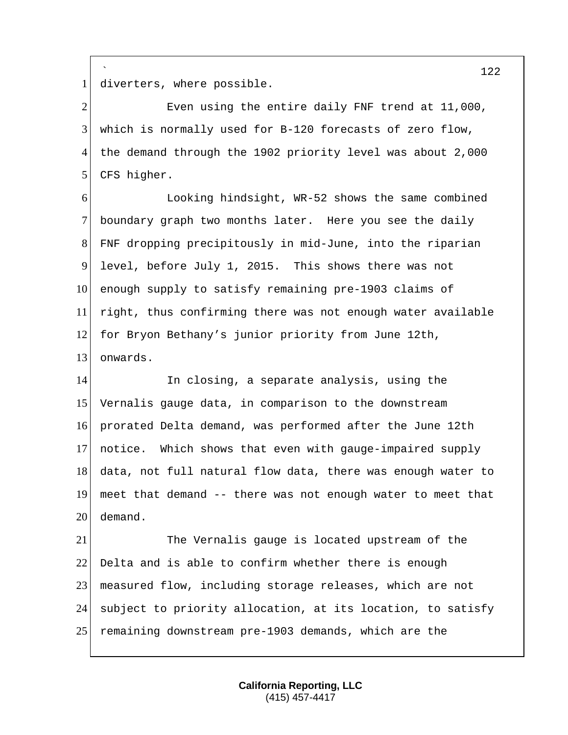` diverters, where possible.

2 Even using the entire daily FNF trend at 11,000, which is normally used for B-120 forecasts of zero flow, the demand through the 1902 priority level was about 2,000 5 CFS higher.

 Looking hindsight, WR-52 shows the same combined 7 boundary graph two months later. Here you see the daily FNF dropping precipitously in mid-June, into the riparian level, before July 1, 2015. This shows there was not 10 enough supply to satisfy remaining pre-1903 claims of right, thus confirming there was not enough water available 12 for Bryon Bethany's junior priority from June 12th, onwards.

14 In closing, a separate analysis, using the Vernalis gauge data, in comparison to the downstream prorated Delta demand, was performed after the June 12th notice. Which shows that even with gauge-impaired supply data, not full natural flow data, there was enough water to meet that demand -- there was not enough water to meet that demand.

 The Vernalis gauge is located upstream of the Delta and is able to confirm whether there is enough measured flow, including storage releases, which are not 24 subject to priority allocation, at its location, to satisfy remaining downstream pre-1903 demands, which are the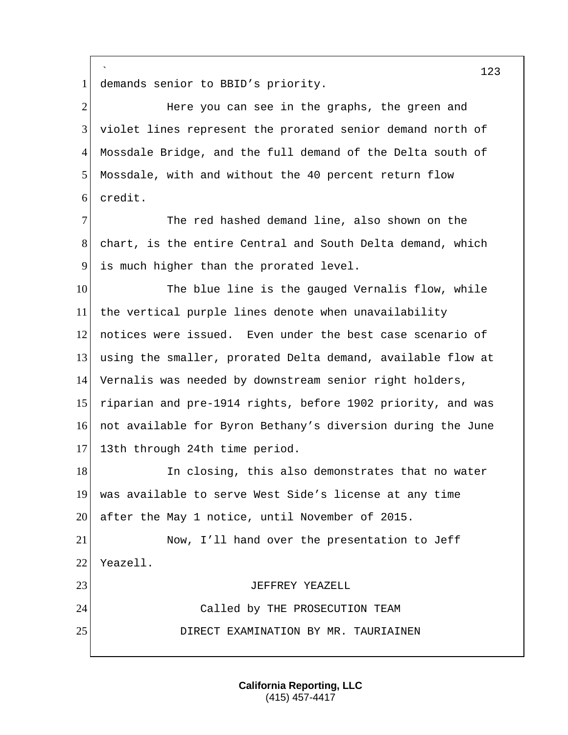` demands senior to BBID's priority. 2 Here you can see in the graphs, the green and violet lines represent the prorated senior demand north of Mossdale Bridge, and the full demand of the Delta south of Mossdale, with and without the 40 percent return flow credit. The red hashed demand line, also shown on the 8 chart, is the entire Central and South Delta demand, which is much higher than the prorated level. 10 The blue line is the gauged Vernalis flow, while the vertical purple lines denote when unavailability notices were issued. Even under the best case scenario of using the smaller, prorated Delta demand, available flow at Vernalis was needed by downstream senior right holders, 15 riparian and pre-1914 rights, before 1902 priority, and was not available for Byron Bethany's diversion during the June 17 13th through 24th time period. 18 In closing, this also demonstrates that no water was available to serve West Side's license at any time after the May 1 notice, until November of 2015. Now, I'll hand over the presentation to Jeff 22 Yeazell. JEFFREY YEAZELL Called by THE PROSECUTION TEAM DIRECT EXAMINATION BY MR. TAURIAINEN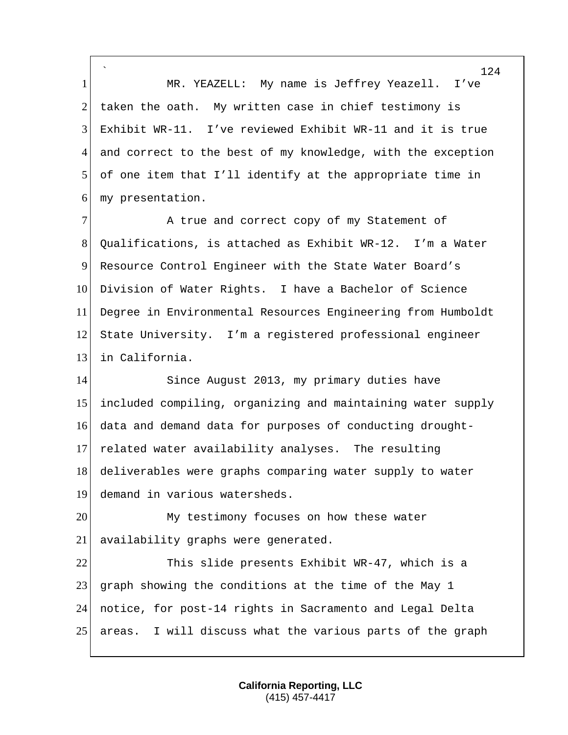` 1 MR. YEAZELL: My name is Jeffrey Yeazell. I've 2 taken the oath. My written case in chief testimony is 3 Exhibit WR-11. I've reviewed Exhibit WR-11 and it is true 4 and correct to the best of my knowledge, with the exception 5 of one item that I'll identify at the appropriate time in 6 my presentation.

7 A true and correct copy of my Statement of Qualifications, is attached as Exhibit WR-12. I'm a Water Resource Control Engineer with the State Water Board's Division of Water Rights. I have a Bachelor of Science Degree in Environmental Resources Engineering from Humboldt State University. I'm a registered professional engineer 13 in California.

14 Since August 2013, my primary duties have included compiling, organizing and maintaining water supply data and demand data for purposes of conducting drought- related water availability analyses. The resulting 18 deliverables were graphs comparing water supply to water demand in various watersheds.

20 My testimony focuses on how these water 21 availability graphs were generated.

 This slide presents Exhibit WR-47, which is a 23 graph showing the conditions at the time of the May 1 notice, for post-14 rights in Sacramento and Legal Delta areas. I will discuss what the various parts of the graph

> **California Reporting, LLC** (415) 457-4417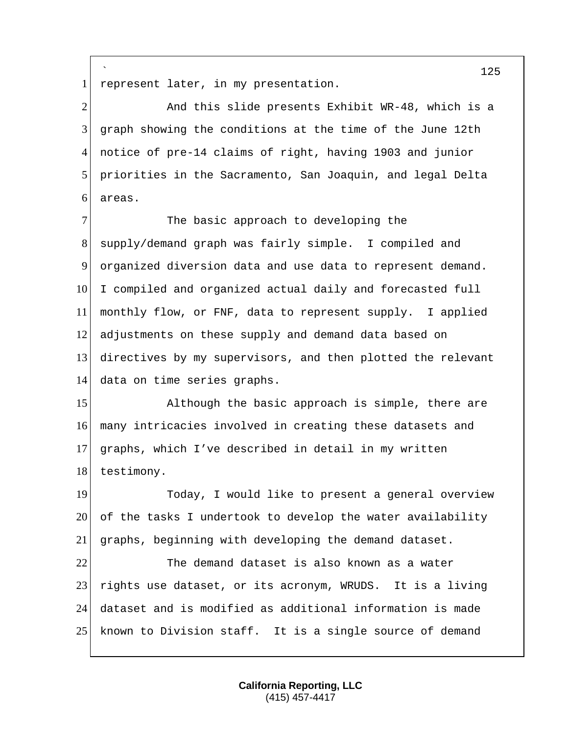` 1 represent later, in my presentation.

2 And this slide presents Exhibit WR-48, which is a graph showing the conditions at the time of the June 12th notice of pre-14 claims of right, having 1903 and junior priorities in the Sacramento, San Joaquin, and legal Delta areas.

7 The basic approach to developing the supply/demand graph was fairly simple. I compiled and organized diversion data and use data to represent demand. 10 I compiled and organized actual daily and forecasted full monthly flow, or FNF, data to represent supply. I applied adjustments on these supply and demand data based on directives by my supervisors, and then plotted the relevant data on time series graphs.

15 Although the basic approach is simple, there are many intricacies involved in creating these datasets and graphs, which I've described in detail in my written 18 testimony.

19 Today, I would like to present a general overview of the tasks I undertook to develop the water availability graphs, beginning with developing the demand dataset. The demand dataset is also known as a water

23 rights use dataset, or its acronym, WRUDS. It is a living dataset and is modified as additional information is made known to Division staff. It is a single source of demand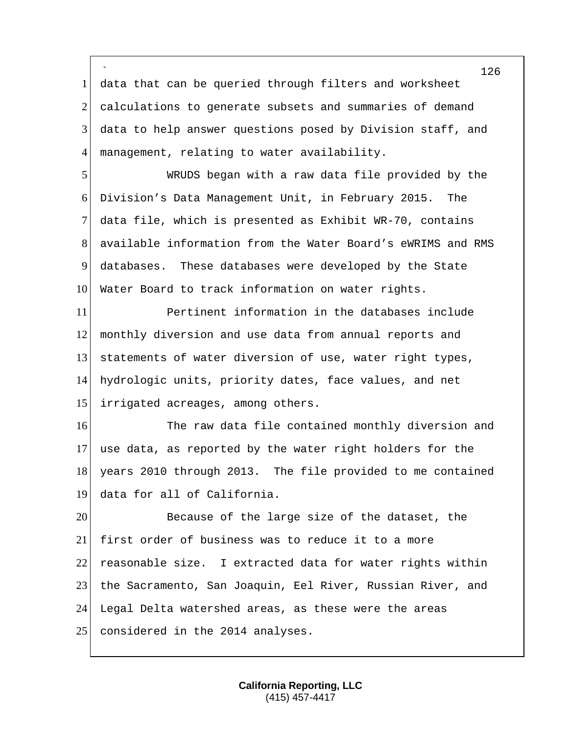` data that can be queried through filters and worksheet 2 calculations to generate subsets and summaries of demand data to help answer questions posed by Division staff, and management, relating to water availability.

 WRUDS began with a raw data file provided by the Division's Data Management Unit, in February 2015. The data file, which is presented as Exhibit WR-70, contains available information from the Water Board's eWRIMS and RMS databases. These databases were developed by the State 10 Water Board to track information on water rights.

 Pertinent information in the databases include monthly diversion and use data from annual reports and statements of water diversion of use, water right types, hydrologic units, priority dates, face values, and net 15 irrigated acreages, among others.

16 The raw data file contained monthly diversion and use data, as reported by the water right holders for the 18 years 2010 through 2013. The file provided to me contained data for all of California.

20 Because of the large size of the dataset, the first order of business was to reduce it to a more reasonable size. I extracted data for water rights within 23 the Sacramento, San Joaquin, Eel River, Russian River, and Legal Delta watershed areas, as these were the areas 25 considered in the 2014 analyses.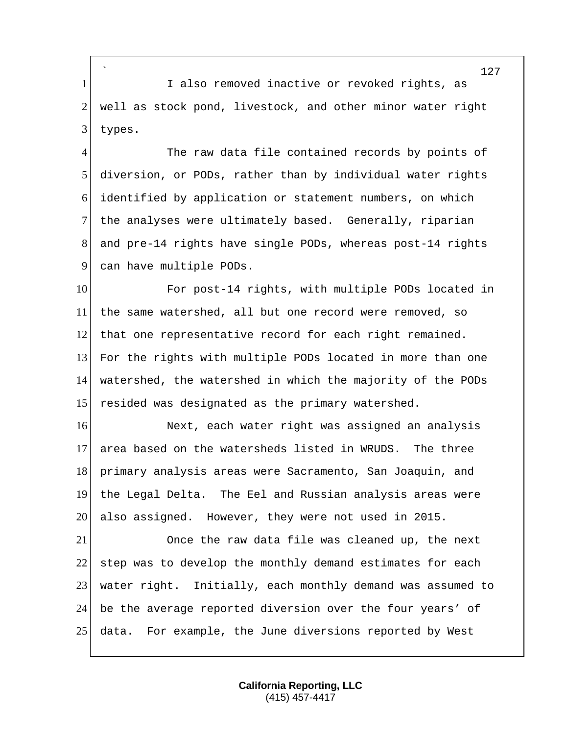` 1 I also removed inactive or revoked rights, as 2 well as stock pond, livestock, and other minor water right 3 types.

4 The raw data file contained records by points of 5 diversion, or PODs, rather than by individual water rights 6 identified by application or statement numbers, on which 7 the analyses were ultimately based. Generally, riparian 8 and pre-14 rights have single PODs, whereas post-14 rights 9 can have multiple PODs.

10 For post-14 rights, with multiple PODs located in the same watershed, all but one record were removed, so that one representative record for each right remained. For the rights with multiple PODs located in more than one watershed, the watershed in which the majority of the PODs 15 resided was designated as the primary watershed.

16 Next, each water right was assigned an analysis area based on the watersheds listed in WRUDS. The three primary analysis areas were Sacramento, San Joaquin, and the Legal Delta. The Eel and Russian analysis areas were also assigned. However, they were not used in 2015.

 Once the raw data file was cleaned up, the next 22 step was to develop the monthly demand estimates for each water right. Initially, each monthly demand was assumed to be the average reported diversion over the four years' of data. For example, the June diversions reported by West

> **California Reporting, LLC** (415) 457-4417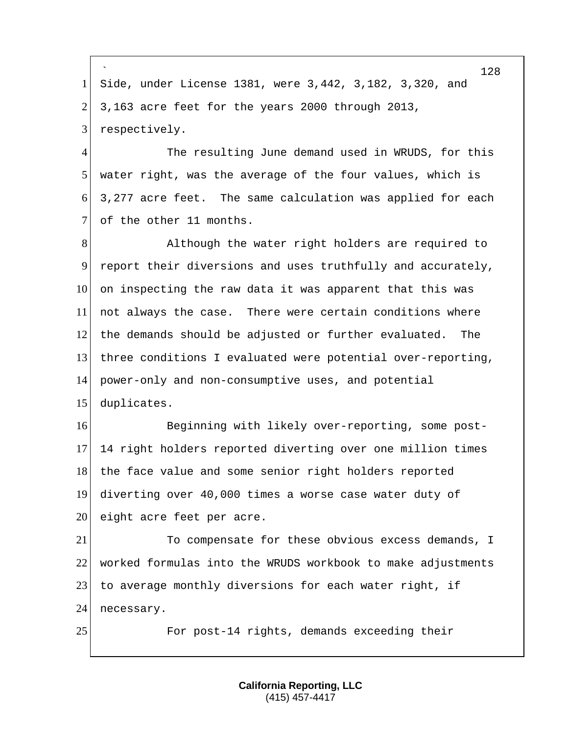` 128 1 Side, under License 1381, were 3,442, 3,182, 3,320, and  $2\vert$  3,163 acre feet for the years 2000 through 2013, 3 respectively. 4 The resulting June demand used in WRUDS, for this 5 water right, was the average of the four values, which is 6 3,277 acre feet. The same calculation was applied for each 7 of the other 11 months. 8 Although the water right holders are required to 9 report their diversions and uses truthfully and accurately, 10 on inspecting the raw data it was apparent that this was 11 not always the case. There were certain conditions where 12 the demands should be adjusted or further evaluated. The 13 three conditions I evaluated were potential over-reporting, 14 power-only and non-consumptive uses, and potential 15 duplicates. 16 Beginning with likely over-reporting, some post-17 14 right holders reported diverting over one million times 18 the face value and some senior right holders reported 19 diverting over 40,000 times a worse case water duty of 20 eight acre feet per acre. 21 To compensate for these obvious excess demands, I 22 worked formulas into the WRUDS workbook to make adjustments 23 to average monthly diversions for each water right, if 24 necessary. 25 For post-14 rights, demands exceeding their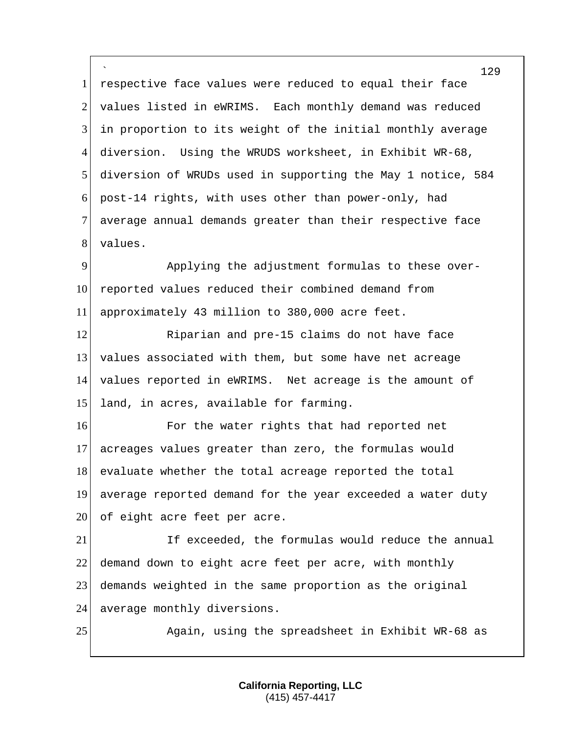` 129 1 respective face values were reduced to equal their face 2 values listed in eWRIMS. Each monthly demand was reduced 3 in proportion to its weight of the initial monthly average 4 diversion. Using the WRUDS worksheet, in Exhibit WR-68, 5 diversion of WRUDs used in supporting the May 1 notice, 584 6 post-14 rights, with uses other than power-only, had 7 average annual demands greater than their respective face 8 values. 9 Applying the adjustment formulas to these over-10 reported values reduced their combined demand from 11 approximately 43 million to 380,000 acre feet. 12 Riparian and pre-15 claims do not have face 13 values associated with them, but some have net acreage 14 values reported in eWRIMS. Net acreage is the amount of 15 land, in acres, available for farming.

16 For the water rights that had reported net 17 acreages values greater than zero, the formulas would 18 evaluate whether the total acreage reported the total 19 average reported demand for the year exceeded a water duty 20 of eight acre feet per acre.

21 If exceeded, the formulas would reduce the annual 22 demand down to eight acre feet per acre, with monthly 23 demands weighted in the same proportion as the original 24 average monthly diversions.

25 Again, using the spreadsheet in Exhibit WR-68 as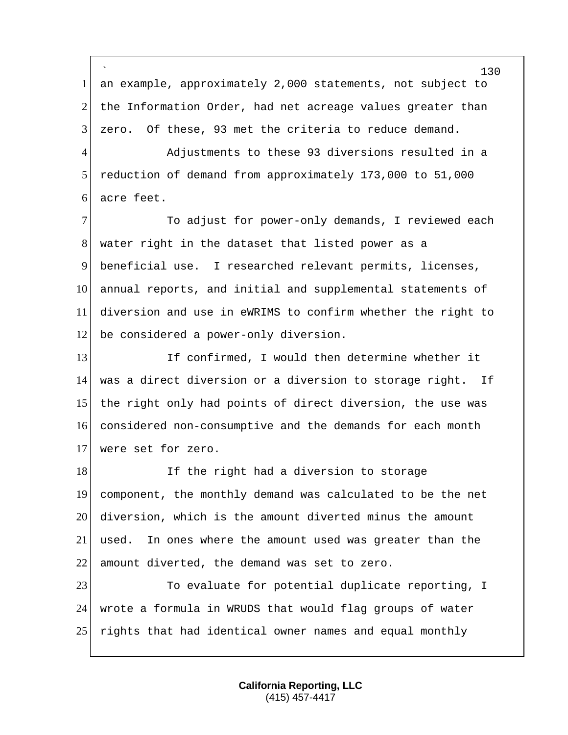` 130 1 an example, approximately 2,000 statements, not subject to 2 the Information Order, had net acreage values greater than 3 zero. Of these, 93 met the criteria to reduce demand. 4 Adjustments to these 93 diversions resulted in a 5 reduction of demand from approximately 173,000 to 51,000 6 acre feet. 7 To adjust for power-only demands, I reviewed each 8 water right in the dataset that listed power as a 9 beneficial use. I researched relevant permits, licenses, 10 annual reports, and initial and supplemental statements of 11 diversion and use in eWRIMS to confirm whether the right to 12 be considered a power-only diversion. 13 If confirmed, I would then determine whether it 14 was a direct diversion or a diversion to storage right. If 15 the right only had points of direct diversion, the use was 16 considered non-consumptive and the demands for each month 17 were set for zero. 18 If the right had a diversion to storage 19 component, the monthly demand was calculated to be the net 20 diversion, which is the amount diverted minus the amount 21 used. In ones where the amount used was greater than the 22 amount diverted, the demand was set to zero. 23 To evaluate for potential duplicate reporting, I 24 wrote a formula in WRUDS that would flag groups of water 25 rights that had identical owner names and equal monthly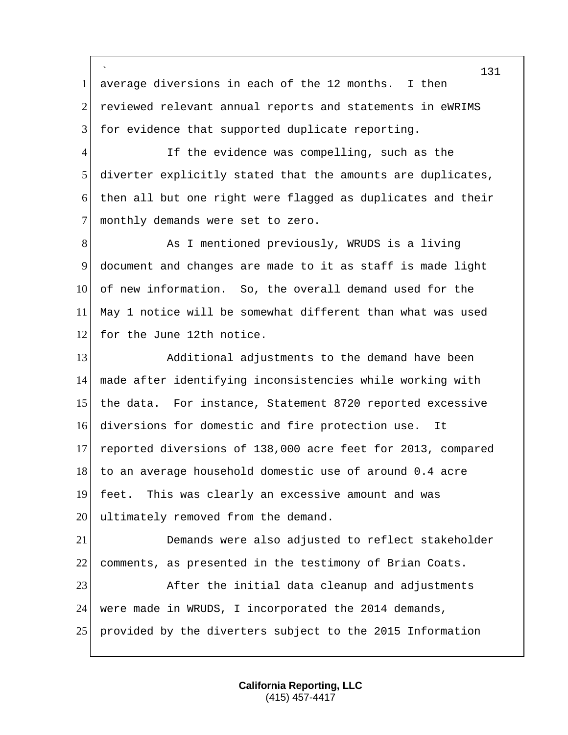` 1 average diversions in each of the 12 months. I then 2 reviewed relevant annual reports and statements in eWRIMS 3 for evidence that supported duplicate reporting.

4 If the evidence was compelling, such as the 5 diverter explicitly stated that the amounts are duplicates, 6 then all but one right were flagged as duplicates and their 7 monthly demands were set to zero.

8 As I mentioned previously, WRUDS is a living 9 document and changes are made to it as staff is made light 10 of new information. So, the overall demand used for the 11 May 1 notice will be somewhat different than what was used 12 for the June 12th notice.

13 Additional adjustments to the demand have been 14 made after identifying inconsistencies while working with 15 the data. For instance, Statement 8720 reported excessive 16 diversions for domestic and fire protection use. It 17 reported diversions of 138,000 acre feet for 2013, compared 18 to an average household domestic use of around 0.4 acre 19 feet. This was clearly an excessive amount and was 20 ultimately removed from the demand.

21 Demands were also adjusted to reflect stakeholder 22 comments, as presented in the testimony of Brian Coats. 23 After the initial data cleanup and adjustments 24 were made in WRUDS, I incorporated the 2014 demands, 25 provided by the diverters subject to the 2015 Information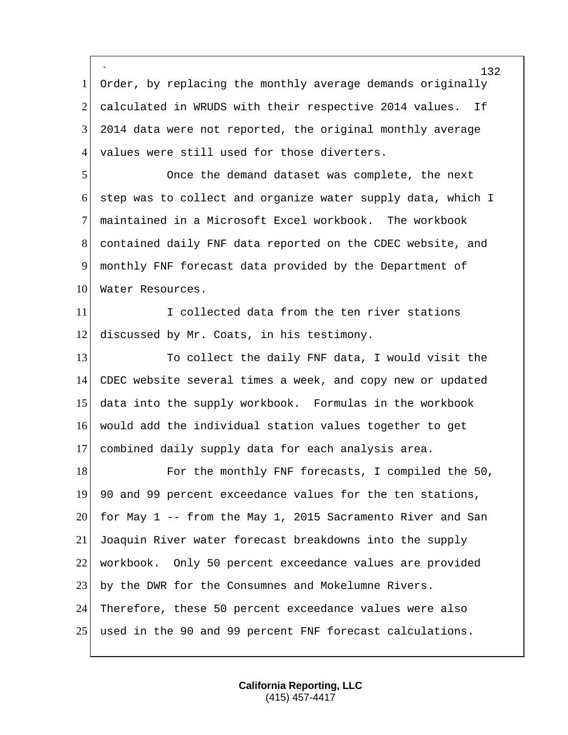` 1 Order, by replacing the monthly average demands originally 2 calculated in WRUDS with their respective 2014 values. If 2014 data were not reported, the original monthly average 4 values were still used for those diverters. Once the demand dataset was complete, the next step was to collect and organize water supply data, which I maintained in a Microsoft Excel workbook. The workbook contained daily FNF data reported on the CDEC website, and monthly FNF forecast data provided by the Department of 10 Water Resources. I collected data from the ten river stations 12 discussed by Mr. Coats, in his testimony. 13 To collect the daily FNF data, I would visit the CDEC website several times a week, and copy new or updated data into the supply workbook. Formulas in the workbook would add the individual station values together to get combined daily supply data for each analysis area. 18 For the monthly FNF forecasts, I compiled the 50, 90 and 99 percent exceedance values for the ten stations, 20 for May 1 -- from the May 1, 2015 Sacramento River and San Joaquin River water forecast breakdowns into the supply workbook. Only 50 percent exceedance values are provided by the DWR for the Consumnes and Mokelumne Rivers. Therefore, these 50 percent exceedance values were also used in the 90 and 99 percent FNF forecast calculations.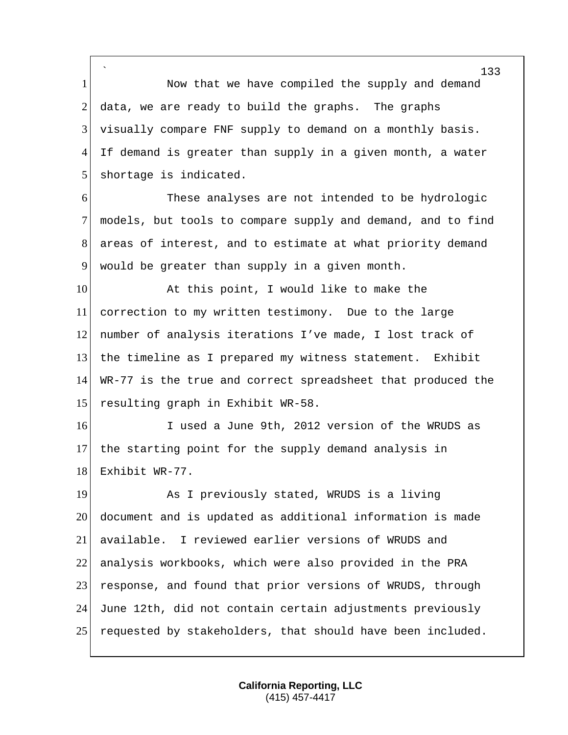` 1 Now that we have compiled the supply and demand 2 data, we are ready to build the graphs. The graphs 3 visually compare FNF supply to demand on a monthly basis. 4 If demand is greater than supply in a given month, a water 5 shortage is indicated.

6 These analyses are not intended to be hydrologic 7 models, but tools to compare supply and demand, and to find 8 areas of interest, and to estimate at what priority demand 9 would be greater than supply in a given month.

10 At this point, I would like to make the 11 correction to my written testimony. Due to the large 12 number of analysis iterations I've made, I lost track of 13 the timeline as I prepared my witness statement. Exhibit 14 WR-77 is the true and correct spreadsheet that produced the 15 resulting graph in Exhibit WR-58.

16 I used a June 9th, 2012 version of the WRUDS as 17 the starting point for the supply demand analysis in 18 Exhibit WR-77.

19 As I previously stated, WRUDS is a living 20 document and is updated as additional information is made 21 available. I reviewed earlier versions of WRUDS and 22 analysis workbooks, which were also provided in the PRA 23 response, and found that prior versions of WRUDS, through 24 June 12th, did not contain certain adjustments previously 25 requested by stakeholders, that should have been included.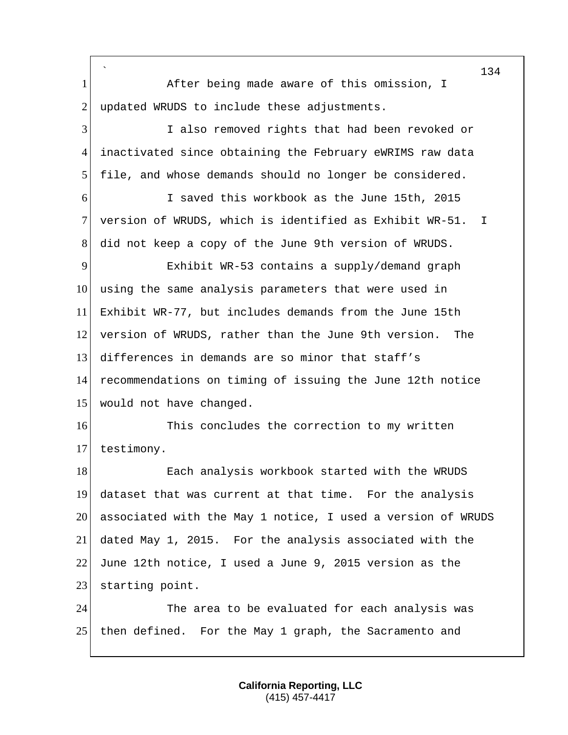` 1 After being made aware of this omission, I 2 updated WRUDS to include these adjustments. I also removed rights that had been revoked or inactivated since obtaining the February eWRIMS raw data file, and whose demands should no longer be considered. I saved this workbook as the June 15th, 2015 version of WRUDS, which is identified as Exhibit WR-51. I did not keep a copy of the June 9th version of WRUDS. Exhibit WR-53 contains a supply/demand graph 10 using the same analysis parameters that were used in Exhibit WR-77, but includes demands from the June 15th version of WRUDS, rather than the June 9th version. The differences in demands are so minor that staff's recommendations on timing of issuing the June 12th notice 15 would not have changed. 16 This concludes the correction to my written testimony. 18 Each analysis workbook started with the WRUDS dataset that was current at that time. For the analysis associated with the May 1 notice, I used a version of WRUDS dated May 1, 2015. For the analysis associated with the June 12th notice, I used a June 9, 2015 version as the 23 starting point. 24 The area to be evaluated for each analysis was then defined. For the May 1 graph, the Sacramento and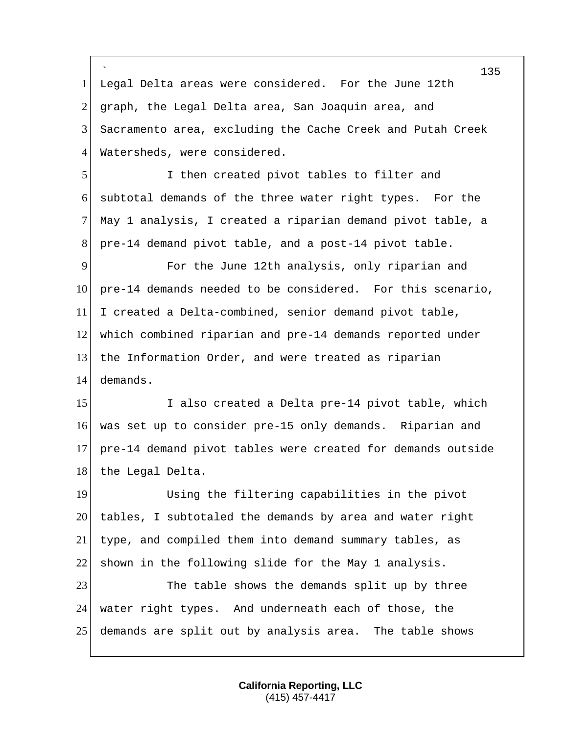` 1 Legal Delta areas were considered. For the June 12th 2 graph, the Legal Delta area, San Joaquin area, and Sacramento area, excluding the Cache Creek and Putah Creek 4 Watersheds, were considered. I then created pivot tables to filter and subtotal demands of the three water right types. For the May 1 analysis, I created a riparian demand pivot table, a pre-14 demand pivot table, and a post-14 pivot table. For the June 12th analysis, only riparian and pre-14 demands needed to be considered. For this scenario, 11 I created a Delta-combined, senior demand pivot table, which combined riparian and pre-14 demands reported under the Information Order, and were treated as riparian demands. 15 I also created a Delta pre-14 pivot table, which was set up to consider pre-15 only demands. Riparian and pre-14 demand pivot tables were created for demands outside 18 the Legal Delta. Using the filtering capabilities in the pivot tables, I subtotaled the demands by area and water right type, and compiled them into demand summary tables, as 22 shown in the following slide for the May 1 analysis. 23 The table shows the demands split up by three water right types. And underneath each of those, the demands are split out by analysis area. The table shows

> **California Reporting, LLC** (415) 457-4417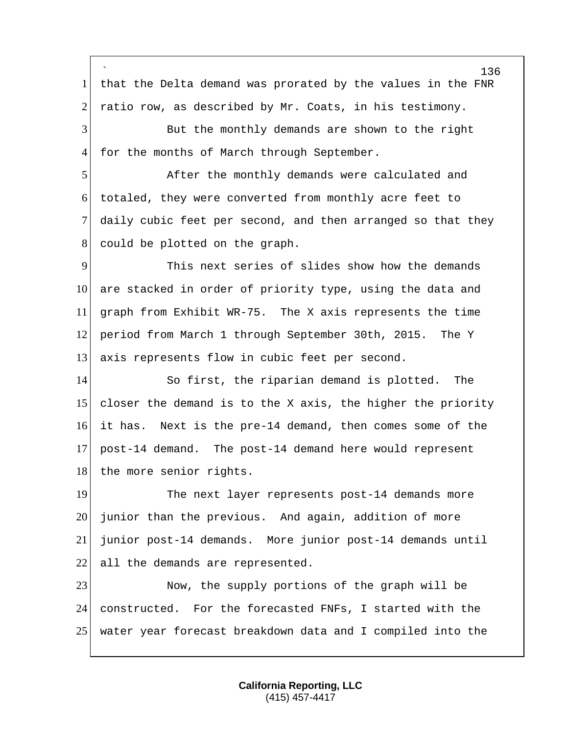` 136 1 that the Delta demand was prorated by the values in the FNR 2 ratio row, as described by Mr. Coats, in his testimony. 3 But the monthly demands are shown to the right 4 for the months of March through September. 5 After the monthly demands were calculated and 6 totaled, they were converted from monthly acre feet to 7 daily cubic feet per second, and then arranged so that they 8 could be plotted on the graph. 9 This next series of slides show how the demands 10 are stacked in order of priority type, using the data and 11 graph from Exhibit WR-75. The X axis represents the time 12 period from March 1 through September 30th, 2015. The Y 13 axis represents flow in cubic feet per second. 14 So first, the riparian demand is plotted. The 15 closer the demand is to the X axis, the higher the priority 16 it has. Next is the pre-14 demand, then comes some of the 17 post-14 demand. The post-14 demand here would represent 18 the more senior rights. 19 The next layer represents post-14 demands more 20 junior than the previous. And again, addition of more 21 junior post-14 demands. More junior post-14 demands until 22 all the demands are represented. 23 Now, the supply portions of the graph will be 24 constructed. For the forecasted FNFs, I started with the 25 water year forecast breakdown data and I compiled into the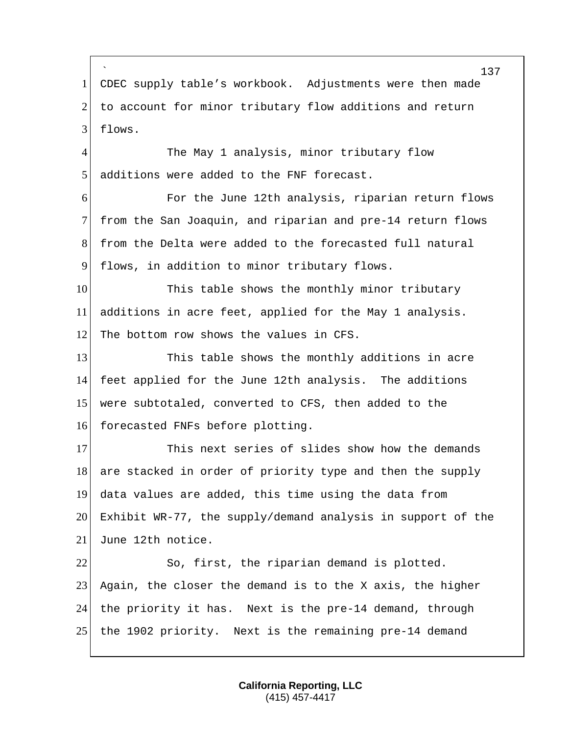` 1 CDEC supply table's workbook. Adjustments were then made 2 to account for minor tributary flow additions and return 3 flows. 4 The May 1 analysis, minor tributary flow 5 additions were added to the FNF forecast. 6 For the June 12th analysis, riparian return flows 7 from the San Joaquin, and riparian and pre-14 return flows 8 from the Delta were added to the forecasted full natural 9 flows, in addition to minor tributary flows. 10 This table shows the monthly minor tributary 11 additions in acre feet, applied for the May 1 analysis. 12 The bottom row shows the values in CFS. 13 This table shows the monthly additions in acre 14 feet applied for the June 12th analysis. The additions

15 were subtotaled, converted to CFS, then added to the 16 forecasted FNFs before plotting.

17 This next series of slides show how the demands 18 are stacked in order of priority type and then the supply 19 data values are added, this time using the data from 20 Exhibit WR-77, the supply/demand analysis in support of the 21 June 12th notice.

22 So, first, the riparian demand is plotted. 23 Again, the closer the demand is to the X axis, the higher 24 the priority it has. Next is the pre-14 demand, through 25 the 1902 priority. Next is the remaining pre-14 demand

> **California Reporting, LLC** (415) 457-4417

137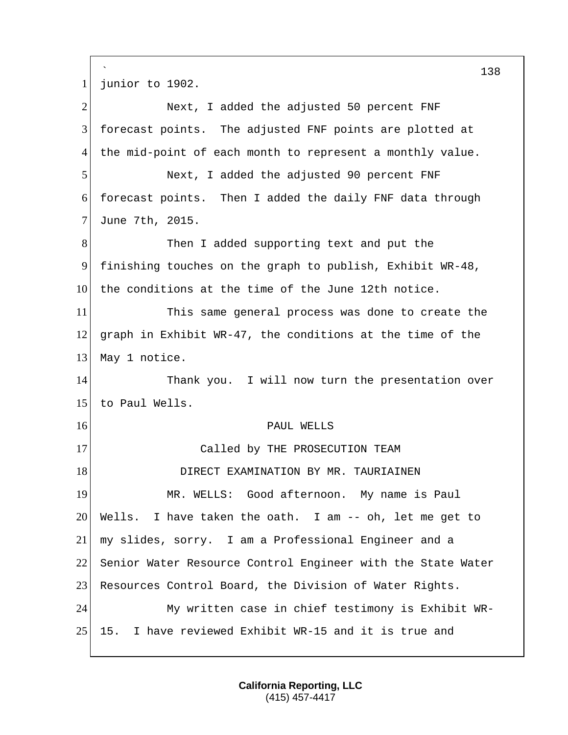` 1 junior to 1902. 2 Next, I added the adjusted 50 percent FNF 3 forecast points. The adjusted FNF points are plotted at 4 the mid-point of each month to represent a monthly value. 5 Next, I added the adjusted 90 percent FNF 6 forecast points. Then I added the daily FNF data through 7 June 7th, 2015. 8 Then I added supporting text and put the 9 finishing touches on the graph to publish, Exhibit WR-48, 10 the conditions at the time of the June 12th notice. 11 This same general process was done to create the 12 graph in Exhibit WR-47, the conditions at the time of the 13 May 1 notice. 14 Thank you. I will now turn the presentation over 15 to Paul Wells. 16 PAUL WELLS 17 Called by THE PROSECUTION TEAM 18 DIRECT EXAMINATION BY MR. TAURIAINEN 19 MR. WELLS: Good afternoon. My name is Paul 20 Wells. I have taken the oath. I am -- oh, let me get to 21 my slides, sorry. I am a Professional Engineer and a 22 Senior Water Resource Control Engineer with the State Water 23 Resources Control Board, the Division of Water Rights. 24 My written case in chief testimony is Exhibit WR-25 15. I have reviewed Exhibit WR-15 and it is true and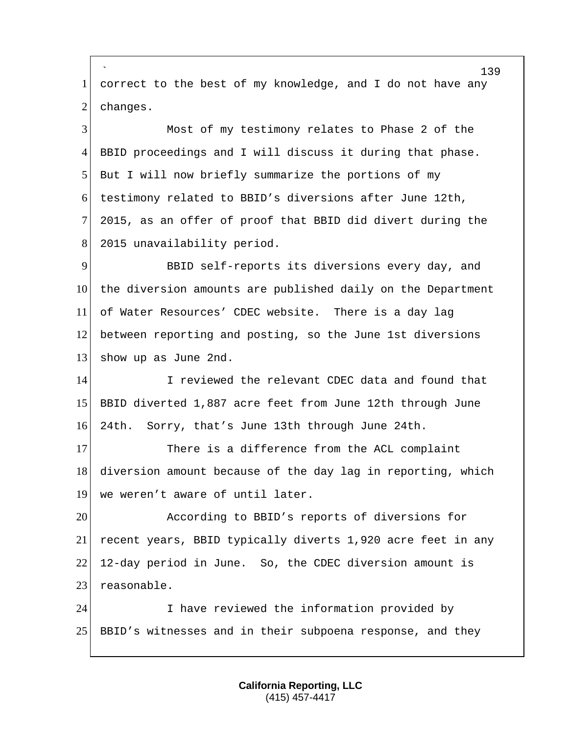` 1 correct to the best of my knowledge, and I do not have any 2 changes. Most of my testimony relates to Phase 2 of the BBID proceedings and I will discuss it during that phase. But I will now briefly summarize the portions of my testimony related to BBID's diversions after June 12th, 2015, as an offer of proof that BBID did divert during the 8 2015 unavailability period. BBID self-reports its diversions every day, and the diversion amounts are published daily on the Department of Water Resources' CDEC website. There is a day lag between reporting and posting, so the June 1st diversions 13 show up as June 2nd. I reviewed the relevant CDEC data and found that BBID diverted 1,887 acre feet from June 12th through June 24th. Sorry, that's June 13th through June 24th. 17 There is a difference from the ACL complaint 18 diversion amount because of the day lag in reporting, which 19 we weren't aware of until later. According to BBID's reports of diversions for recent years, BBID typically diverts 1,920 acre feet in any 12-day period in June. So, the CDEC diversion amount is 23 reasonable. I have reviewed the information provided by BBID's witnesses and in their subpoena response, and they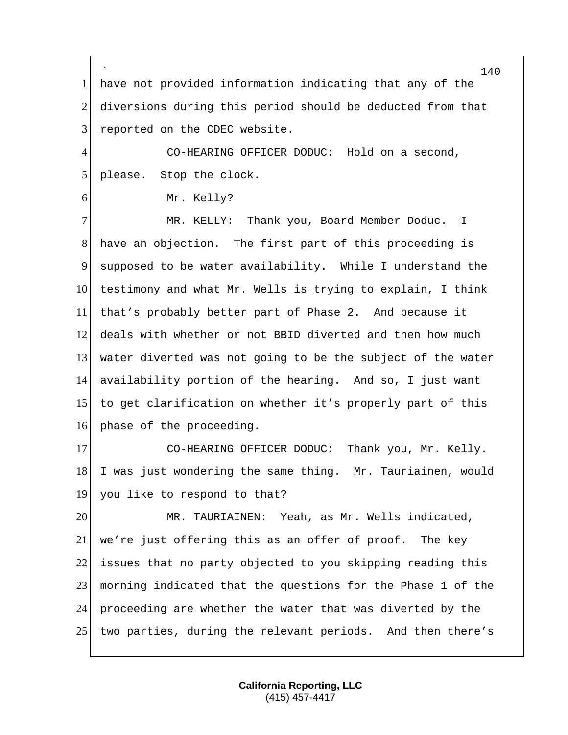` have not provided information indicating that any of the diversions during this period should be deducted from that 3 reported on the CDEC website. CO-HEARING OFFICER DODUC: Hold on a second, 5 please. Stop the clock. 6 Mr. Kelly? MR. KELLY: Thank you, Board Member Doduc. I have an objection. The first part of this proceeding is supposed to be water availability. While I understand the testimony and what Mr. Wells is trying to explain, I think that's probably better part of Phase 2. And because it deals with whether or not BBID diverted and then how much water diverted was not going to be the subject of the water availability portion of the hearing. And so, I just want to get clarification on whether it's properly part of this 16 phase of the proceeding. 17 CO-HEARING OFFICER DODUC: Thank you, Mr. Kelly. 18 I was just wondering the same thing. Mr. Tauriainen, would you like to respond to that? MR. TAURIAINEN: Yeah, as Mr. Wells indicated, we're just offering this as an offer of proof. The key 22 issues that no party objected to you skipping reading this morning indicated that the questions for the Phase 1 of the proceeding are whether the water that was diverted by the two parties, during the relevant periods. And then there's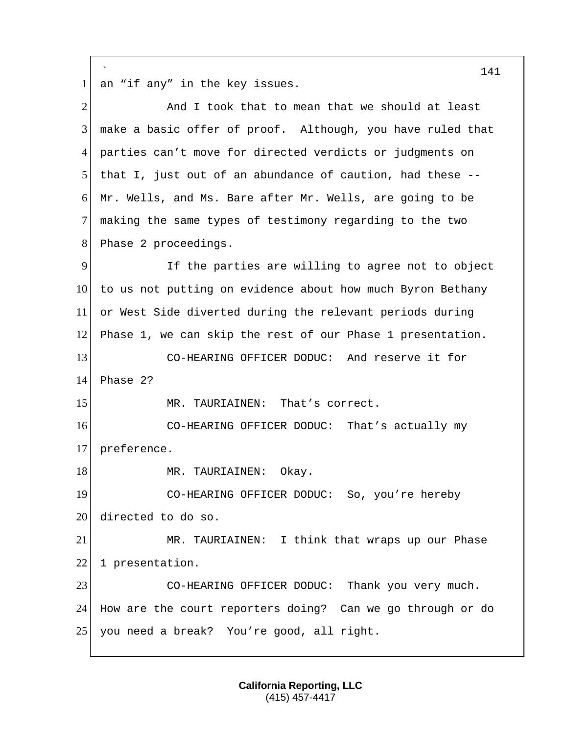` 141 1 an "if any" in the key issues. 2 And I took that to mean that we should at least 3 make a basic offer of proof. Although, you have ruled that 4 parties can't move for directed verdicts or judgments on 5 | that I, just out of an abundance of caution, had these  $-$ -6 Mr. Wells, and Ms. Bare after Mr. Wells, are going to be 7 making the same types of testimony regarding to the two 8 Phase 2 proceedings. 9 11 If the parties are willing to agree not to object 10 to us not putting on evidence about how much Byron Bethany 11 or West Side diverted during the relevant periods during 12 Phase 1, we can skip the rest of our Phase 1 presentation. 13 CO-HEARING OFFICER DODUC: And reserve it for 14 Phase 2? 15 MR. TAURIAINEN: That's correct. 16 CO-HEARING OFFICER DODUC: That's actually my 17 preference. 18 MR. TAURIAINEN: Okay. 19 CO-HEARING OFFICER DODUC: So, you're hereby 20 directed to do so. 21 MR. TAURIAINEN: I think that wraps up our Phase 22 1 presentation. 23 CO-HEARING OFFICER DODUC: Thank you very much. 24 How are the court reporters doing? Can we go through or do 25 you need a break? You're good, all right.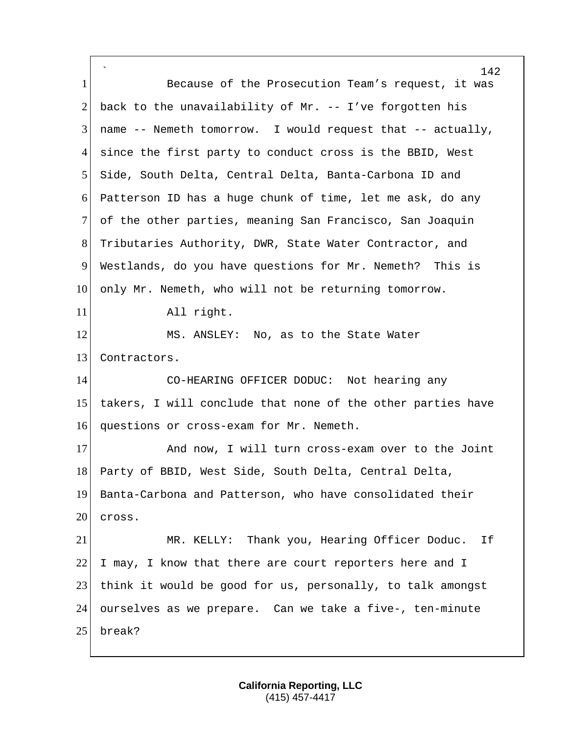` 142 1 Because of the Prosecution Team's request, it was 2 back to the unavailability of Mr. -- I've forgotten his 3 name  $-$ - Nemeth tomorrow. I would request that  $-$ - actually, 4 since the first party to conduct cross is the BBID, West 5 Side, South Delta, Central Delta, Banta-Carbona ID and 6 Patterson ID has a huge chunk of time, let me ask, do any 7 of the other parties, meaning San Francisco, San Joaquin 8 Tributaries Authority, DWR, State Water Contractor, and 9 Westlands, do you have questions for Mr. Nemeth? This is 10 only Mr. Nemeth, who will not be returning tomorrow. 11 All right. 12 MS. ANSLEY: No, as to the State Water 13 Contractors. 14 CO-HEARING OFFICER DODUC: Not hearing any 15 takers, I will conclude that none of the other parties have 16 questions or cross-exam for Mr. Nemeth. 17 And now, I will turn cross-exam over to the Joint 18 Party of BBID, West Side, South Delta, Central Delta, 19 Banta-Carbona and Patterson, who have consolidated their  $20$  cross. 21 MR. KELLY: Thank you, Hearing Officer Doduc. If  $22$  I may, I know that there are court reporters here and I 23 think it would be good for us, personally, to talk amongst 24 ourselves as we prepare. Can we take a five-, ten-minute 25 break?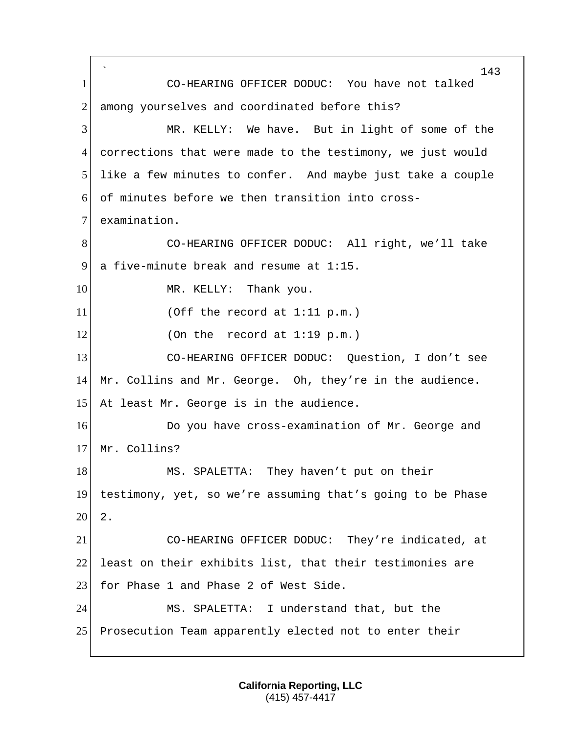` 143 1 CO-HEARING OFFICER DODUC: You have not talked 2 among yourselves and coordinated before this? 3 MR. KELLY: We have. But in light of some of the 4 corrections that were made to the testimony, we just would 5 like a few minutes to confer. And maybe just take a couple 6 of minutes before we then transition into cross-7 examination. 8 CO-HEARING OFFICER DODUC: All right, we'll take 9 a five-minute break and resume at 1:15. 10 MR. KELLY: Thank you.  $11$  (Off the record at 1:11 p.m.)  $12$  (On the record at 1:19 p.m.) 13 CO-HEARING OFFICER DODUC: Question, I don't see 14 Mr. Collins and Mr. George. Oh, they're in the audience. 15 At least Mr. George is in the audience. 16 Do you have cross-examination of Mr. George and 17 Mr. Collins? 18 MS. SPALETTA: They haven't put on their 19 testimony, yet, so we're assuming that's going to be Phase  $20 \mid 2.$ 21 CO-HEARING OFFICER DODUC: They're indicated, at 22 least on their exhibits list, that their testimonies are 23 for Phase 1 and Phase 2 of West Side. 24 MS. SPALETTA: I understand that, but the 25 Prosecution Team apparently elected not to enter their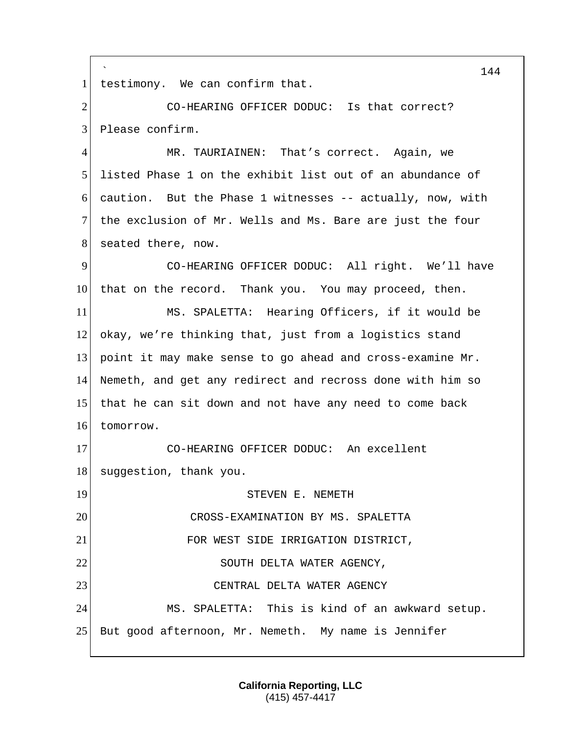` 1 testimony. We can confirm that. 2 CO-HEARING OFFICER DODUC: Is that correct? 3 Please confirm. 4 MR. TAURIAINEN: That's correct. Again, we

 listed Phase 1 on the exhibit list out of an abundance of caution. But the Phase 1 witnesses  $-$  actually, now, with the exclusion of Mr. Wells and Ms. Bare are just the four 8 seated there, now.

9 CO-HEARING OFFICER DODUC: All right. We'll have 10 that on the record. Thank you. You may proceed, then.

 MS. SPALETTA: Hearing Officers, if it would be okay, we're thinking that, just from a logistics stand point it may make sense to go ahead and cross-examine Mr. Nemeth, and get any redirect and recross done with him so 15 that he can sit down and not have any need to come back tomorrow.

17 CO-HEARING OFFICER DODUC: An excellent 18 suggestion, thank you.

19 STEVEN E. NEMETH 20 CROSS-EXAMINATION BY MS. SPALETTA 21 FOR WEST SIDE IRRIGATION DISTRICT, 22 SOUTH DELTA WATER AGENCY, 23 CENTRAL DELTA WATER AGENCY 24 MS. SPALETTA: This is kind of an awkward setup. 25 But good afternoon, Mr. Nemeth. My name is Jennifer

> **California Reporting, LLC** (415) 457-4417

144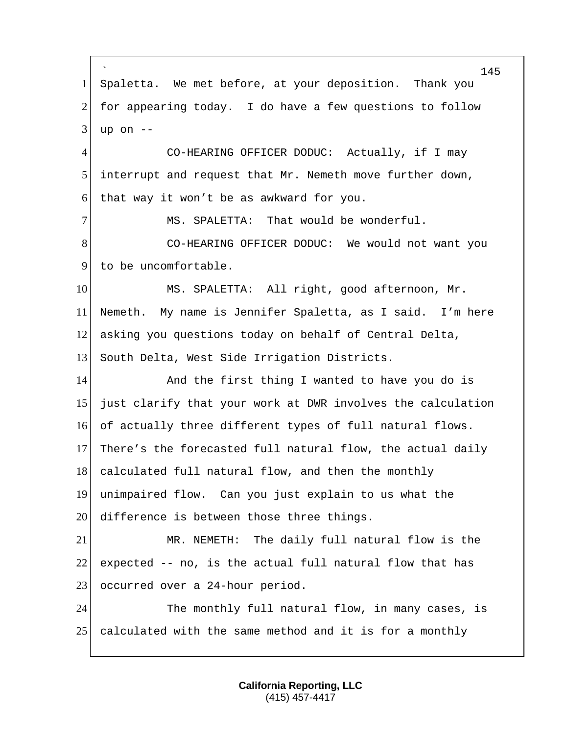` 145 1 Spaletta. We met before, at your deposition. Thank you  $2$  for appearing today. I do have a few questions to follow  $3$  up on  $-$ 4 CO-HEARING OFFICER DODUC: Actually, if I may 5 interrupt and request that Mr. Nemeth move further down, 6 that way it won't be as awkward for you. 7 MS. SPALETTA: That would be wonderful. 8 CO-HEARING OFFICER DODUC: We would not want you 9 to be uncomfortable. 10 MS. SPALETTA: All right, good afternoon, Mr. 11 Nemeth. My name is Jennifer Spaletta, as I said. I'm here 12 asking you questions today on behalf of Central Delta, 13 South Delta, West Side Irrigation Districts. 14 And the first thing I wanted to have you do is 15 just clarify that your work at DWR involves the calculation 16 of actually three different types of full natural flows. 17 There's the forecasted full natural flow, the actual daily 18 calculated full natural flow, and then the monthly 19 unimpaired flow. Can you just explain to us what the 20 difference is between those three things. 21 MR. NEMETH: The daily full natural flow is the 22 expected  $-$  no, is the actual full natural flow that has 23 occurred over a 24-hour period. 24 The monthly full natural flow, in many cases, is 25 calculated with the same method and it is for a monthly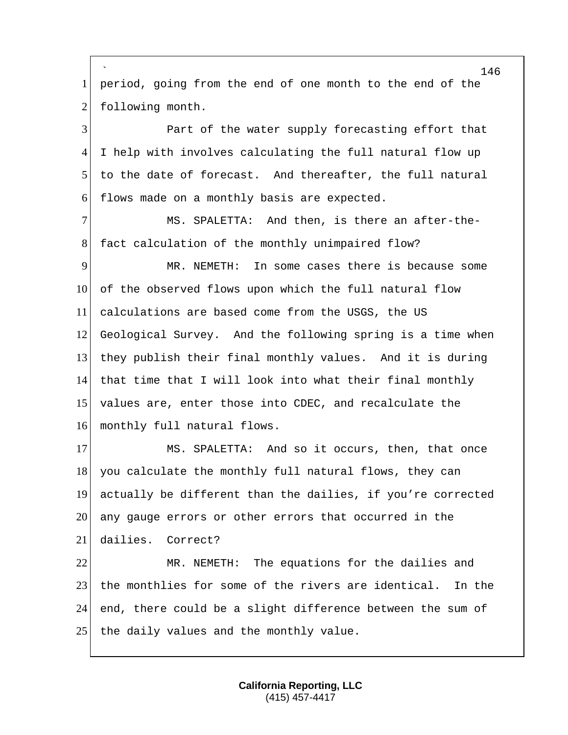` period, going from the end of one month to the end of the 2 following month. Part of the water supply forecasting effort that I help with involves calculating the full natural flow up to the date of forecast. And thereafter, the full natural flows made on a monthly basis are expected. 7 MS. SPALETTA: And then, is there an after-the-8 fact calculation of the monthly unimpaired flow? MR. NEMETH: In some cases there is because some of the observed flows upon which the full natural flow calculations are based come from the USGS, the US Geological Survey. And the following spring is a time when they publish their final monthly values. And it is during that time that I will look into what their final monthly values are, enter those into CDEC, and recalculate the 16 monthly full natural flows. 17 MS. SPALETTA: And so it occurs, then, that once 18 you calculate the monthly full natural flows, they can actually be different than the dailies, if you're corrected 20 any gauge errors or other errors that occurred in the dailies. Correct? MR. NEMETH: The equations for the dailies and 23 the monthlies for some of the rivers are identical. In the end, there could be a slight difference between the sum of the daily values and the monthly value.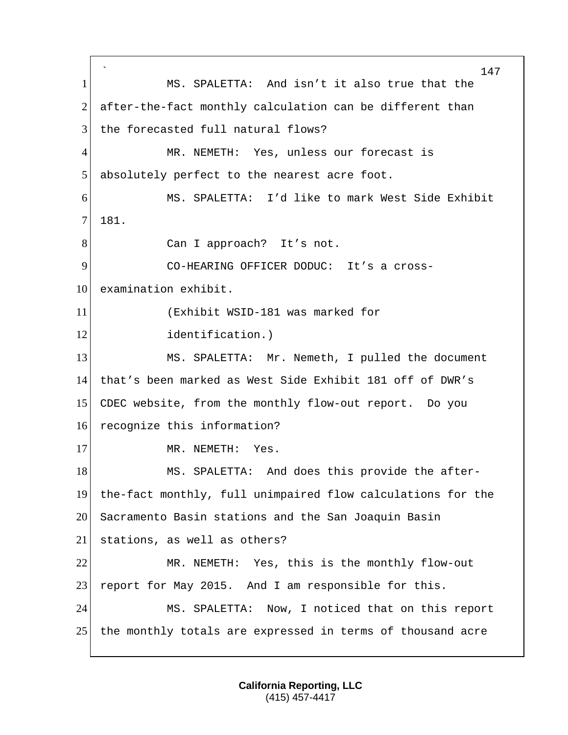` 147 1 MS. SPALETTA: And isn't it also true that the 2 after-the-fact monthly calculation can be different than 3 the forecasted full natural flows? 4 MR. NEMETH: Yes, unless our forecast is 5 absolutely perfect to the nearest acre foot. 6 MS. SPALETTA: I'd like to mark West Side Exhibit 7 181. 8 Can I approach? It's not. 9 CO-HEARING OFFICER DODUC: It's a cross-10 examination exhibit. 11 (Exhibit WSID-181 was marked for 12 identification.) 13 MS. SPALETTA: Mr. Nemeth, I pulled the document 14 that's been marked as West Side Exhibit 181 off of DWR's 15 CDEC website, from the monthly flow-out report. Do you 16 recognize this information? 17 MR. NEMETH: Yes. 18 MS. SPALETTA: And does this provide the after-19 the-fact monthly, full unimpaired flow calculations for the 20 Sacramento Basin stations and the San Joaquin Basin 21 stations, as well as others? 22 MR. NEMETH: Yes, this is the monthly flow-out 23 report for May 2015. And I am responsible for this. 24 MS. SPALETTA: Now, I noticed that on this report 25 the monthly totals are expressed in terms of thousand acre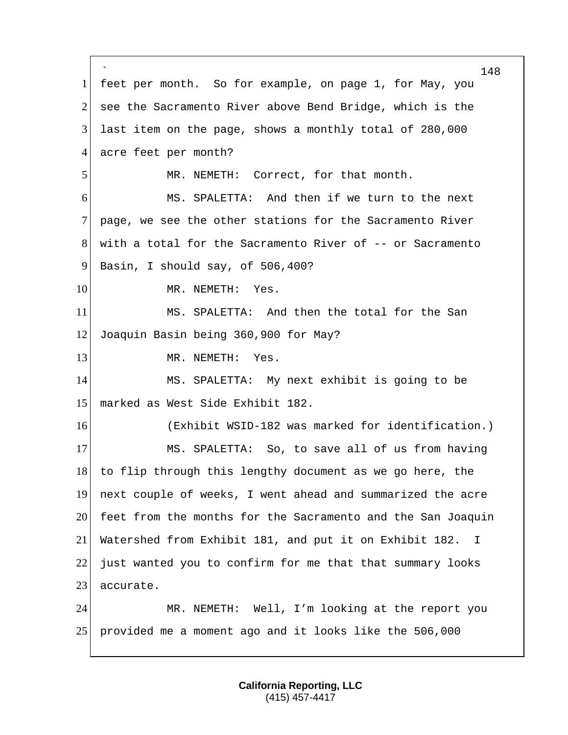` 148 1 feet per month. So for example, on page 1, for May, you 2 see the Sacramento River above Bend Bridge, which is the 3 last item on the page, shows a monthly total of 280,000 4 acre feet per month? 5 MR. NEMETH: Correct, for that month. 6 MS. SPALETTA: And then if we turn to the next 7 page, we see the other stations for the Sacramento River 8 with a total for the Sacramento River of -- or Sacramento 9 Basin, I should say, of  $506,400$ ? 10 MR. NEMETH: Yes. 11 MS. SPALETTA: And then the total for the San 12 Joaquin Basin being 360,900 for May? 13 MR. NEMETH: Yes. 14 MS. SPALETTA: My next exhibit is going to be 15 marked as West Side Exhibit 182. 16 (Exhibit WSID-182 was marked for identification.) 17 MS. SPALETTA: So, to save all of us from having 18 to flip through this lengthy document as we go here, the 19 next couple of weeks, I went ahead and summarized the acre 20 feet from the months for the Sacramento and the San Joaquin 21 Watershed from Exhibit 181, and put it on Exhibit 182. I 22 just wanted you to confirm for me that that summary looks 23 accurate. 24 MR. NEMETH: Well, I'm looking at the report you 25 provided me a moment ago and it looks like the 506,000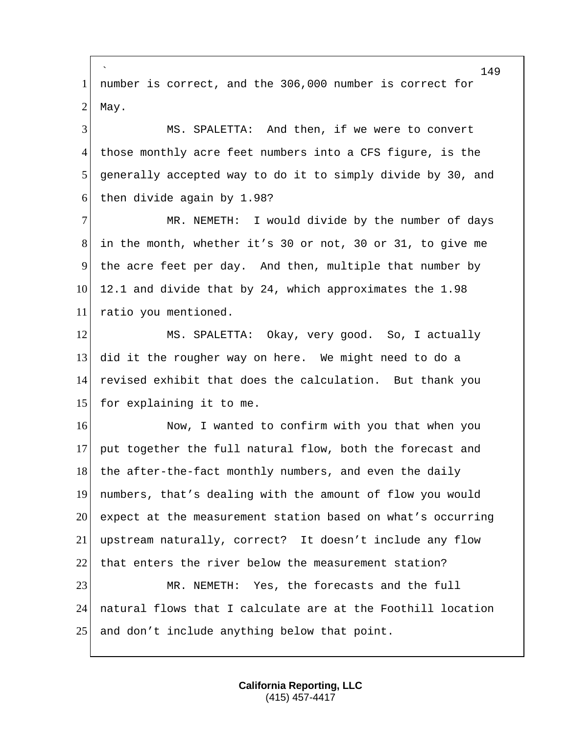` 1 number is correct, and the 306,000 number is correct for  $2$  May. 3 MS. SPALETTA: And then, if we were to convert 4 those monthly acre feet numbers into a CFS figure, is the 5 generally accepted way to do it to simply divide by 30, and 6 then divide again by 1.98? 7 MR. NEMETH: I would divide by the number of days 8 in the month, whether it's 30 or not, 30 or 31, to give me 9 the acre feet per day. And then, multiple that number by 10 12.1 and divide that by 24, which approximates the 1.98 11 ratio you mentioned. 12 MS. SPALETTA: Okay, very good. So, I actually 13 did it the rougher way on here. We might need to do a 14 revised exhibit that does the calculation. But thank you 15 for explaining it to me. 16 Now, I wanted to confirm with you that when you 17 put together the full natural flow, both the forecast and 18 the after-the-fact monthly numbers, and even the daily 19 numbers, that's dealing with the amount of flow you would 20 expect at the measurement station based on what's occurring 21 upstream naturally, correct? It doesn't include any flow 22 that enters the river below the measurement station? 23 MR. NEMETH: Yes, the forecasts and the full 24 natural flows that I calculate are at the Foothill location 25 and don't include anything below that point.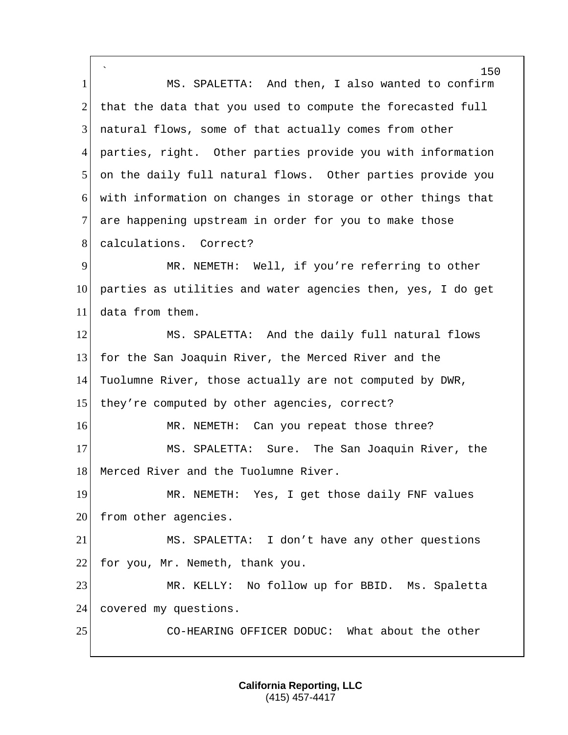` 150 1 MS. SPALETTA: And then, I also wanted to confirm  $2$  that the data that you used to compute the forecasted full 3 natural flows, some of that actually comes from other 4 parties, right. Other parties provide you with information 5 on the daily full natural flows. Other parties provide you 6 with information on changes in storage or other things that 7 are happening upstream in order for you to make those 8 calculations. Correct? 9 MR. NEMETH: Well, if you're referring to other 10 parties as utilities and water agencies then, yes, I do get 11 data from them. 12 MS. SPALETTA: And the daily full natural flows 13 for the San Joaquin River, the Merced River and the 14 Tuolumne River, those actually are not computed by DWR, 15 they're computed by other agencies, correct? 16 MR. NEMETH: Can you repeat those three? 17 MS. SPALETTA: Sure. The San Joaquin River, the 18 Merced River and the Tuolumne River. 19 MR. NEMETH: Yes, I get those daily FNF values 20 from other agencies. 21 MS. SPALETTA: I don't have any other questions 22 for you, Mr. Nemeth, thank you. 23 MR. KELLY: No follow up for BBID. Ms. Spaletta 24 covered my questions. 25 CO-HEARING OFFICER DODUC: What about the other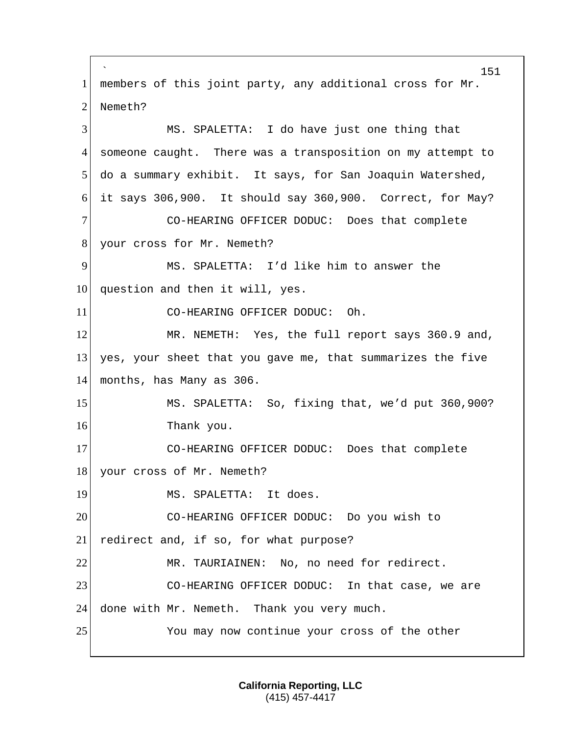` 151 1 members of this joint party, any additional cross for Mr. 2 Nemeth? 3 MS. SPALETTA: I do have just one thing that 4 someone caught. There was a transposition on my attempt to 5 do a summary exhibit. It says, for San Joaquin Watershed, 6 it says 306,900. It should say 360,900. Correct, for May? 7 CO-HEARING OFFICER DODUC: Does that complete 8 your cross for Mr. Nemeth? 9 MS. SPALETTA: I'd like him to answer the 10 question and then it will, yes. 11 CO-HEARING OFFICER DODUC: Oh. 12 MR. NEMETH: Yes, the full report says 360.9 and, 13 yes, your sheet that you gave me, that summarizes the five 14 months, has Many as 306. 15 MS. SPALETTA: So, fixing that, we'd put 360,900? 16 Thank you. 17 CO-HEARING OFFICER DODUC: Does that complete 18 your cross of Mr. Nemeth? 19 MS. SPALETTA: It does. 20 CO-HEARING OFFICER DODUC: Do you wish to 21 redirect and, if so, for what purpose? 22 MR. TAURIAINEN: No, no need for redirect. 23 CO-HEARING OFFICER DODUC: In that case, we are 24 done with Mr. Nemeth. Thank you very much. 25 You may now continue your cross of the other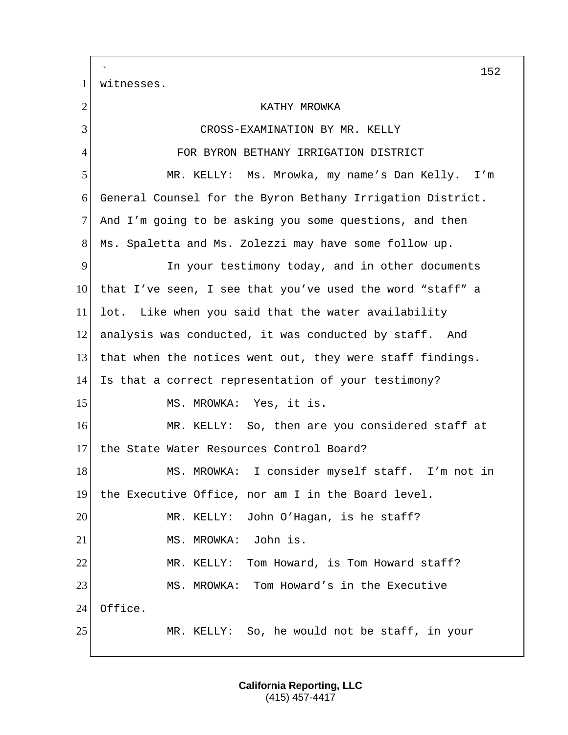` 152 1 witnesses. 2 KATHY MROWKA 3 CROSS-EXAMINATION BY MR. KELLY 4 FOR BYRON BETHANY IRRIGATION DISTRICT 5 MR. KELLY: Ms. Mrowka, my name's Dan Kelly. I'm 6 General Counsel for the Byron Bethany Irrigation District. 7 And I'm going to be asking you some questions, and then 8 Ms. Spaletta and Ms. Zolezzi may have some follow up. 9 In your testimony today, and in other documents 10 that I've seen, I see that you've used the word "staff" a 11 lot. Like when you said that the water availability 12 analysis was conducted, it was conducted by staff. And 13 that when the notices went out, they were staff findings. 14 Is that a correct representation of your testimony? 15 MS. MROWKA: Yes, it is. 16 MR. KELLY: So, then are you considered staff at 17 the State Water Resources Control Board? 18 MS. MROWKA: I consider myself staff. I'm not in 19 the Executive Office, nor am I in the Board level. 20 MR. KELLY: John O'Hagan, is he staff? 21 MS. MROWKA: John is. 22 MR. KELLY: Tom Howard, is Tom Howard staff? 23 MS. MROWKA: Tom Howard's in the Executive 24 Office. 25 MR. KELLY: So, he would not be staff, in your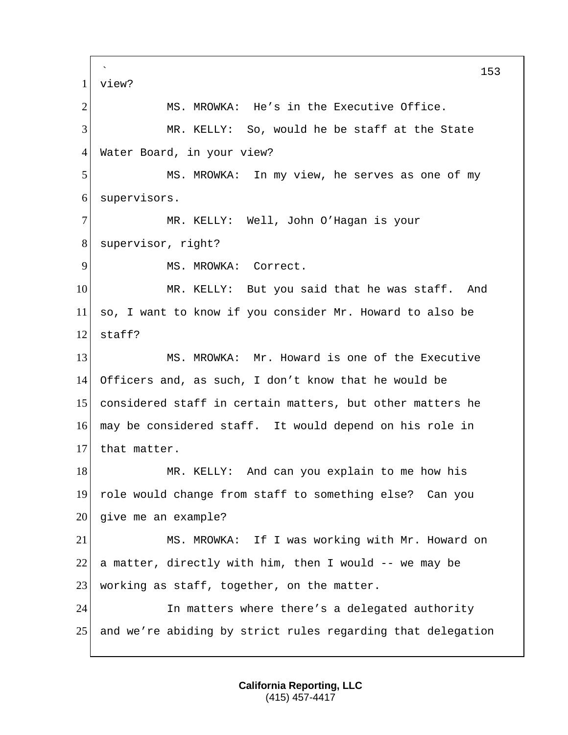` 153 1 view? 2 MS. MROWKA: He's in the Executive Office. 3 MR. KELLY: So, would he be staff at the State 4 Water Board, in your view? 5 MS. MROWKA: In my view, he serves as one of my 6 supervisors. 7 MR. KELLY: Well, John O'Hagan is your 8 supervisor, right? 9 MS. MROWKA: Correct. 10 MR. KELLY: But you said that he was staff. And 11 so, I want to know if you consider Mr. Howard to also be  $12$  staff? 13 MS. MROWKA: Mr. Howard is one of the Executive 14 Officers and, as such, I don't know that he would be 15 considered staff in certain matters, but other matters he 16 may be considered staff. It would depend on his role in 17 that matter. 18 MR. KELLY: And can you explain to me how his 19 role would change from staff to something else? Can you  $20$  give me an example? 21 MS. MROWKA: If I was working with Mr. Howard on 22 a matter, directly with him, then I would  $-$  we may be 23 working as staff, together, on the matter. 24 In matters where there's a delegated authority 25 and we're abiding by strict rules regarding that delegation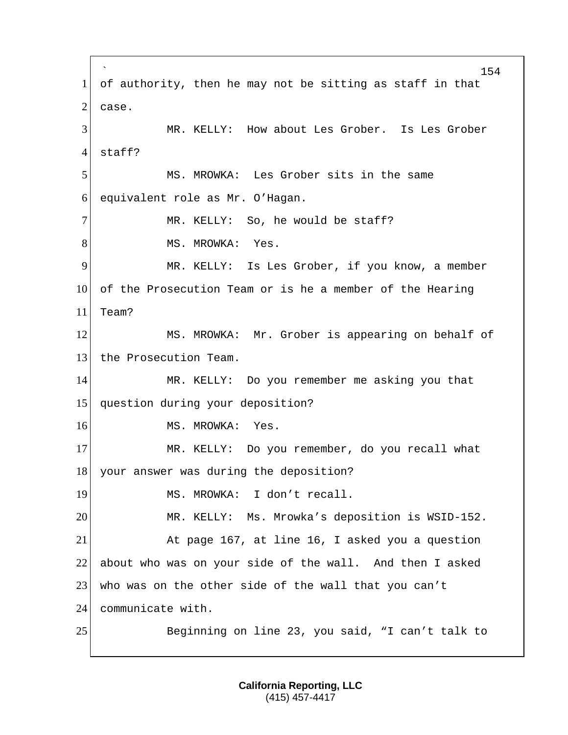` 154 1 of authority, then he may not be sitting as staff in that  $2^{\vert}$  case. 3 MR. KELLY: How about Les Grober. Is Les Grober 4 staff? 5 MS. MROWKA: Les Grober sits in the same 6 equivalent role as Mr. O'Hagan. 7 MR. KELLY: So, he would be staff? 8 MS. MROWKA: Yes. 9 MR. KELLY: Is Les Grober, if you know, a member 10 of the Prosecution Team or is he a member of the Hearing 11 Team? 12 MS. MROWKA: Mr. Grober is appearing on behalf of 13 the Prosecution Team. 14 MR. KELLY: Do you remember me asking you that 15 question during your deposition? 16 MS. MROWKA: Yes. 17 MR. KELLY: Do you remember, do you recall what 18 your answer was during the deposition? 19 MS. MROWKA: I don't recall. 20 MR. KELLY: Ms. Mrowka's deposition is WSID-152. 21 At page 167, at line 16, I asked you a question 22 about who was on your side of the wall. And then I asked 23 who was on the other side of the wall that you can't 24 communicate with. 25 Beginning on line 23, you said, "I can't talk to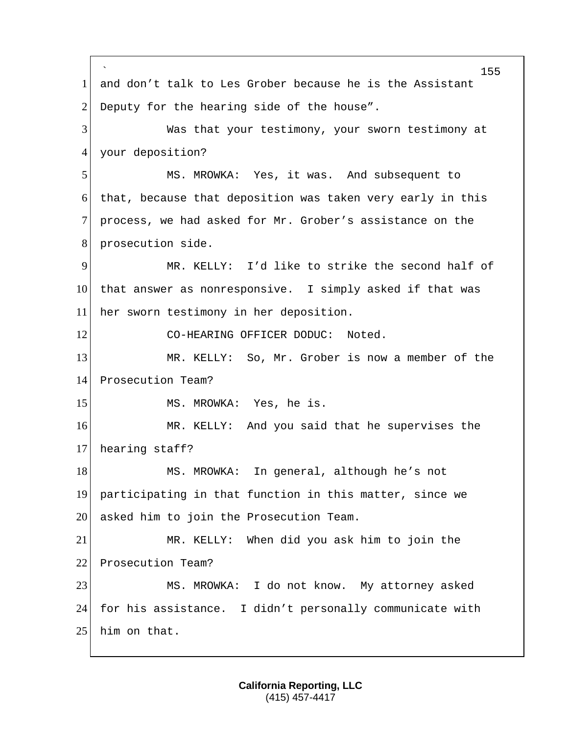` 155 1 and don't talk to Les Grober because he is the Assistant 2 Deputy for the hearing side of the house". 3 Was that your testimony, your sworn testimony at 4 your deposition? 5 MS. MROWKA: Yes, it was. And subsequent to 6 that, because that deposition was taken very early in this 7 process, we had asked for Mr. Grober's assistance on the 8 prosecution side. 9 MR. KELLY: I'd like to strike the second half of 10 that answer as nonresponsive. I simply asked if that was 11 her sworn testimony in her deposition. 12 CO-HEARING OFFICER DODUC: Noted. 13 MR. KELLY: So, Mr. Grober is now a member of the 14 Prosecution Team? 15 MS. MROWKA: Yes, he is. 16 MR. KELLY: And you said that he supervises the 17 hearing staff? 18 MS. MROWKA: In general, although he's not 19 participating in that function in this matter, since we 20 asked him to join the Prosecution Team. 21 MR. KELLY: When did you ask him to join the 22 Prosecution Team? 23 MS. MROWKA: I do not know. My attorney asked 24 for his assistance. I didn't personally communicate with 25 him on that.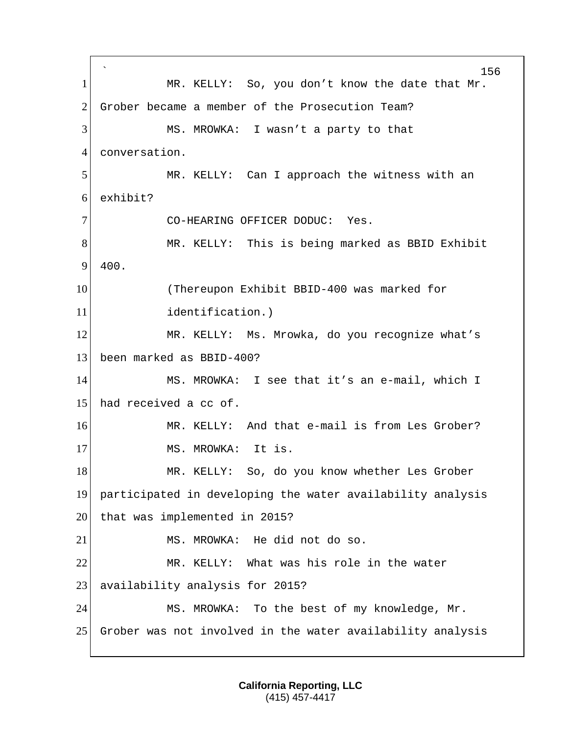` 156 1 MR. KELLY: So, you don't know the date that Mr. 2 Grober became a member of the Prosecution Team? 3 MS. MROWKA: I wasn't a party to that 4 conversation. 5 MR. KELLY: Can I approach the witness with an 6 exhibit? 7 CO-HEARING OFFICER DODUC: Yes. 8 MR. KELLY: This is being marked as BBID Exhibit 9 400. 10 (Thereupon Exhibit BBID-400 was marked for 11 identification.) 12 MR. KELLY: Ms. Mrowka, do you recognize what's 13 been marked as BBID-400? 14 MS. MROWKA: I see that it's an e-mail, which I 15 had received a cc of. 16 MR. KELLY: And that e-mail is from Les Grober? 17 MS. MROWKA: It is. 18 MR. KELLY: So, do you know whether Les Grober 19 participated in developing the water availability analysis 20 that was implemented in 2015? 21 MS. MROWKA: He did not do so. 22 MR. KELLY: What was his role in the water 23 availability analysis for 2015? 24 MS. MROWKA: To the best of my knowledge, Mr. 25 Grober was not involved in the water availability analysis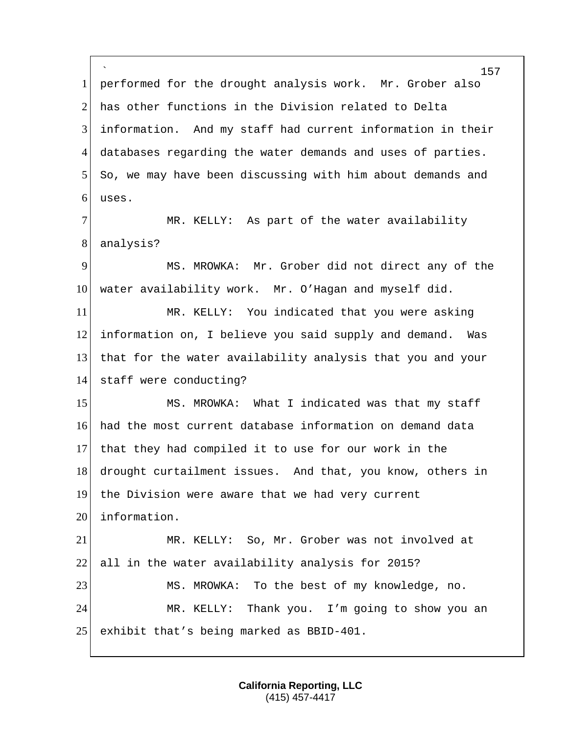` 1 performed for the drought analysis work. Mr. Grober also 2 has other functions in the Division related to Delta 3 information. And my staff had current information in their 4 databases regarding the water demands and uses of parties. 5 So, we may have been discussing with him about demands and  $6$  uses. 7 MR. KELLY: As part of the water availability 8 analysis? 9 MS. MROWKA: Mr. Grober did not direct any of the 10 water availability work. Mr. O'Hagan and myself did. 11 MR. KELLY: You indicated that you were asking 12 information on, I believe you said supply and demand. Was 13 that for the water availability analysis that you and your 14 staff were conducting? 15 MS. MROWKA: What I indicated was that my staff 16 had the most current database information on demand data 17 that they had compiled it to use for our work in the 18 drought curtailment issues. And that, you know, others in 19 the Division were aware that we had very current 20 information. 21 | MR. KELLY: So, Mr. Grober was not involved at 22 all in the water availability analysis for 2015? 23 MS. MROWKA: To the best of my knowledge, no. 24 MR. KELLY: Thank you. I'm going to show you an 25 exhibit that's being marked as BBID-401.

> **California Reporting, LLC** (415) 457-4417

157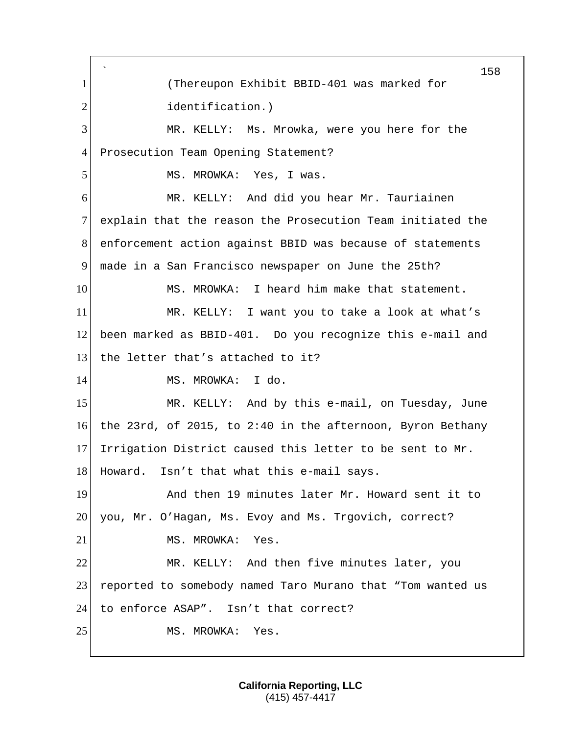` 158 1 (Thereupon Exhibit BBID-401 was marked for 2 identification.) 3 MR. KELLY: Ms. Mrowka, were you here for the 4 Prosecution Team Opening Statement? 5 MS. MROWKA: Yes, I was. 6 MR. KELLY: And did you hear Mr. Tauriainen 7 explain that the reason the Prosecution Team initiated the 8 enforcement action against BBID was because of statements 9 made in a San Francisco newspaper on June the 25th? 10 MS. MROWKA: I heard him make that statement. 11 MR. KELLY: I want you to take a look at what's 12 been marked as BBID-401. Do you recognize this e-mail and 13 the letter that's attached to it? 14 MS. MROWKA: I do. 15 MR. KELLY: And by this e-mail, on Tuesday, June 16 the 23rd, of 2015, to 2:40 in the afternoon, Byron Bethany 17 Irrigation District caused this letter to be sent to Mr. 18 Howard. Isn't that what this e-mail says. 19 And then 19 minutes later Mr. Howard sent it to 20 you, Mr. O'Hagan, Ms. Evoy and Ms. Trgovich, correct? 21 MS. MROWKA: Yes. 22 MR. KELLY: And then five minutes later, you 23 reported to somebody named Taro Murano that "Tom wanted us 24 to enforce ASAP". Isn't that correct? 25 MS. MROWKA: Yes.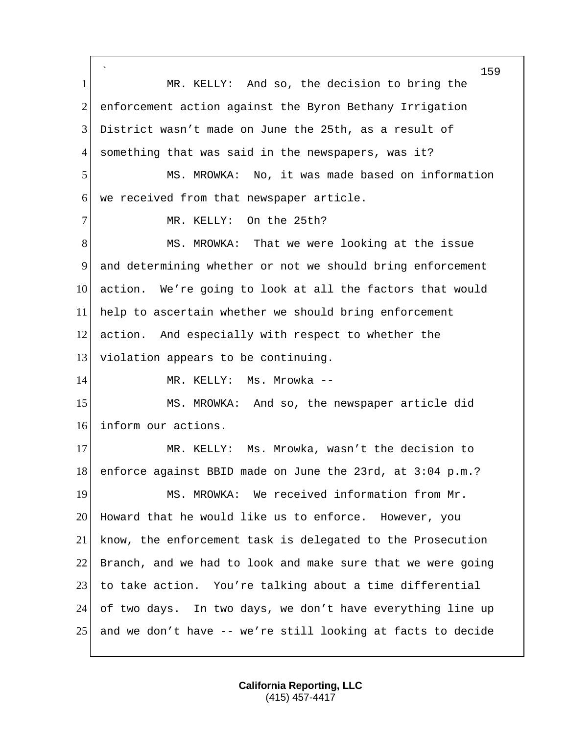` 159 1 MR. KELLY: And so, the decision to bring the 2 enforcement action against the Byron Bethany Irrigation 3 District wasn't made on June the 25th, as a result of 4 something that was said in the newspapers, was it? 5 MS. MROWKA: No, it was made based on information 6 we received from that newspaper article. 7 MR. KELLY: On the 25th? 8 MS. MROWKA: That we were looking at the issue 9 and determining whether or not we should bring enforcement 10 action. We're going to look at all the factors that would 11 help to ascertain whether we should bring enforcement 12 action. And especially with respect to whether the 13 violation appears to be continuing. 14 MR. KELLY: Ms. Mrowka --15 MS. MROWKA: And so, the newspaper article did 16 inform our actions. 17 MR. KELLY: Ms. Mrowka, wasn't the decision to 18 enforce against BBID made on June the 23rd, at 3:04 p.m.? 19 MS. MROWKA: We received information from Mr. 20 Howard that he would like us to enforce. However, you 21 know, the enforcement task is delegated to the Prosecution 22 Branch, and we had to look and make sure that we were going 23 to take action. You're talking about a time differential 24 of two days. In two days, we don't have everything line up 25 and we don't have -- we're still looking at facts to decide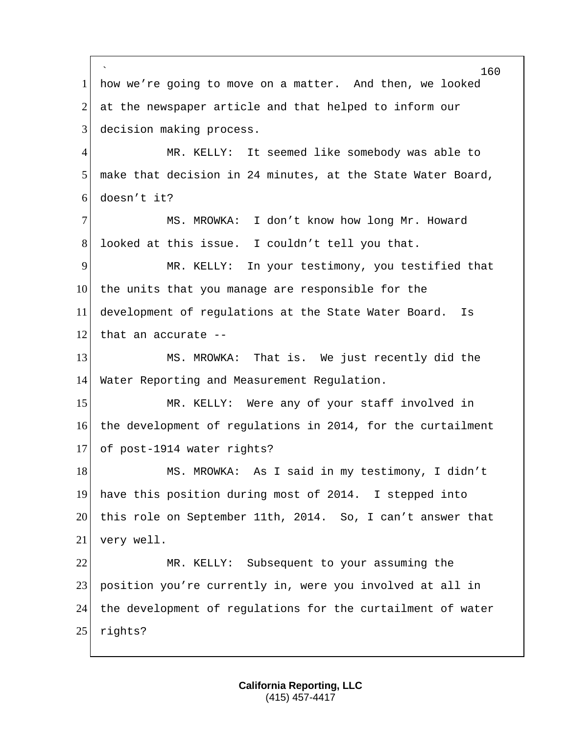` how we're going to move on a matter. And then, we looked at the newspaper article and that helped to inform our 3 decision making process. 4 MR. KELLY: It seemed like somebody was able to make that decision in 24 minutes, at the State Water Board, doesn't it? MS. MROWKA: I don't know how long Mr. Howard 8 looked at this issue. I couldn't tell you that. MR. KELLY: In your testimony, you testified that 10 the units that you manage are responsible for the development of regulations at the State Water Board. Is 12 that an accurate  $-$  MS. MROWKA: That is. We just recently did the Water Reporting and Measurement Regulation. 15 MR. KELLY: Were any of your staff involved in the development of regulations in 2014, for the curtailment of post-1914 water rights? 18 MS. MROWKA: As I said in my testimony, I didn't have this position during most of 2014. I stepped into this role on September 11th, 2014. So, I can't answer that very well. MR. KELLY: Subsequent to your assuming the position you're currently in, were you involved at all in the development of regulations for the curtailment of water rights?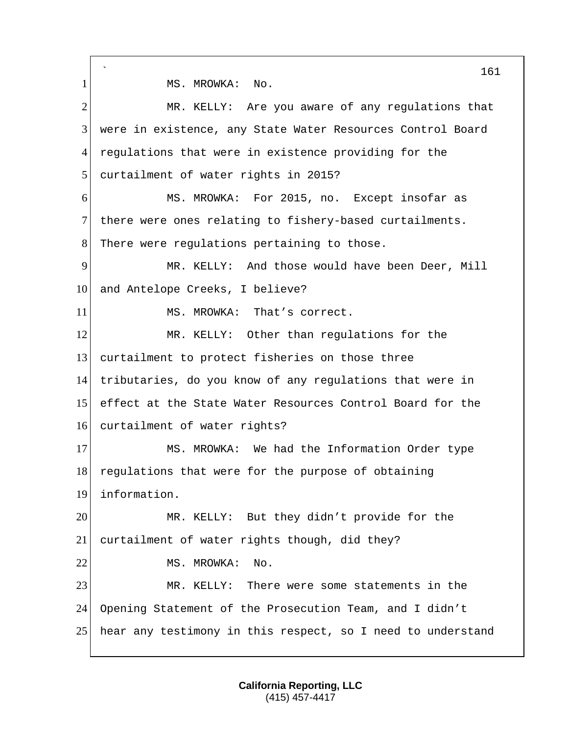` 161 1 MS. MROWKA: No. 2 MR. KELLY: Are you aware of any regulations that 3 were in existence, any State Water Resources Control Board 4 regulations that were in existence providing for the 5 curtailment of water rights in 2015? 6 MS. MROWKA: For 2015, no. Except insofar as 7 there were ones relating to fishery-based curtailments. 8 There were regulations pertaining to those. 9 MR. KELLY: And those would have been Deer, Mill 10 and Antelope Creeks, I believe? 11 MS. MROWKA: That's correct. 12 MR. KELLY: Other than regulations for the 13 curtailment to protect fisheries on those three 14 tributaries, do you know of any regulations that were in 15 effect at the State Water Resources Control Board for the 16 curtailment of water rights? 17 MS. MROWKA: We had the Information Order type 18 regulations that were for the purpose of obtaining 19 information. 20 MR. KELLY: But they didn't provide for the 21 curtailment of water rights though, did they? 22 MS. MROWKA: No. 23 MR. KELLY: There were some statements in the 24 Opening Statement of the Prosecution Team, and I didn't 25 hear any testimony in this respect, so I need to understand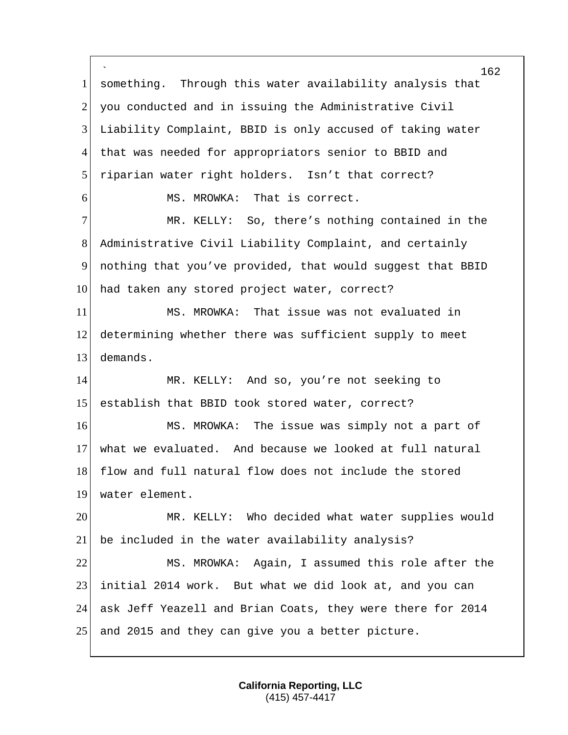` something. Through this water availability analysis that 2 you conducted and in issuing the Administrative Civil Liability Complaint, BBID is only accused of taking water that was needed for appropriators senior to BBID and 5 riparian water right holders. Isn't that correct? 6 MS. MROWKA: That is correct. MR. KELLY: So, there's nothing contained in the Administrative Civil Liability Complaint, and certainly nothing that you've provided, that would suggest that BBID 10 had taken any stored project water, correct? MS. MROWKA: That issue was not evaluated in determining whether there was sufficient supply to meet demands. MR. KELLY: And so, you're not seeking to establish that BBID took stored water, correct? MS. MROWKA: The issue was simply not a part of what we evaluated. And because we looked at full natural 18 flow and full natural flow does not include the stored 19 water element. MR. KELLY: Who decided what water supplies would be included in the water availability analysis? MS. MROWKA: Again, I assumed this role after the initial 2014 work. But what we did look at, and you can ask Jeff Yeazell and Brian Coats, they were there for 2014 25 and 2015 and they can give you a better picture.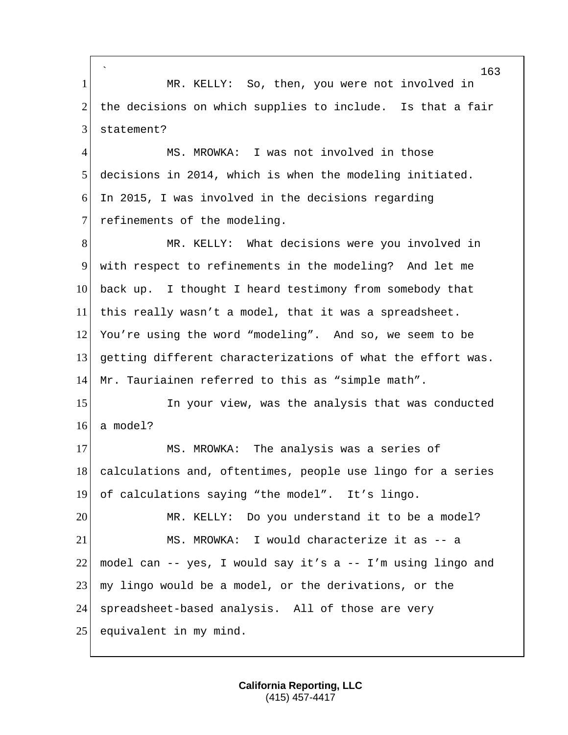` 1 MR. KELLY: So, then, you were not involved in  $2$  the decisions on which supplies to include. Is that a fair 3 statement? 4 MS. MROWKA: I was not involved in those

5 decisions in 2014, which is when the modeling initiated.  $6$  In 2015, I was involved in the decisions regarding 7 refinements of the modeling.

8 MR. KELLY: What decisions were you involved in with respect to refinements in the modeling? And let me back up. I thought I heard testimony from somebody that this really wasn't a model, that it was a spreadsheet. 12 You're using the word "modeling". And so, we seem to be getting different characterizations of what the effort was. Mr. Tauriainen referred to this as "simple math".

15 In your view, was the analysis that was conducted 16 a model?

17 MS. MROWKA: The analysis was a series of 18 calculations and, oftentimes, people use lingo for a series 19 of calculations saying "the model". It's lingo.

20 MR. KELLY: Do you understand it to be a model? 21 MS. MROWKA: I would characterize it as -- a 22 model can  $-$  yes, I would say it's a  $-$  I'm using lingo and 23 my lingo would be a model, or the derivations, or the 24 spreadsheet-based analysis. All of those are very 25 equivalent in my mind.

> **California Reporting, LLC** (415) 457-4417

163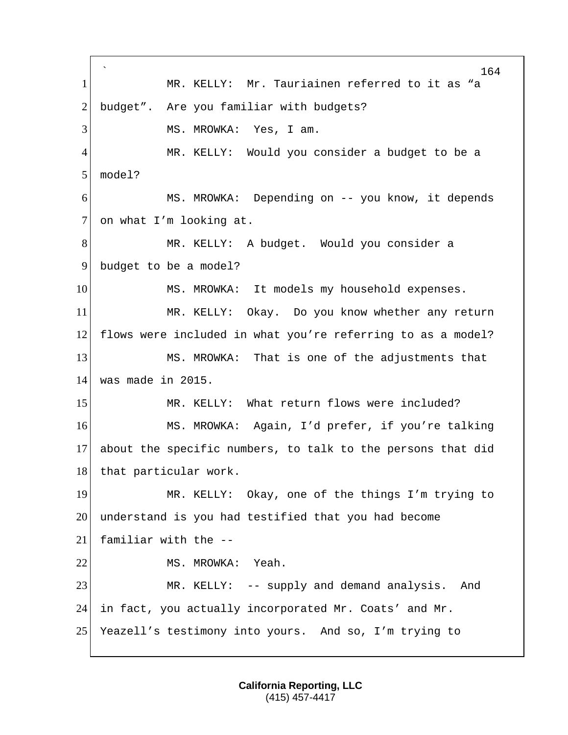` 164 1 MR. KELLY: Mr. Tauriainen referred to it as "a 2 budget". Are you familiar with budgets? 3 MS. MROWKA: Yes, I am. 4 MR. KELLY: Would you consider a budget to be a 5 model? 6 MS. MROWKA: Depending on -- you know, it depends 7 on what I'm looking at. 8 MR. KELLY: A budget. Would you consider a 9 budget to be a model? 10 MS. MROWKA: It models my household expenses. 11 MR. KELLY: Okay. Do you know whether any return 12 flows were included in what you're referring to as a model? 13 MS. MROWKA: That is one of the adjustments that 14 was made in 2015. 15 MR. KELLY: What return flows were included? 16 MS. MROWKA: Again, I'd prefer, if you're talking 17 about the specific numbers, to talk to the persons that did 18 that particular work. 19 MR. KELLY: Okay, one of the things I'm trying to 20 understand is you had testified that you had become 21 familiar with the -- 22 MS. MROWKA: Yeah. 23 MR. KELLY: -- supply and demand analysis. And 24 in fact, you actually incorporated Mr. Coats' and Mr. 25 Yeazell's testimony into yours. And so, I'm trying to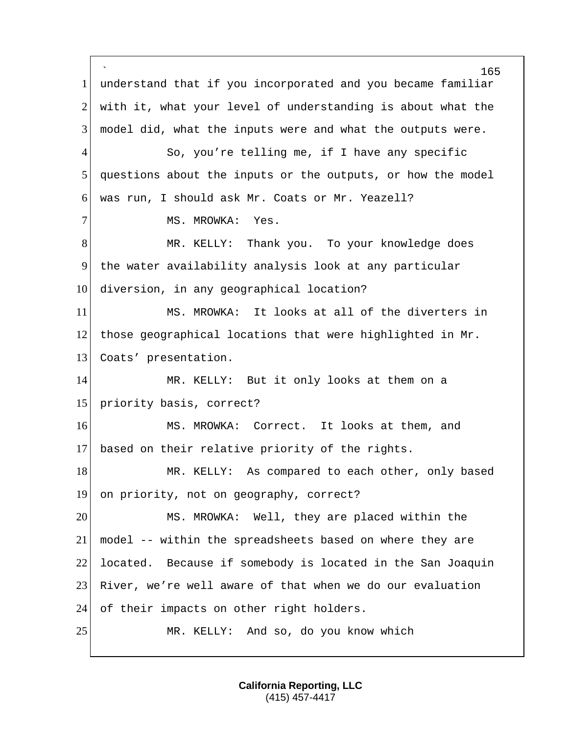` 165 1 understand that if you incorporated and you became familiar 2 with it, what your level of understanding is about what the 3 model did, what the inputs were and what the outputs were. 4 So, you're telling me, if I have any specific 5 questions about the inputs or the outputs, or how the model 6 was run, I should ask Mr. Coats or Mr. Yeazell? 7 MS. MROWKA: Yes. 8 MR. KELLY: Thank you. To your knowledge does 9 the water availability analysis look at any particular 10 diversion, in any geographical location? 11 MS. MROWKA: It looks at all of the diverters in 12 those geographical locations that were highlighted in  $Mr$ . 13 Coats' presentation. 14 MR. KELLY: But it only looks at them on a 15 priority basis, correct? 16 MS. MROWKA: Correct. It looks at them, and 17 based on their relative priority of the rights. 18 MR. KELLY: As compared to each other, only based 19 on priority, not on geography, correct? 20 MS. MROWKA: Well, they are placed within the 21 model -- within the spreadsheets based on where they are 22 located. Because if somebody is located in the San Joaquin 23 River, we're well aware of that when we do our evaluation 24 of their impacts on other right holders. 25 MR. KELLY: And so, do you know which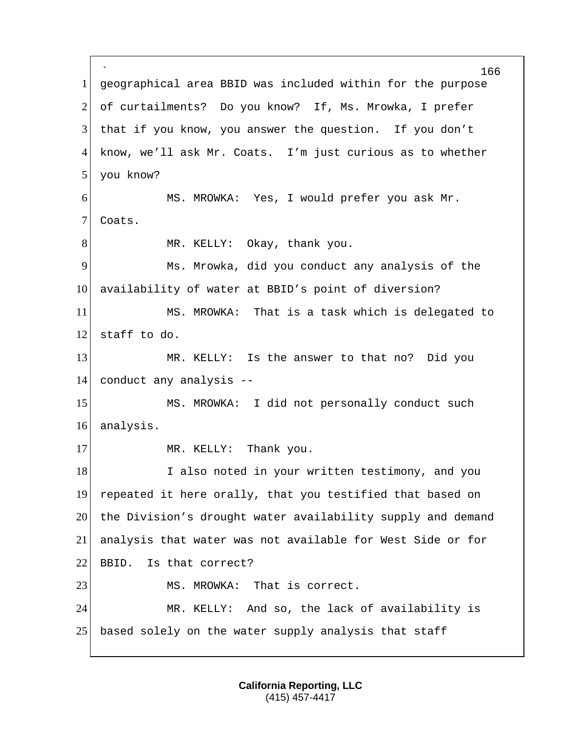` 166 1 geographical area BBID was included within for the purpose 2 of curtailments? Do you know? If, Ms. Mrowka, I prefer 3 that if you know, you answer the question. If you don't 4 know, we'll ask Mr. Coats. I'm just curious as to whether 5 you know? 6 MS. MROWKA: Yes, I would prefer you ask Mr. 7 Coats. 8 MR. KELLY: Okay, thank you. 9 Ms. Mrowka, did you conduct any analysis of the 10 availability of water at BBID's point of diversion? 11 MS. MROWKA: That is a task which is delegated to  $12$  staff to do. 13 MR. KELLY: Is the answer to that no? Did you 14 conduct any analysis -- 15 MS. MROWKA: I did not personally conduct such 16 analysis. 17 MR. KELLY: Thank you. 18 I also noted in your written testimony, and you 19 repeated it here orally, that you testified that based on 20 the Division's drought water availability supply and demand 21 analysis that water was not available for West Side or for 22 BBID. Is that correct? 23 MS. MROWKA: That is correct. 24 MR. KELLY: And so, the lack of availability is 25 based solely on the water supply analysis that staff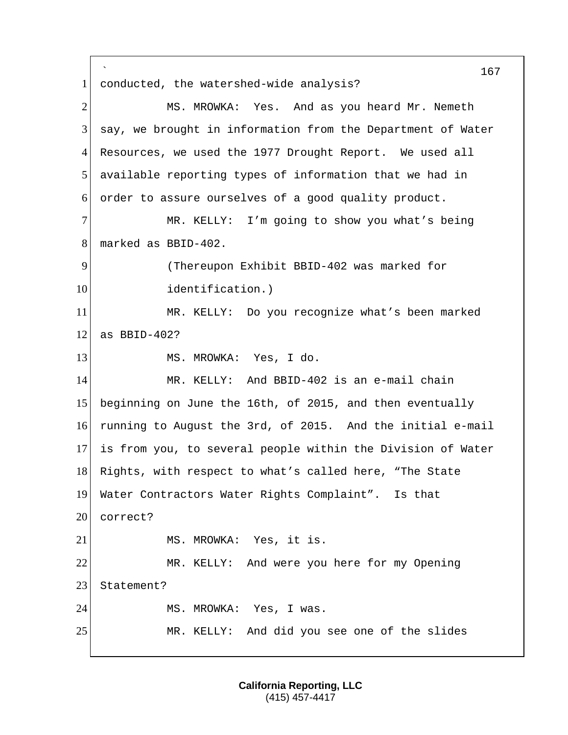` 167 1 conducted, the watershed-wide analysis? 2 MS. MROWKA: Yes. And as you heard Mr. Nemeth 3 say, we brought in information from the Department of Water 4 Resources, we used the 1977 Drought Report. We used all 5 available reporting types of information that we had in 6 order to assure ourselves of a good quality product. 7 MR. KELLY: I'm going to show you what's being 8 marked as BBID-402. 9 (Thereupon Exhibit BBID-402 was marked for 10 identification.) 11 MR. KELLY: Do you recognize what's been marked  $12$  as BBID-402? 13 MS. MROWKA: Yes, I do. 14 MR. KELLY: And BBID-402 is an e-mail chain 15 beginning on June the 16th, of 2015, and then eventually 16 running to August the 3rd, of 2015. And the initial e-mail 17 is from you, to several people within the Division of Water 18 Rights, with respect to what's called here, "The State 19 Water Contractors Water Rights Complaint". Is that 20 correct? 21 MS. MROWKA: Yes, it is. 22 MR. KELLY: And were you here for my Opening 23 Statement? 24 MS. MROWKA: Yes, I was. 25 MR. KELLY: And did you see one of the slides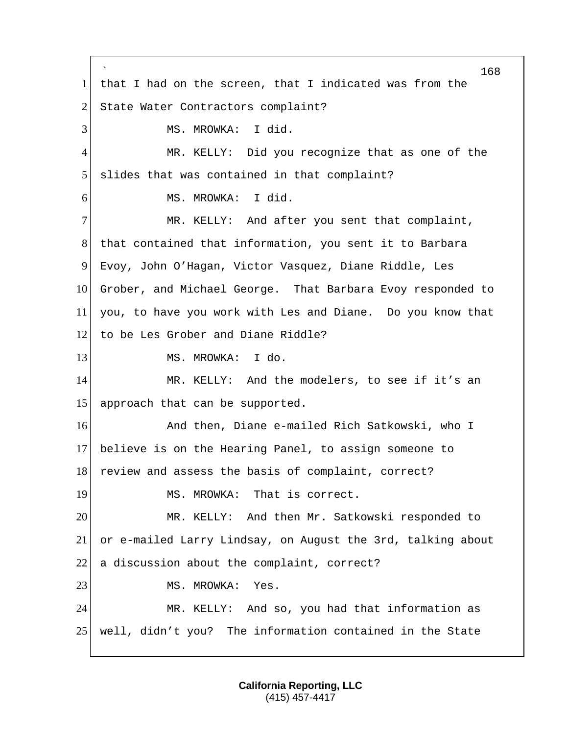` 168 1 that I had on the screen, that I indicated was from the 2 State Water Contractors complaint? 3 MS. MROWKA: I did. 4 MR. KELLY: Did you recognize that as one of the 5 slides that was contained in that complaint? 6 MS. MROWKA: I did. 7 MR. KELLY: And after you sent that complaint, 8 that contained that information, you sent it to Barbara 9 Evoy, John O'Hagan, Victor Vasquez, Diane Riddle, Les 10 Grober, and Michael George. That Barbara Evoy responded to 11 you, to have you work with Les and Diane. Do you know that 12 to be Les Grober and Diane Riddle? 13 MS. MROWKA: I do. 14 MR. KELLY: And the modelers, to see if it's an 15 approach that can be supported. 16 And then, Diane e-mailed Rich Satkowski, who I 17 believe is on the Hearing Panel, to assign someone to 18 review and assess the basis of complaint, correct? 19 MS. MROWKA: That is correct. 20 MR. KELLY: And then Mr. Satkowski responded to 21 or e-mailed Larry Lindsay, on August the 3rd, talking about  $22$  a discussion about the complaint, correct? 23 MS. MROWKA: Yes. 24 MR. KELLY: And so, you had that information as 25 well, didn't you? The information contained in the State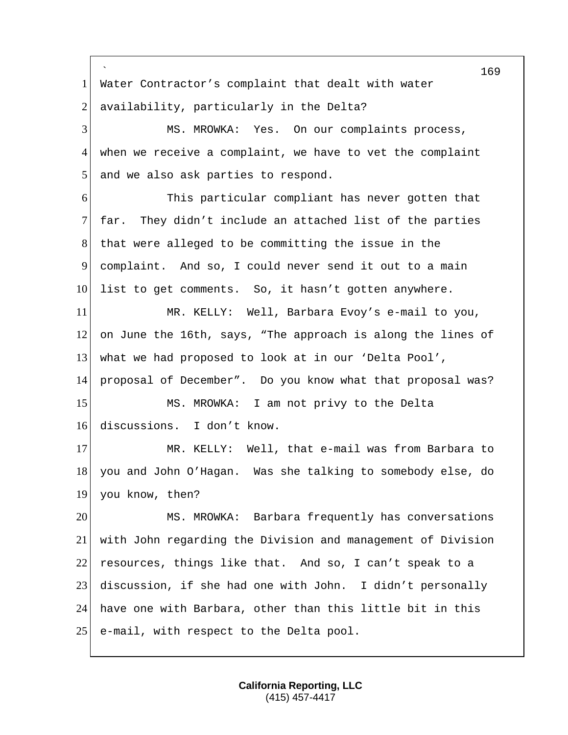` 1 Water Contractor's complaint that dealt with water 2 availability, particularly in the Delta? MS. MROWKA: Yes. On our complaints process, when we receive a complaint, we have to vet the complaint 5 and we also ask parties to respond. This particular compliant has never gotten that far. They didn't include an attached list of the parties that were alleged to be committing the issue in the complaint. And so, I could never send it out to a main 10 list to get comments. So, it hasn't gotten anywhere. MR. KELLY: Well, Barbara Evoy's e-mail to you, on June the 16th, says, "The approach is along the lines of what we had proposed to look at in our 'Delta Pool', proposal of December". Do you know what that proposal was? 15 MS. MROWKA: I am not privy to the Delta discussions. I don't know. 17 MR. KELLY: Well, that e-mail was from Barbara to you and John O'Hagan. Was she talking to somebody else, do you know, then? MS. MROWKA: Barbara frequently has conversations with John regarding the Division and management of Division 22 resources, things like that. And so, I can't speak to a discussion, if she had one with John. I didn't personally have one with Barbara, other than this little bit in this 25 e-mail, with respect to the Delta pool.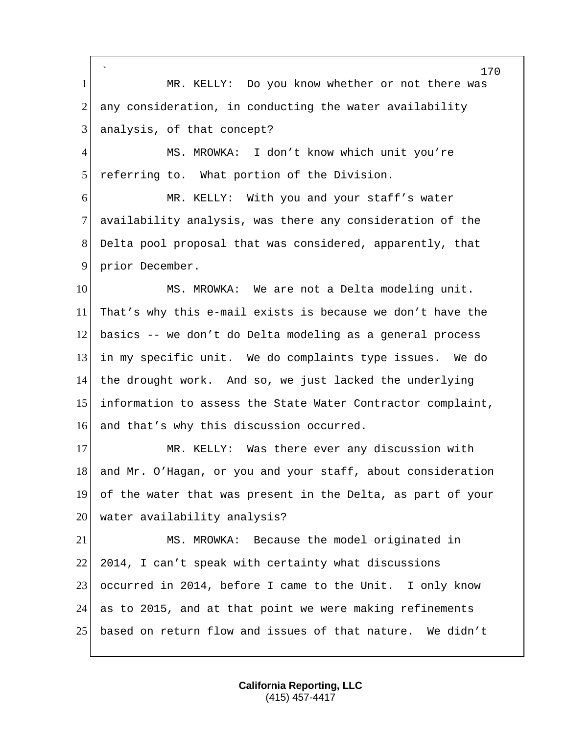` 170 1 MR. KELLY: Do you know whether or not there was  $2$  any consideration, in conducting the water availability  $3$  analysis, of that concept? 4 MS. MROWKA: I don't know which unit you're 5 referring to. What portion of the Division. 6 MR. KELLY: With you and your staff's water 7 availability analysis, was there any consideration of the 8 Delta pool proposal that was considered, apparently, that 9 prior December. 10 MS. MROWKA: We are not a Delta modeling unit. 11 That's why this e-mail exists is because we don't have the 12 basics -- we don't do Delta modeling as a general process 13 in my specific unit. We do complaints type issues. We do 14 the drought work. And so, we just lacked the underlying 15 information to assess the State Water Contractor complaint, 16 and that's why this discussion occurred. 17 MR. KELLY: Was there ever any discussion with 18 and Mr. O'Hagan, or you and your staff, about consideration 19 of the water that was present in the Delta, as part of your 20 water availability analysis? 21 MS. MROWKA: Because the model originated in 22 2014, I can't speak with certainty what discussions 23 occurred in 2014, before I came to the Unit. I only know 24 as to 2015, and at that point we were making refinements 25 based on return flow and issues of that nature. We didn't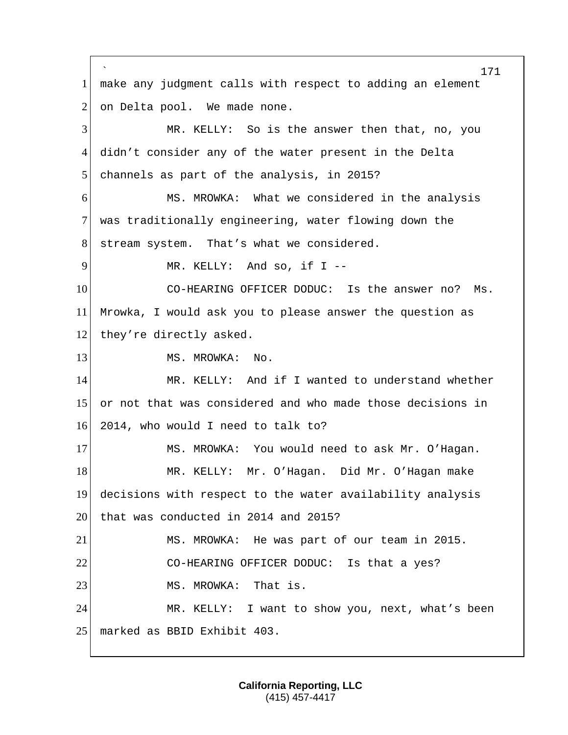` 171 1 make any judgment calls with respect to adding an element  $2$  on Delta pool. We made none. 3 MR. KELLY: So is the answer then that, no, you 4 didn't consider any of the water present in the Delta 5 channels as part of the analysis, in 2015? 6 MS. MROWKA: What we considered in the analysis 7 was traditionally engineering, water flowing down the 8 stream system. That's what we considered. 9 MR. KELLY: And so, if I --10 CO-HEARING OFFICER DODUC: Is the answer no? Ms. 11 Mrowka, I would ask you to please answer the question as 12 they're directly asked. 13 MS. MROWKA: No. 14 MR. KELLY: And if I wanted to understand whether 15 or not that was considered and who made those decisions in 16 2014, who would I need to talk to? 17 MS. MROWKA: You would need to ask Mr. O'Hagan. 18 MR. KELLY: Mr. O'Hagan. Did Mr. O'Hagan make 19 decisions with respect to the water availability analysis 20 that was conducted in 2014 and 2015? 21 MS. MROWKA: He was part of our team in 2015. 22 CO-HEARING OFFICER DODUC: Is that a yes? 23 MS. MROWKA: That is. 24 MR. KELLY: I want to show you, next, what's been 25 | marked as BBID Exhibit 403.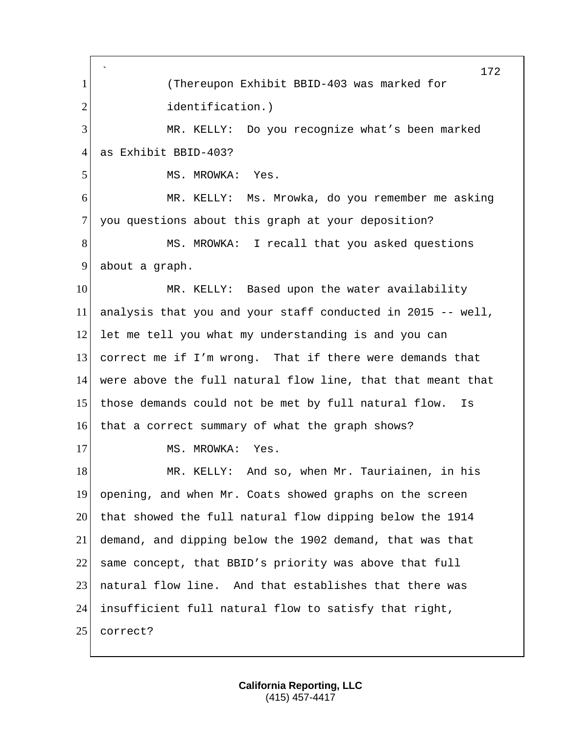` 172 1 (Thereupon Exhibit BBID-403 was marked for 2 identification.) 3 MR. KELLY: Do you recognize what's been marked 4 as Exhibit BBID-403? 5 MS. MROWKA: Yes. 6 MR. KELLY: Ms. Mrowka, do you remember me asking 7 you questions about this graph at your deposition? 8 MS. MROWKA: I recall that you asked questions 9 about a graph. 10 MR. KELLY: Based upon the water availability 11 analysis that you and your staff conducted in 2015 -- well, 12 let me tell you what my understanding is and you can 13 correct me if I'm wrong. That if there were demands that 14 were above the full natural flow line, that that meant that 15 those demands could not be met by full natural flow. Is 16 that a correct summary of what the graph shows? 17 MS. MROWKA: Yes. 18 MR. KELLY: And so, when Mr. Tauriainen, in his 19 opening, and when Mr. Coats showed graphs on the screen 20 that showed the full natural flow dipping below the 1914 21 demand, and dipping below the 1902 demand, that was that 22 same concept, that BBID's priority was above that full 23 natural flow line. And that establishes that there was 24 insufficient full natural flow to satisfy that right, 25 correct?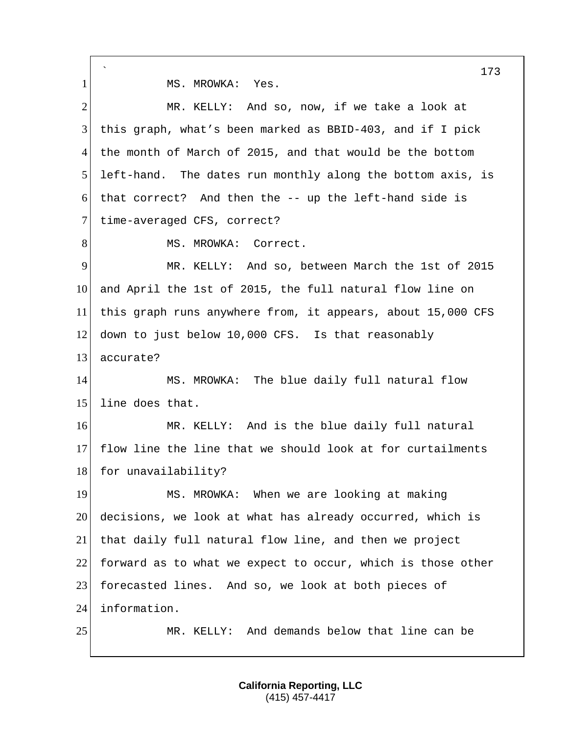` 173 1 MS. MROWKA: Yes. 2 MR. KELLY: And so, now, if we take a look at 3 this graph, what's been marked as BBID-403, and if I pick 4 the month of March of 2015, and that would be the bottom 5 left-hand. The dates run monthly along the bottom axis, is 6 that correct? And then the -- up the left-hand side is 7 time-averaged CFS, correct? 8 MS. MROWKA: Correct. 9 MR. KELLY: And so, between March the 1st of 2015 10 and April the 1st of 2015, the full natural flow line on 11 this graph runs anywhere from, it appears, about 15,000 CFS 12 down to just below 10,000 CFS. Is that reasonably 13 accurate? 14 MS. MROWKA: The blue daily full natural flow 15 line does that. 16 MR. KELLY: And is the blue daily full natural 17 flow line the line that we should look at for curtailments 18 for unavailability? 19 MS. MROWKA: When we are looking at making 20 decisions, we look at what has already occurred, which is 21 that daily full natural flow line, and then we project 22 forward as to what we expect to occur, which is those other 23 forecasted lines. And so, we look at both pieces of 24 information. 25 MR. KELLY: And demands below that line can be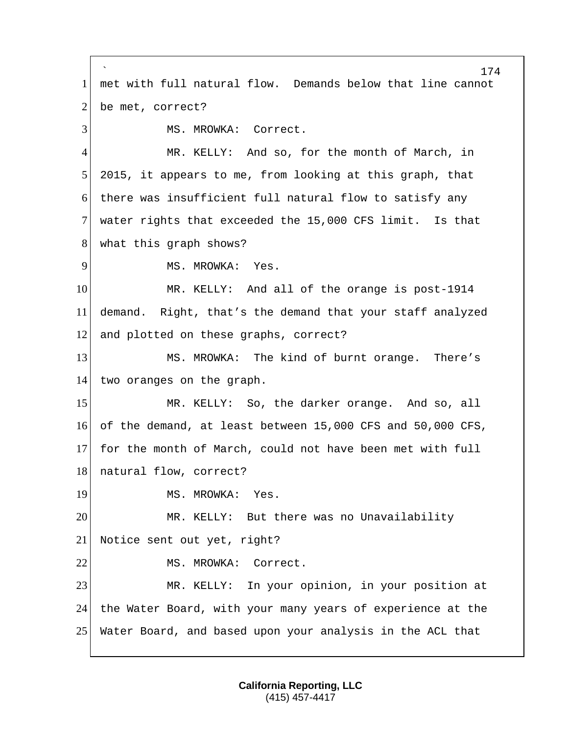` 174 1 met with full natural flow. Demands below that line cannot 2 be met, correct? 3 MS. MROWKA: Correct. 4 MR. KELLY: And so, for the month of March, in 5 2015, it appears to me, from looking at this graph, that 6 there was insufficient full natural flow to satisfy any 7 water rights that exceeded the 15,000 CFS limit. Is that 8 what this graph shows? 9 MS. MROWKA: Yes. 10 MR. KELLY: And all of the orange is post-1914 11 demand. Right, that's the demand that your staff analyzed 12 and plotted on these graphs, correct? 13 MS. MROWKA: The kind of burnt orange. There's 14 two oranges on the graph. 15 MR. KELLY: So, the darker orange. And so, all 16 of the demand, at least between 15,000 CFS and 50,000 CFS, 17 for the month of March, could not have been met with full 18 natural flow, correct? 19 MS. MROWKA: Yes. 20 MR. KELLY: But there was no Unavailability 21 Notice sent out yet, right? 22 MS. MROWKA: Correct. 23 MR. KELLY: In your opinion, in your position at 24 the Water Board, with your many years of experience at the 25 Water Board, and based upon your analysis in the ACL that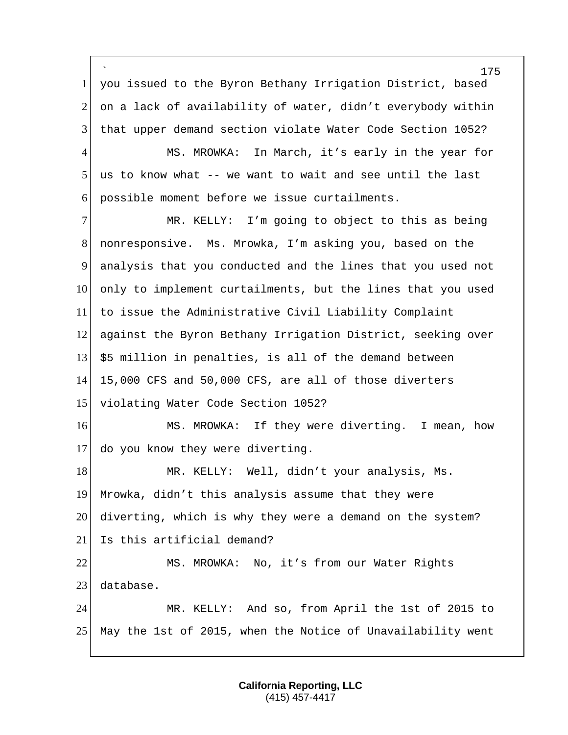` you issued to the Byron Bethany Irrigation District, based 2 on a lack of availability of water, didn't everybody within that upper demand section violate Water Code Section 1052? 4 MS. MROWKA: In March, it's early in the year for us to know what -- we want to wait and see until the last possible moment before we issue curtailments. MR. KELLY: I'm going to object to this as being nonresponsive. Ms. Mrowka, I'm asking you, based on the analysis that you conducted and the lines that you used not only to implement curtailments, but the lines that you used to issue the Administrative Civil Liability Complaint against the Byron Bethany Irrigation District, seeking over \$5 million in penalties, is all of the demand between 15,000 CFS and 50,000 CFS, are all of those diverters 15 violating Water Code Section 1052? 16 MS. MROWKA: If they were diverting. I mean, how do you know they were diverting. 18 MR. KELLY: Well, didn't your analysis, Ms. Mrowka, didn't this analysis assume that they were diverting, which is why they were a demand on the system? Is this artificial demand? MS. MROWKA: No, it's from our Water Rights database. MR. KELLY: And so, from April the 1st of 2015 to May the 1st of 2015, when the Notice of Unavailability went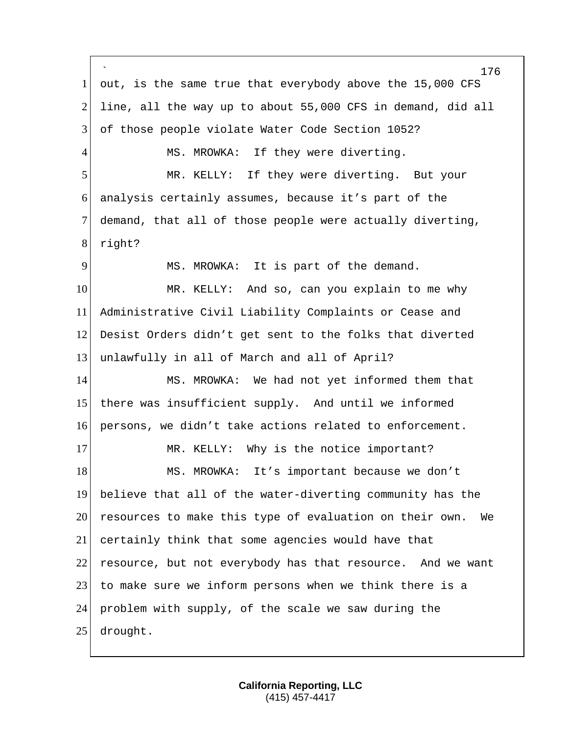` 176 1 out, is the same true that everybody above the 15,000 CFS 2 line, all the way up to about 55,000 CFS in demand, did all 3 of those people violate Water Code Section 1052? 4 MS. MROWKA: If they were diverting. 5 MR. KELLY: If they were diverting. But your 6 analysis certainly assumes, because it's part of the 7 demand, that all of those people were actually diverting, 8 right? 9 MS. MROWKA: It is part of the demand. 10 MR. KELLY: And so, can you explain to me why 11 Administrative Civil Liability Complaints or Cease and 12 Desist Orders didn't get sent to the folks that diverted 13 unlawfully in all of March and all of April? 14 MS. MROWKA: We had not yet informed them that 15 there was insufficient supply. And until we informed 16 persons, we didn't take actions related to enforcement. 17 MR. KELLY: Why is the notice important? 18 MS. MROWKA: It's important because we don't 19 believe that all of the water-diverting community has the 20 resources to make this type of evaluation on their own. We 21 certainly think that some agencies would have that 22 resource, but not everybody has that resource. And we want 23 to make sure we inform persons when we think there is a 24 problem with supply, of the scale we saw during the 25 drought.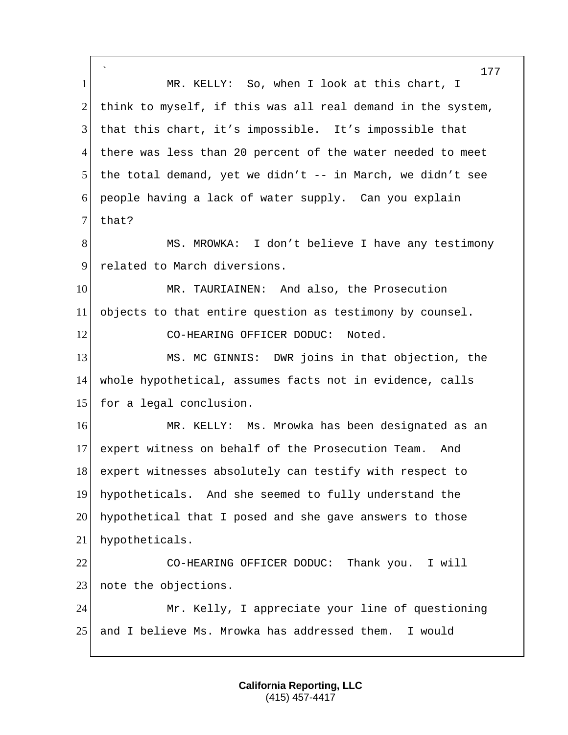` 177 1 MR. KELLY: So, when I look at this chart, I 2 think to myself, if this was all real demand in the system, 3 that this chart, it's impossible. It's impossible that 4 there was less than 20 percent of the water needed to meet 5 the total demand, yet we didn't  $-$  in March, we didn't see 6 people having a lack of water supply. Can you explain  $7$  that? 8 MS. MROWKA: I don't believe I have any testimony 9 related to March diversions. 10 MR. TAURIAINEN: And also, the Prosecution 11 objects to that entire question as testimony by counsel. 12 CO-HEARING OFFICER DODUC: Noted. 13 MS. MC GINNIS: DWR joins in that objection, the 14 whole hypothetical, assumes facts not in evidence, calls 15 for a legal conclusion. 16 MR. KELLY: Ms. Mrowka has been designated as an 17 expert witness on behalf of the Prosecution Team. And 18 expert witnesses absolutely can testify with respect to 19 hypotheticals. And she seemed to fully understand the 20 hypothetical that I posed and she gave answers to those 21 hypotheticals. 22 CO-HEARING OFFICER DODUC: Thank you. I will 23 note the objections. 24 Mr. Kelly, I appreciate your line of questioning 25 and I believe Ms. Mrowka has addressed them. I would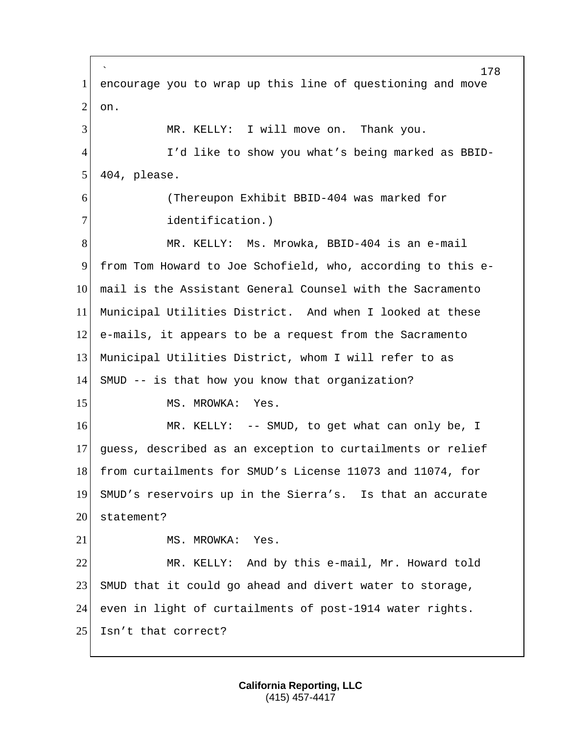` 178 1 encourage you to wrap up this line of questioning and move  $2$  on. 3 MR. KELLY: I will move on. Thank you. 4 I'd like to show you what's being marked as BBID- $5$  404, please. 6 (Thereupon Exhibit BBID-404 was marked for 7 **dentification.**) 8 MR. KELLY: Ms. Mrowka, BBID-404 is an e-mail 9 from Tom Howard to Joe Schofield, who, according to this e-10 mail is the Assistant General Counsel with the Sacramento 11 Municipal Utilities District. And when I looked at these 12 e-mails, it appears to be a request from the Sacramento 13 Municipal Utilities District, whom I will refer to as 14 SMUD -- is that how you know that organization? 15 MS. MROWKA: Yes. 16 MR. KELLY: -- SMUD, to get what can only be, I 17 guess, described as an exception to curtailments or relief 18 from curtailments for SMUD's License 11073 and 11074, for 19 SMUD's reservoirs up in the Sierra's. Is that an accurate 20 statement? 21 MS. MROWKA: Yes. 22 MR. KELLY: And by this e-mail, Mr. Howard told 23 SMUD that it could go ahead and divert water to storage, 24 even in light of curtailments of post-1914 water rights. 25 Isn't that correct?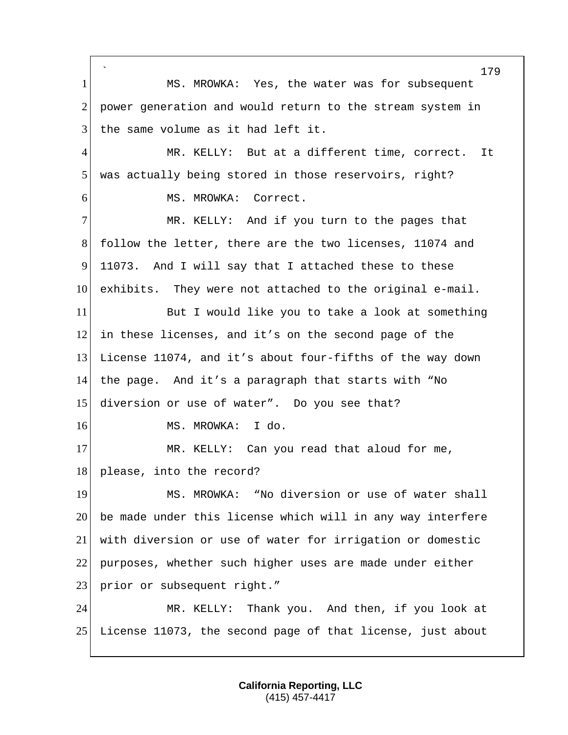` 179 1 MS. MROWKA: Yes, the water was for subsequent 2 power generation and would return to the stream system in 3 the same volume as it had left it. 4 MR. KELLY: But at a different time, correct. It 5 was actually being stored in those reservoirs, right? 6 MS. MROWKA: Correct. 7 MR. KELLY: And if you turn to the pages that 8 follow the letter, there are the two licenses, 11074 and 9 11073. And I will say that I attached these to these 10 exhibits. They were not attached to the original e-mail. 11 But I would like you to take a look at something 12 in these licenses, and it's on the second page of the 13 License 11074, and it's about four-fifths of the way down 14 the page. And it's a paragraph that starts with "No 15 diversion or use of water". Do you see that? 16 MS. MROWKA: I do. 17 MR. KELLY: Can you read that aloud for me, 18 please, into the record? 19 MS. MROWKA: "No diversion or use of water shall 20 be made under this license which will in any way interfere 21 with diversion or use of water for irrigation or domestic 22 purposes, whether such higher uses are made under either 23 prior or subsequent right." 24 MR. KELLY: Thank you. And then, if you look at 25 License 11073, the second page of that license, just about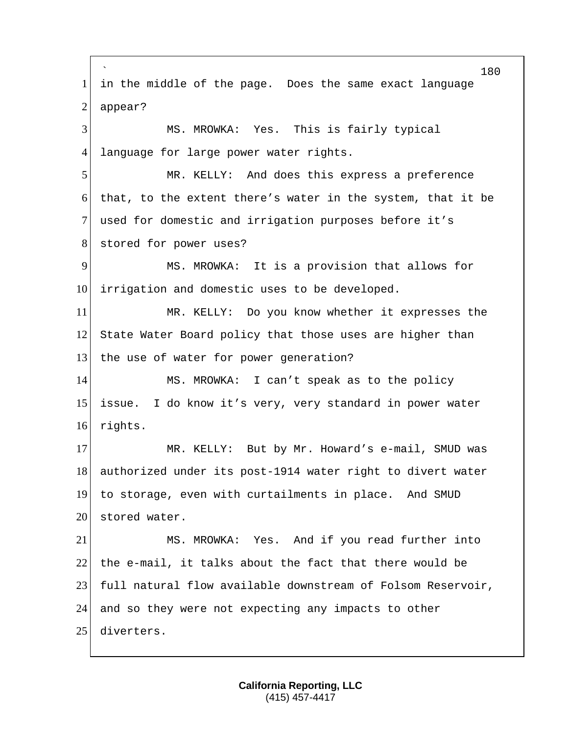` 180 1 in the middle of the page. Does the same exact language  $2$  appear? 3 MS. MROWKA: Yes. This is fairly typical 4 language for large power water rights. 5 MR. KELLY: And does this express a preference 6 that, to the extent there's water in the system, that it be 7 used for domestic and irrigation purposes before it's 8 stored for power uses? 9 MS. MROWKA: It is a provision that allows for 10 irrigation and domestic uses to be developed. 11 MR. KELLY: Do you know whether it expresses the 12 State Water Board policy that those uses are higher than 13 the use of water for power generation? 14 MS. MROWKA: I can't speak as to the policy 15 issue. I do know it's very, very standard in power water 16 rights. 17 MR. KELLY: But by Mr. Howard's e-mail, SMUD was 18 authorized under its post-1914 water right to divert water 19 to storage, even with curtailments in place. And SMUD 20 stored water. 21 MS. MROWKA: Yes. And if you read further into 22 the e-mail, it talks about the fact that there would be 23 full natural flow available downstream of Folsom Reservoir, 24 and so they were not expecting any impacts to other 25 diverters.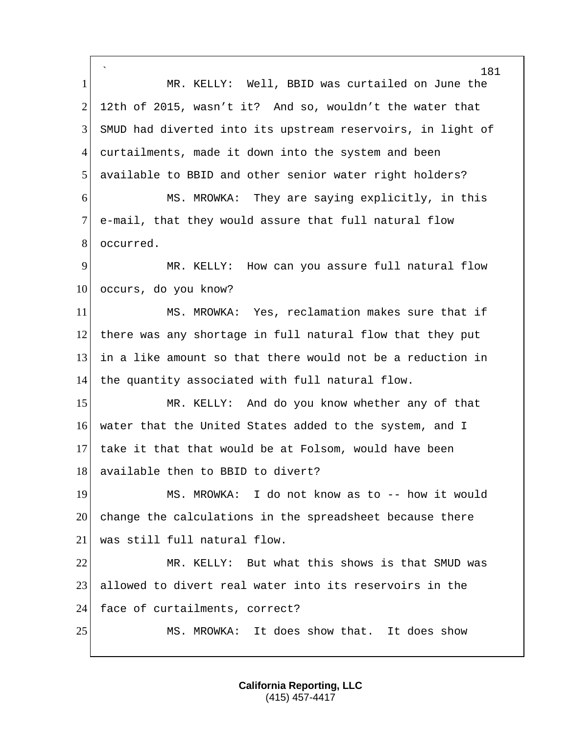` 181 1 MR. KELLY: Well, BBID was curtailed on June the 2 12th of 2015, wasn't it? And so, wouldn't the water that 3 SMUD had diverted into its upstream reservoirs, in light of 4 curtailments, made it down into the system and been 5 available to BBID and other senior water right holders? 6 MS. MROWKA: They are saying explicitly, in this 7 e-mail, that they would assure that full natural flow 8 occurred. 9 MR. KELLY: How can you assure full natural flow 10 occurs, do you know? 11 MS. MROWKA: Yes, reclamation makes sure that if 12 there was any shortage in full natural flow that they put 13 in a like amount so that there would not be a reduction in 14 the quantity associated with full natural flow. 15 MR. KELLY: And do you know whether any of that 16 water that the United States added to the system, and I 17 take it that that would be at Folsom, would have been 18 available then to BBID to divert? 19 MS. MROWKA: I do not know as to -- how it would 20 change the calculations in the spreadsheet because there 21 was still full natural flow. 22 MR. KELLY: But what this shows is that SMUD was 23 allowed to divert real water into its reservoirs in the 24 face of curtailments, correct? 25 MS. MROWKA: It does show that. It does show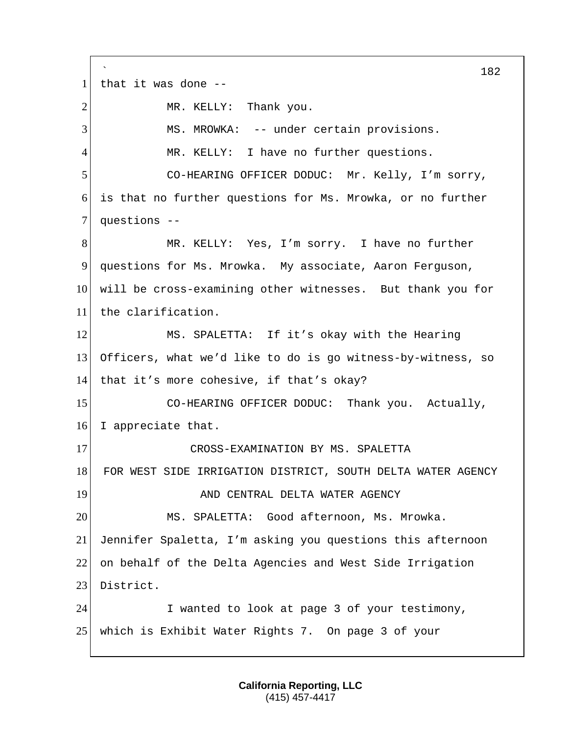` 182 1 that it was done  $-$ -2 MR. KELLY: Thank you. 3 MS. MROWKA: -- under certain provisions. 4 MR. KELLY: I have no further questions. 5 CO-HEARING OFFICER DODUC: Mr. Kelly, I'm sorry, 6 is that no further questions for Ms. Mrowka, or no further 7 questions --8 MR. KELLY: Yes, I'm sorry. I have no further 9 questions for Ms. Mrowka. My associate, Aaron Ferguson, 10 will be cross-examining other witnesses. But thank you for 11 the clarification. 12 MS. SPALETTA: If it's okay with the Hearing 13 Officers, what we'd like to do is go witness-by-witness, so 14 that it's more cohesive, if that's okay? 15 CO-HEARING OFFICER DODUC: Thank you. Actually, 16 I appreciate that. 17 CROSS-EXAMINATION BY MS. SPALETTA 18 FOR WEST SIDE IRRIGATION DISTRICT, SOUTH DELTA WATER AGENCY 19 **AND CENTRAL DELTA WATER AGENCY** 20 MS. SPALETTA: Good afternoon, Ms. Mrowka. 21 Jennifer Spaletta, I'm asking you questions this afternoon 22 on behalf of the Delta Agencies and West Side Irrigation 23 District. 24 I wanted to look at page 3 of your testimony, 25 which is Exhibit Water Rights 7. On page 3 of your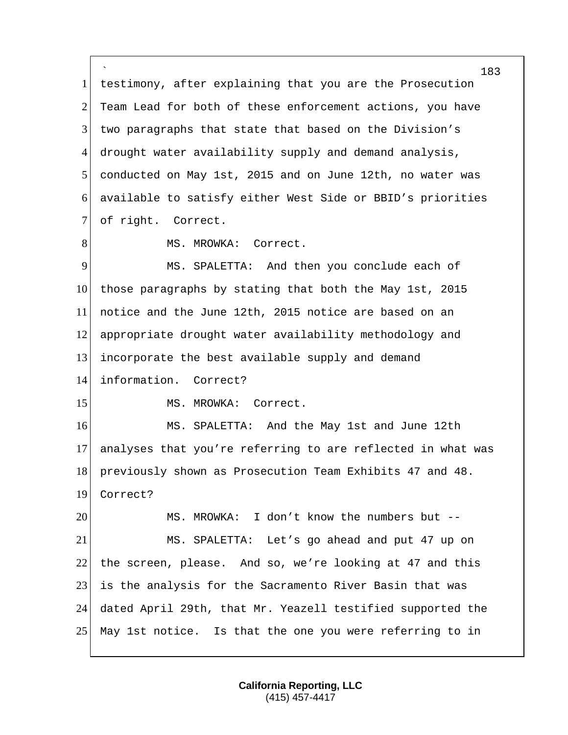` testimony, after explaining that you are the Prosecution 2 Team Lead for both of these enforcement actions, you have two paragraphs that state that based on the Division's drought water availability supply and demand analysis, conducted on May 1st, 2015 and on June 12th, no water was available to satisfy either West Side or BBID's priorities 7 of right. Correct. 8 MS. MROWKA: Correct. MS. SPALETTA: And then you conclude each of those paragraphs by stating that both the May 1st, 2015 notice and the June 12th, 2015 notice are based on an appropriate drought water availability methodology and incorporate the best available supply and demand information. Correct? 15 MS. MROWKA: Correct. MS. SPALETTA: And the May 1st and June 12th analyses that you're referring to are reflected in what was 18 previously shown as Prosecution Team Exhibits 47 and 48. Correct? 20 MS. MROWKA: I don't know the numbers but -- MS. SPALETTA: Let's go ahead and put 47 up on the screen, please. And so, we're looking at 47 and this is the analysis for the Sacramento River Basin that was dated April 29th, that Mr. Yeazell testified supported the May 1st notice. Is that the one you were referring to in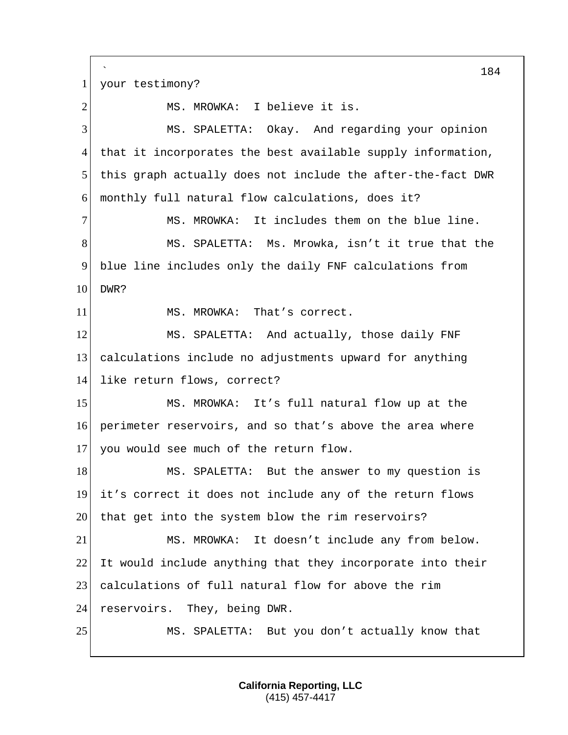` 184 1 your testimony? 2 MS. MROWKA: I believe it is. 3 MS. SPALETTA: Okay. And regarding your opinion 4 that it incorporates the best available supply information, 5 this graph actually does not include the after-the-fact DWR 6 monthly full natural flow calculations, does it? 7 MS. MROWKA: It includes them on the blue line. 8 MS. SPALETTA: Ms. Mrowka, isn't it true that the 9 blue line includes only the daily FNF calculations from 10 DWR? 11 MS. MROWKA: That's correct. 12 MS. SPALETTA: And actually, those daily FNF 13 calculations include no adjustments upward for anything 14 like return flows, correct? 15 MS. MROWKA: It's full natural flow up at the 16 perimeter reservoirs, and so that's above the area where 17 you would see much of the return flow. 18 MS. SPALETTA: But the answer to my question is 19 it's correct it does not include any of the return flows 20 that get into the system blow the rim reservoirs? 21 MS. MROWKA: It doesn't include any from below. 22 It would include anything that they incorporate into their 23 calculations of full natural flow for above the rim 24 reservoirs. They, being DWR. 25 MS. SPALETTA: But you don't actually know that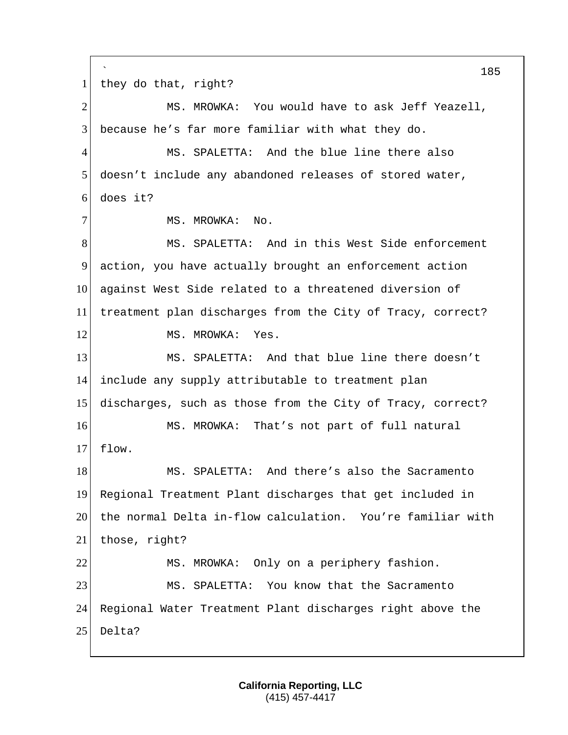` 185 1 they do that, right? 2 MS. MROWKA: You would have to ask Jeff Yeazell, 3 because he's far more familiar with what they do. 4 MS. SPALETTA: And the blue line there also 5 doesn't include any abandoned releases of stored water, 6 does it? 7 MS. MROWKA: No. 8 MS. SPALETTA: And in this West Side enforcement 9 action, you have actually brought an enforcement action 10 against West Side related to a threatened diversion of 11 treatment plan discharges from the City of Tracy, correct? 12 MS. MROWKA: Yes. 13 MS. SPALETTA: And that blue line there doesn't 14 include any supply attributable to treatment plan 15 discharges, such as those from the City of Tracy, correct? 16 MS. MROWKA: That's not part of full natural 17 flow. 18 MS. SPALETTA: And there's also the Sacramento 19 Regional Treatment Plant discharges that get included in 20 the normal Delta in-flow calculation. You're familiar with 21 those, right? 22 MS. MROWKA: Only on a periphery fashion. 23 MS. SPALETTA: You know that the Sacramento 24 Regional Water Treatment Plant discharges right above the 25 Delta?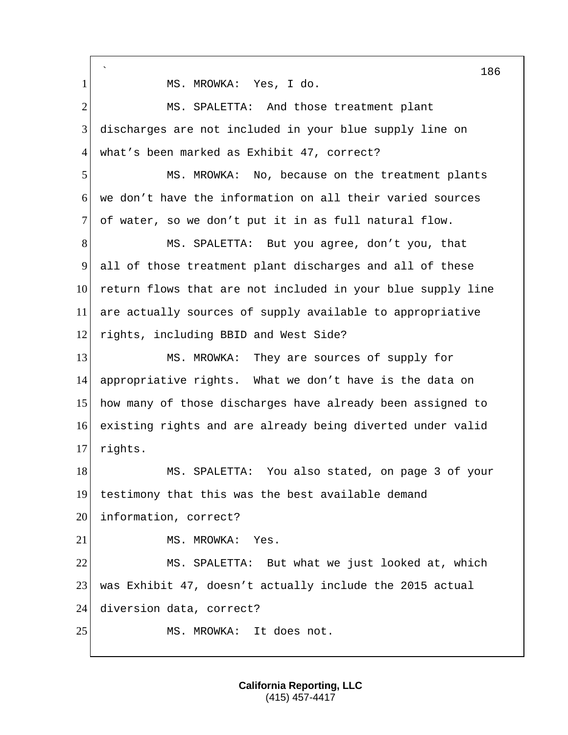` 186 1 MS. MROWKA: Yes, I do. 2 MS. SPALETTA: And those treatment plant 3 discharges are not included in your blue supply line on 4 what's been marked as Exhibit 47, correct? 5 MS. MROWKA: No, because on the treatment plants 6 we don't have the information on all their varied sources 7 of water, so we don't put it in as full natural flow. 8 MS. SPALETTA: But you agree, don't you, that 9 all of those treatment plant discharges and all of these 10 return flows that are not included in your blue supply line 11 are actually sources of supply available to appropriative 12 rights, including BBID and West Side? 13 MS. MROWKA: They are sources of supply for 14 appropriative rights. What we don't have is the data on 15 how many of those discharges have already been assigned to 16 existing rights and are already being diverted under valid 17 rights. 18 MS. SPALETTA: You also stated, on page 3 of your 19 testimony that this was the best available demand 20 information, correct? 21 MS. MROWKA: Yes. 22 MS. SPALETTA: But what we just looked at, which 23 was Exhibit 47, doesn't actually include the 2015 actual 24 diversion data, correct? 25 MS. MROWKA: It does not.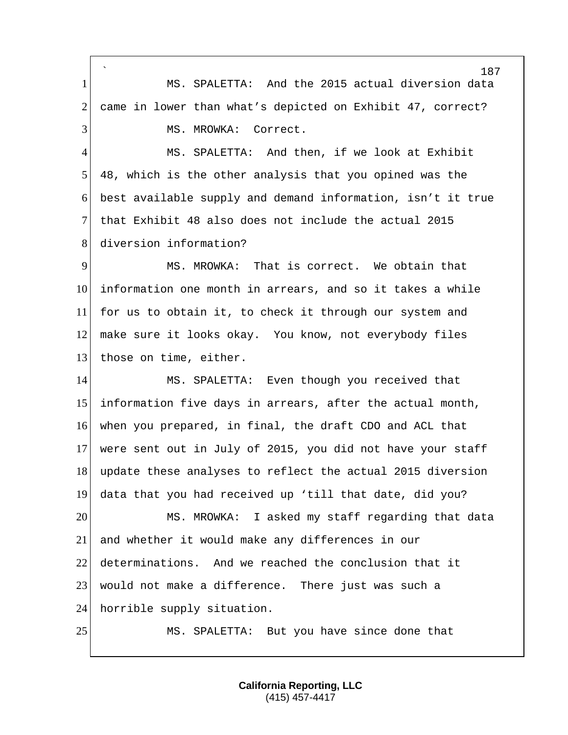` MS. SPALETTA: And the 2015 actual diversion data 2 came in lower than what's depicted on Exhibit 47, correct? 3 MS. MROWKA: Correct. MS. SPALETTA: And then, if we look at Exhibit 48, which is the other analysis that you opined was the best available supply and demand information, isn't it true that Exhibit 48 also does not include the actual 2015 8 diversion information? MS. MROWKA: That is correct. We obtain that information one month in arrears, and so it takes a while for us to obtain it, to check it through our system and make sure it looks okay. You know, not everybody files 13 those on time, either. MS. SPALETTA: Even though you received that information five days in arrears, after the actual month, when you prepared, in final, the draft CDO and ACL that were sent out in July of 2015, you did not have your staff 18 update these analyses to reflect the actual 2015 diversion data that you had received up 'till that date, did you? MS. MROWKA: I asked my staff regarding that data and whether it would make any differences in our determinations. And we reached the conclusion that it would not make a difference. There just was such a 24 horrible supply situation. 25 MS. SPALETTA: But you have since done that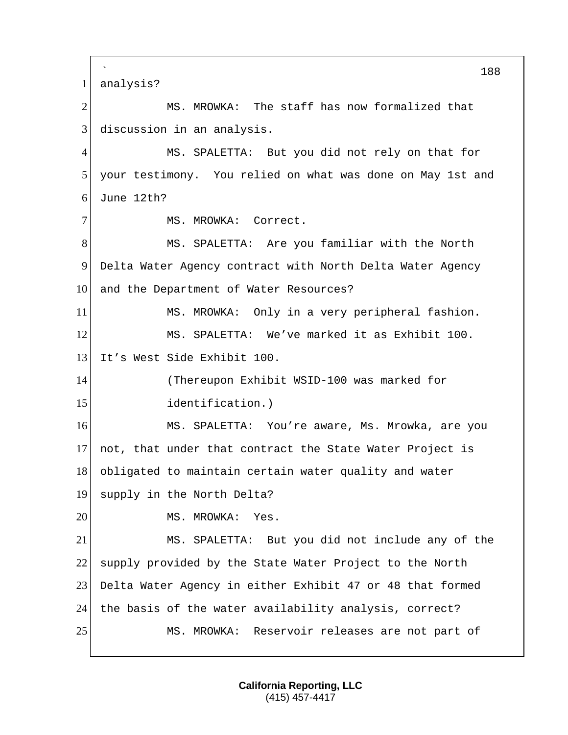` 188 1 analysis? 2 MS. MROWKA: The staff has now formalized that 3 discussion in an analysis. 4 MS. SPALETTA: But you did not rely on that for 5 your testimony. You relied on what was done on May 1st and 6 June  $12th?$ 7 MS. MROWKA: Correct. 8 MS. SPALETTA: Are you familiar with the North 9 Delta Water Agency contract with North Delta Water Agency 10 and the Department of Water Resources? 11 MS. MROWKA: Only in a very peripheral fashion. 12 MS. SPALETTA: We've marked it as Exhibit 100. 13 It's West Side Exhibit 100. 14 (Thereupon Exhibit WSID-100 was marked for 15 identification.) 16 MS. SPALETTA: You're aware, Ms. Mrowka, are you 17 not, that under that contract the State Water Project is 18 obligated to maintain certain water quality and water 19 supply in the North Delta? 20 MS. MROWKA: Yes. 21 MS. SPALETTA: But you did not include any of the 22 supply provided by the State Water Project to the North 23 Delta Water Agency in either Exhibit 47 or 48 that formed 24 the basis of the water availability analysis, correct? 25 MS. MROWKA: Reservoir releases are not part of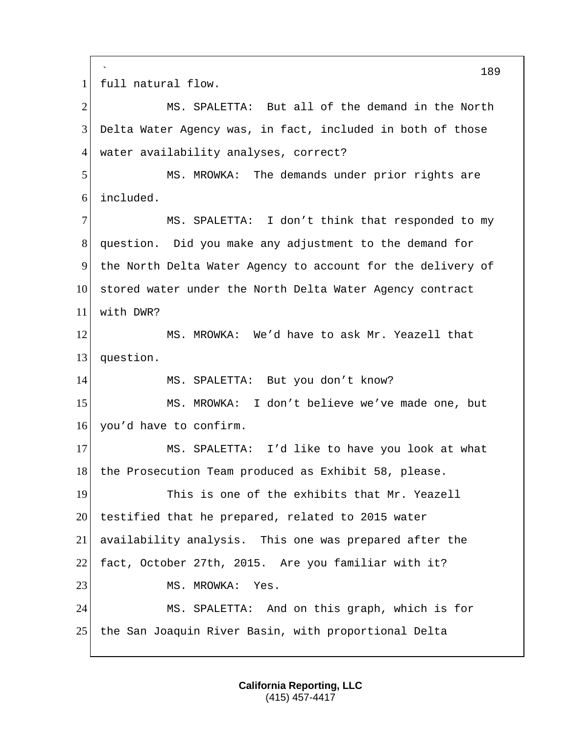` full natural flow. MS. SPALETTA: But all of the demand in the North Delta Water Agency was, in fact, included in both of those 4 water availability analyses, correct? MS. MROWKA: The demands under prior rights are included. MS. SPALETTA: I don't think that responded to my question. Did you make any adjustment to the demand for the North Delta Water Agency to account for the delivery of 10 stored water under the North Delta Water Agency contract with DWR? MS. MROWKA: We'd have to ask Mr. Yeazell that 13 question. 14 MS. SPALETTA: But you don't know? MS. MROWKA: I don't believe we've made one, but 16 you'd have to confirm. 17 MS. SPALETTA: I'd like to have you look at what 18 the Prosecution Team produced as Exhibit 58, please. This is one of the exhibits that Mr. Yeazell 20 testified that he prepared, related to 2015 water availability analysis. This one was prepared after the fact, October 27th, 2015. Are you familiar with it? 23 MS. MROWKA: Yes. MS. SPALETTA: And on this graph, which is for the San Joaquin River Basin, with proportional Delta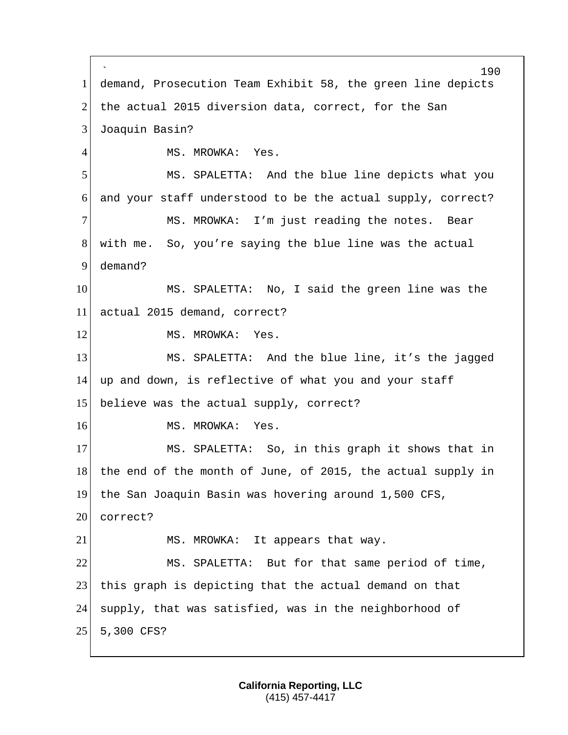` 190 1 demand, Prosecution Team Exhibit 58, the green line depicts 2 the actual 2015 diversion data, correct, for the San 3 Joaquin Basin? 4 MS. MROWKA: Yes. 5 MS. SPALETTA: And the blue line depicts what you 6 and your staff understood to be the actual supply, correct? 7 MS. MROWKA: I'm just reading the notes. Bear 8 with me. So, you're saying the blue line was the actual 9 demand? 10 MS. SPALETTA: No, I said the green line was the 11 actual 2015 demand, correct? 12 MS. MROWKA: Yes. 13 MS. SPALETTA: And the blue line, it's the jagged 14 up and down, is reflective of what you and your staff 15 believe was the actual supply, correct? 16 MS. MROWKA: Yes. 17 MS. SPALETTA: So, in this graph it shows that in 18 the end of the month of June, of 2015, the actual supply in 19 the San Joaquin Basin was hovering around 1,500 CFS, 20 correct? 21 MS. MROWKA: It appears that way. 22 MS. SPALETTA: But for that same period of time, 23 this graph is depicting that the actual demand on that 24 supply, that was satisfied, was in the neighborhood of 25 5,300 CFS?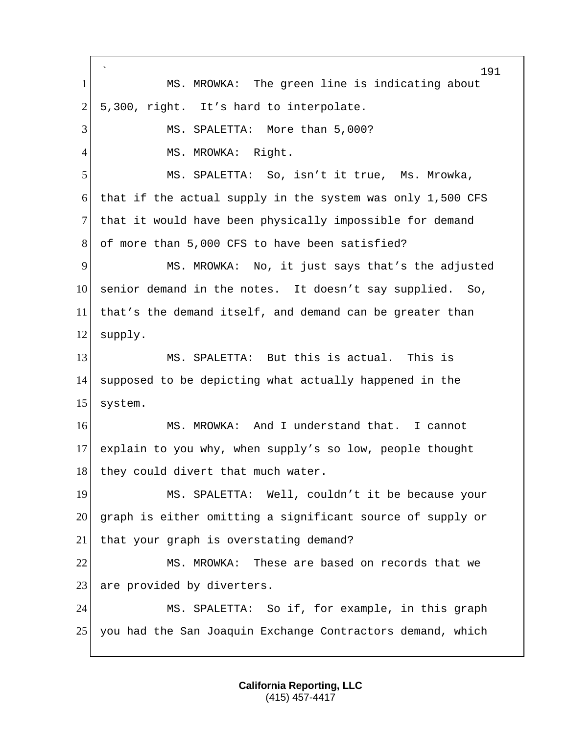` 191 1 MS. MROWKA: The green line is indicating about  $2$  5,300, right. It's hard to interpolate. 3 MS. SPALETTA: More than 5,000? 4 MS. MROWKA: Right. 5 MS. SPALETTA: So, isn't it true, Ms. Mrowka, 6 that if the actual supply in the system was only 1,500 CFS 7 that it would have been physically impossible for demand 8 of more than 5,000 CFS to have been satisfied? 9 MS. MROWKA: No, it just says that's the adjusted 10 senior demand in the notes. It doesn't say supplied. So, 11 that's the demand itself, and demand can be greater than 12 supply. 13 MS. SPALETTA: But this is actual. This is 14 supposed to be depicting what actually happened in the 15 system. 16 MS. MROWKA: And I understand that. I cannot 17 explain to you why, when supply's so low, people thought 18 | they could divert that much water. 19 MS. SPALETTA: Well, couldn't it be because your 20 graph is either omitting a significant source of supply or 21 that your graph is overstating demand? 22 MS. MROWKA: These are based on records that we 23 are provided by diverters. 24 MS. SPALETTA: So if, for example, in this graph 25 you had the San Joaquin Exchange Contractors demand, which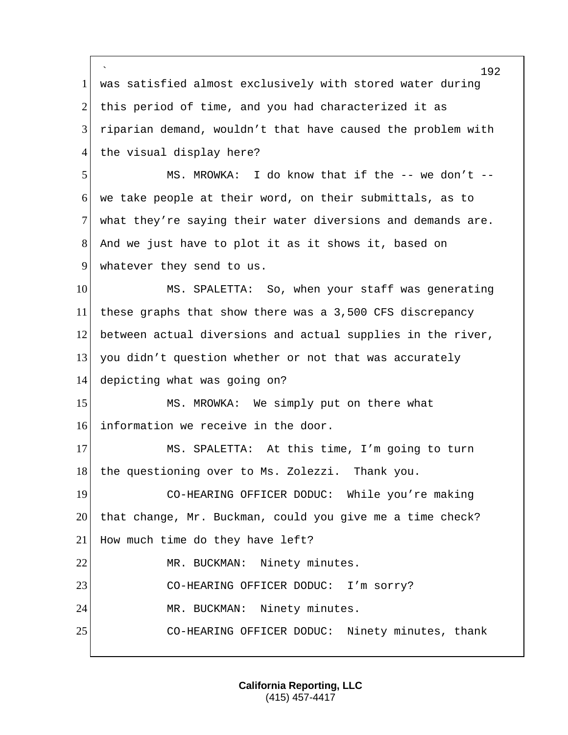` 192 1 was satisfied almost exclusively with stored water during 2 this period of time, and you had characterized it as 3 riparian demand, wouldn't that have caused the problem with 4 the visual display here? 5 MS. MROWKA: I do know that if the -- we don't -- 6 we take people at their word, on their submittals, as to 7 what they're saying their water diversions and demands are. 8 And we just have to plot it as it shows it, based on 9 whatever they send to us. 10 MS. SPALETTA: So, when your staff was generating 11 these graphs that show there was a 3,500 CFS discrepancy 12 between actual diversions and actual supplies in the river, 13 you didn't question whether or not that was accurately 14 depicting what was going on? 15 MS. MROWKA: We simply put on there what 16 information we receive in the door. 17 MS. SPALETTA: At this time, I'm going to turn 18 | the questioning over to Ms. Zolezzi. Thank you. 19 CO-HEARING OFFICER DODUC: While you're making 20 that change, Mr. Buckman, could you give me a time check? 21 How much time do they have left? 22 MR. BUCKMAN: Ninety minutes. 23 CO-HEARING OFFICER DODUC: I'm sorry? 24 MR. BUCKMAN: Ninety minutes. 25 CO-HEARING OFFICER DODUC: Ninety minutes, thank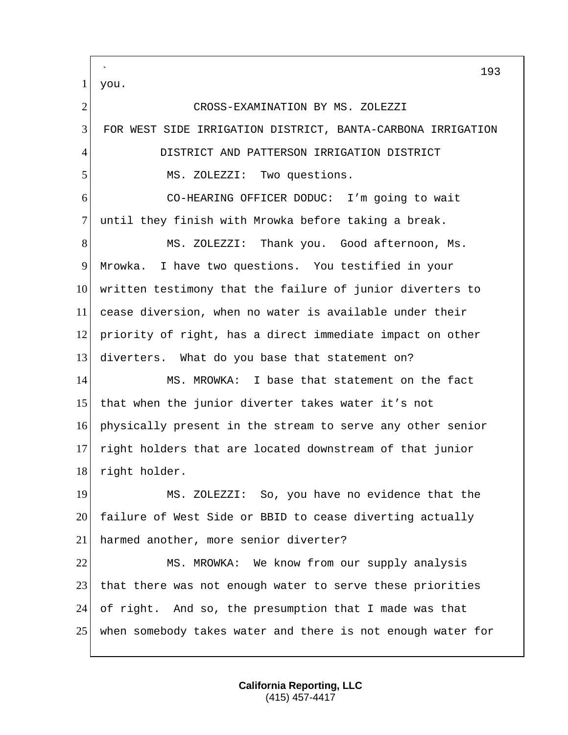## ` you. CROSS-EXAMINATION BY MS. ZOLEZZI FOR WEST SIDE IRRIGATION DISTRICT, BANTA-CARBONA IRRIGATION DISTRICT AND PATTERSON IRRIGATION DISTRICT 5 MS. ZOLEZZI: Two questions. CO-HEARING OFFICER DODUC: I'm going to wait until they finish with Mrowka before taking a break. 8 MS. ZOLEZZI: Thank you. Good afternoon, Ms. Mrowka. I have two questions. You testified in your written testimony that the failure of junior diverters to cease diversion, when no water is available under their priority of right, has a direct immediate impact on other 13 diverters. What do you base that statement on? 14 MS. MROWKA: I base that statement on the fact that when the junior diverter takes water it's not physically present in the stream to serve any other senior right holders that are located downstream of that junior 18 right holder. MS. ZOLEZZI: So, you have no evidence that the 20 failure of West Side or BBID to cease diverting actually 21 harmed another, more senior diverter?

 MS. MROWKA: We know from our supply analysis 23 that there was not enough water to serve these priorities of right. And so, the presumption that I made was that when somebody takes water and there is not enough water for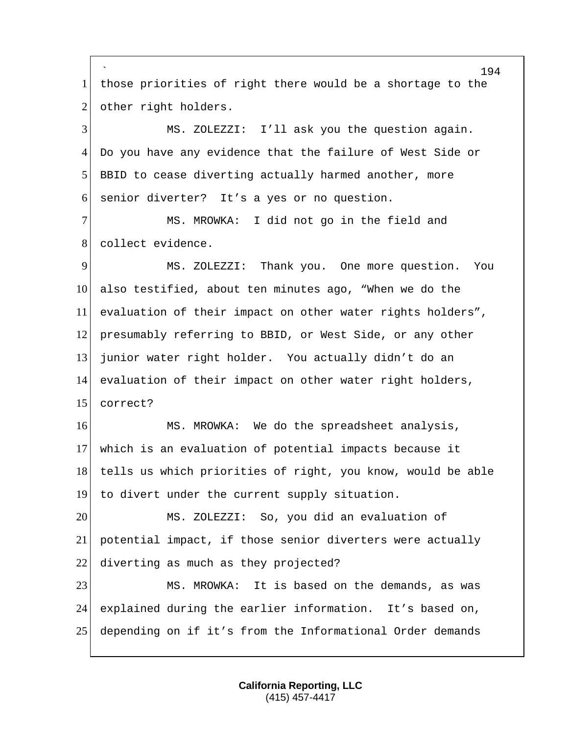` 1 | those priorities of right there would be a shortage to the 2 other right holders.

 MS. ZOLEZZI: I'll ask you the question again. Do you have any evidence that the failure of West Side or 5 BBID to cease diverting actually harmed another, more senior diverter? It's a yes or no question.

 MS. MROWKA: I did not go in the field and 8 collect evidence.

 MS. ZOLEZZI: Thank you. One more question. You also testified, about ten minutes ago, "When we do the evaluation of their impact on other water rights holders", presumably referring to BBID, or West Side, or any other junior water right holder. You actually didn't do an evaluation of their impact on other water right holders, correct?

16 MS. MROWKA: We do the spreadsheet analysis, which is an evaluation of potential impacts because it 18 tells us which priorities of right, you know, would be able to divert under the current supply situation.

 MS. ZOLEZZI: So, you did an evaluation of potential impact, if those senior diverters were actually 22 diverting as much as they projected?

 MS. MROWKA: It is based on the demands, as was explained during the earlier information. It's based on, depending on if it's from the Informational Order demands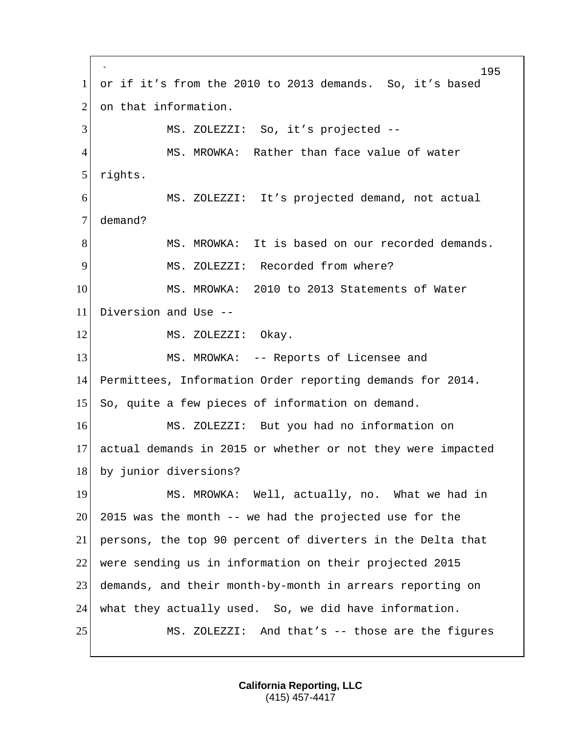` 195 1 or if it's from the 2010 to 2013 demands. So, it's based 2 on that information. 3 MS. ZOLEZZI: So, it's projected --4 MS. MROWKA: Rather than face value of water 5 rights. 6 MS. ZOLEZZI: It's projected demand, not actual 7 demand? 8 MS. MROWKA: It is based on our recorded demands. 9 MS. ZOLEZZI: Recorded from where? 10 MS. MROWKA: 2010 to 2013 Statements of Water 11 Diversion and Use -- 12 MS. ZOLEZZI: Okay. 13 MS. MROWKA: -- Reports of Licensee and 14 Permittees, Information Order reporting demands for 2014. 15 So, quite a few pieces of information on demand. 16 MS. ZOLEZZI: But you had no information on 17 actual demands in 2015 or whether or not they were impacted 18 by junior diversions? 19 MS. MROWKA: Well, actually, no. What we had in  $20\vert$  2015 was the month  $-$  we had the projected use for the 21 persons, the top 90 percent of diverters in the Delta that 22 were sending us in information on their projected 2015 23 demands, and their month-by-month in arrears reporting on 24 what they actually used. So, we did have information. 25 MS. ZOLEZZI: And that's -- those are the figures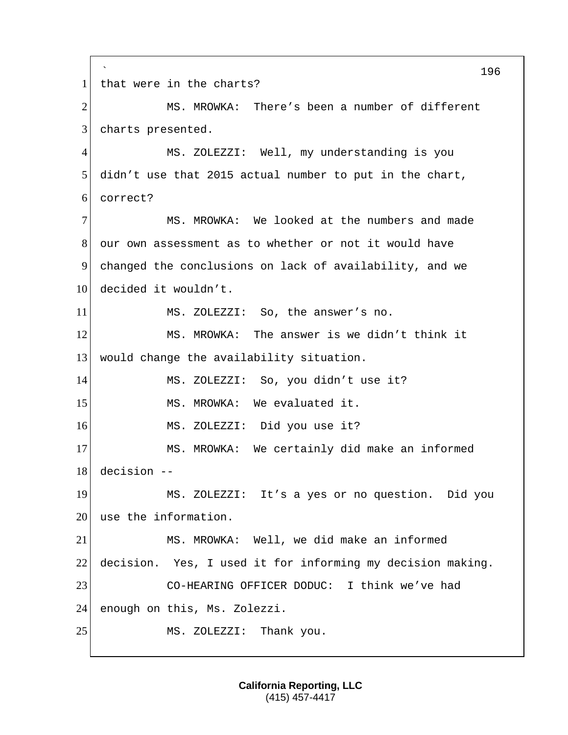` 196 1 that were in the charts? 2 MS. MROWKA: There's been a number of different 3 charts presented. 4 MS. ZOLEZZI: Well, my understanding is you 5 didn't use that 2015 actual number to put in the chart, 6 correct? 7 MS. MROWKA: We looked at the numbers and made 8 our own assessment as to whether or not it would have 9 changed the conclusions on lack of availability, and we 10 decided it wouldn't. 11 MS. ZOLEZZI: So, the answer's no. 12 MS. MROWKA: The answer is we didn't think it 13 would change the availability situation. 14 MS. ZOLEZZI: So, you didn't use it? 15 MS. MROWKA: We evaluated it. 16 MS. ZOLEZZI: Did you use it? 17 MS. MROWKA: We certainly did make an informed 18 decision -- 19 MS. ZOLEZZI: It's a yes or no question. Did you 20 use the information. 21 MS. MROWKA: Well, we did make an informed 22 decision. Yes, I used it for informing my decision making. 23 CO-HEARING OFFICER DODUC: I think we've had 24 enough on this, Ms. Zolezzi. 25 MS. ZOLEZZI: Thank you.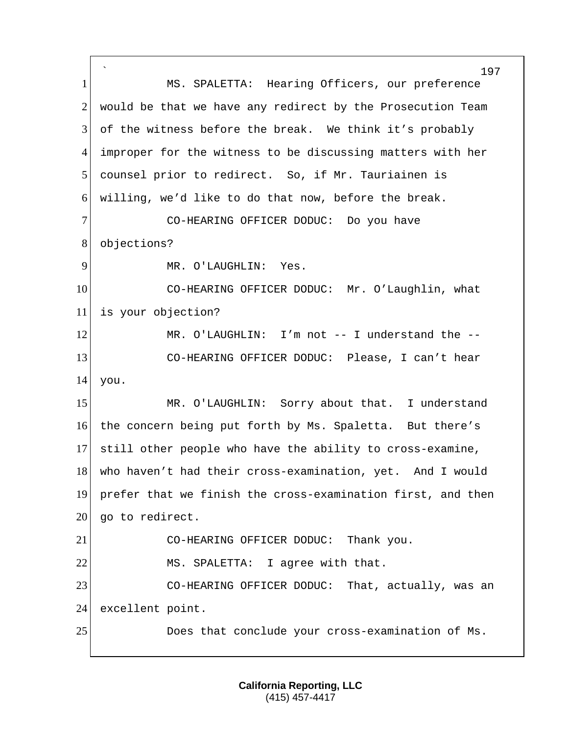` 197 1 MS. SPALETTA: Hearing Officers, our preference  $2$  would be that we have any redirect by the Prosecution Team 3 of the witness before the break. We think it's probably 4 improper for the witness to be discussing matters with her 5 counsel prior to redirect. So, if Mr. Tauriainen is 6 willing, we'd like to do that now, before the break. 7 CO-HEARING OFFICER DODUC: Do you have 8 objections? 9 MR. O'LAUGHLIN: Yes. 10 CO-HEARING OFFICER DODUC: Mr. O'Laughlin, what 11 is your objection? 12 MR. O'LAUGHLIN: I'm not -- I understand the --13 CO-HEARING OFFICER DODUC: Please, I can't hear 14 you. 15 MR. O'LAUGHLIN: Sorry about that. I understand 16 the concern being put forth by Ms. Spaletta. But there's 17 still other people who have the ability to cross-examine, 18 who haven't had their cross-examination, yet. And I would 19 prefer that we finish the cross-examination first, and then 20 | go to redirect. 21 CO-HEARING OFFICER DODUC: Thank you. 22 MS. SPALETTA: I agree with that. 23 CO-HEARING OFFICER DODUC: That, actually, was an 24 excellent point. 25 Does that conclude your cross-examination of Ms.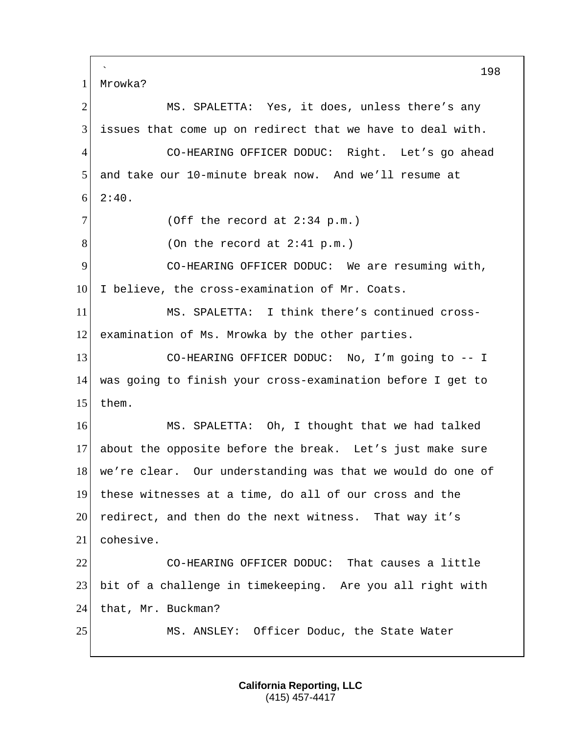` 198 1 Mrowka? 2 MS. SPALETTA: Yes, it does, unless there's any 3 issues that come up on redirect that we have to deal with. 4 CO-HEARING OFFICER DODUC: Right. Let's go ahead 5 and take our 10-minute break now. And we'll resume at  $6 \mid 2:40.$  $7$  (Off the record at 2:34 p.m.)  $8$  (On the record at 2:41 p.m.) 9 CO-HEARING OFFICER DODUC: We are resuming with, 10 I believe, the cross-examination of Mr. Coats. 11 MS. SPALETTA: I think there's continued cross-12 examination of Ms. Mrowka by the other parties. 13 CO-HEARING OFFICER DODUC: No, I'm going to -- I 14 was going to finish your cross-examination before I get to 15 them. 16 MS. SPALETTA: Oh, I thought that we had talked 17 about the opposite before the break. Let's just make sure 18 we're clear. Our understanding was that we would do one of 19 these witnesses at a time, do all of our cross and the 20 redirect, and then do the next witness. That way it's 21 cohesive. 22 CO-HEARING OFFICER DODUC: That causes a little 23 bit of a challenge in timekeeping. Are you all right with 24 that, Mr. Buckman? 25 MS. ANSLEY: Officer Doduc, the State Water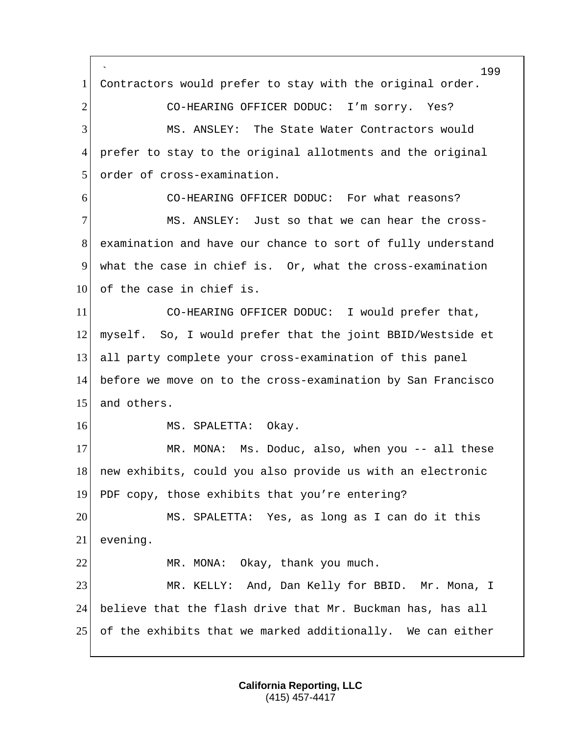` 199 1 Contractors would prefer to stay with the original order. 2 CO-HEARING OFFICER DODUC: I'm sorry. Yes? 3 MS. ANSLEY: The State Water Contractors would 4 prefer to stay to the original allotments and the original 5 order of cross-examination. 6 CO-HEARING OFFICER DODUC: For what reasons? 7 MS. ANSLEY: Just so that we can hear the cross-8 examination and have our chance to sort of fully understand 9 what the case in chief is. Or, what the cross-examination 10 of the case in chief is. 11 CO-HEARING OFFICER DODUC: I would prefer that, 12 myself. So, I would prefer that the joint BBID/Westside et 13 all party complete your cross-examination of this panel 14 before we move on to the cross-examination by San Francisco 15 and others. 16 MS. SPALETTA: Okay. 17 MR. MONA: Ms. Doduc, also, when you -- all these 18 new exhibits, could you also provide us with an electronic 19 PDF copy, those exhibits that you're entering? 20 MS. SPALETTA: Yes, as long as I can do it this 21 evening. 22 MR. MONA: Okay, thank you much. 23 MR. KELLY: And, Dan Kelly for BBID. Mr. Mona, I 24 believe that the flash drive that Mr. Buckman has, has all 25 of the exhibits that we marked additionally. We can either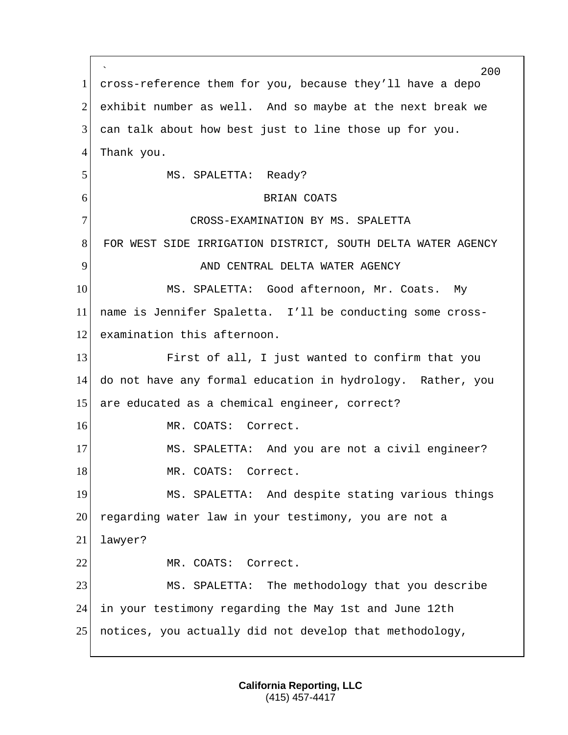` 200 1 cross-reference them for you, because they'll have a depo 2 exhibit number as well. And so maybe at the next break we 3 can talk about how best just to line those up for you. 4 Thank you. 5 MS. SPALETTA: Ready? 6 BRIAN COATS 7 CROSS-EXAMINATION BY MS. SPALETTA 8 FOR WEST SIDE IRRIGATION DISTRICT, SOUTH DELTA WATER AGENCY 9 AND CENTRAL DELTA WATER AGENCY 10 MS. SPALETTA: Good afternoon, Mr. Coats. My 11 name is Jennifer Spaletta. I'll be conducting some cross-12 examination this afternoon. 13 First of all, I just wanted to confirm that you 14 do not have any formal education in hydrology. Rather, you 15 are educated as a chemical engineer, correct? 16 MR. COATS: Correct. 17 MS. SPALETTA: And you are not a civil engineer? 18 MR. COATS: Correct. 19 MS. SPALETTA: And despite stating various things 20 regarding water law in your testimony, you are not a 21 lawyer? 22 MR. COATS: Correct. 23 MS. SPALETTA: The methodology that you describe 24 in your testimony regarding the May 1st and June 12th 25 notices, you actually did not develop that methodology,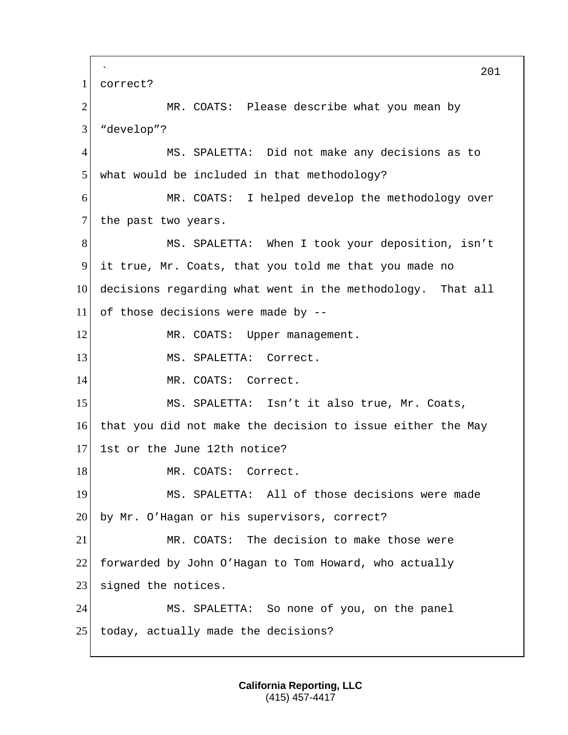` 201 1 correct? 2 MR. COATS: Please describe what you mean by 3 "develop"? 4 MS. SPALETTA: Did not make any decisions as to 5 what would be included in that methodology? 6 MR. COATS: I helped develop the methodology over 7 the past two years. 8 MS. SPALETTA: When I took your deposition, isn't 9 it true, Mr. Coats, that you told me that you made no 10 decisions regarding what went in the methodology. That all  $11$  of those decisions were made by --12 MR. COATS: Upper management. 13 MS. SPALETTA: Correct. 14 MR. COATS: Correct. 15 MS. SPALETTA: Isn't it also true, Mr. Coats, 16 that you did not make the decision to issue either the May 17 1st or the June 12th notice? 18 MR. COATS: Correct. 19 MS. SPALETTA: All of those decisions were made 20 by Mr. O'Hagan or his supervisors, correct? 21 MR. COATS: The decision to make those were 22 forwarded by John O'Hagan to Tom Howard, who actually 23 signed the notices. 24 MS. SPALETTA: So none of you, on the panel 25 today, actually made the decisions?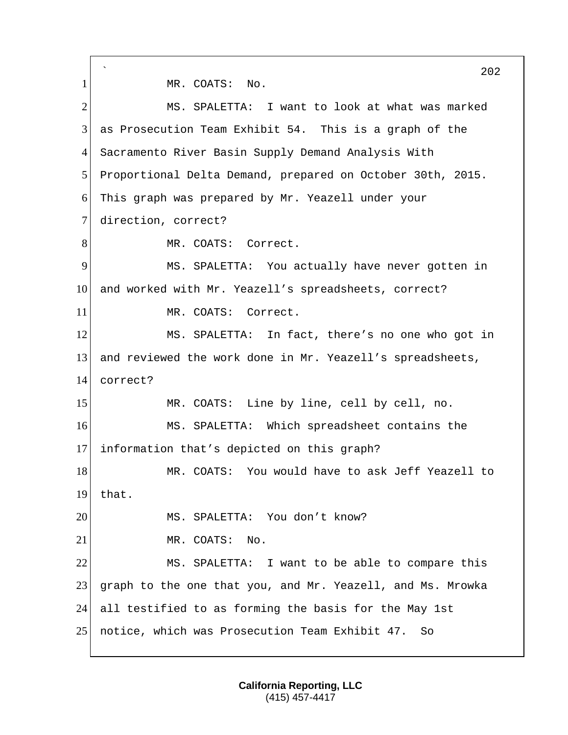` 202 1 MR. COATS: No. 2 MS. SPALETTA: I want to look at what was marked 3 as Prosecution Team Exhibit 54. This is a graph of the 4 Sacramento River Basin Supply Demand Analysis With 5 Proportional Delta Demand, prepared on October 30th, 2015. 6 This graph was prepared by Mr. Yeazell under your 7 direction, correct? 8 MR. COATS: Correct. 9 MS. SPALETTA: You actually have never gotten in 10 and worked with Mr. Yeazell's spreadsheets, correct? 11 MR. COATS: Correct. 12 MS. SPALETTA: In fact, there's no one who got in 13 and reviewed the work done in Mr. Yeazell's spreadsheets, 14 correct? 15 MR. COATS: Line by line, cell by cell, no. 16 MS. SPALETTA: Which spreadsheet contains the 17 information that's depicted on this graph? 18 MR. COATS: You would have to ask Jeff Yeazell to 19 that. 20 MS. SPALETTA: You don't know? 21 MR. COATS: No. 22 MS. SPALETTA: I want to be able to compare this 23 graph to the one that you, and Mr. Yeazell, and Ms. Mrowka 24 all testified to as forming the basis for the May 1st 25 notice, which was Prosecution Team Exhibit 47. So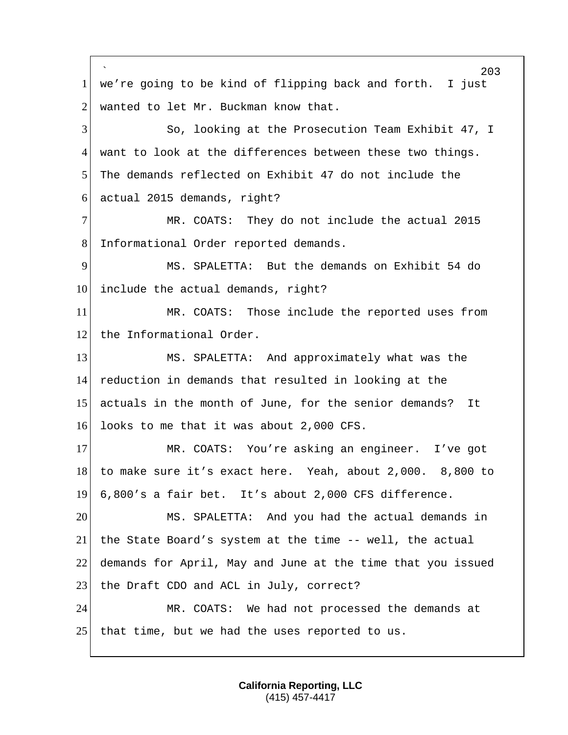` 203 1 we're going to be kind of flipping back and forth. I just 2 wanted to let Mr. Buckman know that. 3 So, looking at the Prosecution Team Exhibit 47, I 4 want to look at the differences between these two things. 5 The demands reflected on Exhibit 47 do not include the 6 actual 2015 demands, right? 7 MR. COATS: They do not include the actual 2015 8 Informational Order reported demands. 9 MS. SPALETTA: But the demands on Exhibit 54 do 10 include the actual demands, right? 11 MR. COATS: Those include the reported uses from 12 the Informational Order. 13 MS. SPALETTA: And approximately what was the 14 reduction in demands that resulted in looking at the 15 actuals in the month of June, for the senior demands? It 16 looks to me that it was about 2,000 CFS. 17 MR. COATS: You're asking an engineer. I've got 18 to make sure it's exact here. Yeah, about 2,000. 8,800 to 19 6,800's a fair bet. It's about 2,000 CFS difference. 20 MS. SPALETTA: And you had the actual demands in 21 the State Board's system at the time -- well, the actual 22 demands for April, May and June at the time that you issued 23 the Draft CDO and ACL in July, correct? 24 MR. COATS: We had not processed the demands at 25 that time, but we had the uses reported to us.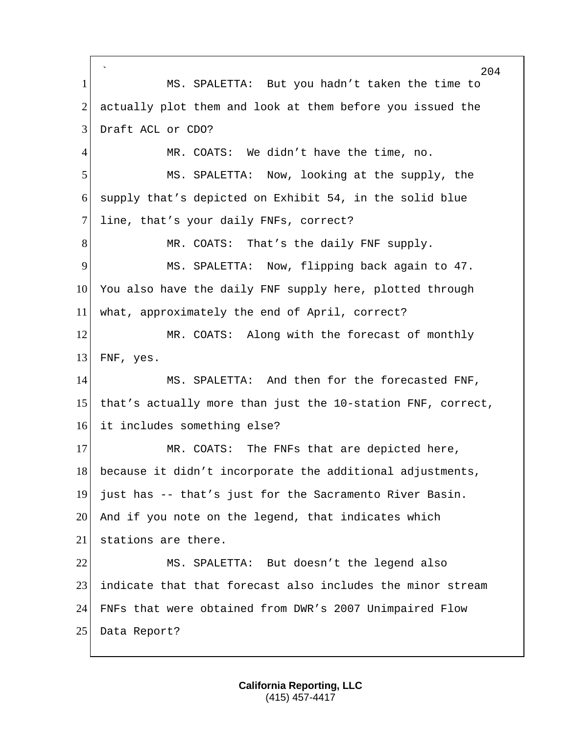` 204 1 MS. SPALETTA: But you hadn't taken the time to 2 actually plot them and look at them before you issued the 3 Draft ACL or CDO? 4 MR. COATS: We didn't have the time, no. 5 MS. SPALETTA: Now, looking at the supply, the 6 supply that's depicted on Exhibit 54, in the solid blue 7 line, that's your daily FNFs, correct? 8 MR. COATS: That's the daily FNF supply. 9 MS. SPALETTA: Now, flipping back again to 47. 10 You also have the daily FNF supply here, plotted through 11 what, approximately the end of April, correct? 12 MR. COATS: Along with the forecast of monthly 13 FNF, yes. 14 MS. SPALETTA: And then for the forecasted FNF, 15 that's actually more than just the 10-station FNF, correct, 16 it includes something else? 17 MR. COATS: The FNFs that are depicted here, 18 because it didn't incorporate the additional adjustments, 19 just has -- that's just for the Sacramento River Basin. 20 And if you note on the legend, that indicates which 21 stations are there. 22 MS. SPALETTA: But doesn't the legend also 23 indicate that that forecast also includes the minor stream 24 FNFs that were obtained from DWR's 2007 Unimpaired Flow 25 Data Report?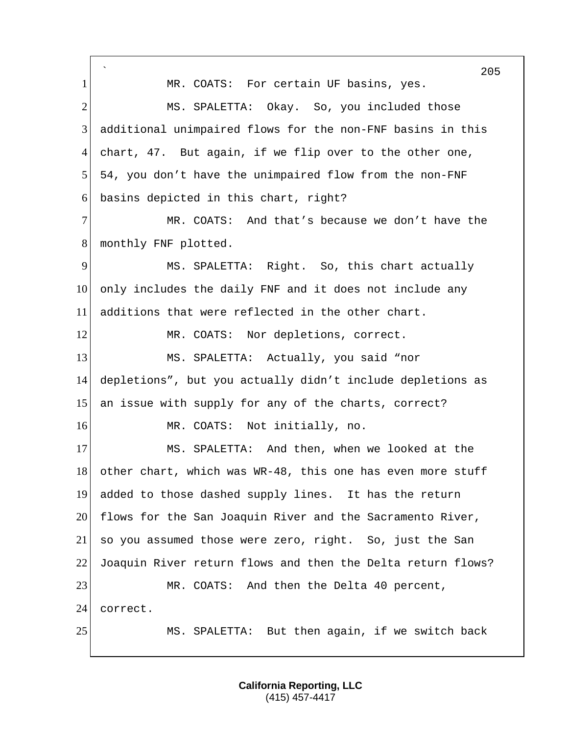` 205 1 MR. COATS: For certain UF basins, yes. 2 MS. SPALETTA: Okay. So, you included those 3 additional unimpaired flows for the non-FNF basins in this 4 chart, 47. But again, if we flip over to the other one, 5 54, you don't have the unimpaired flow from the non-FNF 6 basins depicted in this chart, right? 7 MR. COATS: And that's because we don't have the 8 monthly FNF plotted. 9 MS. SPALETTA: Right. So, this chart actually 10 only includes the daily FNF and it does not include any 11 additions that were reflected in the other chart. 12 MR. COATS: Nor depletions, correct. 13 MS. SPALETTA: Actually, you said "nor 14 depletions", but you actually didn't include depletions as 15 an issue with supply for any of the charts, correct? 16 MR. COATS: Not initially, no. 17 MS. SPALETTA: And then, when we looked at the 18 other chart, which was WR-48, this one has even more stuff 19 added to those dashed supply lines. It has the return 20 flows for the San Joaquin River and the Sacramento River, 21 so you assumed those were zero, right. So, just the San 22 Joaquin River return flows and then the Delta return flows? 23 MR. COATS: And then the Delta 40 percent, 24 correct. 25 MS. SPALETTA: But then again, if we switch back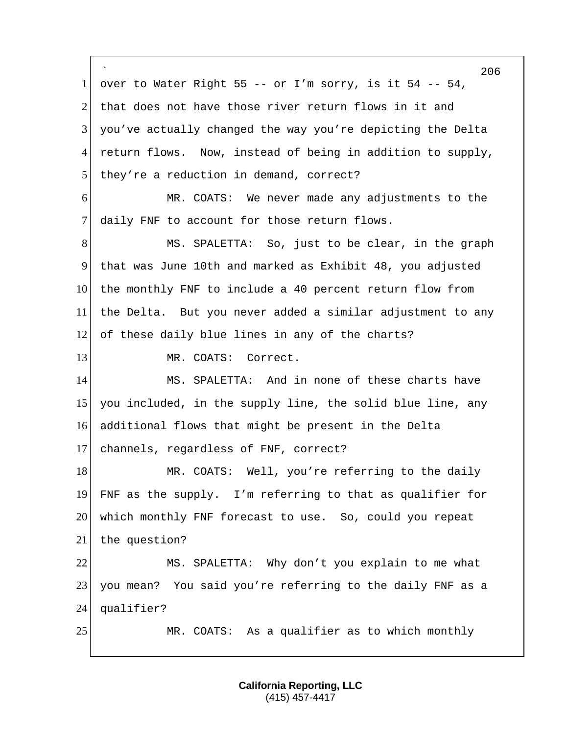` 206 1 over to Water Right 55 -- or I'm sorry, is it 54 -- 54, 2 that does not have those river return flows in it and 3 you've actually changed the way you're depicting the Delta 4 return flows. Now, instead of being in addition to supply, 5 they're a reduction in demand, correct? 6 MR. COATS: We never made any adjustments to the 7 daily FNF to account for those return flows. 8 MS. SPALETTA: So, just to be clear, in the graph 9 that was June 10th and marked as Exhibit 48, you adjusted 10 the monthly FNF to include a 40 percent return flow from 11 the Delta. But you never added a similar adjustment to any 12 of these daily blue lines in any of the charts? 13 MR. COATS: Correct. 14 MS. SPALETTA: And in none of these charts have 15 you included, in the supply line, the solid blue line, any 16 additional flows that might be present in the Delta 17 channels, regardless of FNF, correct? 18 MR. COATS: Well, you're referring to the daily 19 FNF as the supply. I'm referring to that as qualifier for 20 which monthly FNF forecast to use. So, could you repeat 21 the question? 22 MS. SPALETTA: Why don't you explain to me what 23 you mean? You said you're referring to the daily FNF as a 24 qualifier? 25 MR. COATS: As a qualifier as to which monthly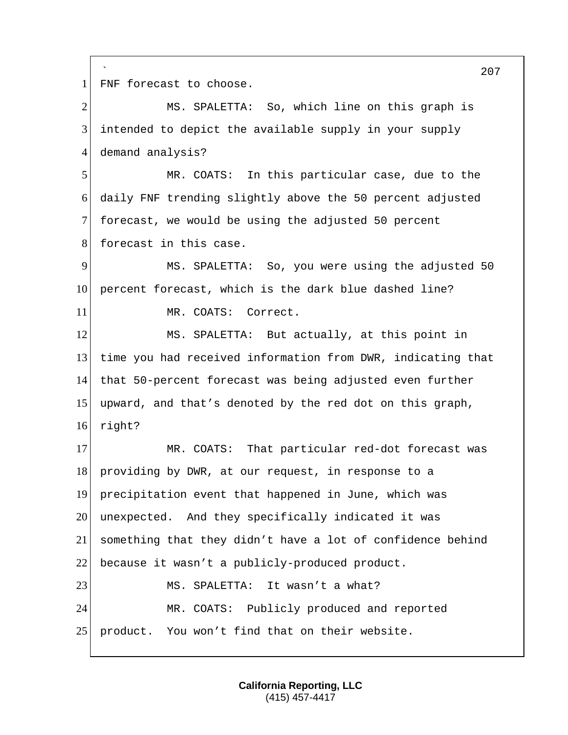` 207 1 FNF forecast to choose. 2 MS. SPALETTA: So, which line on this graph is 3 intended to depict the available supply in your supply 4 demand analysis? 5 MR. COATS: In this particular case, due to the 6 daily FNF trending slightly above the 50 percent adjusted 7 forecast, we would be using the adjusted 50 percent 8 forecast in this case. 9 MS. SPALETTA: So, you were using the adjusted 50 10 percent forecast, which is the dark blue dashed line? 11 MR. COATS: Correct. 12 MS. SPALETTA: But actually, at this point in 13 time you had received information from DWR, indicating that 14 that 50-percent forecast was being adjusted even further 15 upward, and that's denoted by the red dot on this graph, 16 right? 17 MR. COATS: That particular red-dot forecast was 18 providing by DWR, at our request, in response to a 19 precipitation event that happened in June, which was 20 unexpected. And they specifically indicated it was 21 something that they didn't have a lot of confidence behind 22 because it wasn't a publicly-produced product. 23 MS. SPALETTA: It wasn't a what? 24 MR. COATS: Publicly produced and reported 25 product. You won't find that on their website.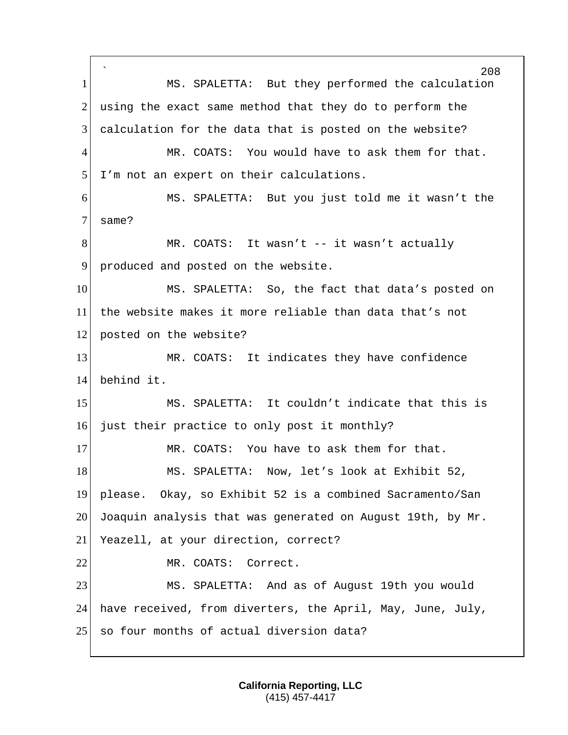` 208 1 MS. SPALETTA: But they performed the calculation  $2$  using the exact same method that they do to perform the 3 calculation for the data that is posted on the website? 4 MR. COATS: You would have to ask them for that. 5 I'm not an expert on their calculations. 6 MS. SPALETTA: But you just told me it wasn't the 7 same? 8 MR. COATS: It wasn't -- it wasn't actually 9 produced and posted on the website. 10 MS. SPALETTA: So, the fact that data's posted on 11 the website makes it more reliable than data that's not 12 posted on the website? 13 MR. COATS: It indicates they have confidence 14 behind it. 15 MS. SPALETTA: It couldn't indicate that this is 16 just their practice to only post it monthly? 17 MR. COATS: You have to ask them for that. 18 MS. SPALETTA: Now, let's look at Exhibit 52, 19 please. Okay, so Exhibit 52 is a combined Sacramento/San 20 Joaquin analysis that was generated on August 19th, by Mr. 21 Yeazell, at your direction, correct? 22 MR. COATS: Correct. 23 MS. SPALETTA: And as of August 19th you would 24 have received, from diverters, the April, May, June, July, 25 so four months of actual diversion data?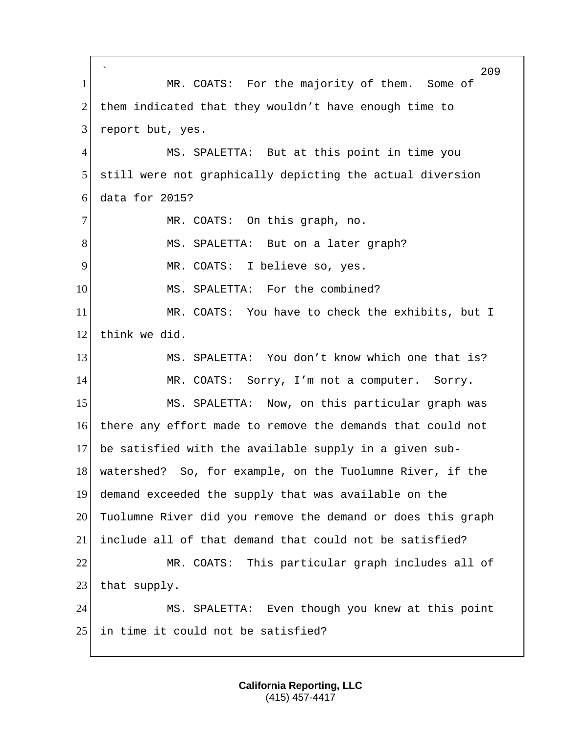` 209 1 MR. COATS: For the majority of them. Some of 2 them indicated that they wouldn't have enough time to 3 report but, yes. 4 MS. SPALETTA: But at this point in time you 5 still were not graphically depicting the actual diversion  $6$  data for 2015? 7 MR. COATS: On this graph, no. 8 MS. SPALETTA: But on a later graph? 9 MR. COATS: I believe so, yes. 10 MS. SPALETTA: For the combined? 11 MR. COATS: You have to check the exhibits, but I 12 think we did. 13 MS. SPALETTA: You don't know which one that is? 14 MR. COATS: Sorry, I'm not a computer. Sorry. 15 MS. SPALETTA: Now, on this particular graph was 16 there any effort made to remove the demands that could not 17 be satisfied with the available supply in a given sub-18 watershed? So, for example, on the Tuolumne River, if the 19 demand exceeded the supply that was available on the 20 Tuolumne River did you remove the demand or does this graph 21 include all of that demand that could not be satisfied? 22 MR. COATS: This particular graph includes all of  $23$  that supply. 24 MS. SPALETTA: Even though you knew at this point 25 in time it could not be satisfied?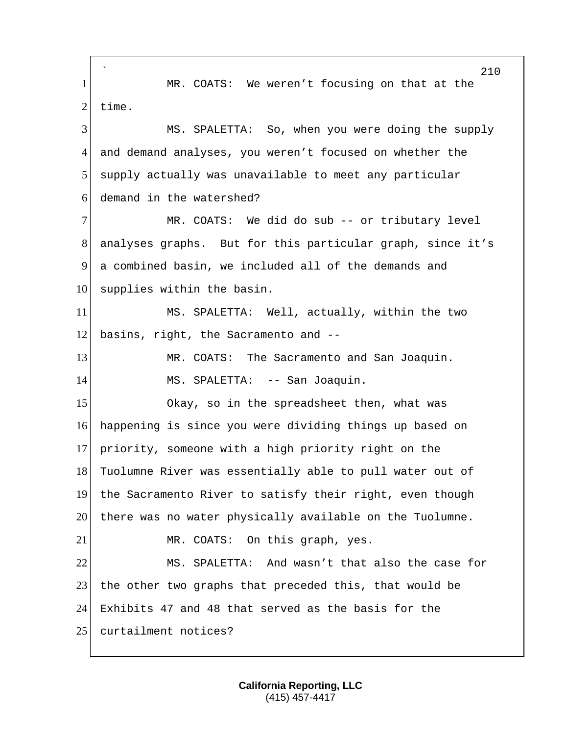` 210 1 MR. COATS: We weren't focusing on that at the  $2$  time. 3 MS. SPALETTA: So, when you were doing the supply 4 and demand analyses, you weren't focused on whether the 5 supply actually was unavailable to meet any particular 6 demand in the watershed? 7 MR. COATS: We did do sub -- or tributary level 8 analyses graphs. But for this particular graph, since it's 9 a combined basin, we included all of the demands and 10 supplies within the basin. 11 MS. SPALETTA: Well, actually, within the two  $12$  basins, right, the Sacramento and  $-$ -13 MR. COATS: The Sacramento and San Joaquin. 14 MS. SPALETTA: -- San Joaquin. 15 Okay, so in the spreadsheet then, what was 16 happening is since you were dividing things up based on 17 priority, someone with a high priority right on the 18 Tuolumne River was essentially able to pull water out of 19 the Sacramento River to satisfy their right, even though 20 there was no water physically available on the Tuolumne. 21 MR. COATS: On this graph, yes. 22 MS. SPALETTA: And wasn't that also the case for 23 the other two graphs that preceded this, that would be 24 Exhibits 47 and 48 that served as the basis for the 25 curtailment notices?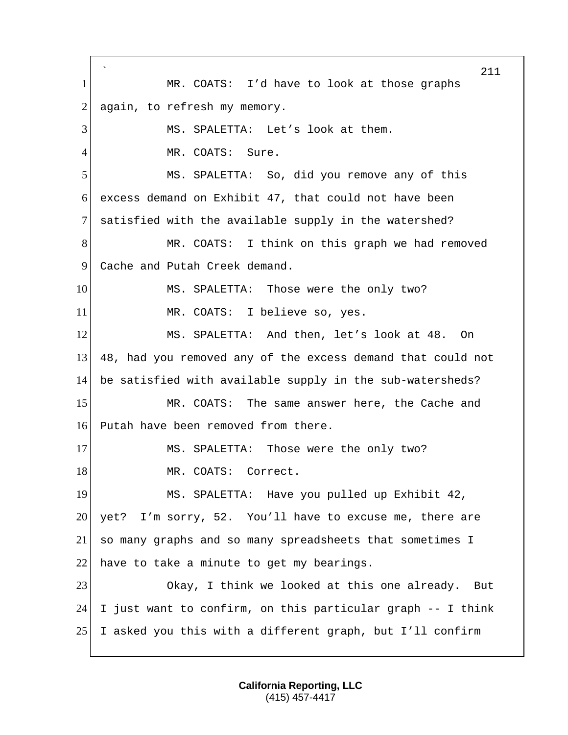` 211 1 MR. COATS: I'd have to look at those graphs 2 again, to refresh my memory. 3 MS. SPALETTA: Let's look at them. 4 MR. COATS: Sure. 5 MS. SPALETTA: So, did you remove any of this 6 excess demand on Exhibit 47, that could not have been 7 satisfied with the available supply in the watershed? 8 MR. COATS: I think on this graph we had removed 9 Cache and Putah Creek demand. 10 MS. SPALETTA: Those were the only two? 11 MR. COATS: I believe so, yes. 12 MS. SPALETTA: And then, let's look at 48. On 13 48, had you removed any of the excess demand that could not 14 be satisfied with available supply in the sub-watersheds? 15 MR. COATS: The same answer here, the Cache and 16 Putah have been removed from there. 17 MS. SPALETTA: Those were the only two? 18 MR. COATS: Correct. 19 MS. SPALETTA: Have you pulled up Exhibit 42, 20 yet? I'm sorry, 52. You'll have to excuse me, there are 21 so many graphs and so many spreadsheets that sometimes I 22 have to take a minute to get my bearings. 23 Okay, I think we looked at this one already. But 24 I just want to confirm, on this particular graph  $-$  I think 25 I asked you this with a different graph, but I'll confirm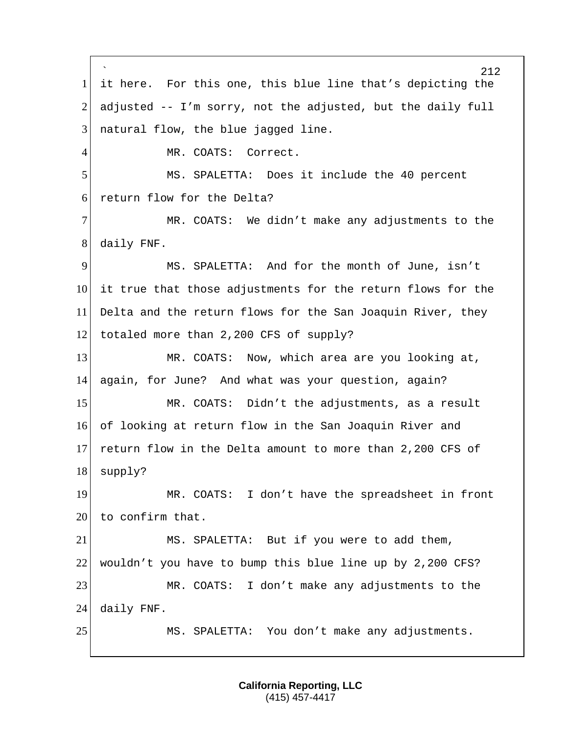` 212 1 it here. For this one, this blue line that's depicting the 2 adjusted  $-$  I'm sorry, not the adjusted, but the daily full 3 | natural flow, the blue jagged line. 4 MR. COATS: Correct. 5 MS. SPALETTA: Does it include the 40 percent 6 return flow for the Delta? 7 MR. COATS: We didn't make any adjustments to the 8 daily FNF. 9 MS. SPALETTA: And for the month of June, isn't 10 it true that those adjustments for the return flows for the 11 Delta and the return flows for the San Joaquin River, they 12 totaled more than 2,200 CFS of supply? 13 MR. COATS: Now, which area are you looking at, 14 again, for June? And what was your question, again? 15 MR. COATS: Didn't the adjustments, as a result 16 of looking at return flow in the San Joaquin River and 17 return flow in the Delta amount to more than 2,200 CFS of 18 supply? 19 MR. COATS: I don't have the spreadsheet in front  $20$  to confirm that. 21 MS. SPALETTA: But if you were to add them, 22 wouldn't you have to bump this blue line up by 2,200 CFS? 23 MR. COATS: I don't make any adjustments to the 24 daily FNF. 25 MS. SPALETTA: You don't make any adjustments.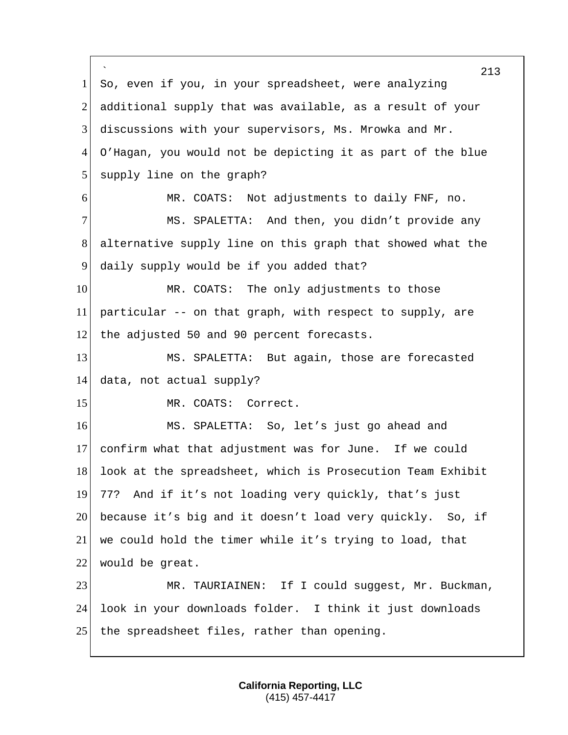` 213 1 So, even if you, in your spreadsheet, were analyzing 2 additional supply that was available, as a result of your 3 discussions with your supervisors, Ms. Mrowka and Mr. 4 O'Hagan, you would not be depicting it as part of the blue 5 supply line on the graph? 6 MR. COATS: Not adjustments to daily FNF, no. 7 MS. SPALETTA: And then, you didn't provide any 8 alternative supply line on this graph that showed what the 9 daily supply would be if you added that? 10 MR. COATS: The only adjustments to those 11 particular -- on that graph, with respect to supply, are 12 the adjusted 50 and 90 percent forecasts. 13 MS. SPALETTA: But again, those are forecasted 14 data, not actual supply? 15 MR. COATS: Correct. 16 MS. SPALETTA: So, let's just go ahead and 17 confirm what that adjustment was for June. If we could 18 look at the spreadsheet, which is Prosecution Team Exhibit 19 77? And if it's not loading very quickly, that's just 20 because it's big and it doesn't load very quickly. So, if 21 we could hold the timer while it's trying to load, that 22 would be great. 23 MR. TAURIAINEN: If I could suggest, Mr. Buckman, 24 look in your downloads folder. I think it just downloads 25 | the spreadsheet files, rather than opening.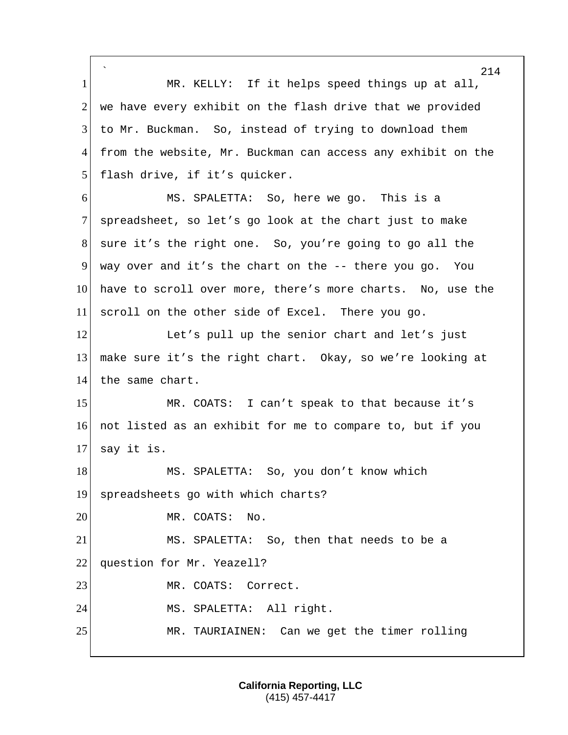` 214 1 MR. KELLY: If it helps speed things up at all,  $2$  we have every exhibit on the flash drive that we provided 3 to Mr. Buckman. So, instead of trying to download them 4 from the website, Mr. Buckman can access any exhibit on the 5 flash drive, if it's quicker. 6 MS. SPALETTA: So, here we go. This is a 7 spreadsheet, so let's go look at the chart just to make 8 sure it's the right one. So, you're going to go all the 9 way over and it's the chart on the  $-$ - there you go. You 10 have to scroll over more, there's more charts. No, use the 11 scroll on the other side of Excel. There you go. 12 Let's pull up the senior chart and let's just 13 make sure it's the right chart. Okay, so we're looking at 14 the same chart. 15 MR. COATS: I can't speak to that because it's 16 not listed as an exhibit for me to compare to, but if you 17 say it is. 18 MS. SPALETTA: So, you don't know which 19 spreadsheets go with which charts? 20 MR. COATS: No. 21 MS. SPALETTA: So, then that needs to be a 22 question for Mr. Yeazell? 23 MR. COATS: Correct. 24 MS. SPALETTA: All right. 25 MR. TAURIAINEN: Can we get the timer rolling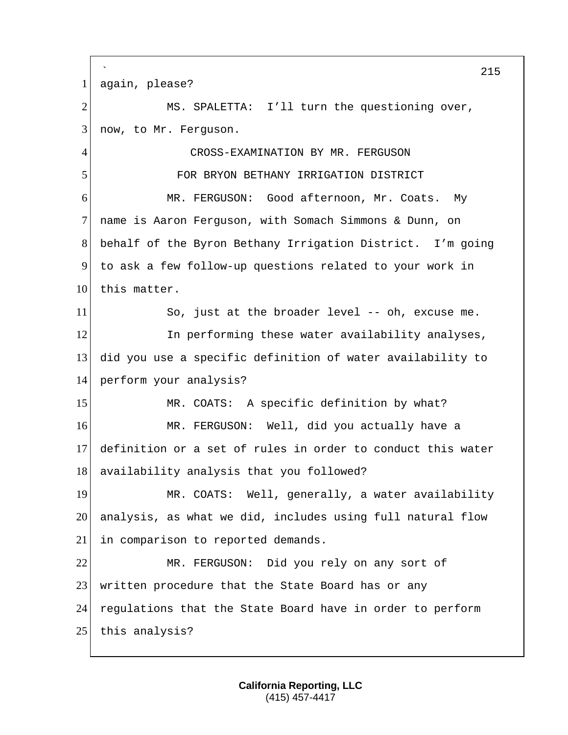` 215 1 again, please? 2 MS. SPALETTA: I'll turn the questioning over, 3 now, to Mr. Ferguson. 4 CROSS-EXAMINATION BY MR. FERGUSON 5 FOR BRYON BETHANY IRRIGATION DISTRICT 6 MR. FERGUSON: Good afternoon, Mr. Coats. My 7 name is Aaron Ferguson, with Somach Simmons & Dunn, on 8 behalf of the Byron Bethany Irrigation District. I'm going 9 to ask a few follow-up questions related to your work in 10 this matter. 11 So, just at the broader level -- oh, excuse me. 12 In performing these water availability analyses, 13 did you use a specific definition of water availability to 14 perform your analysis? 15 MR. COATS: A specific definition by what? 16 MR. FERGUSON: Well, did you actually have a 17 definition or a set of rules in order to conduct this water 18 availability analysis that you followed? 19 MR. COATS: Well, generally, a water availability 20 analysis, as what we did, includes using full natural flow 21 in comparison to reported demands. 22 MR. FERGUSON: Did you rely on any sort of 23 | written procedure that the State Board has or any 24 regulations that the State Board have in order to perform 25 this analysis?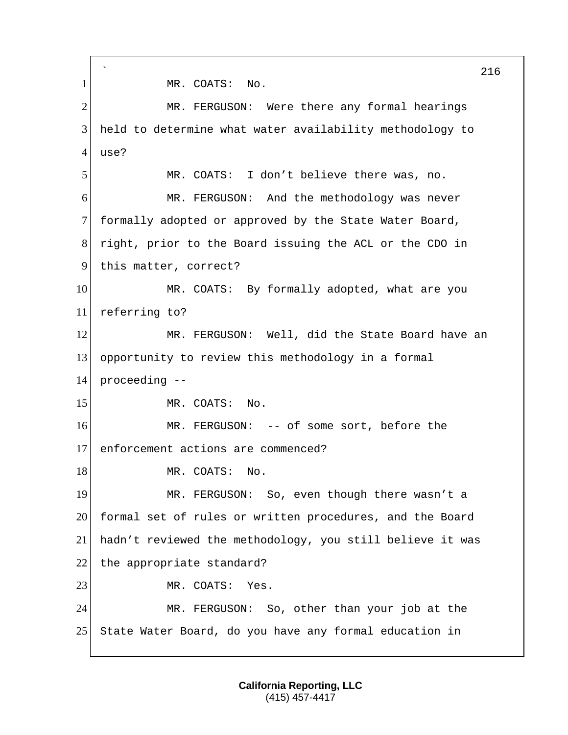` 216 1 MR. COATS: No. 2 MR. FERGUSON: Were there any formal hearings 3 held to determine what water availability methodology to  $4^{\mathrm{+}}$ use? 5 MR. COATS: I don't believe there was, no. 6 MR. FERGUSON: And the methodology was never 7 formally adopted or approved by the State Water Board, 8 right, prior to the Board issuing the ACL or the CDO in 9 this matter, correct? 10 MR. COATS: By formally adopted, what are you 11 referring to? 12 MR. FERGUSON: Well, did the State Board have an 13 opportunity to review this methodology in a formal 14 proceeding -- 15 MR. COATS: No. 16 MR. FERGUSON: -- of some sort, before the 17 enforcement actions are commenced? 18 MR. COATS: No. 19 MR. FERGUSON: So, even though there wasn't a 20 formal set of rules or written procedures, and the Board 21 hadn't reviewed the methodology, you still believe it was 22 the appropriate standard? 23 MR. COATS: Yes. 24 MR. FERGUSON: So, other than your job at the 25 State Water Board, do you have any formal education in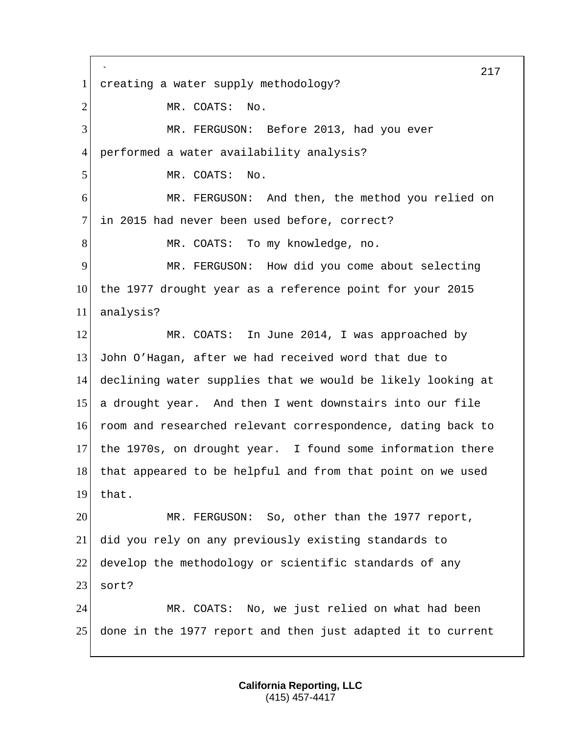` 217 1 creating a water supply methodology? 2 MR. COATS: No. 3 MR. FERGUSON: Before 2013, had you ever 4 performed a water availability analysis? 5 MR. COATS: No. 6 MR. FERGUSON: And then, the method you relied on 7 in 2015 had never been used before, correct? 8 MR. COATS: To my knowledge, no. 9 MR. FERGUSON: How did you come about selecting 10 the 1977 drought year as a reference point for your 2015 11 analysis? 12 MR. COATS: In June 2014, I was approached by 13 John O'Hagan, after we had received word that due to 14 declining water supplies that we would be likely looking at 15 a drought year. And then I went downstairs into our file 16 room and researched relevant correspondence, dating back to 17 the 1970s, on drought year. I found some information there 18 that appeared to be helpful and from that point on we used 19 that. 20 MR. FERGUSON: So, other than the 1977 report, 21 did you rely on any previously existing standards to 22 develop the methodology or scientific standards of any 23 sort? 24 MR. COATS: No, we just relied on what had been 25 done in the 1977 report and then just adapted it to current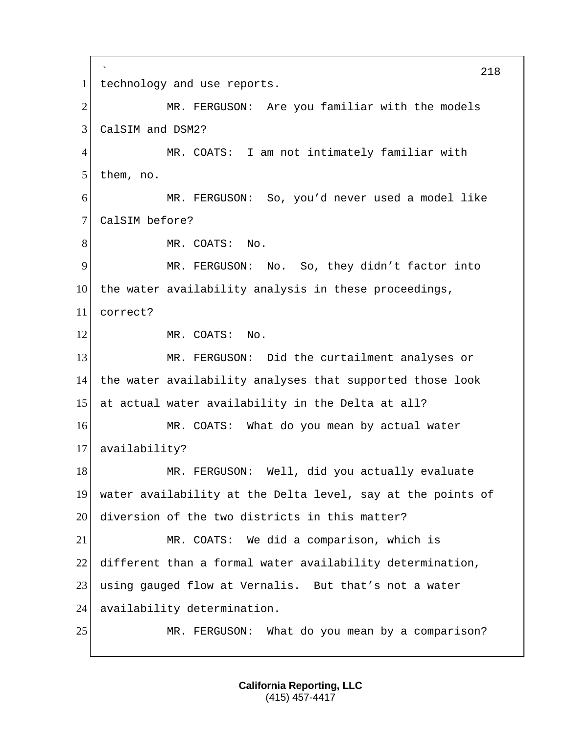` 218 1 technology and use reports. 2 MR. FERGUSON: Are you familiar with the models 3 CalSIM and DSM2? 4 MR. COATS: I am not intimately familiar with 5 them, no. 6 MR. FERGUSON: So, you'd never used a model like 7 CalSIM before? 8 MR. COATS: No. 9 MR. FERGUSON: No. So, they didn't factor into 10 the water availability analysis in these proceedings, 11 correct? 12 MR. COATS: No. 13 MR. FERGUSON: Did the curtailment analyses or 14 the water availability analyses that supported those look 15 at actual water availability in the Delta at all? 16 MR. COATS: What do you mean by actual water 17 availability? 18 MR. FERGUSON: Well, did you actually evaluate 19 water availability at the Delta level, say at the points of 20 diversion of the two districts in this matter? 21 MR. COATS: We did a comparison, which is 22 different than a formal water availability determination, 23 using gauged flow at Vernalis. But that's not a water 24 availability determination. 25 MR. FERGUSON: What do you mean by a comparison?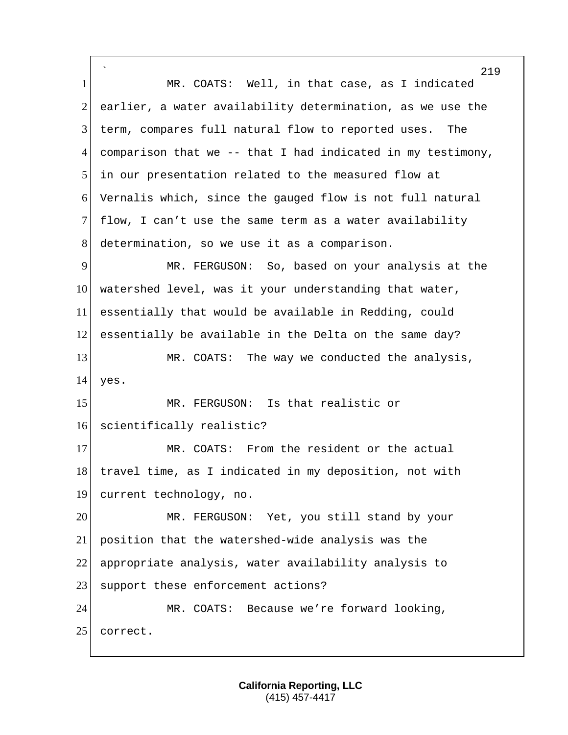` 1 MR. COATS: Well, in that case, as I indicated 2 earlier, a water availability determination, as we use the 3 term, compares full natural flow to reported uses. The 4 comparison that we  $-$ - that I had indicated in my testimony, 5 in our presentation related to the measured flow at 6 Vernalis which, since the gauged flow is not full natural 7 flow, I can't use the same term as a water availability 8 determination, so we use it as a comparison. 9 MR. FERGUSON: So, based on your analysis at the 10 watershed level, was it your understanding that water, 11 essentially that would be available in Redding, could 12 essentially be available in the Delta on the same day? 13 MR. COATS: The way we conducted the analysis, 14 yes. 15 MR. FERGUSON: Is that realistic or 16 scientifically realistic? 17 MR. COATS: From the resident or the actual 18 travel time, as I indicated in my deposition, not with 19 current technology, no. 20 MR. FERGUSON: Yet, you still stand by your 21 position that the watershed-wide analysis was the 22 appropriate analysis, water availability analysis to 23 support these enforcement actions? 24 MR. COATS: Because we're forward looking, 25 correct.

219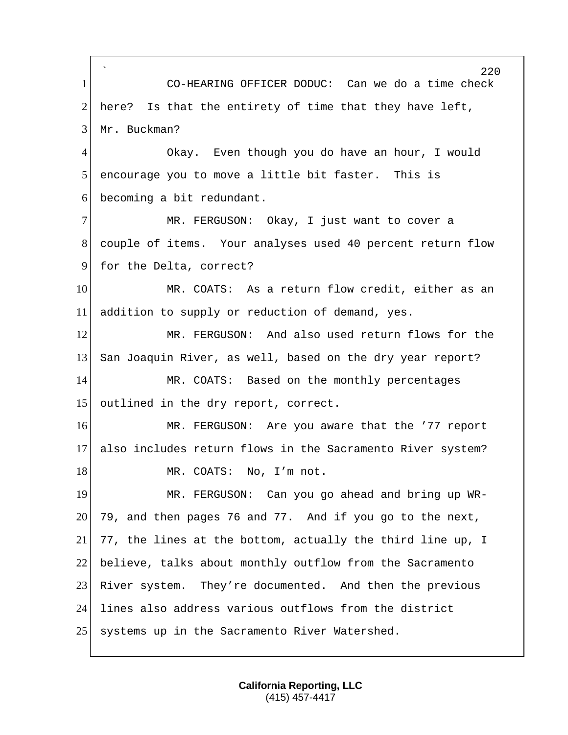` 220 1 CO-HEARING OFFICER DODUC: Can we do a time check 2 here? Is that the entirety of time that they have left, 3 Mr. Buckman? 4 Okay. Even though you do have an hour, I would 5 encourage you to move a little bit faster. This is 6 becoming a bit redundant. 7 MR. FERGUSON: Okay, I just want to cover a 8 couple of items. Your analyses used 40 percent return flow 9 for the Delta, correct? 10 MR. COATS: As a return flow credit, either as an 11 addition to supply or reduction of demand, yes. 12 MR. FERGUSON: And also used return flows for the 13 San Joaquin River, as well, based on the dry year report? 14 MR. COATS: Based on the monthly percentages 15 outlined in the dry report, correct. 16 MR. FERGUSON: Are you aware that the '77 report 17 also includes return flows in the Sacramento River system? 18 MR. COATS: No, I'm not. 19 MR. FERGUSON: Can you go ahead and bring up WR- $20\vert$  79, and then pages 76 and 77. And if you go to the next, 21 77, the lines at the bottom, actually the third line up, I 22 believe, talks about monthly outflow from the Sacramento 23 River system. They're documented. And then the previous 24 lines also address various outflows from the district 25 systems up in the Sacramento River Watershed.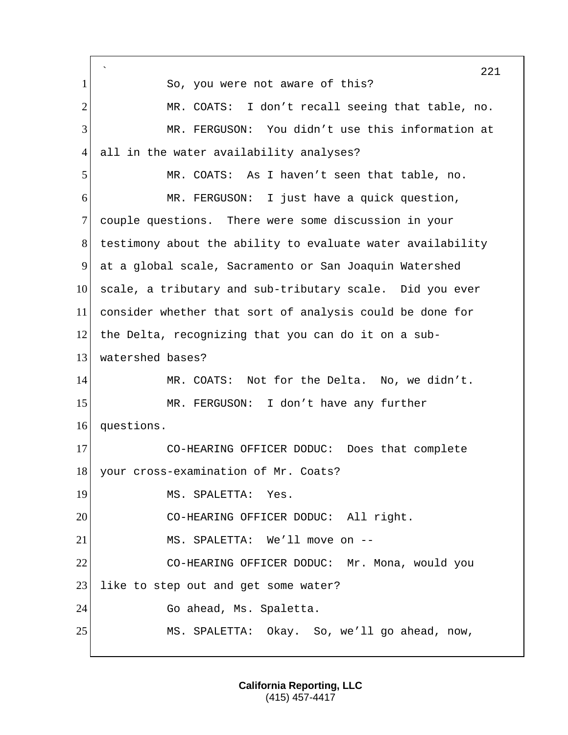` 221 1 So, you were not aware of this? 2 MR. COATS: I don't recall seeing that table, no. 3 MR. FERGUSON: You didn't use this information at 4 all in the water availability analyses? 5 MR. COATS: As I haven't seen that table, no. 6 MR. FERGUSON: I just have a quick question, 7 couple questions. There were some discussion in your 8 testimony about the ability to evaluate water availability 9 at a global scale, Sacramento or San Joaquin Watershed 10 scale, a tributary and sub-tributary scale. Did you ever 11 consider whether that sort of analysis could be done for 12 the Delta, recognizing that you can do it on a sub-13 watershed bases? 14 MR. COATS: Not for the Delta. No, we didn't. 15 MR. FERGUSON: I don't have any further 16 questions. 17 CO-HEARING OFFICER DODUC: Does that complete 18 your cross-examination of Mr. Coats? 19 MS. SPALETTA: Yes. 20 CO-HEARING OFFICER DODUC: All right. 21 MS. SPALETTA: We'll move on -- 22 CO-HEARING OFFICER DODUC: Mr. Mona, would you 23 like to step out and get some water? 24 Go ahead, Ms. Spaletta. 25 MS. SPALETTA: Okay. So, we'll go ahead, now,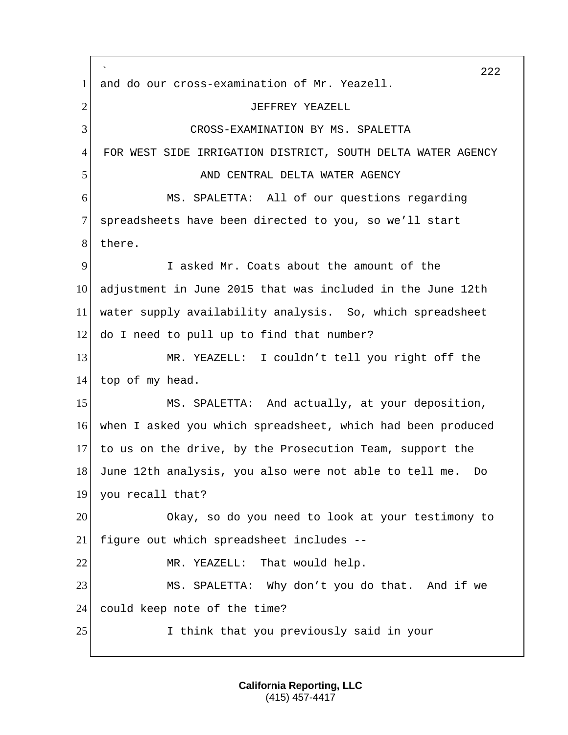` 222 1 and do our cross-examination of Mr. Yeazell. 2 JEFFREY YEAZELL 3 CROSS-EXAMINATION BY MS. SPALETTA 4 FOR WEST SIDE IRRIGATION DISTRICT, SOUTH DELTA WATER AGENCY 5 AND CENTRAL DELTA WATER AGENCY 6 MS. SPALETTA: All of our questions regarding 7 spreadsheets have been directed to you, so we'll start 8 there. 9 I asked Mr. Coats about the amount of the 10 adjustment in June 2015 that was included in the June 12th 11 water supply availability analysis. So, which spreadsheet 12 do I need to pull up to find that number? 13 MR. YEAZELL: I couldn't tell you right off the 14 top of my head. 15 MS. SPALETTA: And actually, at your deposition, 16 when I asked you which spreadsheet, which had been produced 17 to us on the drive, by the Prosecution Team, support the 18 June 12th analysis, you also were not able to tell me. Do 19 you recall that? 20 Okay, so do you need to look at your testimony to 21 figure out which spreadsheet includes -- 22 MR. YEAZELL: That would help. 23 MS. SPALETTA: Why don't you do that. And if we 24 could keep note of the time? 25 1 I think that you previously said in your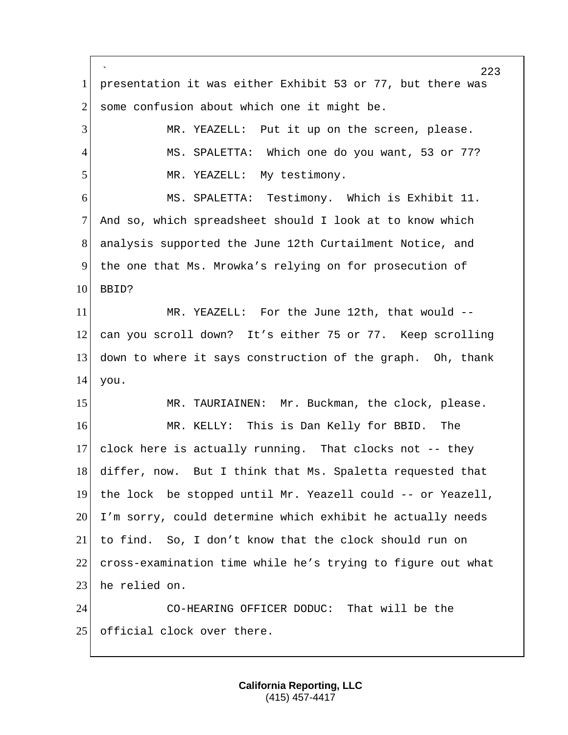` 223 1 presentation it was either Exhibit 53 or 77, but there was  $2$  some confusion about which one it might be. 3 MR. YEAZELL: Put it up on the screen, please. 4 MS. SPALETTA: Which one do you want, 53 or 77? 5 MR. YEAZELL: My testimony. 6 MS. SPALETTA: Testimony. Which is Exhibit 11. 7 And so, which spreadsheet should I look at to know which 8 analysis supported the June 12th Curtailment Notice, and 9 the one that Ms. Mrowka's relying on for prosecution of  $10<sup>1</sup>$  BBID? 11 MR. YEAZELL: For the June 12th, that would --12 can you scroll down? It's either 75 or 77. Keep scrolling 13 down to where it says construction of the graph. Oh, thank 14 you. 15 MR. TAURIAINEN: Mr. Buckman, the clock, please. 16 MR. KELLY: This is Dan Kelly for BBID. The 17 clock here is actually running. That clocks not  $-$ - they 18 differ, now. But I think that Ms. Spaletta requested that 19 the lock be stopped until Mr. Yeazell could -- or Yeazell, 20 I'm sorry, could determine which exhibit he actually needs 21 to find. So, I don't know that the clock should run on 22 cross-examination time while he's trying to figure out what 23 he relied on. 24 CO-HEARING OFFICER DODUC: That will be the 25 official clock over there.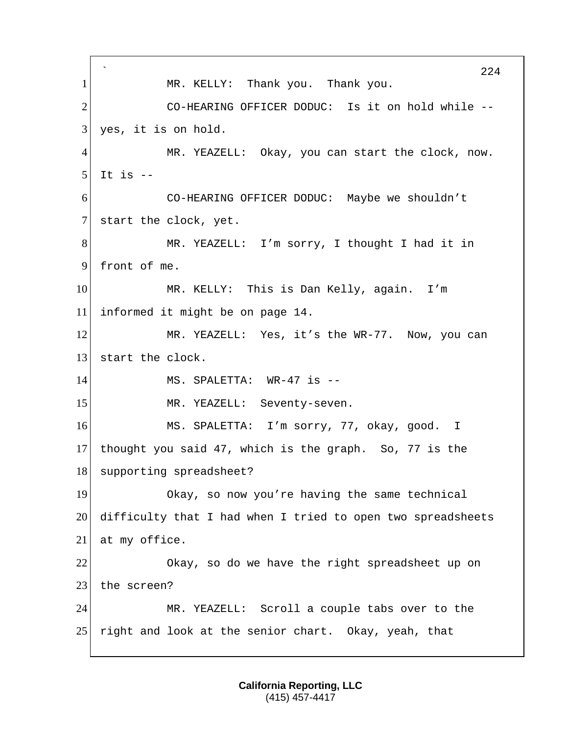` 224 1 | MR. KELLY: Thank you. Thank you. 2 CO-HEARING OFFICER DODUC: Is it on hold while -- $3$  yes, it is on hold. 4 MR. YEAZELL: Okay, you can start the clock, now.  $5$  It is  $-$ 6 CO-HEARING OFFICER DODUC: Maybe we shouldn't 7 start the clock, yet. 8 MR. YEAZELL: I'm sorry, I thought I had it in 9 front of me. 10 MR. KELLY: This is Dan Kelly, again. I'm 11 informed it might be on page 14. 12 MR. YEAZELL: Yes, it's the WR-77. Now, you can 13 start the clock. 14 MS. SPALETTA: WR-47 is --15 MR. YEAZELL: Seventy-seven. 16 MS. SPALETTA: I'm sorry, 77, okay, good. I 17 thought you said 47, which is the graph. So, 77 is the 18 supporting spreadsheet? 19 Okay, so now you're having the same technical 20 difficulty that I had when I tried to open two spreadsheets 21 at my office. 22 Okay, so do we have the right spreadsheet up on 23 the screen? 24 MR. YEAZELL: Scroll a couple tabs over to the 25 right and look at the senior chart. Okay, yeah, that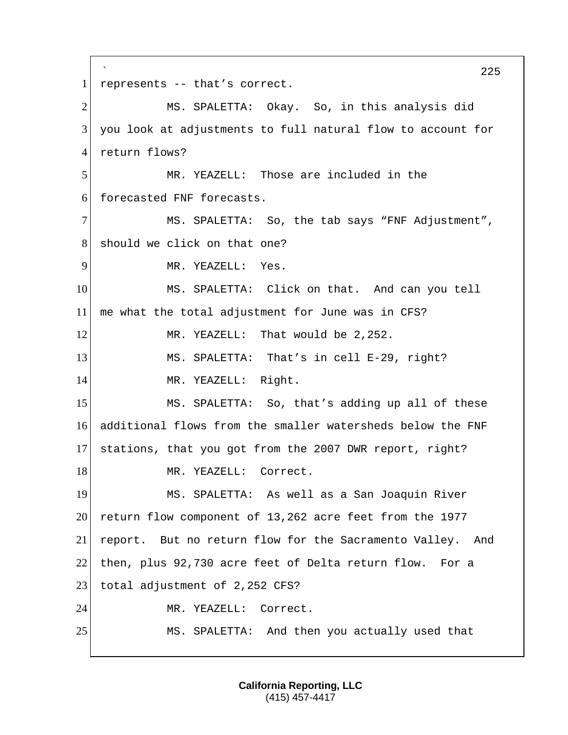` 225 1 represents -- that's correct. 2 MS. SPALETTA: Okay. So, in this analysis did 3 you look at adjustments to full natural flow to account for 4 return flows? 5 MR. YEAZELL: Those are included in the 6 forecasted FNF forecasts. 7 MS. SPALETTA: So, the tab says "FNF Adjustment", 8 should we click on that one? 9 MR. YEAZELL: Yes. 10 MS. SPALETTA: Click on that. And can you tell 11 me what the total adjustment for June was in CFS? 12 MR. YEAZELL: That would be 2,252. 13 MS. SPALETTA: That's in cell E-29, right? 14 MR. YEAZELL: Right. 15 MS. SPALETTA: So, that's adding up all of these 16 additional flows from the smaller watersheds below the FNF 17 stations, that you got from the 2007 DWR report, right? 18 MR. YEAZELL: Correct. 19 MS. SPALETTA: As well as a San Joaquin River 20 return flow component of 13,262 acre feet from the 1977 21 report. But no return flow for the Sacramento Valley. And 22 then, plus 92,730 acre feet of Delta return flow. For a 23 total adjustment of 2,252 CFS? 24 MR. YEAZELL: Correct. 25 MS. SPALETTA: And then you actually used that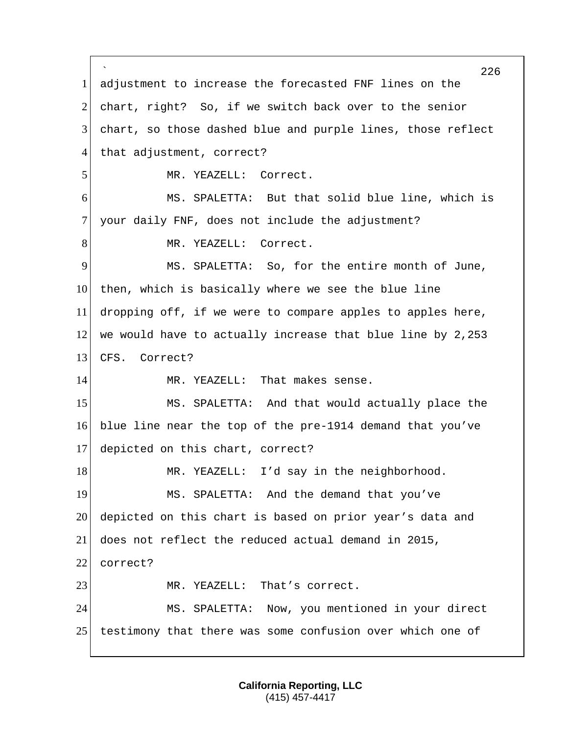` 226 1 adjustment to increase the forecasted FNF lines on the 2 chart, right? So, if we switch back over to the senior 3 chart, so those dashed blue and purple lines, those reflect 4 that adjustment, correct? 5 MR. YEAZELL: Correct. 6 MS. SPALETTA: But that solid blue line, which is 7 your daily FNF, does not include the adjustment? 8 MR. YEAZELL: Correct. 9 MS. SPALETTA: So, for the entire month of June, 10 then, which is basically where we see the blue line 11 dropping off, if we were to compare apples to apples here, 12 we would have to actually increase that blue line by 2,253 13 CFS. Correct? 14 MR. YEAZELL: That makes sense. 15 MS. SPALETTA: And that would actually place the 16 blue line near the top of the pre-1914 demand that you've 17 depicted on this chart, correct? 18 MR. YEAZELL: I'd say in the neighborhood. 19 MS. SPALETTA: And the demand that you've 20 depicted on this chart is based on prior year's data and 21 does not reflect the reduced actual demand in 2015, 22 correct? 23 MR. YEAZELL: That's correct. 24 MS. SPALETTA: Now, you mentioned in your direct 25 testimony that there was some confusion over which one of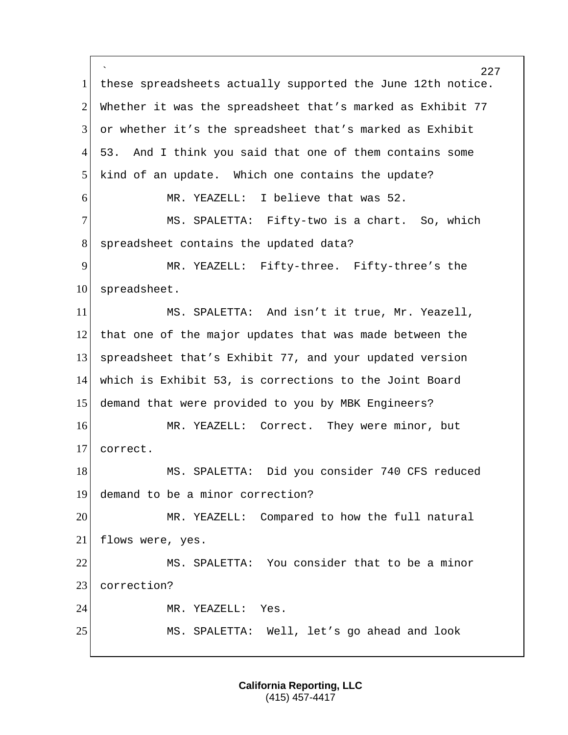` 227 1 | these spreadsheets actually supported the June 12th notice. 2 Whether it was the spreadsheet that's marked as Exhibit 77 3 or whether it's the spreadsheet that's marked as Exhibit 4 53. And I think you said that one of them contains some 5 kind of an update. Which one contains the update? 6 MR. YEAZELL: I believe that was 52. 7 MS. SPALETTA: Fifty-two is a chart. So, which 8 spreadsheet contains the updated data? 9 MR. YEAZELL: Fifty-three. Fifty-three's the 10 spreadsheet. 11 | MS. SPALETTA: And isn't it true, Mr. Yeazell, 12 that one of the major updates that was made between the 13 spreadsheet that's Exhibit 77, and your updated version 14 which is Exhibit 53, is corrections to the Joint Board 15 demand that were provided to you by MBK Engineers? 16 MR. YEAZELL: Correct. They were minor, but 17 correct. 18 MS. SPALETTA: Did you consider 740 CFS reduced 19 demand to be a minor correction? 20 MR. YEAZELL: Compared to how the full natural 21 flows were, yes. 22 MS. SPALETTA: You consider that to be a minor 23 correction? 24 MR. YEAZELL: Yes. 25 MS. SPALETTA: Well, let's go ahead and look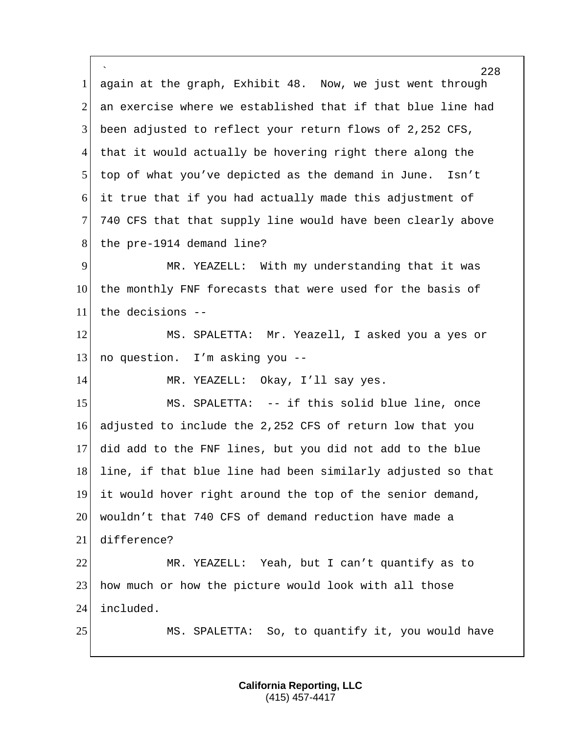` 228 1 again at the graph, Exhibit 48. Now, we just went through 2 an exercise where we established that if that blue line had 3 been adjusted to reflect your return flows of 2,252 CFS, 4 that it would actually be hovering right there along the 5 top of what you've depicted as the demand in June. Isn't 6 it true that if you had actually made this adjustment of 7 740 CFS that that supply line would have been clearly above 8 the pre-1914 demand line? 9 MR. YEAZELL: With my understanding that it was 10 the monthly FNF forecasts that were used for the basis of 11 the decisions -- 12 MS. SPALETTA: Mr. Yeazell, I asked you a yes or 13 no question. I'm asking you  $-$ 14 MR. YEAZELL: Okay, I'll say yes. 15 MS. SPALETTA: -- if this solid blue line, once 16 adjusted to include the 2,252 CFS of return low that you 17 did add to the FNF lines, but you did not add to the blue 18 line, if that blue line had been similarly adjusted so that 19 it would hover right around the top of the senior demand, 20 wouldn't that 740 CFS of demand reduction have made a 21 difference? 22 MR. YEAZELL: Yeah, but I can't quantify as to 23 how much or how the picture would look with all those 24 included. 25 MS. SPALETTA: So, to quantify it, you would have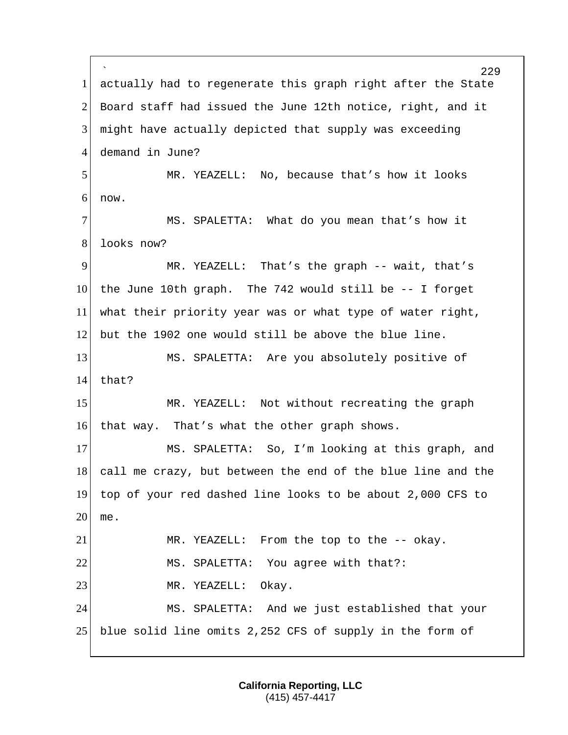` 229 1 actually had to regenerate this graph right after the State 2 Board staff had issued the June 12th notice, right, and it 3 might have actually depicted that supply was exceeding 4 demand in June? 5 MR. YEAZELL: No, because that's how it looks 6 now. 7 MS. SPALETTA: What do you mean that's how it 8 looks now? 9 MR. YEAZELL: That's the graph -- wait, that's 10 the June 10th graph. The 742 would still be -- I forget 11 what their priority year was or what type of water right, 12 but the 1902 one would still be above the blue line. 13 MS. SPALETTA: Are you absolutely positive of 14 that? 15 MR. YEAZELL: Not without recreating the graph 16 that way. That's what the other graph shows. 17 MS. SPALETTA: So, I'm looking at this graph, and 18 call me crazy, but between the end of the blue line and the 19 top of your red dashed line looks to be about 2,000 CFS to  $20 \mid me.$ 21 MR. YEAZELL: From the top to the -- okay. 22 MS. SPALETTA: You agree with that?: 23 MR. YEAZELL: Okay. 24 MS. SPALETTA: And we just established that your 25 blue solid line omits 2,252 CFS of supply in the form of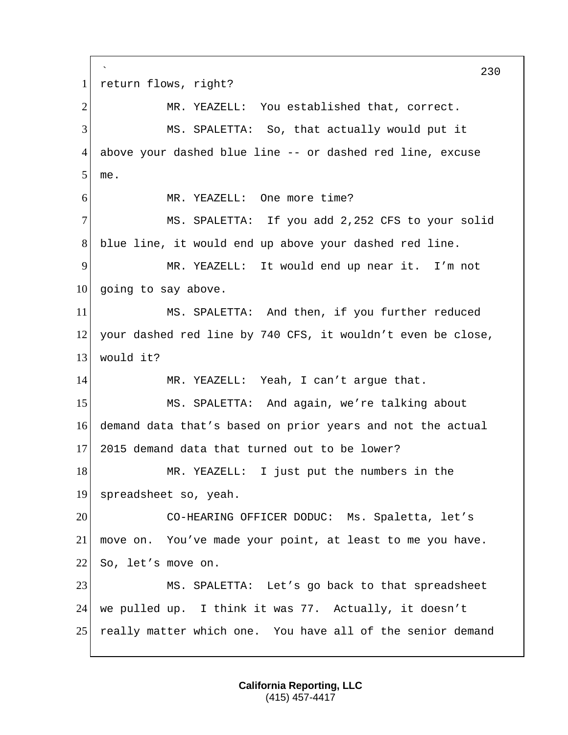` 230 1 return flows, right? 2 MR. YEAZELL: You established that, correct. 3 MS. SPALETTA: So, that actually would put it 4 above your dashed blue line -- or dashed red line, excuse 5 me. 6 MR. YEAZELL: One more time? 7 MS. SPALETTA: If you add 2,252 CFS to your solid 8 blue line, it would end up above your dashed red line. 9 MR. YEAZELL: It would end up near it. I'm not  $10$  going to say above. 11 MS. SPALETTA: And then, if you further reduced 12 your dashed red line by 740 CFS, it wouldn't even be close, 13 would it? 14 MR. YEAZELL: Yeah, I can't argue that. 15 MS. SPALETTA: And again, we're talking about 16 demand data that's based on prior years and not the actual 17 2015 demand data that turned out to be lower? 18 MR. YEAZELL: I just put the numbers in the 19 spreadsheet so, yeah. 20 CO-HEARING OFFICER DODUC: Ms. Spaletta, let's 21 move on. You've made your point, at least to me you have. 22 So, let's move on. 23 MS. SPALETTA: Let's go back to that spreadsheet 24 we pulled up. I think it was 77. Actually, it doesn't 25 really matter which one. You have all of the senior demand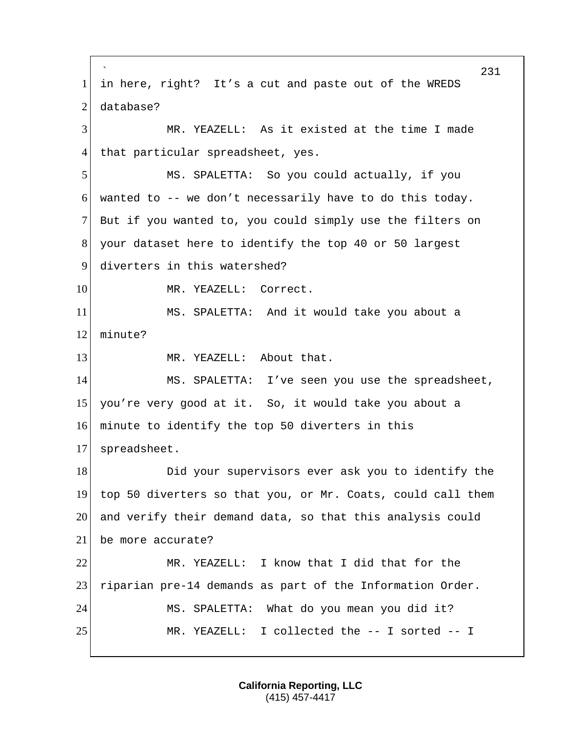` 231 1 in here, right? It's a cut and paste out of the WREDS 2 database? 3 MR. YEAZELL: As it existed at the time I made 4 that particular spreadsheet, yes. 5 MS. SPALETTA: So you could actually, if you  $6$  wanted to  $-$ - we don't necessarily have to do this today. 7 But if you wanted to, you could simply use the filters on 8 your dataset here to identify the top 40 or 50 largest 9 diverters in this watershed? 10 MR. YEAZELL: Correct. 11 MS. SPALETTA: And it would take you about a 12 minute? 13 MR. YEAZELL: About that. 14 MS. SPALETTA: I've seen you use the spreadsheet, 15 you're very good at it. So, it would take you about a 16 minute to identify the top 50 diverters in this 17 spreadsheet. 18 Did your supervisors ever ask you to identify the 19 top 50 diverters so that you, or Mr. Coats, could call them 20 and verify their demand data, so that this analysis could 21 be more accurate? 22 MR. YEAZELL: I know that I did that for the 23 riparian pre-14 demands as part of the Information Order. 24 MS. SPALETTA: What do you mean you did it? 25 MR. YEAZELL: I collected the -- I sorted -- I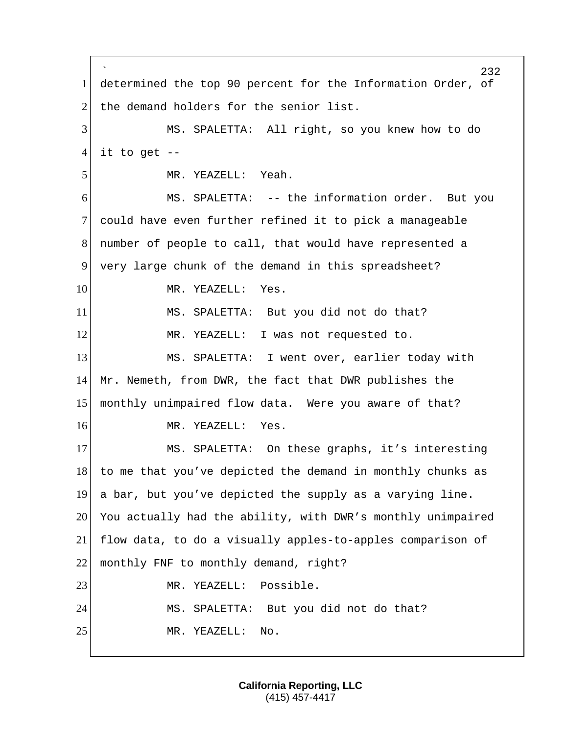` 232 1 determined the top 90 percent for the Information Order, of 2 the demand holders for the senior list. 3 MS. SPALETTA: All right, so you knew how to do  $4$  it to get  $-$ 5 MR. YEAZELL: Yeah. 6 MS. SPALETTA: -- the information order. But you 7 could have even further refined it to pick a manageable 8 number of people to call, that would have represented a 9 very large chunk of the demand in this spreadsheet? 10 MR. YEAZELL: Yes. 11 MS. SPALETTA: But you did not do that? 12 MR. YEAZELL: I was not requested to. 13 MS. SPALETTA: I went over, earlier today with 14 Mr. Nemeth, from DWR, the fact that DWR publishes the 15 monthly unimpaired flow data. Were you aware of that? 16 MR. YEAZELL: Yes. 17 MS. SPALETTA: On these graphs, it's interesting 18 to me that you've depicted the demand in monthly chunks as 19 a bar, but you've depicted the supply as a varying line. 20 You actually had the ability, with DWR's monthly unimpaired 21 flow data, to do a visually apples-to-apples comparison of 22 | monthly FNF to monthly demand, right? 23 MR. YEAZELL: Possible. 24 MS. SPALETTA: But you did not do that? 25 MR. YEAZELL: No.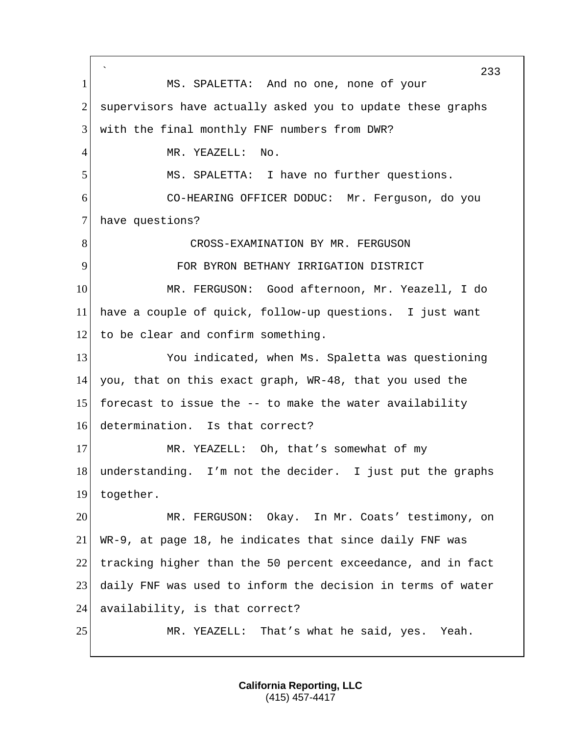` 233 1 MS. SPALETTA: And no one, none of your 2 supervisors have actually asked you to update these graphs 3 with the final monthly FNF numbers from DWR? 4 MR. YEAZELL: No. 5 MS. SPALETTA: I have no further questions. 6 CO-HEARING OFFICER DODUC: Mr. Ferguson, do you 7 have questions? 8 CROSS-EXAMINATION BY MR. FERGUSON 9 FOR BYRON BETHANY IRRIGATION DISTRICT 10 MR. FERGUSON: Good afternoon, Mr. Yeazell, I do 11 have a couple of quick, follow-up questions. I just want 12 to be clear and confirm something. 13 You indicated, when Ms. Spaletta was questioning 14 you, that on this exact graph, WR-48, that you used the 15 forecast to issue the  $-$ - to make the water availability 16 determination. Is that correct? 17 MR. YEAZELL: Oh, that's somewhat of my 18 understanding. I'm not the decider. I just put the graphs 19 together. 20 MR. FERGUSON: Okay. In Mr. Coats' testimony, on 21 WR-9, at page 18, he indicates that since daily FNF was 22 tracking higher than the 50 percent exceedance, and in fact 23 daily FNF was used to inform the decision in terms of water 24 availability, is that correct? 25 MR. YEAZELL: That's what he said, yes. Yeah.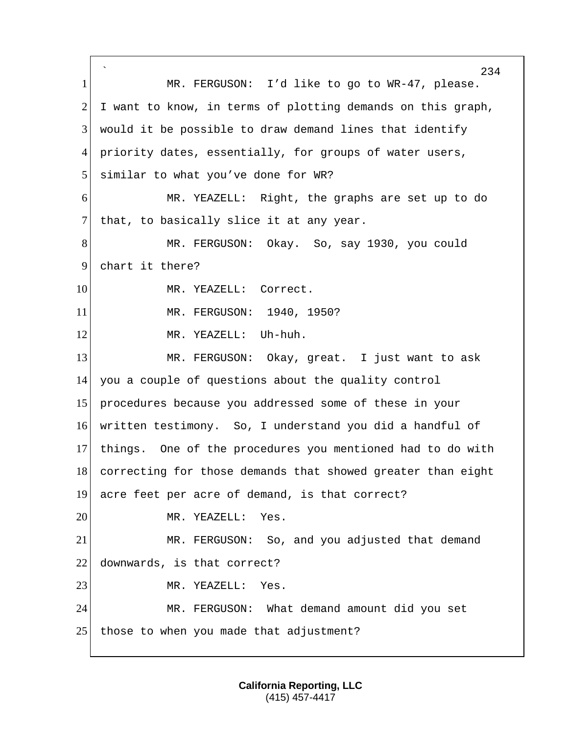` 234 1 MR. FERGUSON: I'd like to go to WR-47, please.  $2$  I want to know, in terms of plotting demands on this graph, 3 would it be possible to draw demand lines that identify 4 priority dates, essentially, for groups of water users, 5 similar to what you've done for WR? 6 MR. YEAZELL: Right, the graphs are set up to do 7 that, to basically slice it at any year. 8 MR. FERGUSON: Okay. So, say 1930, you could 9 chart it there? 10 MR. YEAZELL: Correct. 11 MR. FERGUSON: 1940, 1950? 12 MR. YEAZELL: Uh-huh. 13 MR. FERGUSON: Okay, great. I just want to ask 14 you a couple of questions about the quality control 15 procedures because you addressed some of these in your 16 written testimony. So, I understand you did a handful of 17 things. One of the procedures you mentioned had to do with 18 correcting for those demands that showed greater than eight 19 acre feet per acre of demand, is that correct? 20 MR. YEAZELL: Yes. 21 MR. FERGUSON: So, and you adjusted that demand 22 downwards, is that correct? 23 MR. YEAZELL: Yes. 24 MR. FERGUSON: What demand amount did you set 25 those to when you made that adjustment?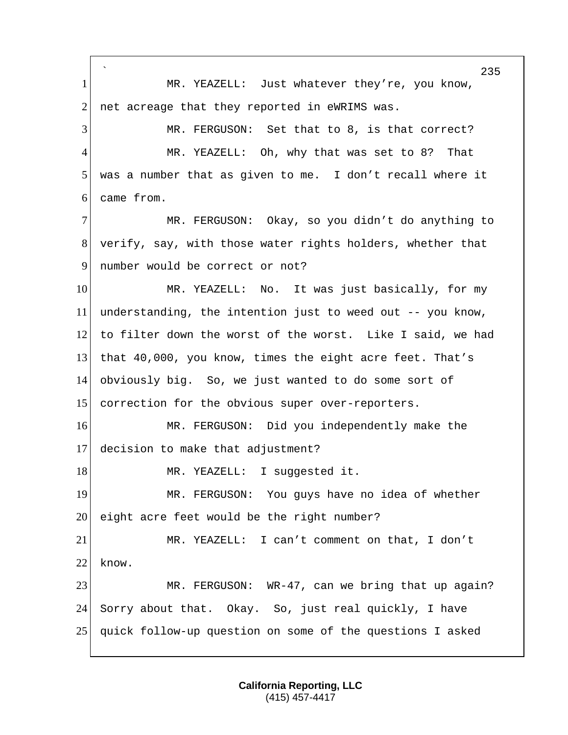` 235 1 MR. YEAZELL: Just whatever they're, you know,  $2$  net acreage that they reported in eWRIMS was. 3 MR. FERGUSON: Set that to 8, is that correct? 4 MR. YEAZELL: Oh, why that was set to 8? That 5 was a number that as given to me. I don't recall where it 6 came from. 7 MR. FERGUSON: Okay, so you didn't do anything to 8 verify, say, with those water rights holders, whether that 9 number would be correct or not? 10 MR. YEAZELL: No. It was just basically, for my 11 understanding, the intention just to weed out -- you know, 12 to filter down the worst of the worst. Like I said, we had 13 that 40,000, you know, times the eight acre feet. That's 14 obviously big. So, we just wanted to do some sort of 15 correction for the obvious super over-reporters. 16 MR. FERGUSON: Did you independently make the 17 decision to make that adjustment? 18 MR. YEAZELL: I suggested it. 19 MR. FERGUSON: You guys have no idea of whether  $20$  eight acre feet would be the right number? 21 MR. YEAZELL: I can't comment on that, I don't 22 know. 23 MR. FERGUSON: WR-47, can we bring that up again? 24 Sorry about that. Okay. So, just real quickly, I have 25 quick follow-up question on some of the questions I asked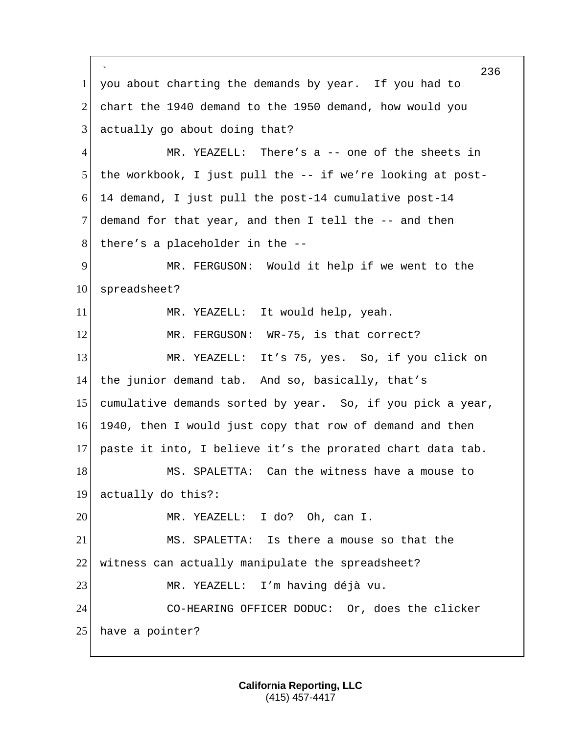` 236 1 you about charting the demands by year. If you had to 2 chart the 1940 demand to the 1950 demand, how would you 3 actually go about doing that? 4 MR. YEAZELL: There's a -- one of the sheets in 5 | the workbook, I just pull the -- if we're looking at post-6 14 demand, I just pull the post-14 cumulative post-14 7 demand for that year, and then I tell the -- and then  $8$  there's a placeholder in the  $-$ -9 MR. FERGUSON: Would it help if we went to the 10 spreadsheet? 11 MR. YEAZELL: It would help, yeah. 12 MR. FERGUSON: WR-75, is that correct? 13 MR. YEAZELL: It's 75, yes. So, if you click on 14 the junior demand tab. And so, basically, that's 15 cumulative demands sorted by year. So, if you pick a year, 16 1940, then I would just copy that row of demand and then 17 paste it into, I believe it's the prorated chart data tab. 18 MS. SPALETTA: Can the witness have a mouse to 19 actually do this?: 20 MR. YEAZELL: I do? Oh, can I. 21 MS. SPALETTA: Is there a mouse so that the 22 witness can actually manipulate the spreadsheet? 23 MR. YEAZELL: I'm having déjà vu. 24 CO-HEARING OFFICER DODUC: Or, does the clicker 25 have a pointer?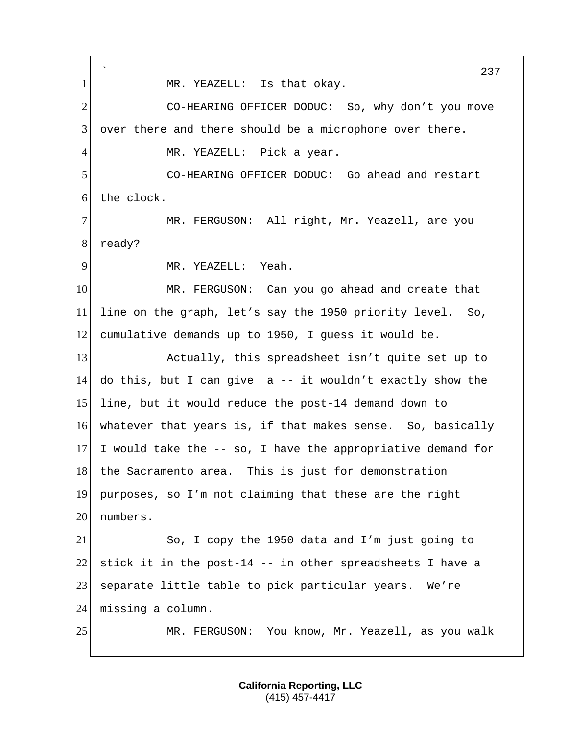` 237 1 MR. YEAZELL: Is that okay. 2 CO-HEARING OFFICER DODUC: So, why don't you move 3 over there and there should be a microphone over there. 4 MR. YEAZELL: Pick a year. 5 CO-HEARING OFFICER DODUC: Go ahead and restart 6 the clock. 7 MR. FERGUSON: All right, Mr. Yeazell, are you 8 ready? 9 MR. YEAZELL: Yeah. 10 MR. FERGUSON: Can you go ahead and create that 11 line on the graph, let's say the 1950 priority level. So, 12 cumulative demands up to 1950, I guess it would be. 13 Actually, this spreadsheet isn't quite set up to 14 do this, but I can give a -- it wouldn't exactly show the 15 line, but it would reduce the post-14 demand down to 16 whatever that years is, if that makes sense. So, basically 17 I would take the  $-$ - so, I have the appropriative demand for 18 the Sacramento area. This is just for demonstration 19 purposes, so I'm not claiming that these are the right 20 numbers. 21 So, I copy the 1950 data and I'm just going to 22 stick it in the post-14 -- in other spreadsheets I have a 23 separate little table to pick particular years. We're 24 missing a column. 25 MR. FERGUSON: You know, Mr. Yeazell, as you walk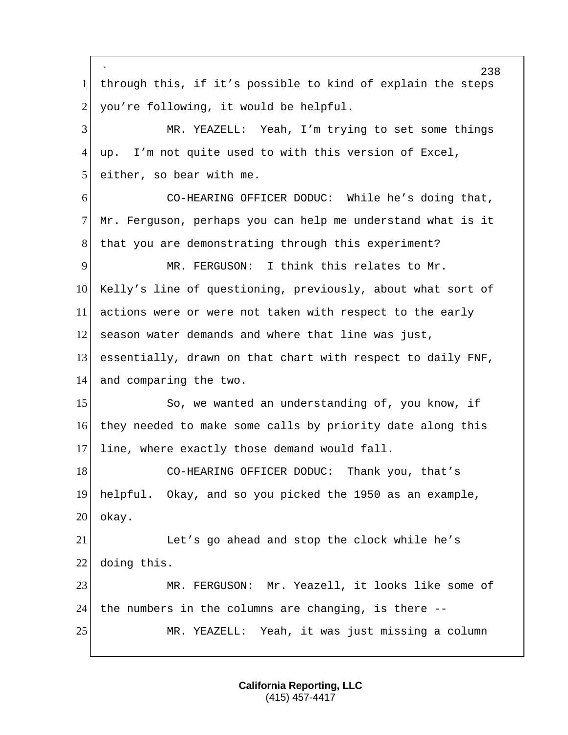` 238 1 through this, if it's possible to kind of explain the steps  $2$  you're following, it would be helpful. 3 MR. YEAZELL: Yeah, I'm trying to set some things 4 up. I'm not quite used to with this version of Excel,  $5$  either, so bear with me. 6 CO-HEARING OFFICER DODUC: While he's doing that, 7 Mr. Ferguson, perhaps you can help me understand what is it 8 | that you are demonstrating through this experiment? 9 MR. FERGUSON: I think this relates to Mr. 10 Kelly's line of questioning, previously, about what sort of 11 actions were or were not taken with respect to the early 12 season water demands and where that line was just, 13 essentially, drawn on that chart with respect to daily FNF, 14 and comparing the two. 15 So, we wanted an understanding of, you know, if 16 they needed to make some calls by priority date along this 17 line, where exactly those demand would fall. 18 CO-HEARING OFFICER DODUC: Thank you, that's 19 helpful. Okay, and so you picked the 1950 as an example, 20 okay. 21 Let's go ahead and stop the clock while he's 22 doing this. 23 MR. FERGUSON: Mr. Yeazell, it looks like some of 24 the numbers in the columns are changing, is there  $-$ -25 MR. YEAZELL: Yeah, it was just missing a column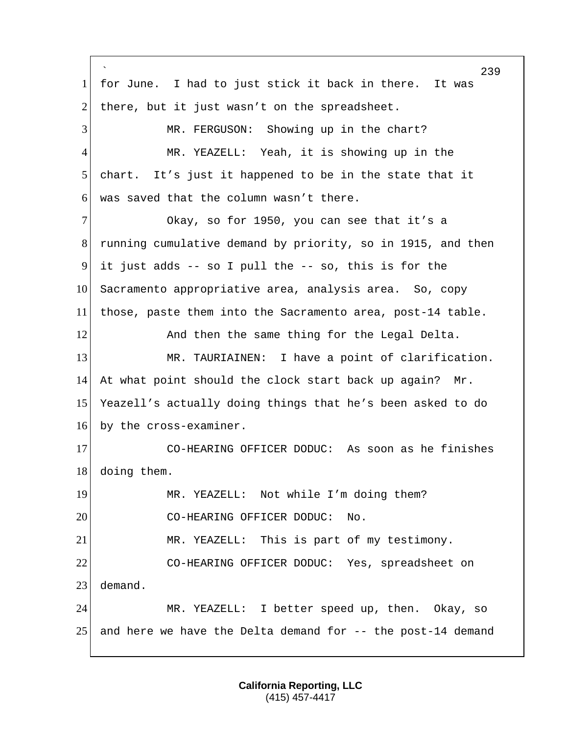` 239 1 for June. I had to just stick it back in there. It was 2 there, but it just wasn't on the spreadsheet. 3 MR. FERGUSON: Showing up in the chart? 4 MR. YEAZELL: Yeah, it is showing up in the 5 chart. It's just it happened to be in the state that it 6 was saved that the column wasn't there. 7 Okay, so for 1950, you can see that it's a 8 running cumulative demand by priority, so in 1915, and then 9 it just adds  $-$ - so I pull the  $-$ - so, this is for the 10 Sacramento appropriative area, analysis area. So, copy 11 those, paste them into the Sacramento area, post-14 table. 12 And then the same thing for the Legal Delta. 13 MR. TAURIAINEN: I have a point of clarification. 14 At what point should the clock start back up again? Mr. 15 Yeazell's actually doing things that he's been asked to do 16 by the cross-examiner. 17 CO-HEARING OFFICER DODUC: As soon as he finishes 18 doing them. 19 MR. YEAZELL: Not while I'm doing them? 20 CO-HEARING OFFICER DODUC: No. 21 MR. YEAZELL: This is part of my testimony. 22 CO-HEARING OFFICER DODUC: Yes, spreadsheet on 23 demand. 24 MR. YEAZELL: I better speed up, then. Okay, so 25 and here we have the Delta demand for  $-$ - the post-14 demand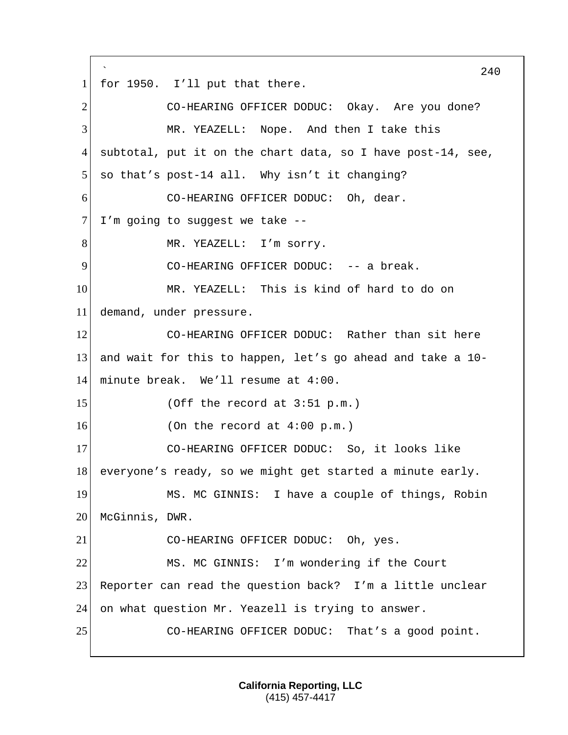`  $240$ 1 for 1950. I'll put that there. 2 CO-HEARING OFFICER DODUC: Okay. Are you done? 3 MR. YEAZELL: Nope. And then I take this 4 subtotal, put it on the chart data, so I have post-14, see,  $5$  so that's post-14 all. Why isn't it changing? 6 CO-HEARING OFFICER DODUC: Oh, dear.  $7$  I'm going to suggest we take  $-$ -8 MR. YEAZELL: I'm sorry. 9 CO-HEARING OFFICER DODUC: -- a break. 10 MR. YEAZELL: This is kind of hard to do on 11 demand, under pressure. 12 CO-HEARING OFFICER DODUC: Rather than sit here 13 and wait for this to happen, let's go ahead and take a 10- 14 minute break. We'll resume at 4:00.  $15$  (Off the record at 3:51 p.m.)  $16$  (On the record at  $4:00 \text{ p.m.}$ ) 17 CO-HEARING OFFICER DODUC: So, it looks like 18 everyone's ready, so we might get started a minute early. 19 MS. MC GINNIS: I have a couple of things, Robin 20 McGinnis, DWR. 21 CO-HEARING OFFICER DODUC: Oh, yes. 22 MS. MC GINNIS: I'm wondering if the Court 23 Reporter can read the question back? I'm a little unclear 24 on what question Mr. Yeazell is trying to answer. 25 CO-HEARING OFFICER DODUC: That's a good point.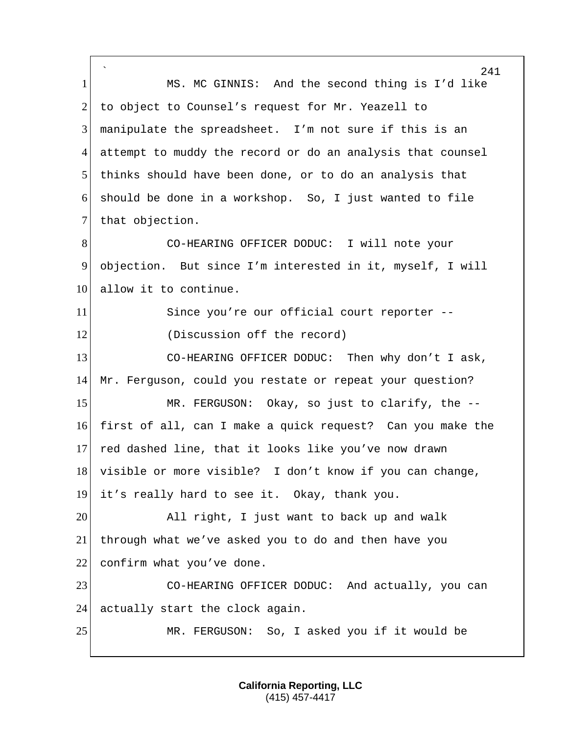` 241 1 MS. MC GINNIS: And the second thing is I'd like 2 to object to Counsel's request for Mr. Yeazell to 3 manipulate the spreadsheet. I'm not sure if this is an 4 attempt to muddy the record or do an analysis that counsel 5 thinks should have been done, or to do an analysis that 6 should be done in a workshop. So, I just wanted to file 7 that objection. 8 CO-HEARING OFFICER DODUC: I will note your 9 objection. But since I'm interested in it, myself, I will 10 allow it to continue. 11 Since you're our official court reporter -- 12 (Discussion off the record) 13 CO-HEARING OFFICER DODUC: Then why don't I ask, 14 Mr. Ferguson, could you restate or repeat your question? 15 MR. FERGUSON: Okay, so just to clarify, the --16 first of all, can I make a quick request? Can you make the 17 red dashed line, that it looks like you've now drawn 18 visible or more visible? I don't know if you can change, 19 it's really hard to see it. Okay, thank you. 20 All right, I just want to back up and walk 21 through what we've asked you to do and then have you 22 confirm what you've done. 23 CO-HEARING OFFICER DODUC: And actually, you can 24 actually start the clock again. 25 MR. FERGUSON: So, I asked you if it would be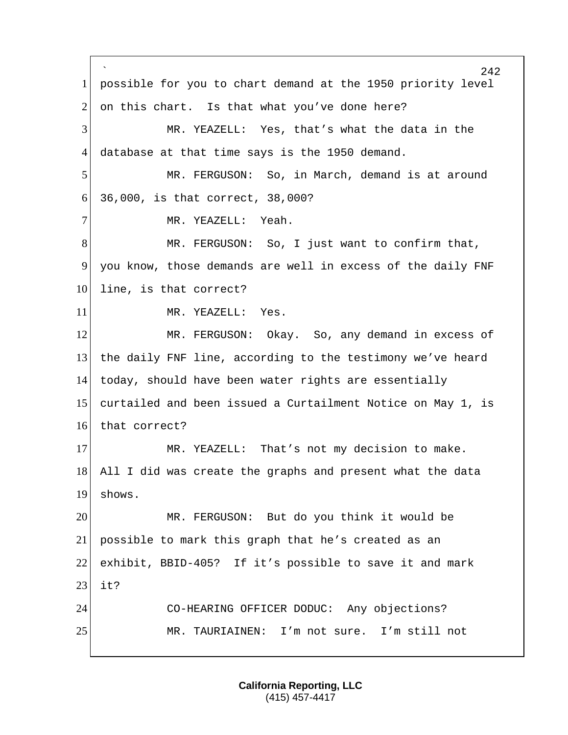` possible for you to chart demand at the 1950 priority level 2 on this chart. Is that what you've done here? MR. YEAZELL: Yes, that's what the data in the database at that time says is the 1950 demand. MR. FERGUSON: So, in March, demand is at around 36,000, is that correct, 38,000? 7 MR. YEAZELL: Yeah. 8 MR. FERGUSON: So, I just want to confirm that, 9 you know, those demands are well in excess of the daily FNF 10 line, is that correct? 11 MR. YEAZELL: Yes. MR. FERGUSON: Okay. So, any demand in excess of the daily FNF line, according to the testimony we've heard today, should have been water rights are essentially curtailed and been issued a Curtailment Notice on May 1, is 16 that correct? 17 MR. YEAZELL: That's not my decision to make. All I did was create the graphs and present what the data shows. MR. FERGUSON: But do you think it would be possible to mark this graph that he's created as an exhibit, BBID-405? If it's possible to save it and mark it? CO-HEARING OFFICER DODUC: Any objections? MR. TAURIAINEN: I'm not sure. I'm still not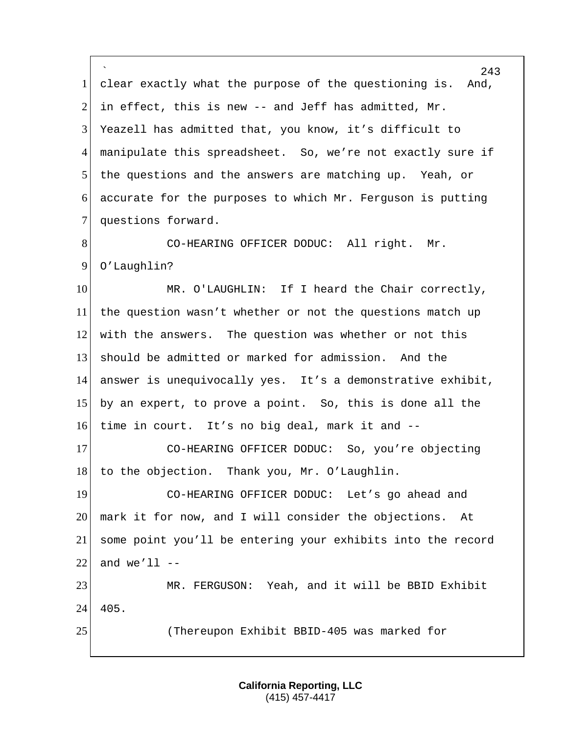` 243 1 clear exactly what the purpose of the questioning is. And, 2 in effect, this is new  $-$  and Jeff has admitted, Mr. 3 Yeazell has admitted that, you know, it's difficult to 4 manipulate this spreadsheet. So, we're not exactly sure if 5 the questions and the answers are matching up. Yeah, or  $6$  accurate for the purposes to which Mr. Ferguson is putting 7 questions forward. 8 CO-HEARING OFFICER DODUC: All right. Mr. 9 O'Laughlin? 10 MR. O'LAUGHLIN: If I heard the Chair correctly, 11 the question wasn't whether or not the questions match up 12 with the answers. The question was whether or not this 13 should be admitted or marked for admission. And the 14 answer is unequivocally yes. It's a demonstrative exhibit, 15 by an expert, to prove a point. So, this is done all the 16 time in court. It's no big deal, mark it and -- 17 CO-HEARING OFFICER DODUC: So, you're objecting 18 to the objection. Thank you, Mr. O'Laughlin. 19 CO-HEARING OFFICER DODUC: Let's go ahead and 20 mark it for now, and I will consider the objections. At 21 some point you'll be entering your exhibits into the record  $22$  and we'll  $-$ 23 MR. FERGUSON: Yeah, and it will be BBID Exhibit 24 405. 25 (Thereupon Exhibit BBID-405 was marked for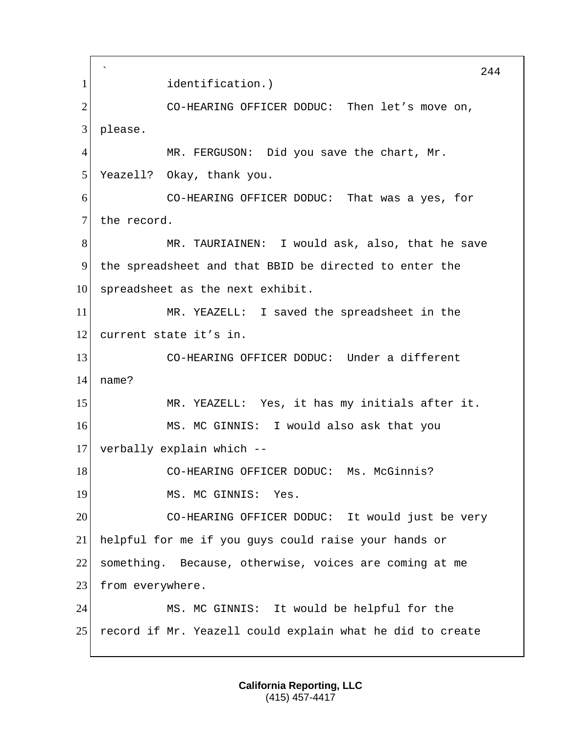` 244 1 identification.) 2 CO-HEARING OFFICER DODUC: Then let's move on, 3 please. 4 MR. FERGUSON: Did you save the chart, Mr. 5 Yeazell? Okay, thank you. 6 CO-HEARING OFFICER DODUC: That was a yes, for 7 the record. 8 MR. TAURIAINEN: I would ask, also, that he save 9 the spreadsheet and that BBID be directed to enter the  $10$  spreadsheet as the next exhibit. 11 MR. YEAZELL: I saved the spreadsheet in the 12 current state it's in. 13 CO-HEARING OFFICER DODUC: Under a different 14 name? 15 MR. YEAZELL: Yes, it has my initials after it. 16 MS. MC GINNIS: I would also ask that you 17 verbally explain which -- 18 CO-HEARING OFFICER DODUC: Ms. McGinnis? 19 MS. MC GINNIS: Yes. 20 CO-HEARING OFFICER DODUC: It would just be very 21 helpful for me if you guys could raise your hands or 22 something. Because, otherwise, voices are coming at me 23 from everywhere. 24 MS. MC GINNIS: It would be helpful for the 25 record if Mr. Yeazell could explain what he did to create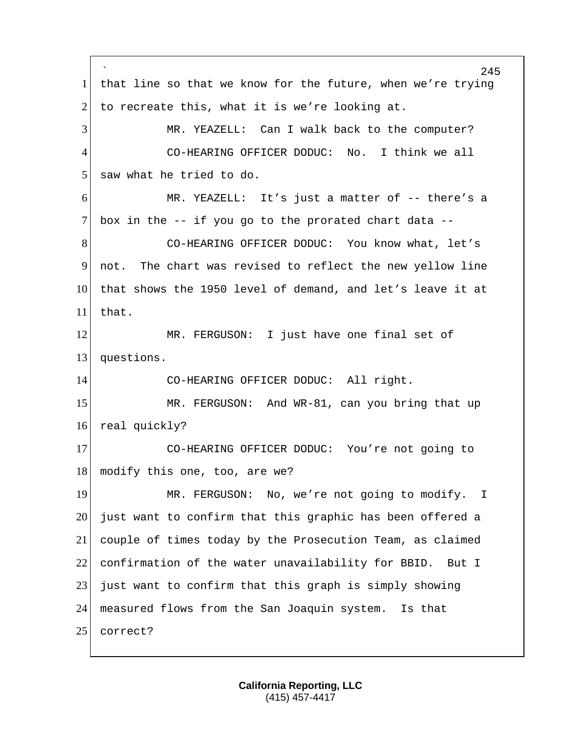` 245 1 that line so that we know for the future, when we're trying 2 to recreate this, what it is we're looking at. 3 MR. YEAZELL: Can I walk back to the computer? 4 CO-HEARING OFFICER DODUC: No. I think we all 5 saw what he tried to do. 6 MR. YEAZELL: It's just a matter of -- there's a 7 box in the  $-$ - if you go to the prorated chart data  $-$ -8 CO-HEARING OFFICER DODUC: You know what, let's 9 not. The chart was revised to reflect the new yellow line 10 that shows the 1950 level of demand, and let's leave it at 11 that. 12 MR. FERGUSON: I just have one final set of 13 questions. 14 CO-HEARING OFFICER DODUC: All right. 15 MR. FERGUSON: And WR-81, can you bring that up 16 real quickly? 17 CO-HEARING OFFICER DODUC: You're not going to 18 modify this one, too, are we? 19 MR. FERGUSON: No, we're not going to modify. I 20 just want to confirm that this graphic has been offered a 21 couple of times today by the Prosecution Team, as claimed 22 confirmation of the water unavailability for BBID. But I 23 just want to confirm that this graph is simply showing 24 measured flows from the San Joaquin system. Is that 25 correct?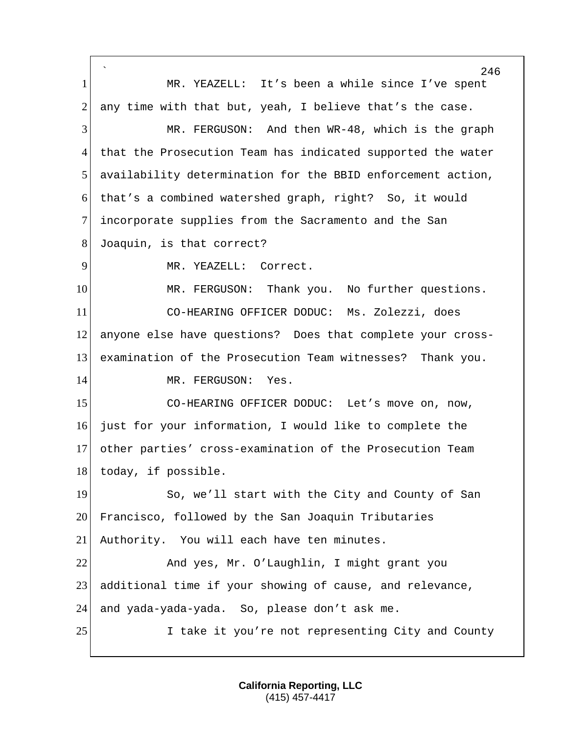` 246 1 MR. YEAZELL: It's been a while since I've spent 2 any time with that but, yeah, I believe that's the case. 3 MR. FERGUSON: And then WR-48, which is the graph 4 that the Prosecution Team has indicated supported the water 5 availability determination for the BBID enforcement action, 6 that's a combined watershed graph, right? So, it would 7 incorporate supplies from the Sacramento and the San 8 Joaquin, is that correct? 9 MR. YEAZELL: Correct. 10 | MR. FERGUSON: Thank you. No further questions. 11 CO-HEARING OFFICER DODUC: Ms. Zolezzi, does 12 anyone else have questions? Does that complete your cross-13 examination of the Prosecution Team witnesses? Thank you. 14 MR. FERGUSON: Yes. 15 CO-HEARING OFFICER DODUC: Let's move on, now, 16 just for your information, I would like to complete the 17 other parties' cross-examination of the Prosecution Team 18 today, if possible. 19 So, we'll start with the City and County of San 20 Francisco, followed by the San Joaquin Tributaries 21 Authority. You will each have ten minutes. 22 And yes, Mr. O'Laughlin, I might grant you 23 additional time if your showing of cause, and relevance, 24 and yada-yada-yada. So, please don't ask me. 25 I take it you're not representing City and County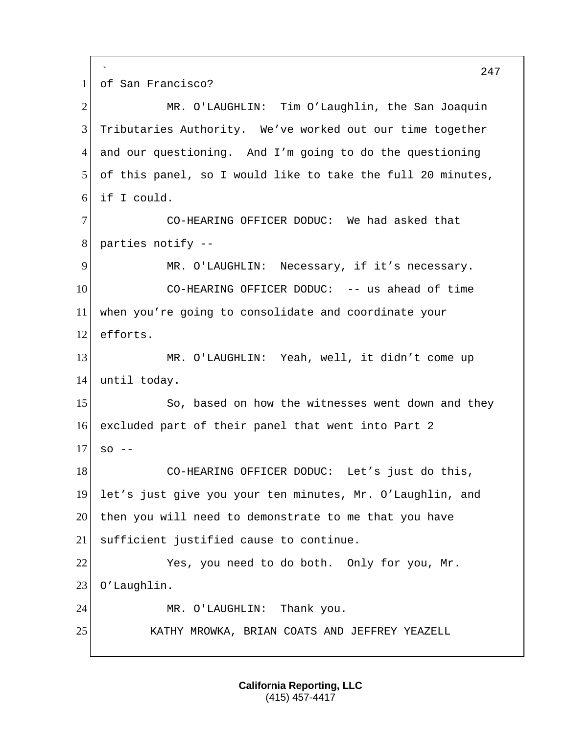` 247 1 of San Francisco? 2 MR. O'LAUGHLIN: Tim O'Laughlin, the San Joaquin 3 Tributaries Authority. We've worked out our time together 4 and our questioning. And I'm going to do the questioning 5 of this panel, so I would like to take the full 20 minutes, 6 if I could. 7 CO-HEARING OFFICER DODUC: We had asked that 8 parties notify -- 9 MR. O'LAUGHLIN: Necessary, if it's necessary. 10 CO-HEARING OFFICER DODUC: -- us ahead of time 11 when you're going to consolidate and coordinate your 12 efforts. 13 MR. O'LAUGHLIN: Yeah, well, it didn't come up 14 until today. 15 So, based on how the witnesses went down and they 16 excluded part of their panel that went into Part 2  $17$  so  $-$ 18 CO-HEARING OFFICER DODUC: Let's just do this, 19 let's just give you your ten minutes, Mr. O'Laughlin, and 20 then you will need to demonstrate to me that you have 21 sufficient justified cause to continue. 22 Yes, you need to do both. Only for you, Mr. 23 O'Laughlin. 24 MR. O'LAUGHLIN: Thank you. 25 KATHY MROWKA, BRIAN COATS AND JEFFREY YEAZELL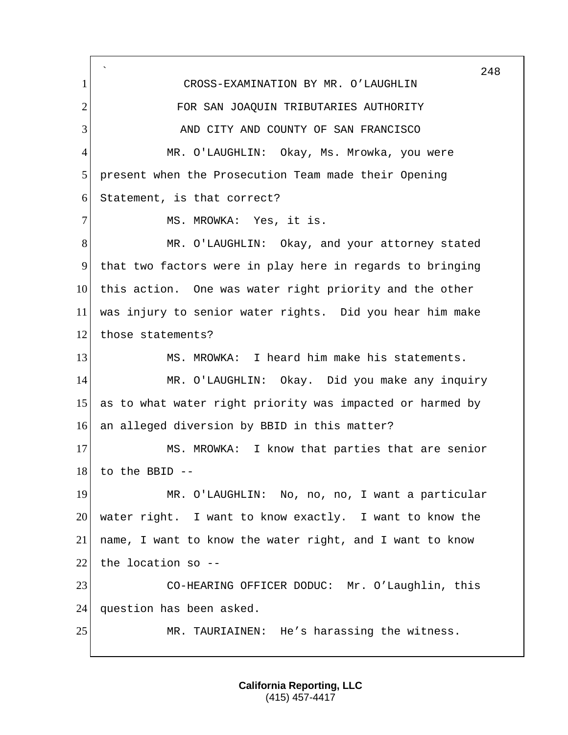` 1 CROSS-EXAMINATION BY MR. O'LAUGHLIN 2 FOR SAN JOAOUIN TRIBUTARIES AUTHORITY 3 AND CITY AND COUNTY OF SAN FRANCISCO 4 MR. O'LAUGHLIN: Okay, Ms. Mrowka, you were 5 present when the Prosecution Team made their Opening 6 Statement, is that correct? 7 MS. MROWKA: Yes, it is. 8 MR. O'LAUGHLIN: Okay, and your attorney stated 9 that two factors were in play here in regards to bringing 10 this action. One was water right priority and the other 11 was injury to senior water rights. Did you hear him make 12 those statements? 13 MS. MROWKA: I heard him make his statements. 14 MR. O'LAUGHLIN: Okay. Did you make any inquiry 15 as to what water right priority was impacted or harmed by 16 an alleged diversion by BBID in this matter? 17 MS. MROWKA: I know that parties that are senior  $18$  to the BBID --19 MR. O'LAUGHLIN: No, no, no, I want a particular 20 water right. I want to know exactly. I want to know the 21 name, I want to know the water right, and I want to know 22 the location so  $-$ -23 CO-HEARING OFFICER DODUC: Mr. O'Laughlin, this 24 question has been asked. 25 MR. TAURIAINEN: He's harassing the witness.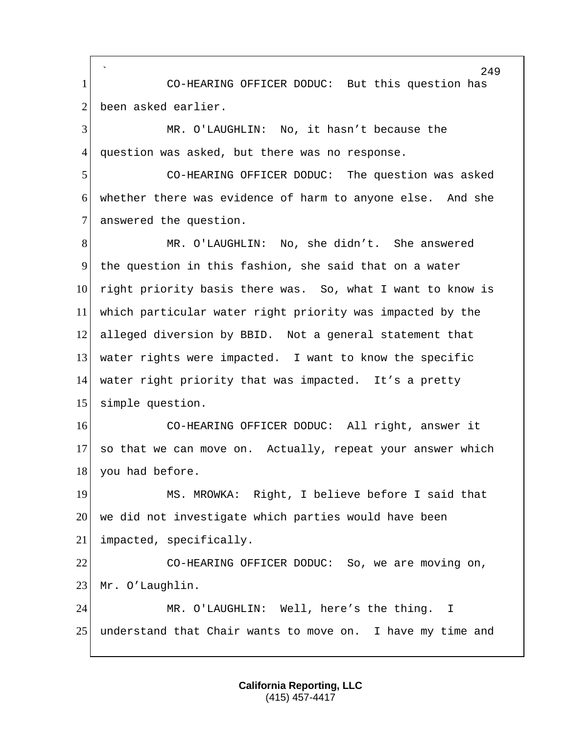` 1 CO-HEARING OFFICER DODUC: But this question has 2 been asked earlier.

3 MR. O'LAUGHLIN: No, it hasn't because the 4 question was asked, but there was no response.

5 CO-HEARING OFFICER DODUC: The question was asked 6 whether there was evidence of harm to anyone else. And she 7 answered the question.

 MR. O'LAUGHLIN: No, she didn't. She answered the question in this fashion, she said that on a water 10 right priority basis there was. So, what I want to know is which particular water right priority was impacted by the alleged diversion by BBID. Not a general statement that 13 water rights were impacted. I want to know the specific water right priority that was impacted. It's a pretty simple question.

16 CO-HEARING OFFICER DODUC: All right, answer it 17 so that we can move on. Actually, repeat your answer which 18 you had before.

19 MS. MROWKA: Right, I believe before I said that 20 we did not investigate which parties would have been 21 impacted, specifically.

22 CO-HEARING OFFICER DODUC: So, we are moving on, 23 Mr. O'Laughlin.

24 MR. O'LAUGHLIN: Well, here's the thing. I 25 understand that Chair wants to move on. I have my time and

> **California Reporting, LLC** (415) 457-4417

249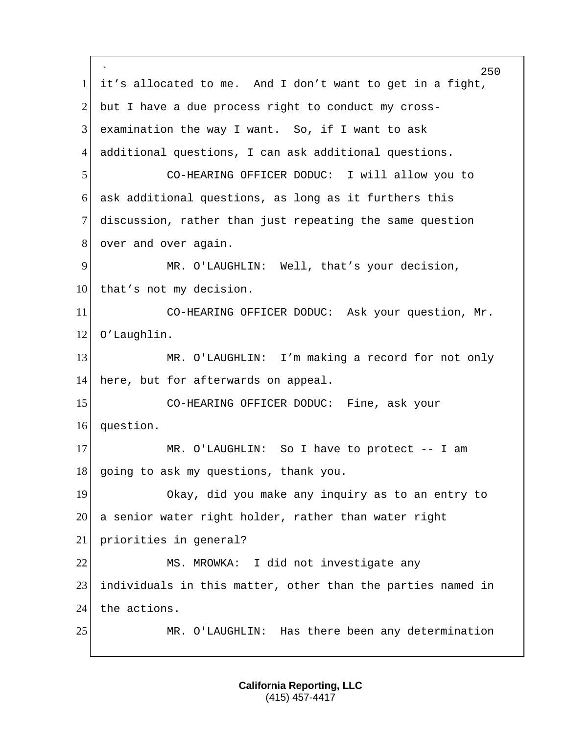` 250 1 it's allocated to me. And I don't want to get in a fight, 2 but I have a due process right to conduct my cross- $3$  examination the way I want. So, if I want to ask 4 additional questions, I can ask additional questions. 5 CO-HEARING OFFICER DODUC: I will allow you to 6 ask additional questions, as long as it furthers this 7 discussion, rather than just repeating the same question 8 over and over again. 9 MR. O'LAUGHLIN: Well, that's your decision, 10 that's not my decision. 11 CO-HEARING OFFICER DODUC: Ask your question, Mr. 12 O'Laughlin. 13 MR. O'LAUGHLIN: I'm making a record for not only 14 here, but for afterwards on appeal. 15 CO-HEARING OFFICER DODUC: Fine, ask your 16 question. 17 MR. O'LAUGHLIN: So I have to protect -- I am 18 going to ask my questions, thank you. 19 Okay, did you make any inquiry as to an entry to 20 a senior water right holder, rather than water right 21 priorities in general? 22 MS. MROWKA: I did not investigate any 23 individuals in this matter, other than the parties named in 24 the actions. 25 MR. O'LAUGHLIN: Has there been any determination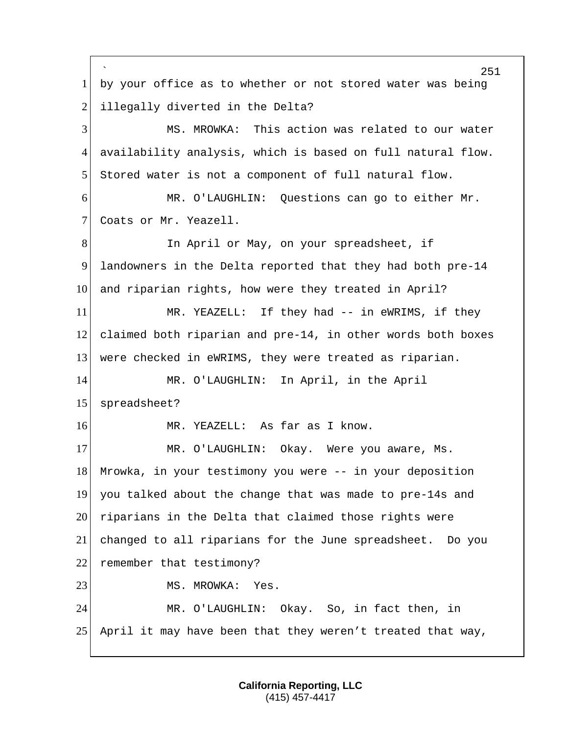` 251 1 by your office as to whether or not stored water was being 2 illegally diverted in the Delta? 3 MS. MROWKA: This action was related to our water 4 availability analysis, which is based on full natural flow. 5 Stored water is not a component of full natural flow. 6 MR. O'LAUGHLIN: Questions can go to either Mr. 7 Coats or Mr. Yeazell. 8 In April or May, on your spreadsheet, if 9 landowners in the Delta reported that they had both pre-14 10 and riparian rights, how were they treated in April? 11 MR. YEAZELL: If they had -- in eWRIMS, if they 12 claimed both riparian and pre-14, in other words both boxes 13 were checked in eWRIMS, they were treated as riparian. 14 MR. O'LAUGHLIN: In April, in the April 15 spreadsheet? 16 MR. YEAZELL: As far as I know. 17 MR. O'LAUGHLIN: Okay. Were you aware, Ms. 18 Mrowka, in your testimony you were -- in your deposition 19 you talked about the change that was made to pre-14s and 20 riparians in the Delta that claimed those rights were 21 changed to all riparians for the June spreadsheet. Do you 22 remember that testimony? 23 MS. MROWKA: Yes. 24 MR. O'LAUGHLIN: Okay. So, in fact then, in 25 April it may have been that they weren't treated that way,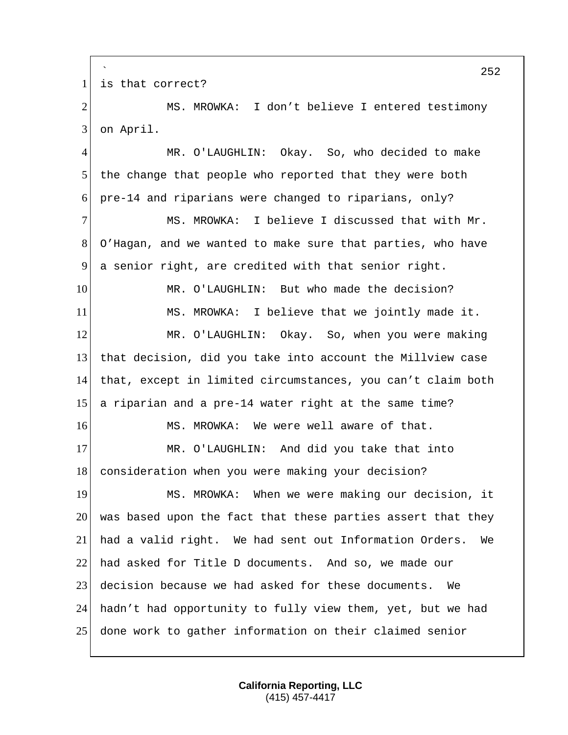` is that correct? 2 MS. MROWKA: I don't believe I entered testimony on April. MR. O'LAUGHLIN: Okay. So, who decided to make the change that people who reported that they were both pre-14 and riparians were changed to riparians, only? MS. MROWKA: I believe I discussed that with Mr. O'Hagan, and we wanted to make sure that parties, who have a senior right, are credited with that senior right. 10 MR. O'LAUGHLIN: But who made the decision? 11 | MS. MROWKA: I believe that we jointly made it. MR. O'LAUGHLIN: Okay. So, when you were making that decision, did you take into account the Millview case that, except in limited circumstances, you can't claim both a riparian and a pre-14 water right at the same time? MS. MROWKA: We were well aware of that. 17 MR. O'LAUGHLIN: And did you take that into 18 consideration when you were making your decision? 19 MS. MROWKA: When we were making our decision, it was based upon the fact that these parties assert that they had a valid right. We had sent out Information Orders. We had asked for Title D documents. And so, we made our decision because we had asked for these documents. We hadn't had opportunity to fully view them, yet, but we had done work to gather information on their claimed senior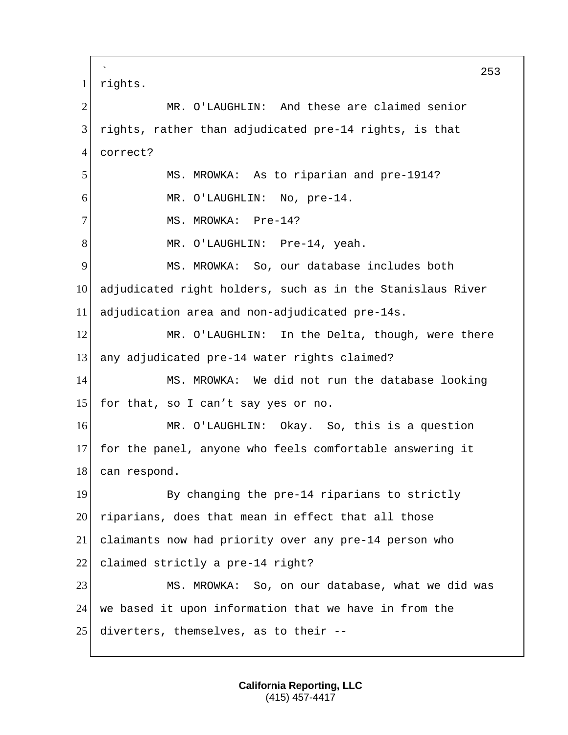` 253 1 rights. 2 MR. O'LAUGHLIN: And these are claimed senior 3 rights, rather than adjudicated pre-14 rights, is that 4 correct? 5 MS. MROWKA: As to riparian and pre-1914? 6 MR. O'LAUGHLIN: No, pre-14. 7 MS. MROWKA: Pre-14? 8 MR. O'LAUGHLIN: Pre-14, yeah. 9 MS. MROWKA: So, our database includes both 10 adjudicated right holders, such as in the Stanislaus River 11 adjudication area and non-adjudicated pre-14s. 12 MR. O'LAUGHLIN: In the Delta, though, were there 13 any adjudicated pre-14 water rights claimed? 14 MS. MROWKA: We did not run the database looking 15 for that, so I can't say yes or no. 16 MR. O'LAUGHLIN: Okay. So, this is a question 17 for the panel, anyone who feels comfortable answering it 18 can respond. 19 By changing the pre-14 riparians to strictly 20 riparians, does that mean in effect that all those 21 claimants now had priority over any pre-14 person who 22 claimed strictly a pre-14 right? 23 MS. MROWKA: So, on our database, what we did was 24 we based it upon information that we have in from the  $25$  diverters, themselves, as to their  $-$ -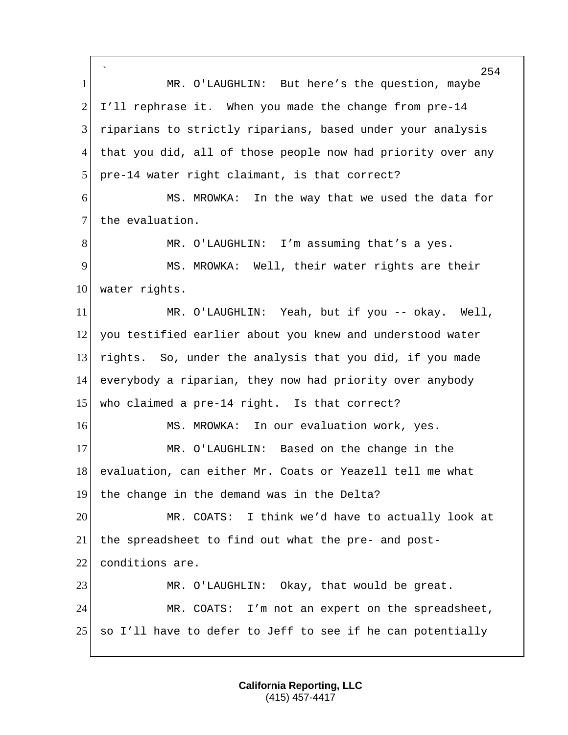` 254 1 MR. O'LAUGHLIN: But here's the question, maybe  $2$  I'll rephrase it. When you made the change from pre-14 3 riparians to strictly riparians, based under your analysis 4 that you did, all of those people now had priority over any 5 pre-14 water right claimant, is that correct? 6 MS. MROWKA: In the way that we used the data for 7 the evaluation. 8 MR. O'LAUGHLIN: I'm assuming that's a yes. 9 MS. MROWKA: Well, their water rights are their 10 water rights. 11 MR. O'LAUGHLIN: Yeah, but if you -- okay. Well, 12 you testified earlier about you knew and understood water 13 rights. So, under the analysis that you did, if you made 14 everybody a riparian, they now had priority over anybody 15 who claimed a pre-14 right. Is that correct? 16 MS. MROWKA: In our evaluation work, yes. 17 MR. O'LAUGHLIN: Based on the change in the 18 evaluation, can either Mr. Coats or Yeazell tell me what 19 the change in the demand was in the Delta? 20 MR. COATS: I think we'd have to actually look at 21 the spreadsheet to find out what the pre- and post-22 conditions are. 23 MR. O'LAUGHLIN: Okay, that would be great. 24 MR. COATS: I'm not an expert on the spreadsheet, 25 so I'll have to defer to Jeff to see if he can potentially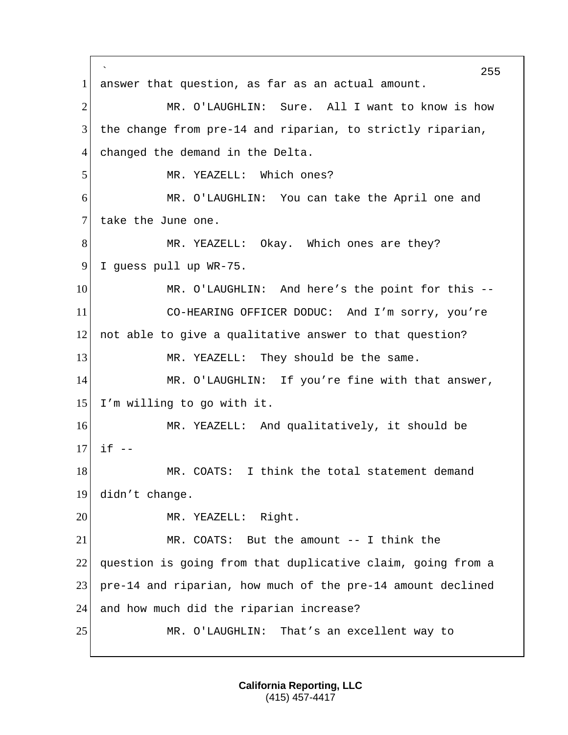` 255 1 answer that question, as far as an actual amount. 2 MR. O'LAUGHLIN: Sure. All I want to know is how 3 the change from pre-14 and riparian, to strictly riparian, 4 changed the demand in the Delta. 5 MR. YEAZELL: Which ones? 6 MR. O'LAUGHLIN: You can take the April one and 7 take the June one. 8 MR. YEAZELL: Okay. Which ones are they? 9 I quess pull up WR-75. 10 MR. O'LAUGHLIN: And here's the point for this --11 CO-HEARING OFFICER DODUC: And I'm sorry, you're 12 not able to give a qualitative answer to that question? 13 MR. YEAZELL: They should be the same. 14 MR. O'LAUGHLIN: If you're fine with that answer, 15 I'm willing to go with it. 16 MR. YEAZELL: And qualitatively, it should be  $17$  if  $-$ 18 MR. COATS: I think the total statement demand 19 didn't change. 20 MR. YEAZELL: Right. 21 MR. COATS: But the amount -- I think the 22 question is going from that duplicative claim, going from a 23 pre-14 and riparian, how much of the pre-14 amount declined 24 and how much did the riparian increase? 25 MR. O'LAUGHLIN: That's an excellent way to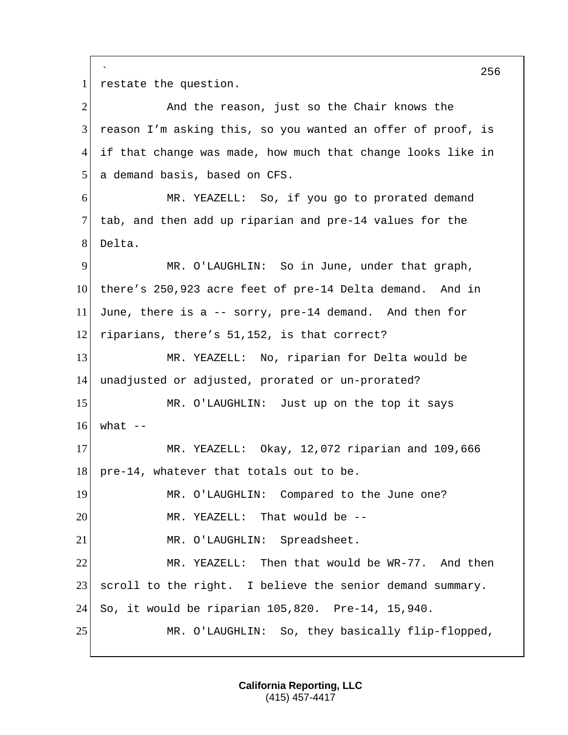` 256 1 restate the question. 2 And the reason, just so the Chair knows the  $3$  reason I'm asking this, so you wanted an offer of proof, is 4 if that change was made, how much that change looks like in 5 a demand basis, based on CFS. 6 MR. YEAZELL: So, if you go to prorated demand 7 tab, and then add up riparian and pre-14 values for the 8 Delta. 9 MR. O'LAUGHLIN: So in June, under that graph, 10 there's 250,923 acre feet of pre-14 Delta demand. And in 11 June, there is a -- sorry, pre-14 demand. And then for 12 riparians, there's 51,152, is that correct? 13 MR. YEAZELL: No, riparian for Delta would be 14 unadjusted or adjusted, prorated or un-prorated? 15 MR. O'LAUGHLIN: Just up on the top it says  $16$  what  $-$ 17 MR. YEAZELL: Okay, 12,072 riparian and 109,666 18 pre-14, whatever that totals out to be. 19 MR. O'LAUGHLIN: Compared to the June one? 20 MR. YEAZELL: That would be --21 MR. O'LAUGHLIN: Spreadsheet. 22 MR. YEAZELL: Then that would be WR-77. And then 23 scroll to the right. I believe the senior demand summary. 24 So, it would be riparian 105,820. Pre-14, 15,940. 25 MR. O'LAUGHLIN: So, they basically flip-flopped,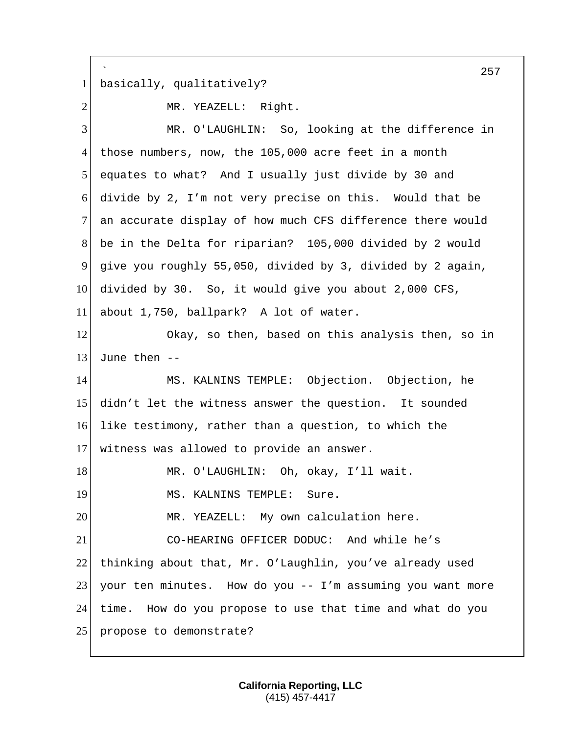` 257 1 basically, qualitatively? 2 MR. YEAZELL: Right. 3 MR. O'LAUGHLIN: So, looking at the difference in 4 those numbers, now, the 105,000 acre feet in a month 5 equates to what? And I usually just divide by 30 and 6 divide by 2, I'm not very precise on this. Would that be 7 an accurate display of how much CFS difference there would 8 be in the Delta for riparian? 105,000 divided by 2 would 9 give you roughly 55,050, divided by 3, divided by 2 again, 10 divided by 30. So, it would give you about 2,000 CFS, 11 about 1,750, ballpark? A lot of water. 12 Okay, so then, based on this analysis then, so in 13 June then  $-$ 14 MS. KALNINS TEMPLE: Objection. Objection, he 15 didn't let the witness answer the question. It sounded 16 like testimony, rather than a question, to which the 17 witness was allowed to provide an answer. 18 MR. O'LAUGHLIN: Oh, okay, I'll wait. 19 MS. KALNINS TEMPLE: Sure. 20 MR. YEAZELL: My own calculation here. 21 CO-HEARING OFFICER DODUC: And while he's 22 thinking about that, Mr. O'Laughlin, you've already used 23 your ten minutes. How do you -- I'm assuming you want more 24 time. How do you propose to use that time and what do you 25 propose to demonstrate?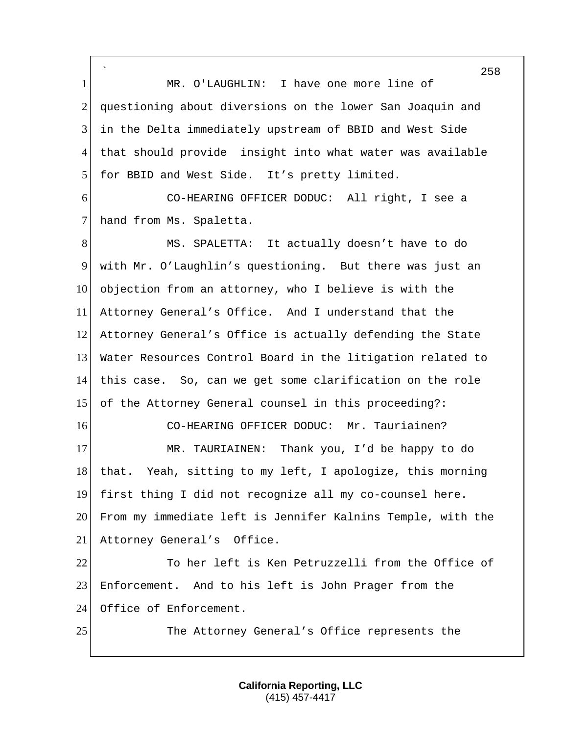` 1 MR. O'LAUGHLIN: I have one more line of 2 questioning about diversions on the lower San Joaquin and 3 in the Delta immediately upstream of BBID and West Side 4 that should provide insight into what water was available 5 for BBID and West Side. It's pretty limited.

6 CO-HEARING OFFICER DODUC: All right, I see a 7 hand from Ms. Spaletta.

8 MS. SPALETTA: It actually doesn't have to do 9 with Mr. O'Laughlin's questioning. But there was just an 10 objection from an attorney, who I believe is with the 11 Attorney General's Office. And I understand that the 12 Attorney General's Office is actually defending the State 13 Water Resources Control Board in the litigation related to 14 this case. So, can we get some clarification on the role 15 of the Attorney General counsel in this proceeding?: 16 CO-HEARING OFFICER DODUC: Mr. Tauriainen? 17 MR. TAURIAINEN: Thank you, I'd be happy to do 18 that. Yeah, sitting to my left, I apologize, this morning 19 first thing I did not recognize all my co-counsel here. 20 From my immediate left is Jennifer Kalnins Temple, with the 21 Attorney General's Office. 22 To her left is Ken Petruzzelli from the Office of

23 Enforcement. And to his left is John Prager from the 24 Office of Enforcement.

25 The Attorney General's Office represents the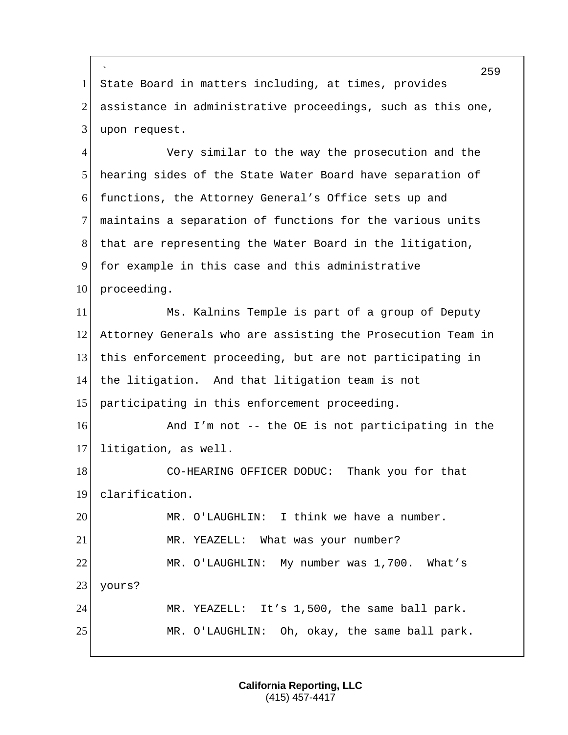` 1 State Board in matters including, at times, provides  $2$  assistance in administrative proceedings, such as this one, 3 upon request.

4 Very similar to the way the prosecution and the 5 hearing sides of the State Water Board have separation of 6 functions, the Attorney General's Office sets up and 7 maintains a separation of functions for the various units 8 that are representing the Water Board in the litigation, 9 for example in this case and this administrative 10 proceeding. 11 Ms. Kalnins Temple is part of a group of Deputy 12 Attorney Generals who are assisting the Prosecution Team in 13 this enforcement proceeding, but are not participating in 14 the litigation. And that litigation team is not 15 participating in this enforcement proceeding. 16 And I'm not -- the OE is not participating in the 17 litigation, as well. 18 CO-HEARING OFFICER DODUC: Thank you for that 19 clarification. 20 MR. O'LAUGHLIN: I think we have a number. 21 MR. YEAZELL: What was your number? 22 MR. O'LAUGHLIN: My number was 1,700. What's 23 yours? 24 MR. YEAZELL: It's 1,500, the same ball park. 25 MR. O'LAUGHLIN: Oh, okay, the same ball park.

> **California Reporting, LLC** (415) 457-4417

259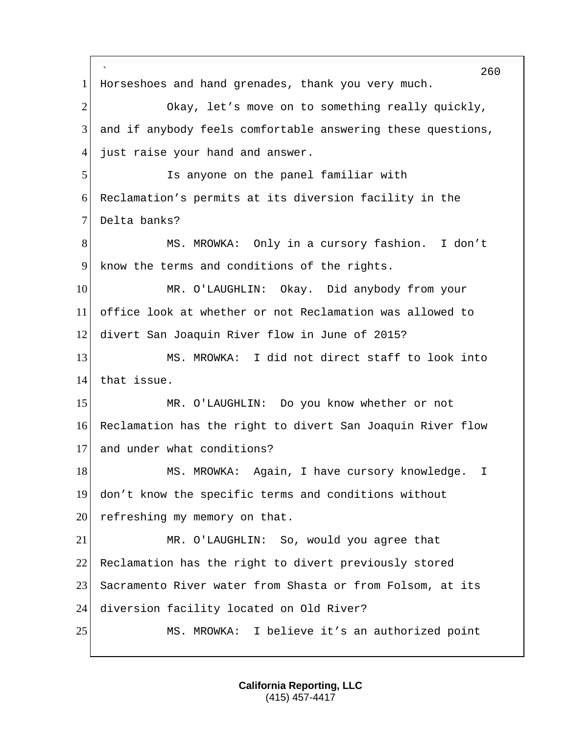` 260 1 Horseshoes and hand grenades, thank you very much. 2 Okay, let's move on to something really quickly, 3 and if anybody feels comfortable answering these questions, 4 just raise your hand and answer. 5 Is anyone on the panel familiar with 6 Reclamation's permits at its diversion facility in the 7 Delta banks? 8 MS. MROWKA: Only in a cursory fashion. I don't 9 know the terms and conditions of the rights. 10 MR. O'LAUGHLIN: Okay. Did anybody from your 11 office look at whether or not Reclamation was allowed to 12 divert San Joaquin River flow in June of 2015? 13 MS. MROWKA: I did not direct staff to look into 14 that issue. 15 MR. O'LAUGHLIN: Do you know whether or not 16 Reclamation has the right to divert San Joaquin River flow 17 and under what conditions? 18 MS. MROWKA: Again, I have cursory knowledge. I 19 don't know the specific terms and conditions without  $20$  refreshing my memory on that. 21 MR. O'LAUGHLIN: So, would you agree that 22 Reclamation has the right to divert previously stored 23 Sacramento River water from Shasta or from Folsom, at its 24 diversion facility located on Old River? 25 MS. MROWKA: I believe it's an authorized point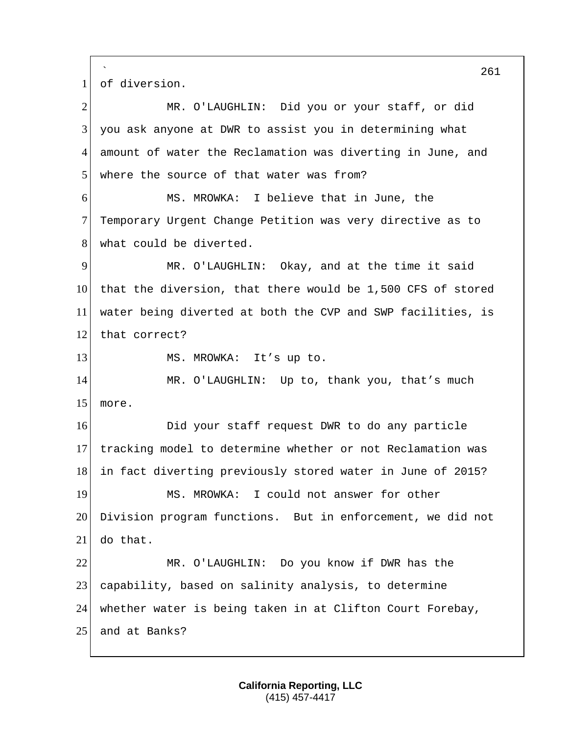` 261 1 of diversion. 2 MR. O'LAUGHLIN: Did you or your staff, or did 3 you ask anyone at DWR to assist you in determining what 4 amount of water the Reclamation was diverting in June, and 5 where the source of that water was from? 6 MS. MROWKA: I believe that in June, the 7 Temporary Urgent Change Petition was very directive as to 8 what could be diverted. 9 MR. O'LAUGHLIN: Okay, and at the time it said 10 that the diversion, that there would be 1,500 CFS of stored 11 water being diverted at both the CVP and SWP facilities, is 12 that correct? 13 MS. MROWKA: It's up to. 14 MR. O'LAUGHLIN: Up to, thank you, that's much 15 more. 16 **Did your staff request DWR to do any particle** 17 tracking model to determine whether or not Reclamation was 18 in fact diverting previously stored water in June of 2015? 19 MS. MROWKA: I could not answer for other 20 Division program functions. But in enforcement, we did not 21 do that. 22 MR. O'LAUGHLIN: Do you know if DWR has the 23 capability, based on salinity analysis, to determine 24 whether water is being taken in at Clifton Court Forebay, 25 and at Banks?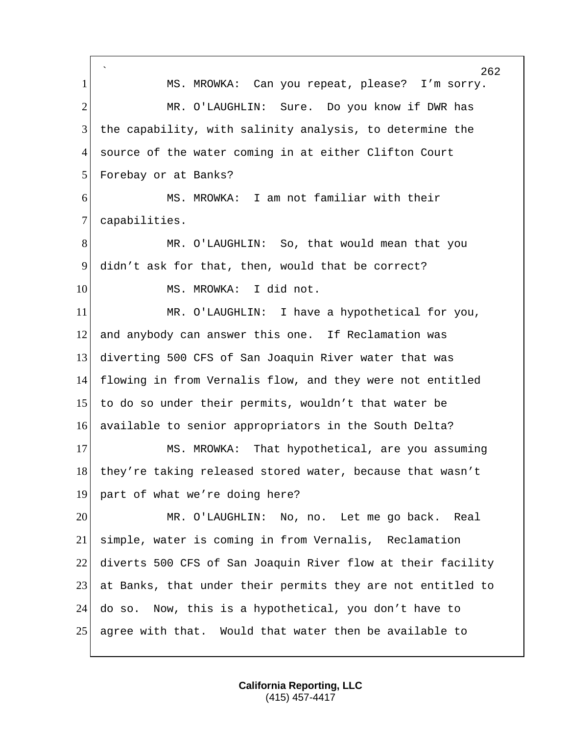` MS. MROWKA: Can you repeat, please? I'm sorry. 2 MR. O'LAUGHLIN: Sure. Do you know if DWR has the capability, with salinity analysis, to determine the source of the water coming in at either Clifton Court 5 Forebay or at Banks? MS. MROWKA: I am not familiar with their 7 capabilities. MR. O'LAUGHLIN: So, that would mean that you didn't ask for that, then, would that be correct? 10 MS. MROWKA: I did not. MR. O'LAUGHLIN: I have a hypothetical for you, and anybody can answer this one. If Reclamation was diverting 500 CFS of San Joaquin River water that was flowing in from Vernalis flow, and they were not entitled to do so under their permits, wouldn't that water be available to senior appropriators in the South Delta? 17 MS. MROWKA: That hypothetical, are you assuming 18 they're taking released stored water, because that wasn't part of what we're doing here? MR. O'LAUGHLIN: No, no. Let me go back. Real simple, water is coming in from Vernalis, Reclamation diverts 500 CFS of San Joaquin River flow at their facility at Banks, that under their permits they are not entitled to do so. Now, this is a hypothetical, you don't have to agree with that. Would that water then be available to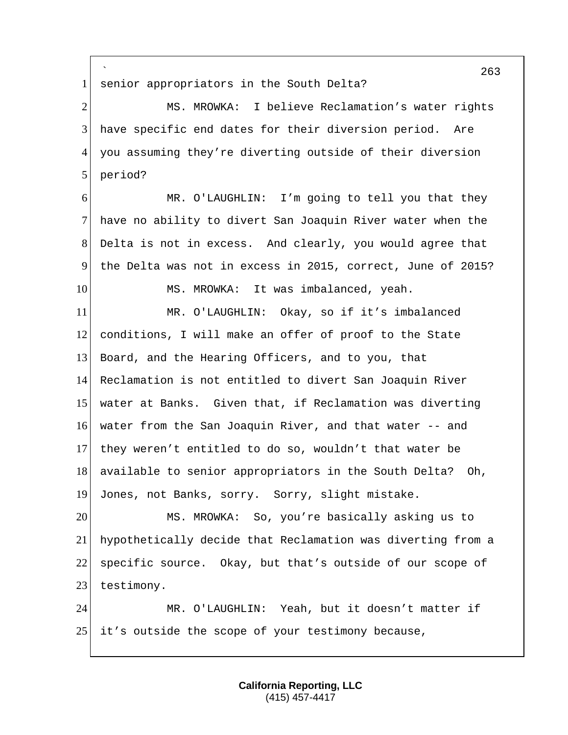` senior appropriators in the South Delta? 2 MS. MROWKA: I believe Reclamation's water rights have specific end dates for their diversion period. Are you assuming they're diverting outside of their diversion 5 period? MR. O'LAUGHLIN: I'm going to tell you that they 7 have no ability to divert San Joaquin River water when the Delta is not in excess. And clearly, you would agree that the Delta was not in excess in 2015, correct, June of 2015? 10 MS. MROWKA: It was imbalanced, yeah. MR. O'LAUGHLIN: Okay, so if it's imbalanced conditions, I will make an offer of proof to the State Board, and the Hearing Officers, and to you, that Reclamation is not entitled to divert San Joaquin River water at Banks. Given that, if Reclamation was diverting water from the San Joaquin River, and that water -- and they weren't entitled to do so, wouldn't that water be 18 available to senior appropriators in the South Delta? Oh, Jones, not Banks, sorry. Sorry, slight mistake. MS. MROWKA: So, you're basically asking us to hypothetically decide that Reclamation was diverting from a specific source. Okay, but that's outside of our scope of 23 testimony. MR. O'LAUGHLIN: Yeah, but it doesn't matter if it's outside the scope of your testimony because,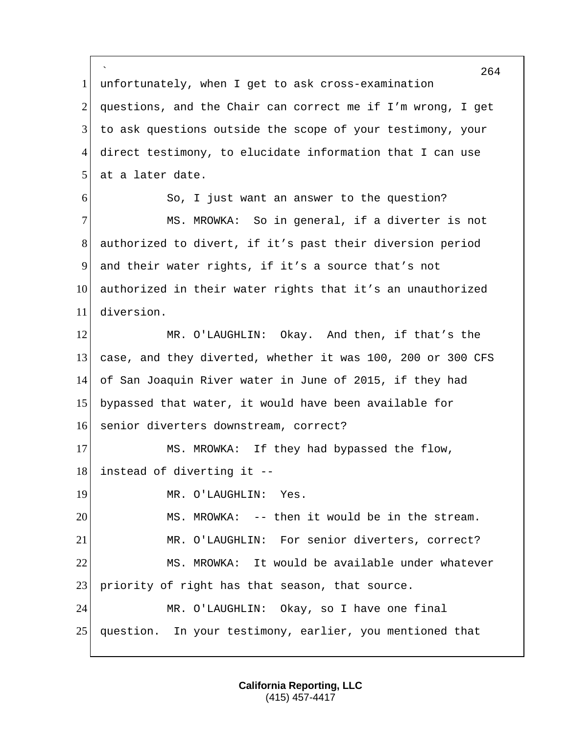` 264 1 unfortunately, when I get to ask cross-examination 2 questions, and the Chair can correct me if I'm wrong, I get 3 to ask questions outside the scope of your testimony, your 4 direct testimony, to elucidate information that I can use 5 at a later date. 6 So, I just want an answer to the question? 7 MS. MROWKA: So in general, if a diverter is not 8 authorized to divert, if it's past their diversion period 9 and their water rights, if it's a source that's not 10 authorized in their water rights that it's an unauthorized 11 diversion. 12 MR. O'LAUGHLIN: Okay. And then, if that's the 13 case, and they diverted, whether it was 100, 200 or 300 CFS 14 of San Joaquin River water in June of 2015, if they had 15 bypassed that water, it would have been available for 16 senior diverters downstream, correct? 17 MS. MROWKA: If they had bypassed the flow,  $18$  instead of diverting it --19 MR. O'LAUGHLIN: Yes. 20 MS. MROWKA: -- then it would be in the stream. 21 MR. O'LAUGHLIN: For senior diverters, correct? 22 MS. MROWKA: It would be available under whatever 23 priority of right has that season, that source. 24 MR. O'LAUGHLIN: Okay, so I have one final 25 question. In your testimony, earlier, you mentioned that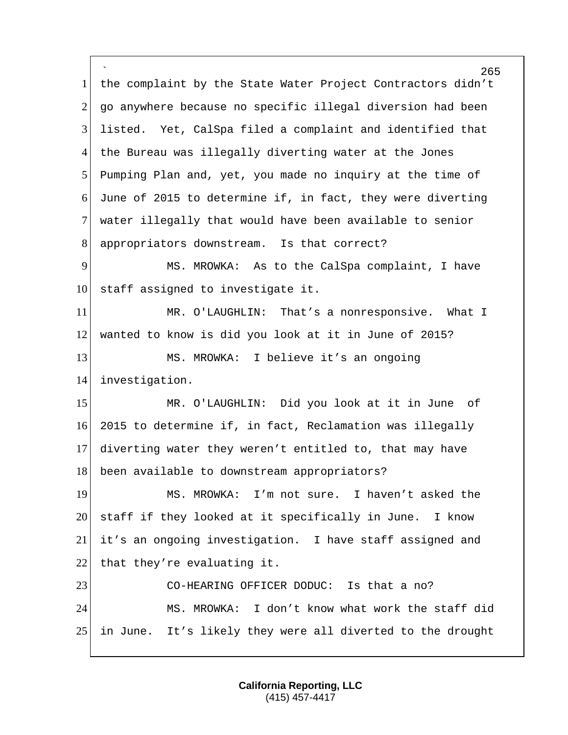` 265 1 the complaint by the State Water Project Contractors didn't 2 go anywhere because no specific illegal diversion had been 3 listed. Yet, CalSpa filed a complaint and identified that 4 the Bureau was illegally diverting water at the Jones 5 Pumping Plan and, yet, you made no inquiry at the time of 6 June of 2015 to determine if, in fact, they were diverting 7 water illegally that would have been available to senior 8 appropriators downstream. Is that correct? 9 MS. MROWKA: As to the CalSpa complaint, I have  $10$  staff assigned to investigate it. 11 MR. O'LAUGHLIN: That's a nonresponsive. What I 12 wanted to know is did you look at it in June of 2015? 13 MS. MROWKA: I believe it's an ongoing 14 investigation. 15 MR. O'LAUGHLIN: Did you look at it in June of 16 2015 to determine if, in fact, Reclamation was illegally 17 diverting water they weren't entitled to, that may have 18 been available to downstream appropriators? 19 MS. MROWKA: I'm not sure. I haven't asked the 20 staff if they looked at it specifically in June. I know 21 it's an ongoing investigation. I have staff assigned and 22 that they're evaluating it. 23 CO-HEARING OFFICER DODUC: Is that a no? 24 MS. MROWKA: I don't know what work the staff did 25 in June. It's likely they were all diverted to the drought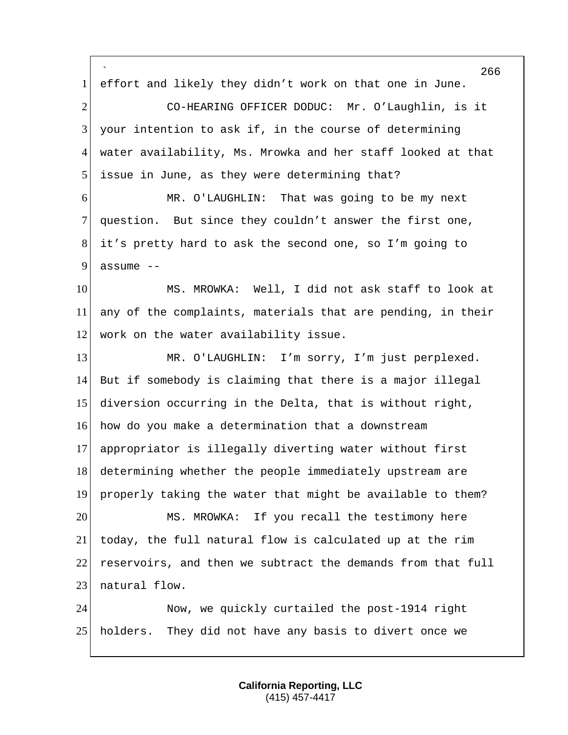` effort and likely they didn't work on that one in June. 2 CO-HEARING OFFICER DODUC: Mr. O'Laughlin, is it your intention to ask if, in the course of determining water availability, Ms. Mrowka and her staff looked at that 5 issue in June, as they were determining that? MR. O'LAUGHLIN: That was going to be my next question. But since they couldn't answer the first one, it's pretty hard to ask the second one, so I'm going to assume  $-$  MS. MROWKA: Well, I did not ask staff to look at any of the complaints, materials that are pending, in their 12 work on the water availability issue. 13 MR. O'LAUGHLIN: I'm sorry, I'm just perplexed. But if somebody is claiming that there is a major illegal diversion occurring in the Delta, that is without right, how do you make a determination that a downstream appropriator is illegally diverting water without first determining whether the people immediately upstream are properly taking the water that might be available to them? MS. MROWKA: If you recall the testimony here today, the full natural flow is calculated up at the rim reservoirs, and then we subtract the demands from that full 23 natural flow. Now, we quickly curtailed the post-1914 right holders. They did not have any basis to divert once we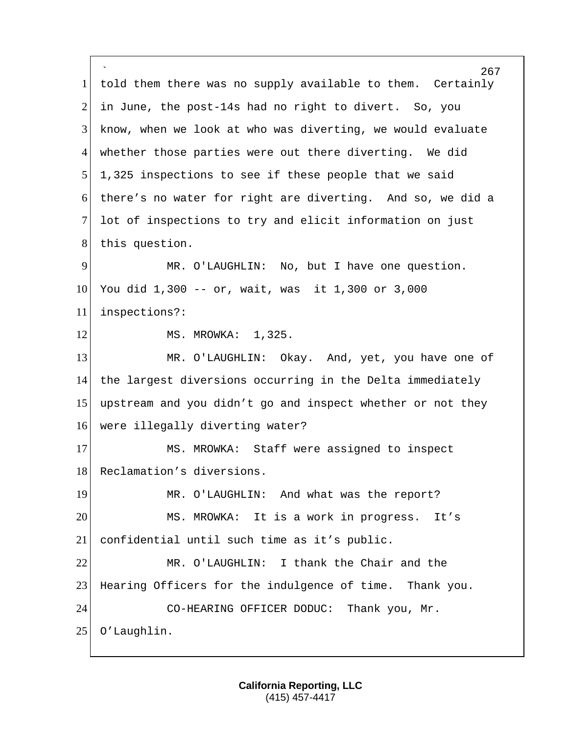` 267 1 told them there was no supply available to them. Certainly 2 in June, the post-14s had no right to divert. So, you 3 know, when we look at who was diverting, we would evaluate 4 whether those parties were out there diverting. We did 5 1,325 inspections to see if these people that we said 6 there's no water for right are diverting. And so, we did a 7 lot of inspections to try and elicit information on just 8 this question. 9 MR. O'LAUGHLIN: No, but I have one question. 10 You did 1,300 -- or, wait, was it 1,300 or 3,000 11 inspections?: 12 MS. MROWKA: 1,325. 13 MR. O'LAUGHLIN: Okay. And, yet, you have one of 14 the largest diversions occurring in the Delta immediately 15 upstream and you didn't go and inspect whether or not they 16 were illegally diverting water? 17 MS. MROWKA: Staff were assigned to inspect 18 Reclamation's diversions. 19 MR. O'LAUGHLIN: And what was the report? 20 MS. MROWKA: It is a work in progress. It's 21 confidential until such time as it's public. 22 MR. O'LAUGHLIN: I thank the Chair and the 23 Hearing Officers for the indulgence of time. Thank you. 24 CO-HEARING OFFICER DODUC: Thank you, Mr. 25 O'Laughlin.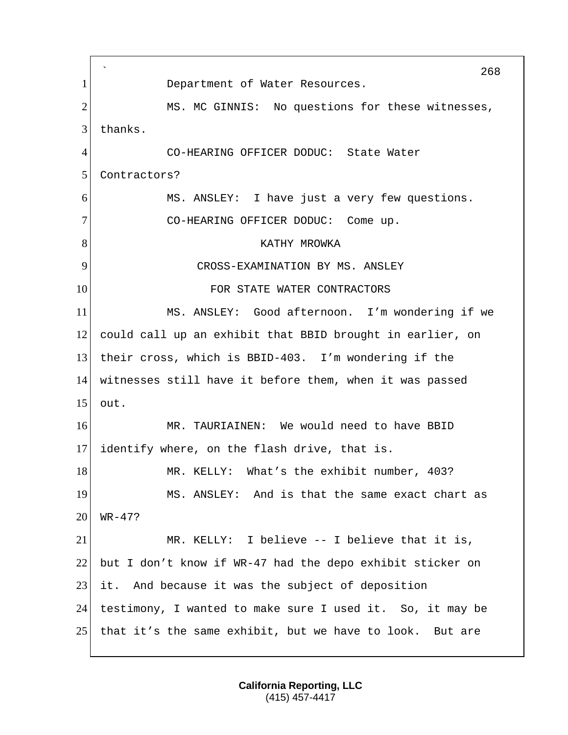` 268 1 Department of Water Resources. 2 MS. MC GINNIS: No questions for these witnesses, 3 thanks. 4 CO-HEARING OFFICER DODUC: State Water 5 Contractors? 6 MS. ANSLEY: I have just a very few questions. 7 CO-HEARING OFFICER DODUC: Come up. 8 KATHY MROWKA 9 CROSS-EXAMINATION BY MS. ANSLEY 10 FOR STATE WATER CONTRACTORS 11 MS. ANSLEY: Good afternoon. I'm wondering if we 12 could call up an exhibit that BBID brought in earlier, on 13 their cross, which is BBID-403. I'm wondering if the 14 witnesses still have it before them, when it was passed 15 out. 16 MR. TAURIAINEN: We would need to have BBID 17 identify where, on the flash drive, that is. 18 MR. KELLY: What's the exhibit number, 403? 19 MS. ANSLEY: And is that the same exact chart as  $20$  WR-47? 21 MR. KELLY: I believe -- I believe that it is, 22 but I don't know if WR-47 had the depo exhibit sticker on 23 it. And because it was the subject of deposition 24 testimony, I wanted to make sure I used it. So, it may be 25 that it's the same exhibit, but we have to look. But are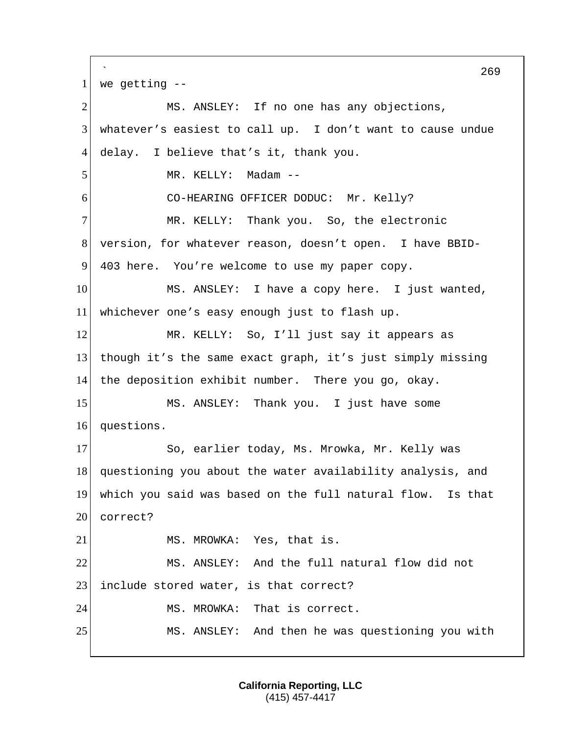` 269  $1$  we getting  $-$ 2 MS. ANSLEY: If no one has any objections, 3 whatever's easiest to call up. I don't want to cause undue 4 delay. I believe that's it, thank you. 5 MR. KELLY: Madam --6 CO-HEARING OFFICER DODUC: Mr. Kelly? 7 MR. KELLY: Thank you. So, the electronic 8 version, for whatever reason, doesn't open. I have BBID-9 403 here. You're welcome to use my paper copy. 10 MS. ANSLEY: I have a copy here. I just wanted, 11 whichever one's easy enough just to flash up. 12 MR. KELLY: So, I'll just say it appears as 13 though it's the same exact graph, it's just simply missing 14 the deposition exhibit number. There you go, okay. 15 MS. ANSLEY: Thank you. I just have some 16 questions. 17 So, earlier today, Ms. Mrowka, Mr. Kelly was 18 questioning you about the water availability analysis, and 19 which you said was based on the full natural flow. Is that 20 correct? 21 MS. MROWKA: Yes, that is. 22 MS. ANSLEY: And the full natural flow did not 23 include stored water, is that correct? 24 MS. MROWKA: That is correct. 25 MS. ANSLEY: And then he was questioning you with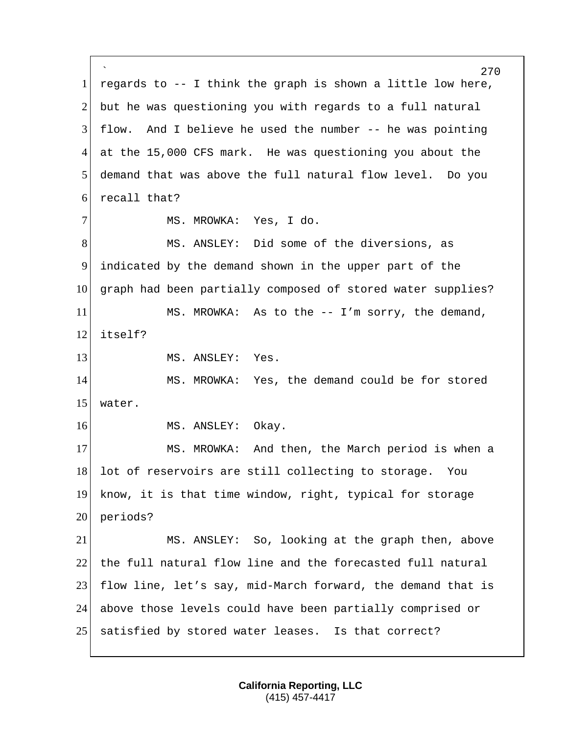` 270  $1$  regards to  $-$ - I think the graph is shown a little low here, 2 but he was questioning you with regards to a full natural 3 flow. And I believe he used the number -- he was pointing 4 at the 15,000 CFS mark. He was questioning you about the 5 demand that was above the full natural flow level. Do you 6 recall that? 7 MS. MROWKA: Yes, I do. 8 MS. ANSLEY: Did some of the diversions, as 9 indicated by the demand shown in the upper part of the 10 graph had been partially composed of stored water supplies? 11 MS. MROWKA: As to the -- I'm sorry, the demand, 12 itself? 13 MS. ANSLEY: Yes. 14 MS. MROWKA: Yes, the demand could be for stored 15 water. 16 MS. ANSLEY: Okay. 17 MS. MROWKA: And then, the March period is when a 18 lot of reservoirs are still collecting to storage. You 19 know, it is that time window, right, typical for storage 20 periods? 21 MS. ANSLEY: So, looking at the graph then, above 22 the full natural flow line and the forecasted full natural 23 flow line, let's say, mid-March forward, the demand that is 24 above those levels could have been partially comprised or 25 satisfied by stored water leases. Is that correct?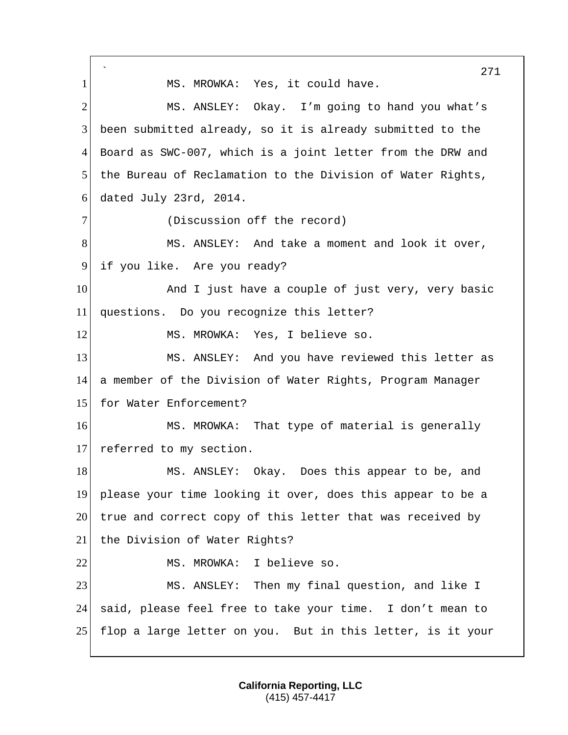` 271 1 MS. MROWKA: Yes, it could have. 2 MS. ANSLEY: Okay. I'm going to hand you what's 3 been submitted already, so it is already submitted to the 4 Board as SWC-007, which is a joint letter from the DRW and 5 the Bureau of Reclamation to the Division of Water Rights, 6 dated July 23rd, 2014. 7 (Discussion off the record) 8 MS. ANSLEY: And take a moment and look it over, 9 if you like. Are you ready? 10 and I just have a couple of just very, very basic 11 questions. Do you recognize this letter? 12 MS. MROWKA: Yes, I believe so. 13 MS. ANSLEY: And you have reviewed this letter as 14 a member of the Division of Water Rights, Program Manager 15 for Water Enforcement? 16 MS. MROWKA: That type of material is generally 17 referred to my section. 18 MS. ANSLEY: Okay. Does this appear to be, and 19 please your time looking it over, does this appear to be a 20 true and correct copy of this letter that was received by 21 the Division of Water Rights? 22 MS. MROWKA: I believe so. 23 MS. ANSLEY: Then my final question, and like I 24 said, please feel free to take your time. I don't mean to 25 flop a large letter on you. But in this letter, is it your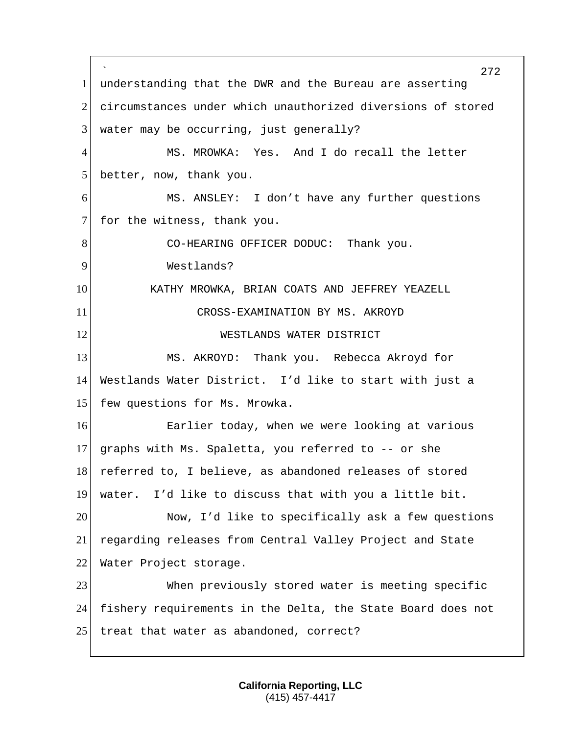` 272 1 understanding that the DWR and the Bureau are asserting 2 circumstances under which unauthorized diversions of stored  $3$  water may be occurring, just generally? 4 MS. MROWKA: Yes. And I do recall the letter 5 better, now, thank you. 6 MS. ANSLEY: I don't have any further questions 7 for the witness, thank you. 8 CO-HEARING OFFICER DODUC: Thank you. 9 Westlands? 10 KATHY MROWKA, BRIAN COATS AND JEFFREY YEAZELL 11 CROSS-EXAMINATION BY MS. AKROYD 12 WESTLANDS WATER DISTRICT 13 MS. AKROYD: Thank you. Rebecca Akroyd for 14 Westlands Water District. I'd like to start with just a 15 few questions for Ms. Mrowka. 16 **Earlier today, when we were looking at various** 17 graphs with Ms. Spaletta, you referred to  $-$ - or she 18 referred to, I believe, as abandoned releases of stored 19 water. I'd like to discuss that with you a little bit. 20 Now, I'd like to specifically ask a few questions 21 regarding releases from Central Valley Project and State 22 Water Project storage. 23 When previously stored water is meeting specific 24 fishery requirements in the Delta, the State Board does not 25 | treat that water as abandoned, correct?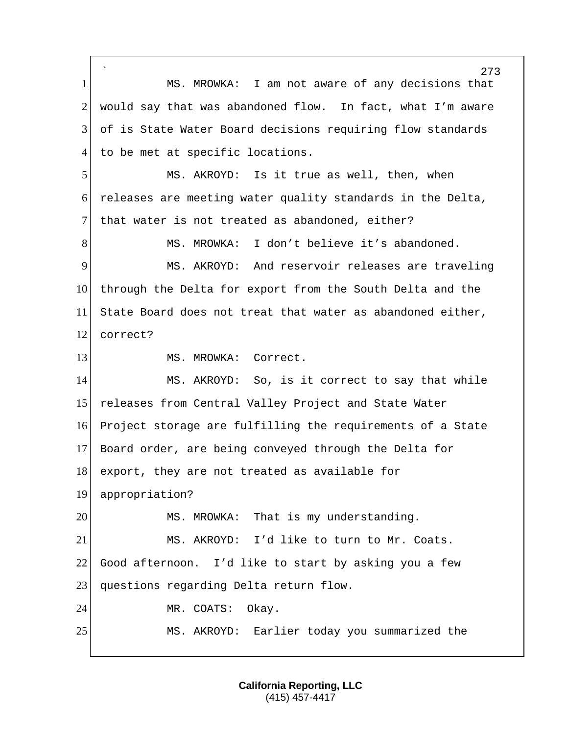` 273 1 MS. MROWKA: I am not aware of any decisions that  $2$  would say that was abandoned flow. In fact, what I'm aware 3 of is State Water Board decisions requiring flow standards 4 to be met at specific locations. 5 MS. AKROYD: Is it true as well, then, when 6 releases are meeting water quality standards in the Delta, 7 that water is not treated as abandoned, either? 8 MS. MROWKA: I don't believe it's abandoned. 9 MS. AKROYD: And reservoir releases are traveling 10 through the Delta for export from the South Delta and the 11 State Board does not treat that water as abandoned either, 12 correct? 13 MS. MROWKA: Correct. 14 MS. AKROYD: So, is it correct to say that while 15 releases from Central Valley Project and State Water 16 Project storage are fulfilling the requirements of a State 17 Board order, are being conveyed through the Delta for 18 export, they are not treated as available for 19 appropriation? 20 MS. MROWKA: That is my understanding. 21 MS. AKROYD: I'd like to turn to Mr. Coats. 22 Good afternoon. I'd like to start by asking you a few 23 questions regarding Delta return flow. 24 MR. COATS: Okay. 25 MS. AKROYD: Earlier today you summarized the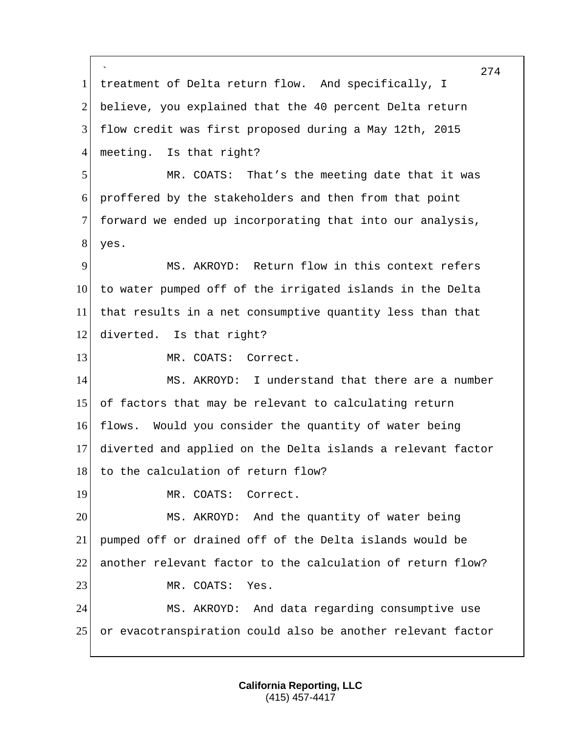` 274 1 treatment of Delta return flow. And specifically, I 2 believe, you explained that the 40 percent Delta return 3 flow credit was first proposed during a May 12th, 2015 4 meeting. Is that right? 5 MR. COATS: That's the meeting date that it was 6 proffered by the stakeholders and then from that point 7 forward we ended up incorporating that into our analysis, 8 yes. 9 MS. AKROYD: Return flow in this context refers 10 to water pumped off of the irrigated islands in the Delta 11 that results in a net consumptive quantity less than that 12 diverted. Is that right? 13 MR. COATS: Correct. 14 MS. AKROYD: I understand that there are a number 15 of factors that may be relevant to calculating return 16 flows. Would you consider the quantity of water being 17 diverted and applied on the Delta islands a relevant factor 18 to the calculation of return flow? 19 MR. COATS: Correct. 20 MS. AKROYD: And the quantity of water being 21 pumped off or drained off of the Delta islands would be 22 another relevant factor to the calculation of return flow? 23 MR. COATS: Yes. 24 MS. AKROYD: And data regarding consumptive use 25 or evacotranspiration could also be another relevant factor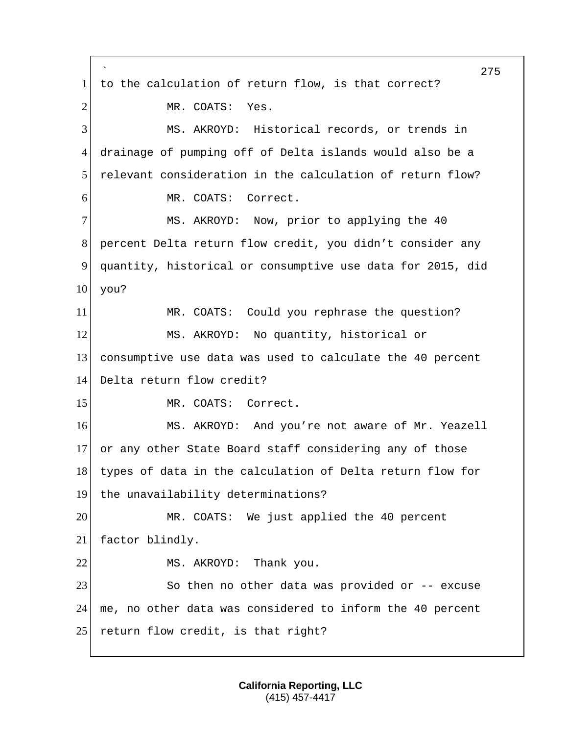` 275 1 to the calculation of return flow, is that correct? 2 MR. COATS: Yes. 3 MS. AKROYD: Historical records, or trends in 4 drainage of pumping off of Delta islands would also be a 5 relevant consideration in the calculation of return flow? 6 MR. COATS: Correct. 7 MS. AKROYD: Now, prior to applying the 40 8 percent Delta return flow credit, you didn't consider any 9 quantity, historical or consumptive use data for 2015, did  $10$  you? 11 MR. COATS: Could you rephrase the question? 12 MS. AKROYD: No quantity, historical or 13 consumptive use data was used to calculate the 40 percent 14 Delta return flow credit? 15 MR. COATS: Correct. 16 MS. AKROYD: And you're not aware of Mr. Yeazell 17 or any other State Board staff considering any of those 18 types of data in the calculation of Delta return flow for 19 the unavailability determinations? 20 MR. COATS: We just applied the 40 percent 21 factor blindly. 22 MS. AKROYD: Thank you. 23 So then no other data was provided or -- excuse 24 me, no other data was considered to inform the 40 percent 25 return flow credit, is that right?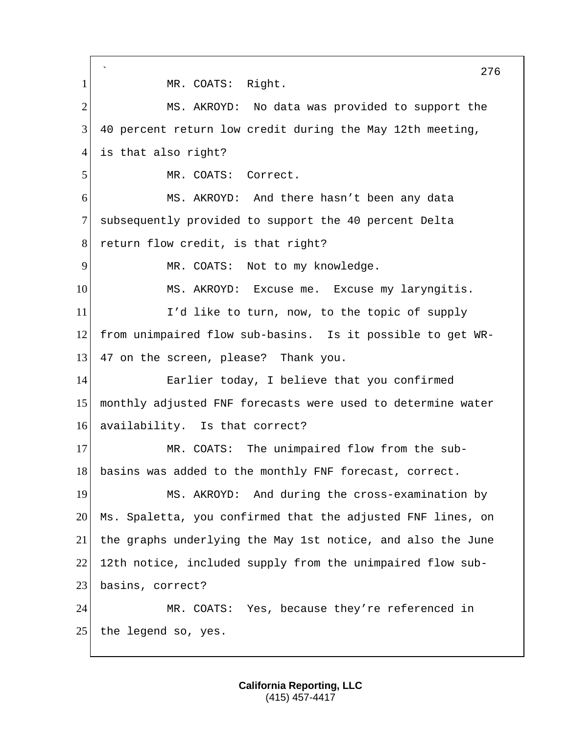` 276 1 MR. COATS: Right. 2 MS. AKROYD: No data was provided to support the 3 40 percent return low credit during the May 12th meeting, 4 is that also right? 5 MR. COATS: Correct. 6 MS. AKROYD: And there hasn't been any data 7 subsequently provided to support the 40 percent Delta 8 return flow credit, is that right? 9 MR. COATS: Not to my knowledge. 10 MS. AKROYD: Excuse me. Excuse my laryngitis. 11 I'd like to turn, now, to the topic of supply 12 from unimpaired flow sub-basins. Is it possible to get WR-13 47 on the screen, please? Thank you. 14 Earlier today, I believe that you confirmed 15 monthly adjusted FNF forecasts were used to determine water 16 availability. Is that correct? 17 MR. COATS: The unimpaired flow from the sub-18 basins was added to the monthly FNF forecast, correct. 19 MS. AKROYD: And during the cross-examination by 20 Ms. Spaletta, you confirmed that the adjusted FNF lines, on 21 the graphs underlying the May 1st notice, and also the June 22 12th notice, included supply from the unimpaired flow sub-23 basins, correct? 24 MR. COATS: Yes, because they're referenced in  $25$  the legend so, yes.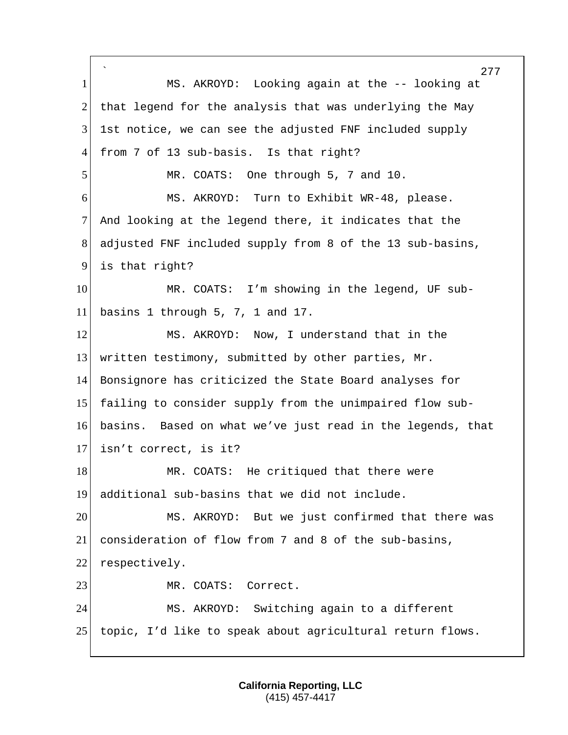` 277 1 MS. AKROYD: Looking again at the -- looking at 2 that legend for the analysis that was underlying the May 3 1st notice, we can see the adjusted FNF included supply 4 from 7 of 13 sub-basis. Is that right? 5 MR. COATS: One through 5, 7 and 10. 6 MS. AKROYD: Turn to Exhibit WR-48, please. 7 And looking at the legend there, it indicates that the 8 adjusted FNF included supply from 8 of the 13 sub-basins, 9 is that right? 10 MR. COATS: I'm showing in the legend, UF sub-11 basins 1 through 5, 7, 1 and 17. 12 MS. AKROYD: Now, I understand that in the 13 written testimony, submitted by other parties, Mr. 14 Bonsignore has criticized the State Board analyses for 15 failing to consider supply from the unimpaired flow sub-16 basins. Based on what we've just read in the legends, that 17 isn't correct, is it? 18 MR. COATS: He critiqued that there were 19 additional sub-basins that we did not include. 20 MS. AKROYD: But we just confirmed that there was 21 consideration of flow from 7 and 8 of the sub-basins, 22 respectively. 23 MR. COATS: Correct. 24 MS. AKROYD: Switching again to a different 25 topic, I'd like to speak about agricultural return flows.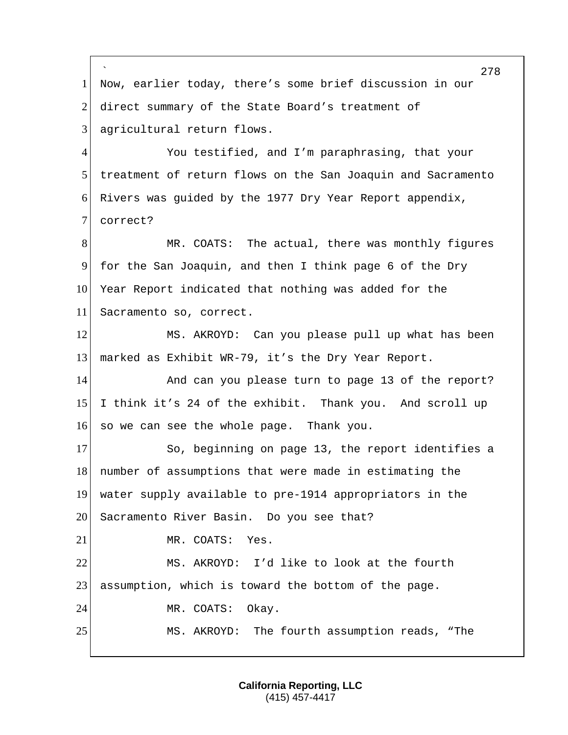` 278 1 Now, earlier today, there's some brief discussion in our 2 direct summary of the State Board's treatment of 3 agricultural return flows. 4 You testified, and I'm paraphrasing, that your 5 treatment of return flows on the San Joaquin and Sacramento 6 Rivers was guided by the 1977 Dry Year Report appendix, 7 correct? 8 MR. COATS: The actual, there was monthly figures 9 for the San Joaquin, and then I think page 6 of the Dry 10 Year Report indicated that nothing was added for the 11 Sacramento so, correct. 12 MS. AKROYD: Can you please pull up what has been 13 marked as Exhibit WR-79, it's the Dry Year Report. 14 and can you please turn to page 13 of the report? 15 I think it's 24 of the exhibit. Thank you. And scroll up 16 so we can see the whole page. Thank you. 17 So, beginning on page 13, the report identifies a 18 number of assumptions that were made in estimating the 19 water supply available to pre-1914 appropriators in the 20 Sacramento River Basin. Do you see that? 21 MR. COATS: Yes. 22 MS. AKROYD: I'd like to look at the fourth 23 assumption, which is toward the bottom of the page. 24 MR. COATS: Okay. 25 MS. AKROYD: The fourth assumption reads, "The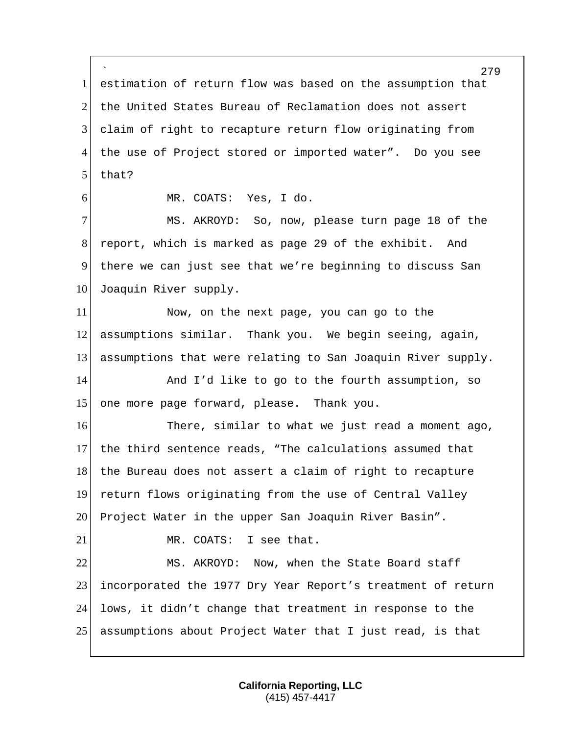` estimation of return flow was based on the assumption that 2 the United States Bureau of Reclamation does not assert claim of right to recapture return flow originating from the use of Project stored or imported water". Do you see that? MR. COATS: Yes, I do. MS. AKROYD: So, now, please turn page 18 of the report, which is marked as page 29 of the exhibit. And there we can just see that we're beginning to discuss San 10 Joaquin River supply. Now, on the next page, you can go to the assumptions similar. Thank you. We begin seeing, again, assumptions that were relating to San Joaquin River supply. 14 And I'd like to go to the fourth assumption, so one more page forward, please. Thank you. There, similar to what we just read a moment ago, the third sentence reads, "The calculations assumed that 18 the Bureau does not assert a claim of right to recapture return flows originating from the use of Central Valley Project Water in the upper San Joaquin River Basin". 21 MR. COATS: I see that. MS. AKROYD: Now, when the State Board staff incorporated the 1977 Dry Year Report's treatment of return lows, it didn't change that treatment in response to the assumptions about Project Water that I just read, is that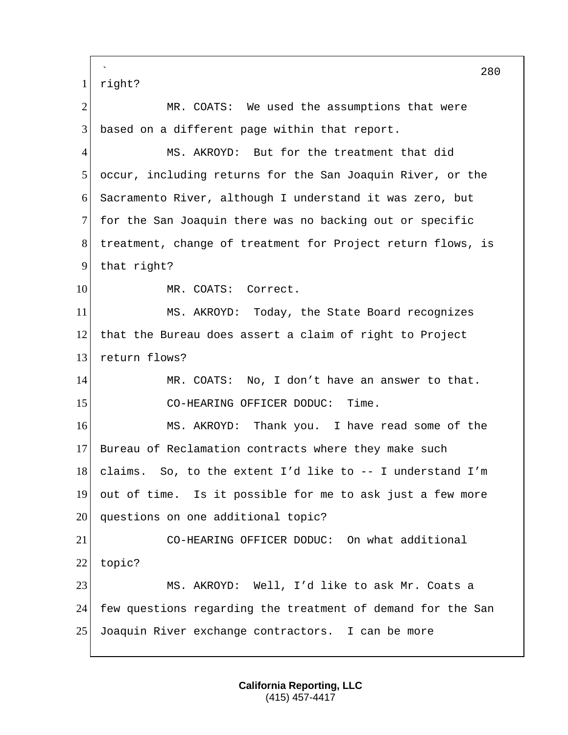` 280 1 right? 2 MR. COATS: We used the assumptions that were  $3$  based on a different page within that report. 4 MS. AKROYD: But for the treatment that did 5 occur, including returns for the San Joaquin River, or the 6 Sacramento River, although I understand it was zero, but 7 for the San Joaquin there was no backing out or specific 8 treatment, change of treatment for Project return flows, is 9 that right? 10 MR. COATS: Correct. 11 MS. AKROYD: Today, the State Board recognizes 12 that the Bureau does assert a claim of right to Project 13 return flows? 14 MR. COATS: No, I don't have an answer to that. 15 CO-HEARING OFFICER DODUC: Time. 16 MS. AKROYD: Thank you. I have read some of the 17 Bureau of Reclamation contracts where they make such 18 claims. So, to the extent I'd like to  $-$ - I understand I'm 19 out of time. Is it possible for me to ask just a few more 20 questions on one additional topic? 21 CO-HEARING OFFICER DODUC: On what additional 22 topic? 23 MS. AKROYD: Well, I'd like to ask Mr. Coats a 24 few questions regarding the treatment of demand for the San 25 Joaquin River exchange contractors. I can be more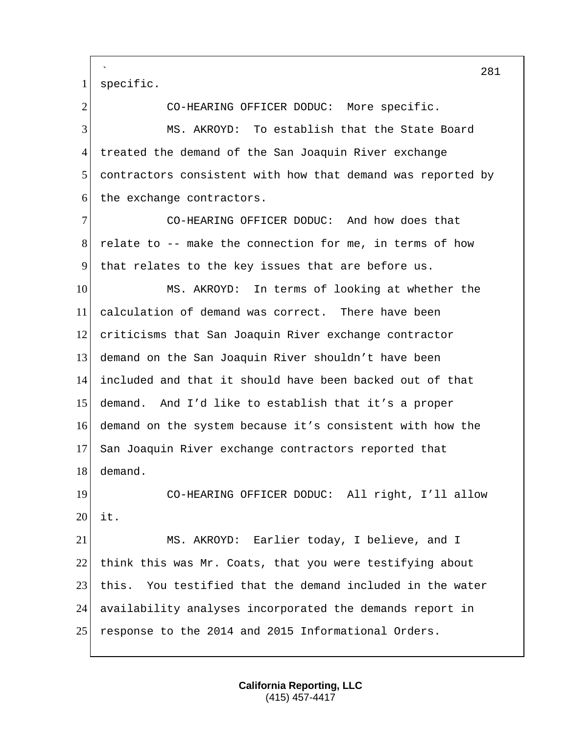` specific. 2 CO-HEARING OFFICER DODUC: More specific. MS. AKROYD: To establish that the State Board treated the demand of the San Joaquin River exchange contractors consistent with how that demand was reported by the exchange contractors. CO-HEARING OFFICER DODUC: And how does that relate to -- make the connection for me, in terms of how that relates to the key issues that are before us. MS. AKROYD: In terms of looking at whether the calculation of demand was correct. There have been criticisms that San Joaquin River exchange contractor demand on the San Joaquin River shouldn't have been included and that it should have been backed out of that demand. And I'd like to establish that it's a proper demand on the system because it's consistent with how the 17 San Joaquin River exchange contractors reported that demand. CO-HEARING OFFICER DODUC: All right, I'll allow it. MS. AKROYD: Earlier today, I believe, and I 22 think this was Mr. Coats, that you were testifying about 23 this. You testified that the demand included in the water availability analyses incorporated the demands report in response to the 2014 and 2015 Informational Orders.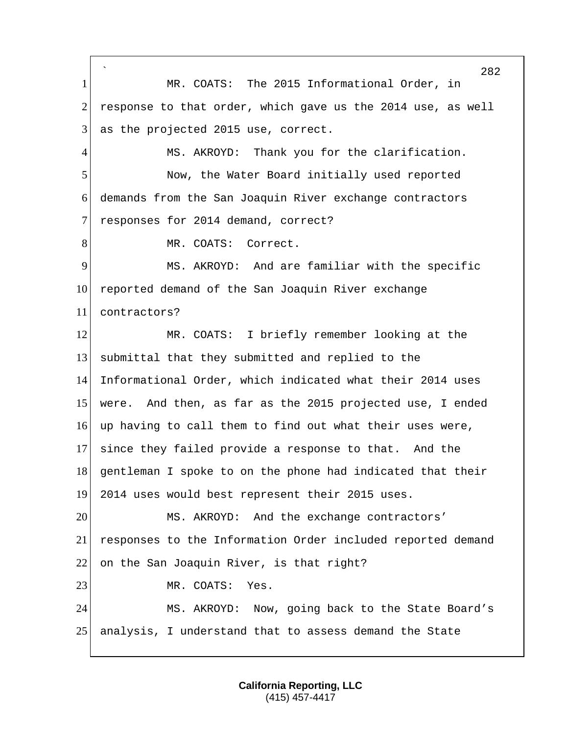` 282 1 MR. COATS: The 2015 Informational Order, in 2 response to that order, which gave us the 2014 use, as well  $3$  as the projected 2015 use, correct. 4 MS. AKROYD: Thank you for the clarification. 5 Now, the Water Board initially used reported 6 demands from the San Joaquin River exchange contractors 7 responses for 2014 demand, correct? 8 MR. COATS: Correct. 9 MS. AKROYD: And are familiar with the specific 10 reported demand of the San Joaquin River exchange 11 contractors? 12 MR. COATS: I briefly remember looking at the 13 submittal that they submitted and replied to the 14 Informational Order, which indicated what their 2014 uses 15 were. And then, as far as the 2015 projected use, I ended 16 up having to call them to find out what their uses were, 17 since they failed provide a response to that. And the 18 gentleman I spoke to on the phone had indicated that their 19 2014 uses would best represent their 2015 uses. 20 MS. AKROYD: And the exchange contractors' 21 responses to the Information Order included reported demand 22 on the San Joaquin River, is that right? 23 MR. COATS: Yes. 24 MS. AKROYD: Now, going back to the State Board's 25 analysis, I understand that to assess demand the State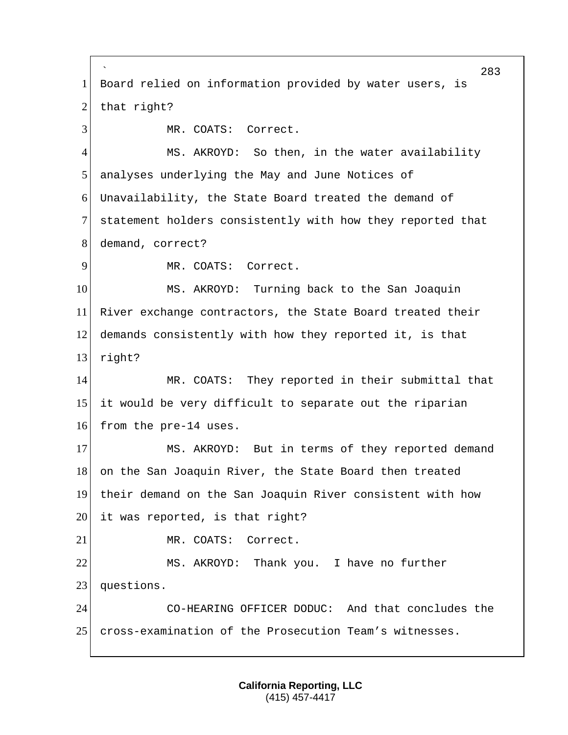` 283 1 Board relied on information provided by water users, is  $2$  that right? 3 MR. COATS: Correct. 4 MS. AKROYD: So then, in the water availability 5 analyses underlying the May and June Notices of 6 Unavailability, the State Board treated the demand of 7 statement holders consistently with how they reported that 8 demand, correct? 9 MR. COATS: Correct. 10 MS. AKROYD: Turning back to the San Joaquin 11 River exchange contractors, the State Board treated their 12 demands consistently with how they reported it, is that 13 right? 14 MR. COATS: They reported in their submittal that 15 it would be very difficult to separate out the riparian 16 from the pre-14 uses. 17 MS. AKROYD: But in terms of they reported demand 18 on the San Joaquin River, the State Board then treated 19 their demand on the San Joaquin River consistent with how  $20$  it was reported, is that right? 21 MR. COATS: Correct. 22 MS. AKROYD: Thank you. I have no further 23 questions. 24 CO-HEARING OFFICER DODUC: And that concludes the 25 cross-examination of the Prosecution Team's witnesses.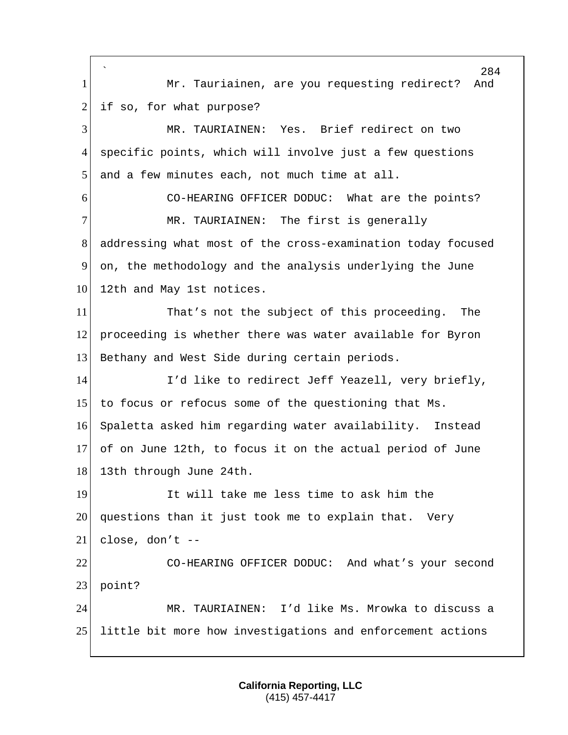` 284 1 Mr. Tauriainen, are you requesting redirect? And  $2$  if so, for what purpose? 3 MR. TAURIAINEN: Yes. Brief redirect on two 4 specific points, which will involve just a few questions 5 and a few minutes each, not much time at all. 6 CO-HEARING OFFICER DODUC: What are the points? 7 MR. TAURIAINEN: The first is generally 8 addressing what most of the cross-examination today focused 9 on, the methodology and the analysis underlying the June 10 12th and May 1st notices. 11 That's not the subject of this proceeding. The 12 proceeding is whether there was water available for Byron 13 Bethany and West Side during certain periods. 14 I'd like to redirect Jeff Yeazell, very briefly, 15 to focus or refocus some of the questioning that Ms. 16 Spaletta asked him regarding water availability. Instead 17 of on June 12th, to focus it on the actual period of June 18 13th through June 24th. 19 It will take me less time to ask him the 20 questions than it just took me to explain that. Very  $21$  close, don't  $-$ 22 CO-HEARING OFFICER DODUC: And what's your second 23 point? 24 MR. TAURIAINEN: I'd like Ms. Mrowka to discuss a 25 little bit more how investigations and enforcement actions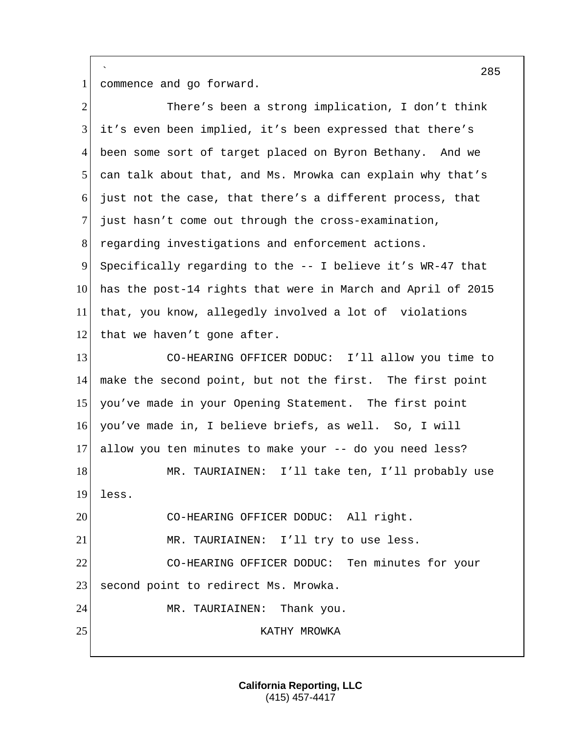` 1 commence and go forward.

| $\overline{2}$ | There's been a strong implication, I don't think            |
|----------------|-------------------------------------------------------------|
| 3              | it's even been implied, it's been expressed that there's    |
| 4              | been some sort of target placed on Byron Bethany. And we    |
| 5              | can talk about that, and Ms. Mrowka can explain why that's  |
| 6              | just not the case, that there's a different process, that   |
| $\tau$         | just hasn't come out through the cross-examination,         |
| 8              | regarding investigations and enforcement actions.           |
| 9              | Specifically regarding to the -- I believe it's WR-47 that  |
| 10             | has the post-14 rights that were in March and April of 2015 |
| 11             | that, you know, allegedly involved a lot of violations      |
| 12             | that we haven't gone after.                                 |
| 13             | CO-HEARING OFFICER DODUC: I'll allow you time to            |
| 14             | make the second point, but not the first. The first point   |
| 15             | you've made in your Opening Statement. The first point      |
| 16             | you've made in, I believe briefs, as well. So, I will       |
| 17             | allow you ten minutes to make your -- do you need less?     |
| 18             | MR. TAURIAINEN: I'll take ten, I'll probably use            |
| 19             | less.                                                       |
| 20             | CO-HEARING OFFICER DODUC: All right.                        |
| 21             | MR. TAURIAINEN: I'll try to use less.                       |
| 22             | CO-HEARING OFFICER DODUC: Ten minutes for your              |
| 23             | second point to redirect Ms. Mrowka.                        |
| 24             | Thank you.<br>MR. TAURIAINEN:                               |
| 25             | KATHY MROWKA                                                |
|                |                                                             |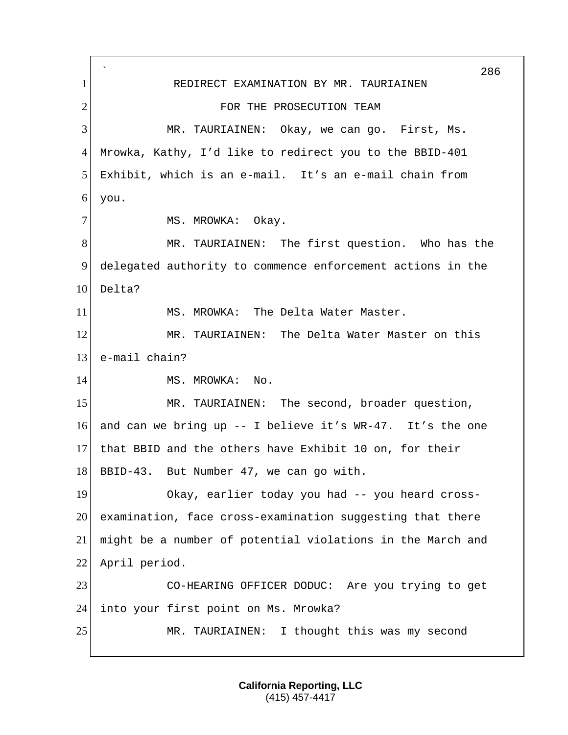` 286 1 REDIRECT EXAMINATION BY MR. TAURIAINEN 2 FOR THE PROSECUTION TEAM 3 MR. TAURIAINEN: Okay, we can go. First, Ms. 4 Mrowka, Kathy, I'd like to redirect you to the BBID-401 5 Exhibit, which is an e-mail. It's an e-mail chain from 6 you. 7 MS. MROWKA: Okay. 8 MR. TAURIAINEN: The first question. Who has the 9 delegated authority to commence enforcement actions in the 10 Delta? 11 MS. MROWKA: The Delta Water Master. 12 MR. TAURIAINEN: The Delta Water Master on this 13 e-mail chain? 14 MS. MROWKA: No. 15 MR. TAURIAINEN: The second, broader question, 16 and can we bring up  $-$  I believe it's WR-47. It's the one 17 that BBID and the others have Exhibit 10 on, for their 18 BBID-43. But Number 47, we can go with. 19 Okay, earlier today you had -- you heard cross-20 examination, face cross-examination suggesting that there 21 might be a number of potential violations in the March and 22 April period. 23 CO-HEARING OFFICER DODUC: Are you trying to get 24 into your first point on Ms. Mrowka? 25 MR. TAURIAINEN: I thought this was my second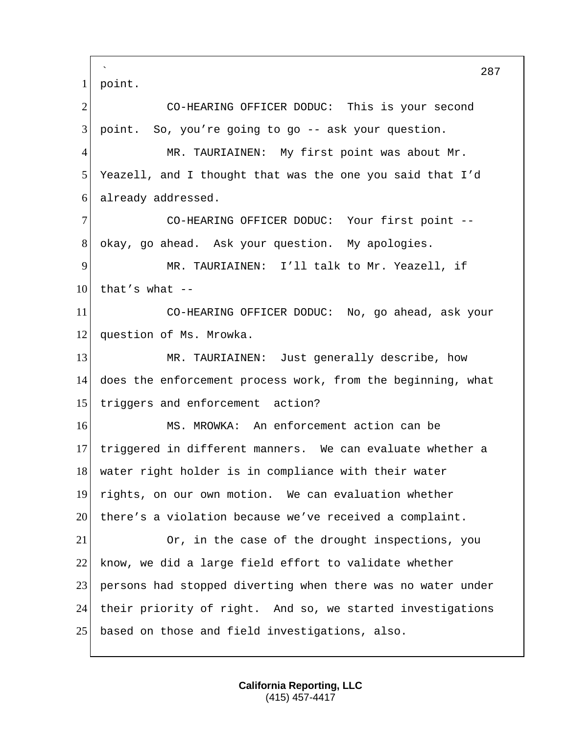` 287 1 point. 2 CO-HEARING OFFICER DODUC: This is your second  $3$  point. So, you're going to go  $-$  ask your question. 4 MR. TAURIAINEN: My first point was about Mr. 5 Yeazell, and I thought that was the one you said that I'd 6 already addressed. 7 CO-HEARING OFFICER DODUC: Your first point -- 8 okay, go ahead. Ask your question. My apologies. 9 MR. TAURIAINEN: I'll talk to Mr. Yeazell, if  $10$  that's what --11 CO-HEARING OFFICER DODUC: No, go ahead, ask your 12 question of Ms. Mrowka. 13 MR. TAURIAINEN: Just generally describe, how 14 does the enforcement process work, from the beginning, what 15 triggers and enforcement action? 16 MS. MROWKA: An enforcement action can be 17 triggered in different manners. We can evaluate whether a 18 water right holder is in compliance with their water 19 rights, on our own motion. We can evaluation whether 20 there's a violation because we've received a complaint. 21 Or, in the case of the drought inspections, you 22 know, we did a large field effort to validate whether 23 persons had stopped diverting when there was no water under 24 their priority of right. And so, we started investigations 25 based on those and field investigations, also.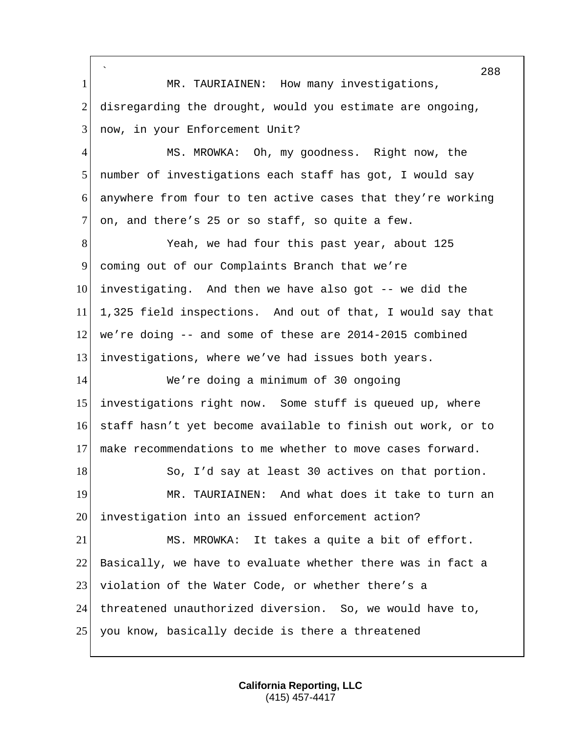` 1 MR. TAURIAINEN: How many investigations, disregarding the drought, would you estimate are ongoing, 3 now, in your Enforcement Unit? MS. MROWKA: Oh, my goodness. Right now, the number of investigations each staff has got, I would say anywhere from four to ten active cases that they're working 7 on, and there's 25 or so staff, so quite a few. 8 Yeah, we had four this past year, about 125 coming out of our Complaints Branch that we're investigating. And then we have also got -- we did the 1,325 field inspections. And out of that, I would say that we're doing -- and some of these are 2014-2015 combined investigations, where we've had issues both years. We're doing a minimum of 30 ongoing investigations right now. Some stuff is queued up, where staff hasn't yet become available to finish out work, or to make recommendations to me whether to move cases forward. 18 So, I'd say at least 30 actives on that portion. MR. TAURIAINEN: And what does it take to turn an investigation into an issued enforcement action? MS. MROWKA: It takes a quite a bit of effort. 22 Basically, we have to evaluate whether there was in fact a 23 violation of the Water Code, or whether there's a threatened unauthorized diversion. So, we would have to, 25 you know, basically decide is there a threatened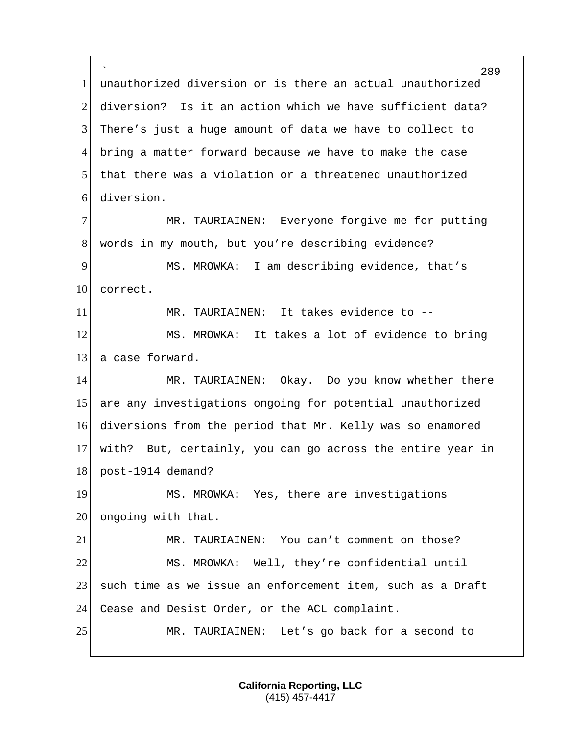` unauthorized diversion or is there an actual unauthorized diversion? Is it an action which we have sufficient data? There's just a huge amount of data we have to collect to bring a matter forward because we have to make the case that there was a violation or a threatened unauthorized diversion. MR. TAURIAINEN: Everyone forgive me for putting words in my mouth, but you're describing evidence? MS. MROWKA: I am describing evidence, that's 10 correct. MR. TAURIAINEN: It takes evidence to -- 12 MS. MROWKA: It takes a lot of evidence to bring 13 a case forward. 14 MR. TAURIAINEN: Okay. Do you know whether there are any investigations ongoing for potential unauthorized diversions from the period that Mr. Kelly was so enamored with? But, certainly, you can go across the entire year in post-1914 demand? 19 MS. MROWKA: Yes, there are investigations ongoing with that. MR. TAURIAINEN: You can't comment on those? MS. MROWKA: Well, they're confidential until 23 such time as we issue an enforcement item, such as a Draft Cease and Desist Order, or the ACL complaint. MR. TAURIAINEN: Let's go back for a second to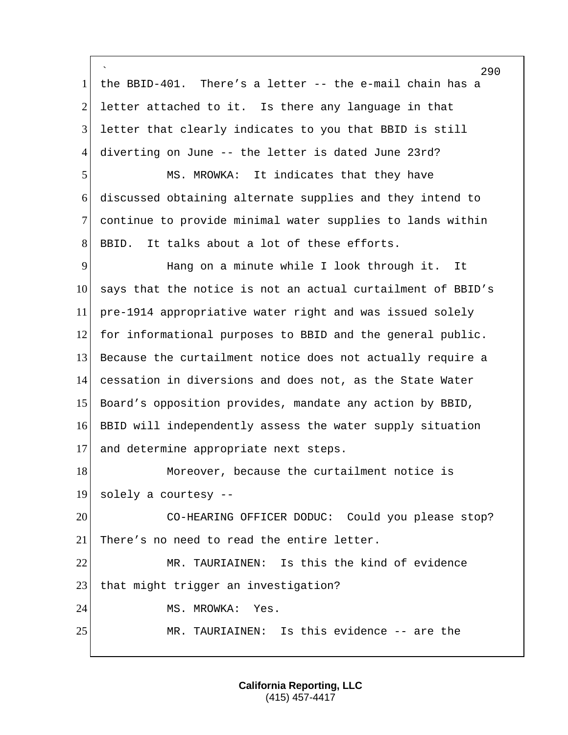` the BBID-401. There's a letter -- the e-mail chain has a 2 letter attached to it. Is there any language in that letter that clearly indicates to you that BBID is still diverting on June -- the letter is dated June 23rd? MS. MROWKA: It indicates that they have discussed obtaining alternate supplies and they intend to continue to provide minimal water supplies to lands within 8 BBID. It talks about a lot of these efforts. Hang on a minute while I look through it. It says that the notice is not an actual curtailment of BBID's pre-1914 appropriative water right and was issued solely for informational purposes to BBID and the general public. Because the curtailment notice does not actually require a cessation in diversions and does not, as the State Water Board's opposition provides, mandate any action by BBID, BBID will independently assess the water supply situation and determine appropriate next steps. 18 Moreover, because the curtailment notice is solely a courtesy -- 20 CO-HEARING OFFICER DODUC: Could you please stop? 21 There's no need to read the entire letter. MR. TAURIAINEN: Is this the kind of evidence 23 | that might trigger an investigation? 24 MS. MROWKA: Yes. 25 MR. TAURIAINEN: Is this evidence -- are the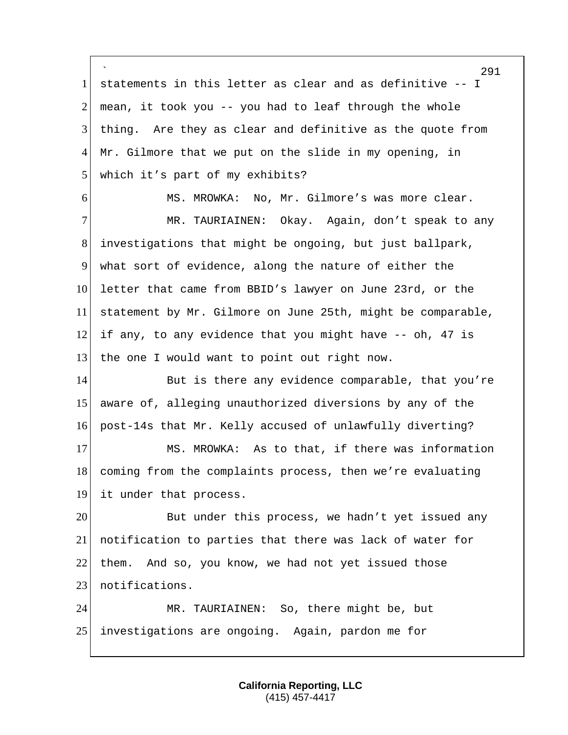` 291 1 statements in this letter as clear and as definitive -- I 2 mean, it took you  $-$  you had to leaf through the whole 3 thing. Are they as clear and definitive as the quote from  $4$  Mr. Gilmore that we put on the slide in my opening, in 5 which it's part of my exhibits? 6 MS. MROWKA: No, Mr. Gilmore's was more clear. 7 MR. TAURIAINEN: Okay. Again, don't speak to any 8 investigations that might be ongoing, but just ballpark, 9 what sort of evidence, along the nature of either the 10 letter that came from BBID's lawyer on June 23rd, or the 11 statement by Mr. Gilmore on June 25th, might be comparable,  $12$  if any, to any evidence that you might have  $-$ - oh, 47 is 13 the one I would want to point out right now. 14 But is there any evidence comparable, that you're 15 aware of, alleging unauthorized diversions by any of the 16 post-14s that Mr. Kelly accused of unlawfully diverting? 17 MS. MROWKA: As to that, if there was information 18 coming from the complaints process, then we're evaluating 19 it under that process. 20 But under this process, we hadn't yet issued any 21 notification to parties that there was lack of water for  $22$  them. And so, you know, we had not yet issued those 23 notifications. 24 MR. TAURIAINEN: So, there might be, but 25 investigations are ongoing. Again, pardon me for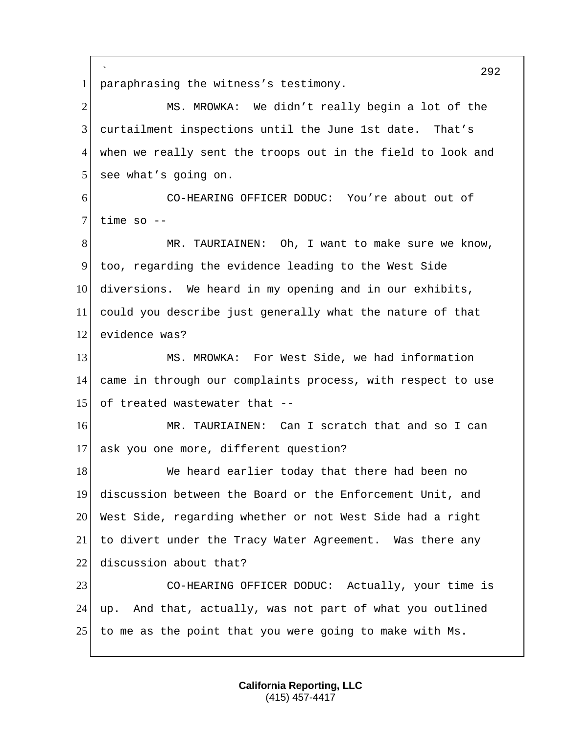` 1 paraphrasing the witness's testimony.

2 MS. MROWKA: We didn't really begin a lot of the 3 curtailment inspections until the June 1st date. That's 4 when we really sent the troops out in the field to look and 5 see what's going on. 6 CO-HEARING OFFICER DODUC: You're about out of  $7$  time so  $-$ 8 MR. TAURIAINEN: Oh, I want to make sure we know, 9 too, regarding the evidence leading to the West Side 10 diversions. We heard in my opening and in our exhibits, 11 could you describe just generally what the nature of that 12 evidence was? 13 MS. MROWKA: For West Side, we had information 14 came in through our complaints process, with respect to use 15 of treated wastewater that  $-$ 16 MR. TAURIAINEN: Can I scratch that and so I can 17 ask you one more, different question? 18 We heard earlier today that there had been no

 discussion between the Board or the Enforcement Unit, and West Side, regarding whether or not West Side had a right to divert under the Tracy Water Agreement. Was there any 22 discussion about that?

23 CO-HEARING OFFICER DODUC: Actually, your time is 24 up. And that, actually, was not part of what you outlined 25 to me as the point that you were going to make with Ms.

292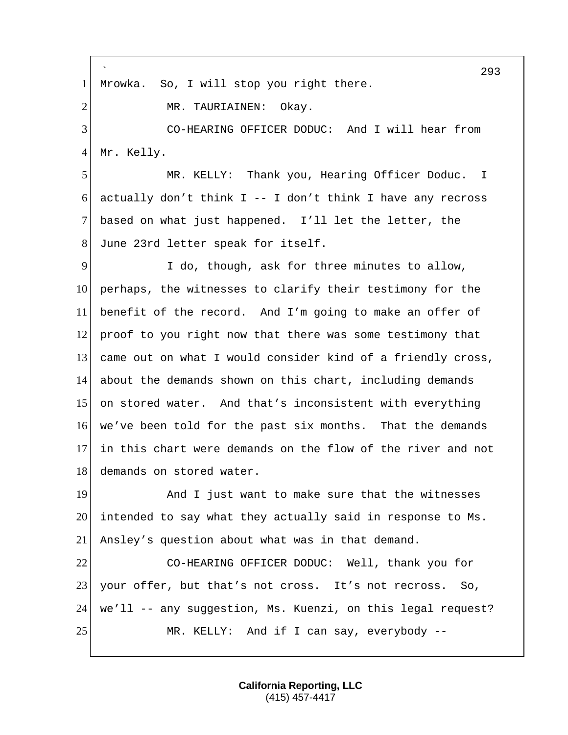` 293 1 Mrowka. So, I will stop you right there. 2 MR. TAURIAINEN: Okay. 3 CO-HEARING OFFICER DODUC: And I will hear from 4 Mr. Kelly. 5 MR. KELLY: Thank you, Hearing Officer Doduc. I 6 actually don't think  $I - - I$  don't think I have any recross 7 based on what just happened. I'll let the letter, the 8 June 23rd letter speak for itself. 9 I do, though, ask for three minutes to allow, 10 perhaps, the witnesses to clarify their testimony for the 11 benefit of the record. And I'm going to make an offer of 12 proof to you right now that there was some testimony that 13 came out on what I would consider kind of a friendly cross, 14 about the demands shown on this chart, including demands 15 on stored water. And that's inconsistent with everything 16 we've been told for the past six months. That the demands 17 in this chart were demands on the flow of the river and not 18 demands on stored water. 19 And I just want to make sure that the witnesses 20 intended to say what they actually said in response to Ms. 21 Ansley's question about what was in that demand. 22 CO-HEARING OFFICER DODUC: Well, thank you for 23 your offer, but that's not cross. It's not recross. So, 24 we'll -- any suggestion, Ms. Kuenzi, on this legal request? 25 MR. KELLY: And if I can say, everybody --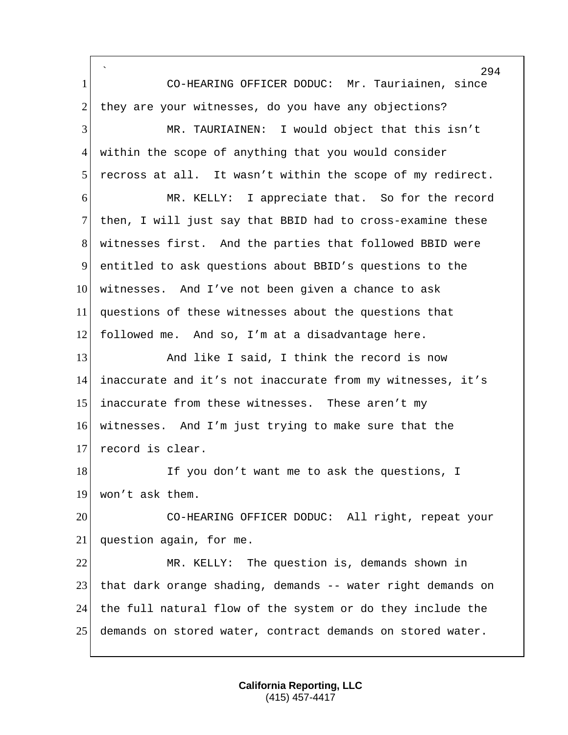` CO-HEARING OFFICER DODUC: Mr. Tauriainen, since 2 they are your witnesses, do you have any objections? MR. TAURIAINEN: I would object that this isn't within the scope of anything that you would consider recross at all. It wasn't within the scope of my redirect. MR. KELLY: I appreciate that. So for the record 7 then, I will just say that BBID had to cross-examine these witnesses first. And the parties that followed BBID were entitled to ask questions about BBID's questions to the witnesses. And I've not been given a chance to ask questions of these witnesses about the questions that followed me. And so, I'm at a disadvantage here. 13 And like I said, I think the record is now inaccurate and it's not inaccurate from my witnesses, it's inaccurate from these witnesses. These aren't my witnesses. And I'm just trying to make sure that the 17 record is clear. 18 If you don't want me to ask the questions, I 19 won't ask them. CO-HEARING OFFICER DODUC: All right, repeat your question again, for me. MR. KELLY: The question is, demands shown in that dark orange shading, demands -- water right demands on the full natural flow of the system or do they include the demands on stored water, contract demands on stored water.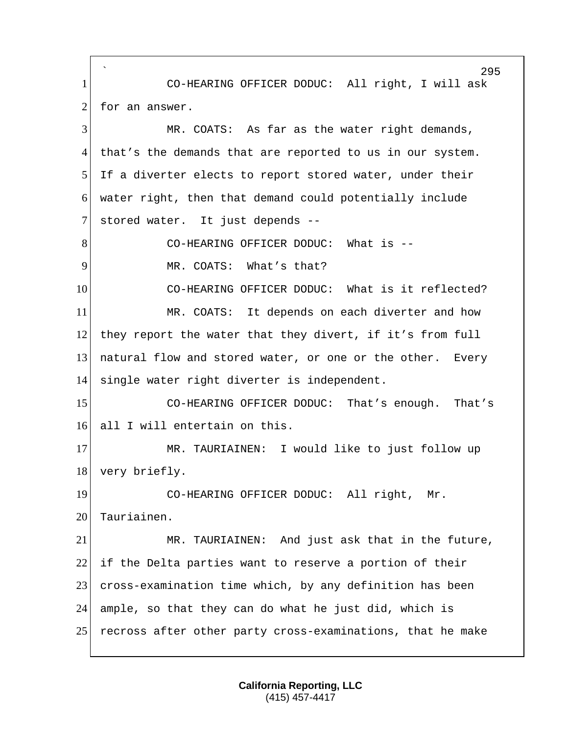` 295 1 CO-HEARING OFFICER DODUC: All right, I will ask  $2$  for an answer. 3 MR. COATS: As far as the water right demands, 4 that's the demands that are reported to us in our system. 5 If a diverter elects to report stored water, under their 6 water right, then that demand could potentially include 7 stored water. It just depends --8 CO-HEARING OFFICER DODUC: What is --9 MR. COATS: What's that? 10 CO-HEARING OFFICER DODUC: What is it reflected? 11 MR. COATS: It depends on each diverter and how 12 they report the water that they divert, if it's from full 13 natural flow and stored water, or one or the other. Every 14 single water right diverter is independent. 15 CO-HEARING OFFICER DODUC: That's enough. That's 16 all I will entertain on this. 17 MR. TAURIAINEN: I would like to just follow up 18 very briefly. 19 CO-HEARING OFFICER DODUC: All right, Mr. 20 Tauriainen. 21 MR. TAURIAINEN: And just ask that in the future,  $22$  if the Delta parties want to reserve a portion of their 23 cross-examination time which, by any definition has been 24 ample, so that they can do what he just did, which is 25 recross after other party cross-examinations, that he make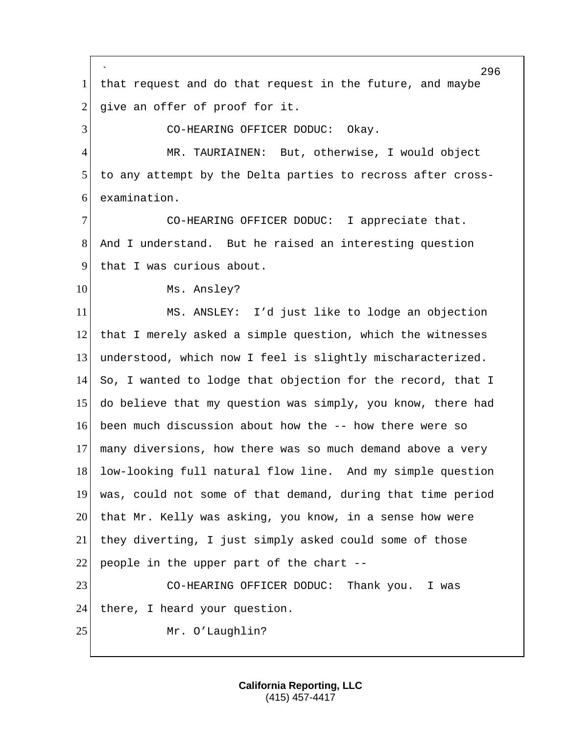` 296 1 that request and do that request in the future, and maybe  $2$  give an offer of proof for it. 3 CO-HEARING OFFICER DODUC: Okay. 4 MR. TAURIAINEN: But, otherwise, I would object 5 to any attempt by the Delta parties to recross after cross-6 examination. 7 CO-HEARING OFFICER DODUC: I appreciate that. 8 And I understand. But he raised an interesting question 9 that I was curious about. 10 Ms. Ansley? 11 MS. ANSLEY: I'd just like to lodge an objection 12 that I merely asked a simple question, which the witnesses 13 understood, which now I feel is slightly mischaracterized. 14 So, I wanted to lodge that objection for the record, that I 15 do believe that my question was simply, you know, there had 16 been much discussion about how the -- how there were so 17 many diversions, how there was so much demand above a very 18 low-looking full natural flow line. And my simple question 19 was, could not some of that demand, during that time period 20 that Mr. Kelly was asking, you know, in a sense how were 21 they diverting, I just simply asked could some of those 22 people in the upper part of the chart  $-$ -23 CO-HEARING OFFICER DODUC: Thank you. I was 24 there, I heard your question. 25 Mr. O'Laughlin?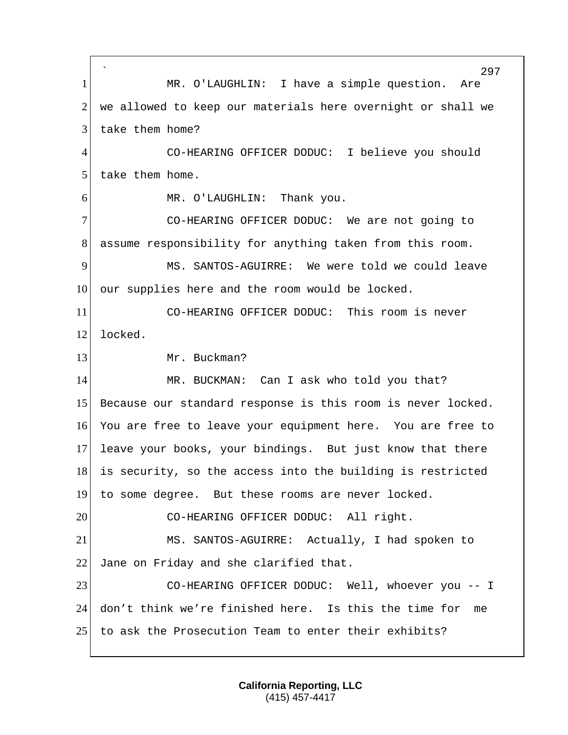` 297 1 MR. O'LAUGHLIN: I have a simple question. Are 2 we allowed to keep our materials here overnight or shall we 3 take them home? 4 CO-HEARING OFFICER DODUC: I believe you should 5 take them home. 6 MR. O'LAUGHLIN: Thank you. 7 CO-HEARING OFFICER DODUC: We are not going to 8 assume responsibility for anything taken from this room. 9 MS. SANTOS-AGUIRRE: We were told we could leave 10 our supplies here and the room would be locked. 11 CO-HEARING OFFICER DODUC: This room is never 12 locked. 13 Mr. Buckman? 14 MR. BUCKMAN: Can I ask who told you that? 15 Because our standard response is this room is never locked. 16 You are free to leave your equipment here. You are free to 17 leave your books, your bindings. But just know that there 18 is security, so the access into the building is restricted 19 to some degree. But these rooms are never locked. 20 CO-HEARING OFFICER DODUC: All right. 21 MS. SANTOS-AGUIRRE: Actually, I had spoken to 22 Jane on Friday and she clarified that. 23 CO-HEARING OFFICER DODUC: Well, whoever you -- I 24 don't think we're finished here. Is this the time for me 25 to ask the Prosecution Team to enter their exhibits?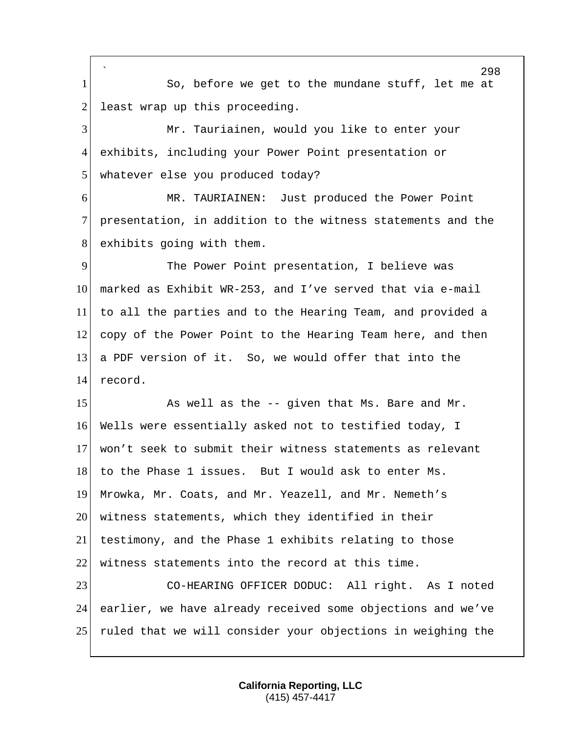` 1 So, before we get to the mundane stuff, let me at least wrap up this proceeding.

 Mr. Tauriainen, would you like to enter your exhibits, including your Power Point presentation or 5 whatever else you produced today?

 MR. TAURIAINEN: Just produced the Power Point presentation, in addition to the witness statements and the 8 exhibits going with them.

 The Power Point presentation, I believe was marked as Exhibit WR-253, and I've served that via e-mail to all the parties and to the Hearing Team, and provided a 12 copy of the Power Point to the Hearing Team here, and then a PDF version of it. So, we would offer that into the record.

15 As well as the -- given that Ms. Bare and Mr. Wells were essentially asked not to testified today, I won't seek to submit their witness statements as relevant 18 to the Phase 1 issues. But I would ask to enter Ms. Mrowka, Mr. Coats, and Mr. Yeazell, and Mr. Nemeth's witness statements, which they identified in their testimony, and the Phase 1 exhibits relating to those witness statements into the record at this time.

 CO-HEARING OFFICER DODUC: All right. As I noted earlier, we have already received some objections and we've ruled that we will consider your objections in weighing the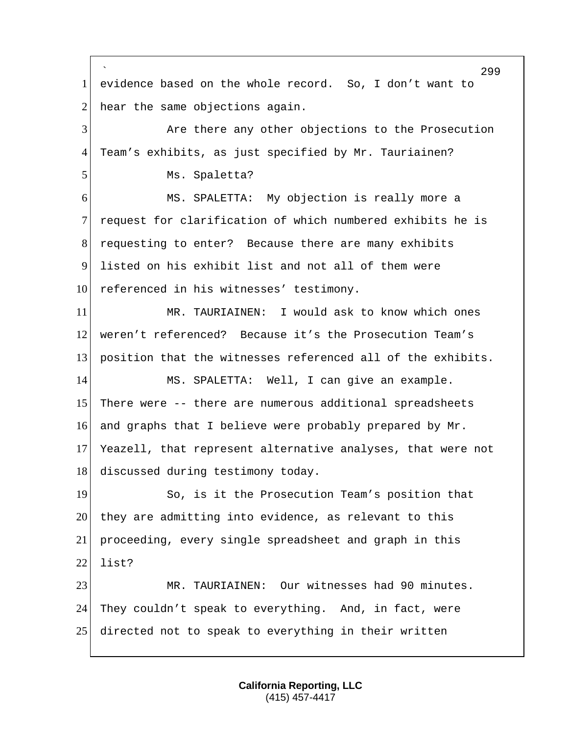` evidence based on the whole record. So, I don't want to hear the same objections again. Are there any other objections to the Prosecution Team's exhibits, as just specified by Mr. Tauriainen? 5 Ms. Spaletta? MS. SPALETTA: My objection is really more a request for clarification of which numbered exhibits he is requesting to enter? Because there are many exhibits listed on his exhibit list and not all of them were 10 referenced in his witnesses' testimony. MR. TAURIAINEN: I would ask to know which ones weren't referenced? Because it's the Prosecution Team's 13 position that the witnesses referenced all of the exhibits. MS. SPALETTA: Well, I can give an example. 15 There were -- there are numerous additional spreadsheets and graphs that I believe were probably prepared by Mr. Yeazell, that represent alternative analyses, that were not 18 discussed during testimony today. 19 So, is it the Prosecution Team's position that 20 they are admitting into evidence, as relevant to this proceeding, every single spreadsheet and graph in this list? MR. TAURIAINEN: Our witnesses had 90 minutes. 24 They couldn't speak to everything. And, in fact, were directed not to speak to everything in their written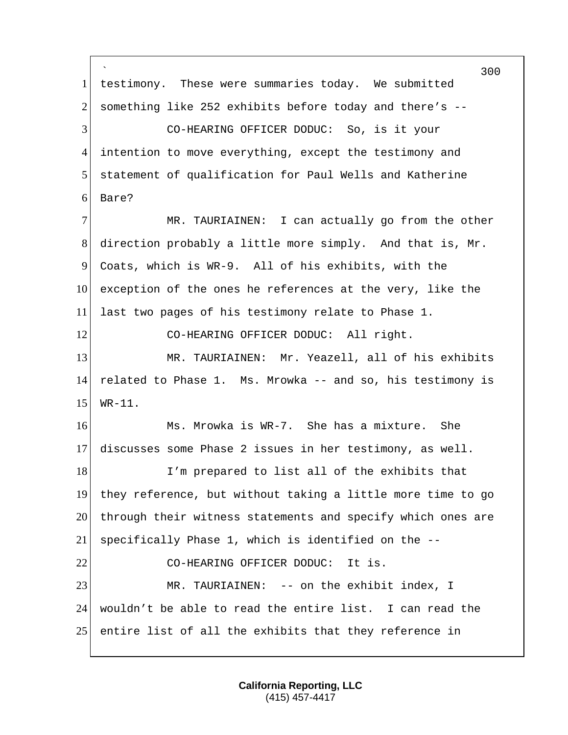` 300 1 testimony. These were summaries today. We submitted 2 something like 252 exhibits before today and there's --3 CO-HEARING OFFICER DODUC: So, is it your 4 intention to move everything, except the testimony and 5 statement of qualification for Paul Wells and Katherine 6 Bare? 7 MR. TAURIAINEN: I can actually go from the other 8 direction probably a little more simply. And that is, Mr. 9 Coats, which is WR-9. All of his exhibits, with the 10 exception of the ones he references at the very, like the 11 last two pages of his testimony relate to Phase 1. 12 CO-HEARING OFFICER DODUC: All right. 13 MR. TAURIAINEN: Mr. Yeazell, all of his exhibits 14 related to Phase 1. Ms. Mrowka -- and so, his testimony is 15 WR-11. 16 Ms. Mrowka is WR-7. She has a mixture. She 17 discusses some Phase 2 issues in her testimony, as well. 18 I'm prepared to list all of the exhibits that 19 they reference, but without taking a little more time to go 20 through their witness statements and specify which ones are 21 specifically Phase 1, which is identified on the -- 22 CO-HEARING OFFICER DODUC: It is. 23 MR. TAURIAINEN: -- on the exhibit index, I 24 wouldn't be able to read the entire list. I can read the 25 entire list of all the exhibits that they reference in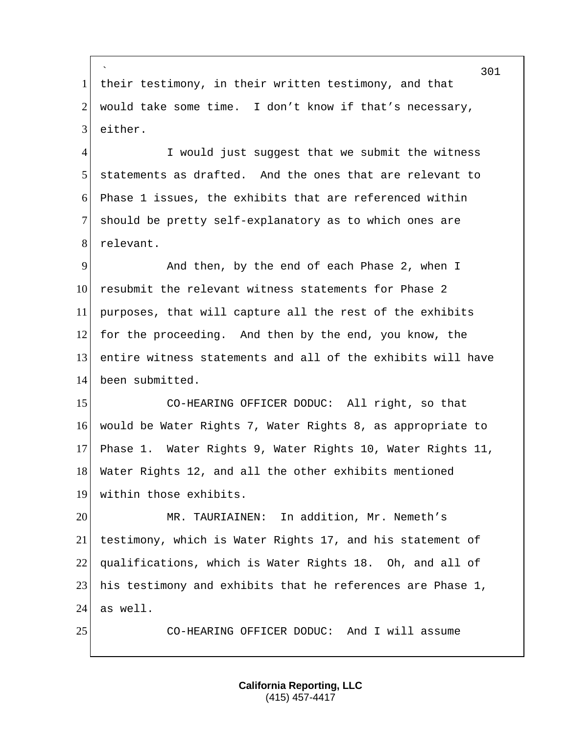` 1 | their testimony, in their written testimony, and that 2 would take some time. I don't know if that's necessary, either.

4 I would just suggest that we submit the witness statements as drafted. And the ones that are relevant to Phase 1 issues, the exhibits that are referenced within should be pretty self-explanatory as to which ones are 8 relevant.

 And then, by the end of each Phase 2, when I 10 resubmit the relevant witness statements for Phase 2 purposes, that will capture all the rest of the exhibits for the proceeding. And then by the end, you know, the entire witness statements and all of the exhibits will have 14 been submitted.

 CO-HEARING OFFICER DODUC: All right, so that would be Water Rights 7, Water Rights 8, as appropriate to Phase 1. Water Rights 9, Water Rights 10, Water Rights 11, 18 Water Rights 12, and all the other exhibits mentioned within those exhibits.

20 MR. TAURIAINEN: In addition, Mr. Nemeth's testimony, which is Water Rights 17, and his statement of qualifications, which is Water Rights 18. Oh, and all of his testimony and exhibits that he references are Phase 1, as well.

CO-HEARING OFFICER DODUC: And I will assume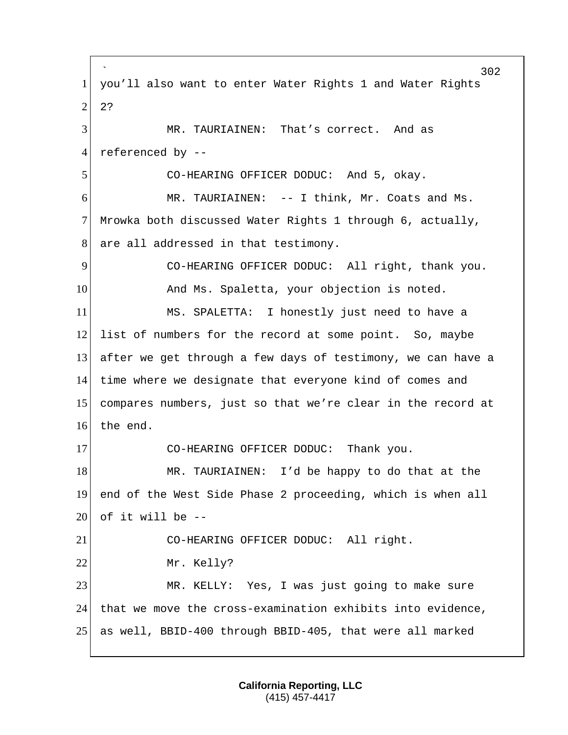` 302 1 you'll also want to enter Water Rights 1 and Water Rights  $2^{2}$ 3 MR. TAURIAINEN: That's correct. And as 4 referenced by -- 5 CO-HEARING OFFICER DODUC: And 5, okay. 6 MR. TAURIAINEN: -- I think, Mr. Coats and Ms. 7 Mrowka both discussed Water Rights 1 through 6, actually, 8 are all addressed in that testimony. 9 CO-HEARING OFFICER DODUC: All right, thank you. 10 And Ms. Spaletta, your objection is noted. 11 MS. SPALETTA: I honestly just need to have a 12 list of numbers for the record at some point. So, maybe 13 after we get through a few days of testimony, we can have a 14 time where we designate that everyone kind of comes and 15 compares numbers, just so that we're clear in the record at 16 the end. 17 CO-HEARING OFFICER DODUC: Thank you. 18 MR. TAURIAINEN: I'd be happy to do that at the 19 end of the West Side Phase 2 proceeding, which is when all 20 of it will be  $-$ 21 CO-HEARING OFFICER DODUC: All right. 22 Mr. Kelly? 23 MR. KELLY: Yes, I was just going to make sure 24 that we move the cross-examination exhibits into evidence, 25 as well, BBID-400 through BBID-405, that were all marked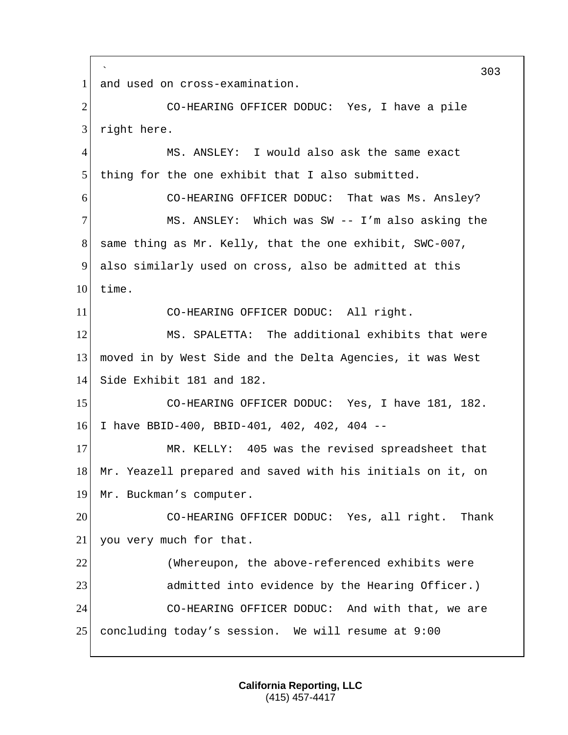` 303 1 and used on cross-examination. 2 CO-HEARING OFFICER DODUC: Yes, I have a pile 3 right here. 4 MS. ANSLEY: I would also ask the same exact 5 thing for the one exhibit that I also submitted. 6 CO-HEARING OFFICER DODUC: That was Ms. Ansley? 7 MS. ANSLEY: Which was SW -- I'm also asking the 8 same thing as Mr. Kelly, that the one exhibit, SWC-007, 9 also similarly used on cross, also be admitted at this  $10$  time. 11 CO-HEARING OFFICER DODUC: All right. 12 MS. SPALETTA: The additional exhibits that were 13 moved in by West Side and the Delta Agencies, it was West 14 Side Exhibit 181 and 182. 15 CO-HEARING OFFICER DODUC: Yes, I have 181, 182. 16 I have BBID-400, BBID-401, 402, 402, 404 -- 17 MR. KELLY: 405 was the revised spreadsheet that 18 Mr. Yeazell prepared and saved with his initials on it, on 19 Mr. Buckman's computer. 20 CO-HEARING OFFICER DODUC: Yes, all right. Thank 21 you very much for that. 22 (Whereupon, the above-referenced exhibits were 23 admitted into evidence by the Hearing Officer.) 24 CO-HEARING OFFICER DODUC: And with that, we are 25 concluding today's session. We will resume at 9:00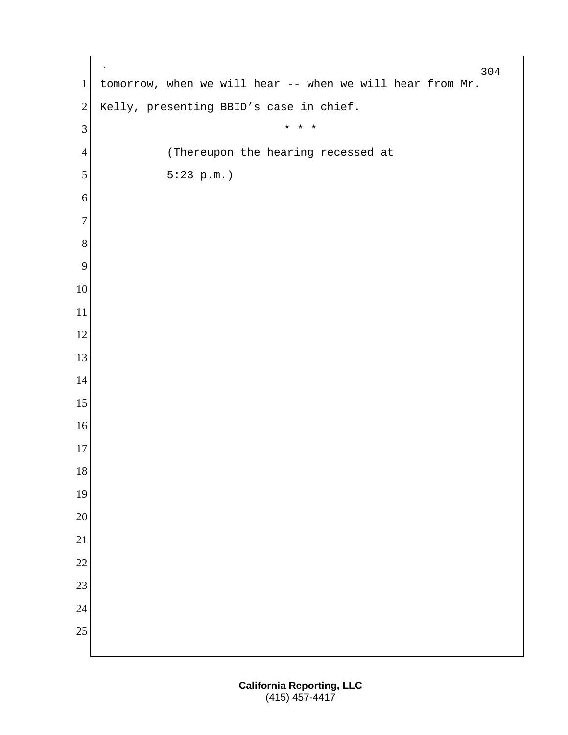` tomorrow, when we will hear -- when we will hear from Mr. 2 Kelly, presenting BBID's case in chief.  $\begin{array}{ccc} 3 & \ast & \ast & \ast \end{array}$ 4 (Thereupon the hearing recessed at 5  $5:23 \text{ p.m.}$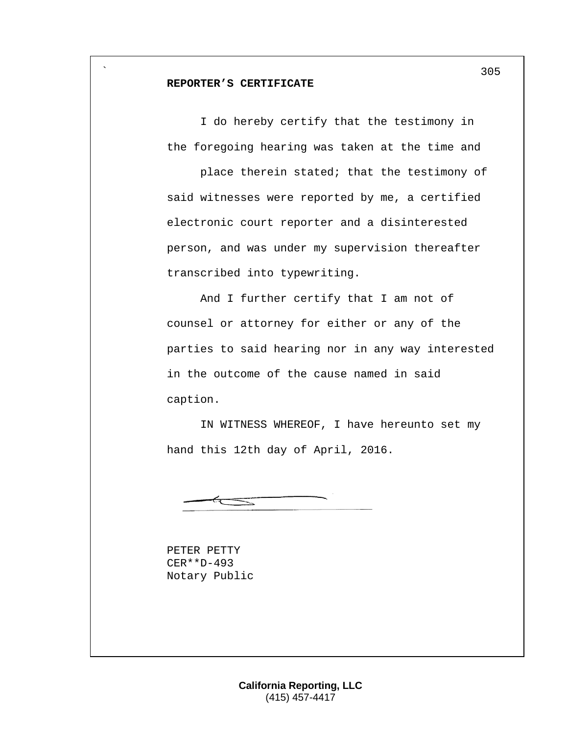## **REPORTER'S CERTIFICATE**

`

I do hereby certify that the testimony in the foregoing hearing was taken at the time and

place therein stated; that the testimony of said witnesses were reported by me, a certified electronic court reporter and a disinterested person, and was under my supervision thereafter transcribed into typewriting.

And I further certify that I am not of counsel or attorney for either or any of the parties to said hearing nor in any way interested in the outcome of the cause named in said caption.

IN WITNESS WHEREOF, I have hereunto set my hand this 12th day of April, 2016.

PETER PETTY CER\*\*D-493 Notary Public